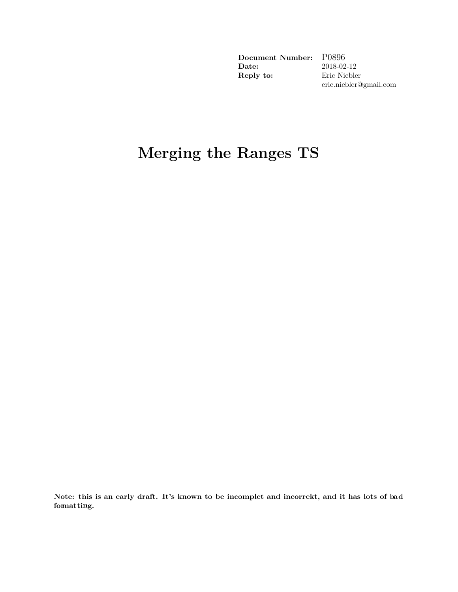**Document Number:** P0896<br>Date: 2018-02 **Date:** 2018-02-12<br>**Reply to:** Eric Nieble **Reply to:** Eric Niebler eric.niebler@gmail.com

# **Merging the Ranges TS**

**Note: this is an early draft. It's known to be incomplet and incorrekt, and it has lots of bad formatting.**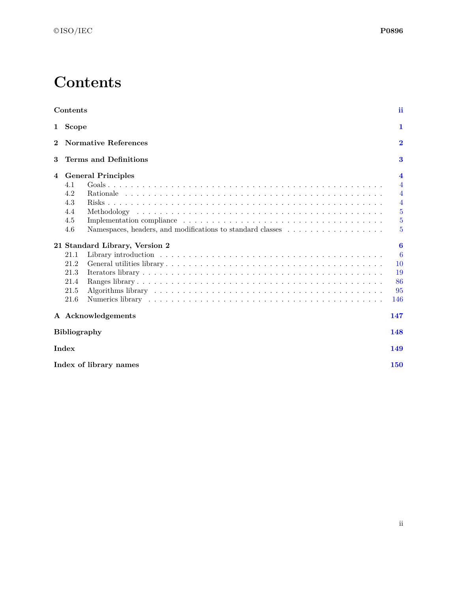<span id="page-1-0"></span>

|          | Contents                                                                                                                                                                                                                                                                                                                                                                                | ii                                                                                                                                                 |
|----------|-----------------------------------------------------------------------------------------------------------------------------------------------------------------------------------------------------------------------------------------------------------------------------------------------------------------------------------------------------------------------------------------|----------------------------------------------------------------------------------------------------------------------------------------------------|
|          | 1 Scope                                                                                                                                                                                                                                                                                                                                                                                 | 1                                                                                                                                                  |
| $\bf{2}$ | <b>Normative References</b>                                                                                                                                                                                                                                                                                                                                                             | $\overline{2}$                                                                                                                                     |
| 3        | <b>Terms and Definitions</b>                                                                                                                                                                                                                                                                                                                                                            | 3                                                                                                                                                  |
| 4        | <b>General Principles</b><br>4.1<br>4.2<br>4.3<br>4.4<br>4.5<br>4.6<br>21 Standard Library, Version 2<br>21.1<br>21.2<br>21.3<br>21.4<br>Algorithms library enterpreteration of the state of the state of the state of the state of the state of the state of the state of the state of the state of the state of the state of the state of the state of the state of t<br>21.5<br>21.6 | $\overline{\mathbf{4}}$<br>$\overline{4}$<br>$\overline{4}$<br>4<br>$\overline{5}$<br>$\overline{5}$<br>5<br>6<br>6<br>10<br>19<br>86<br>95<br>146 |
|          | A Acknowledgements                                                                                                                                                                                                                                                                                                                                                                      | 147                                                                                                                                                |
|          | <b>Bibliography</b>                                                                                                                                                                                                                                                                                                                                                                     | 148                                                                                                                                                |
|          | Index                                                                                                                                                                                                                                                                                                                                                                                   | 149                                                                                                                                                |
|          | Index of library names                                                                                                                                                                                                                                                                                                                                                                  | 150                                                                                                                                                |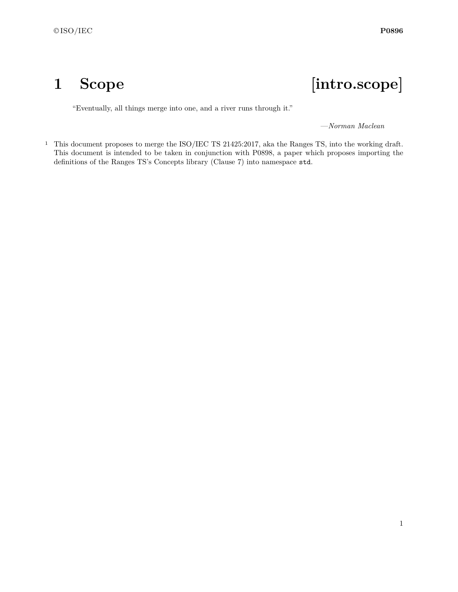# <span id="page-2-0"></span>**1 Scope [intro.scope]**

"Eventually, all things merge into one, and a river runs through it."

—*Norman Maclean*

<sup>1</sup> This document proposes to merge the ISO/IEC TS 21425:2017, aka the Ranges TS, into the working draft. This document is intended to be taken in conjunction with P0898, a paper which proposes importing the definitions of the Ranges TS's Concepts library (Clause 7) into namespace std.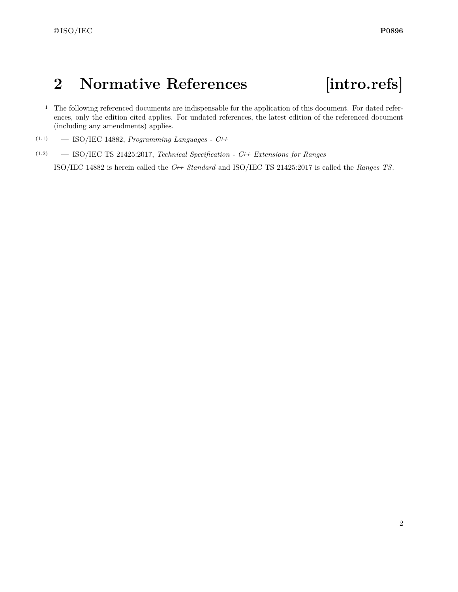# <span id="page-3-0"></span>**2 Normative References [intro.refs]**

- <sup>1</sup> The following referenced documents are indispensable for the application of this document. For dated references, only the edition cited applies. For undated references, the latest edition of the referenced document (including any amendments) applies.
- (1.1) ISO/IEC 14882, *Programming Languages C++*
- (1.2) ISO/IEC TS 21425:2017, *Technical Specification C++ Extensions for Ranges* ISO/IEC 14882 is herein called the *C++ Standard* and ISO/IEC TS 21425:2017 is called the *Ranges TS*.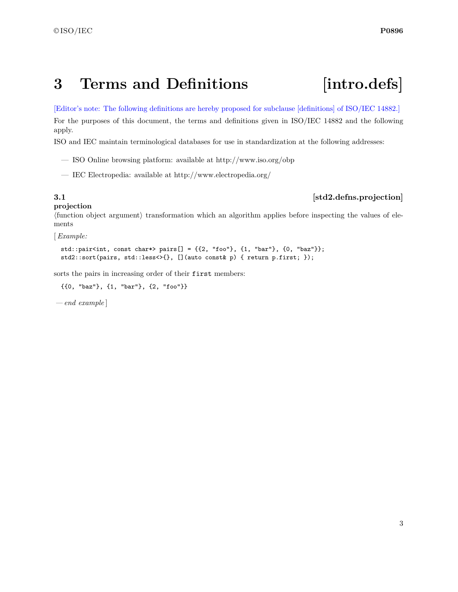# <span id="page-4-0"></span>**3 Terms and Definitions [intro.defs]**

# [Editor's note: The following definitions are hereby proposed for subclause [definitions] of ISO/IEC 14882.]

For the purposes of this document, the terms and definitions given in ISO/IEC 14882 and the following apply.

ISO and IEC maintain terminological databases for use in standardization at the following addresses:

- ISO Online browsing platform: available at http://www.iso.org/obp
- IEC Electropedia: available at http://www.electropedia.org/

# **projection**

〈function object argument〉 transformation which an algorithm applies before inspecting the values of elements

[*Example:*

```
std::pair<int, const char*> pairs[] = { {2, "foo"} , {1, "bar"} }, {0, "baz"} };std2::sort(pairs, std::less<>{}, [](auto const& p) { return p.first; });
```
sorts the pairs in increasing order of their first members:

{{0, "baz"}, {1, "bar"}, {2, "foo"}}

*— end example* ]

# **3.1** [std2.defns.projection]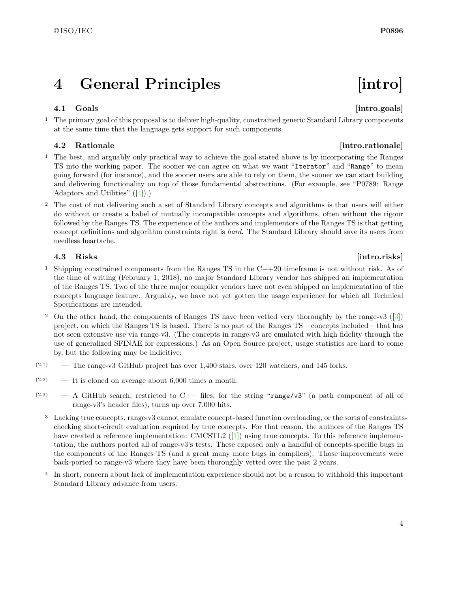# <span id="page-5-0"></span>**4 General Principles [intro]**

# <span id="page-5-1"></span>**4.1 Goals** *definition in the set of the set of the set of the set of the set of the set of the set of the set of the set of the set of the set of the set of the set of the set of the set of the set of the set of the set*

<sup>1</sup> The primary goal of this proposal is to deliver high-quality, constrained generic Standard Library components at the same time that the language gets support for such components.

# <span id="page-5-2"></span>**4.2 Rationale** *a Rationale lintro.rationale lintro.rationale*

- <sup>1</sup> The best, and arguably only practical way to achieve the goal stated above is by incorporating the Ranges TS into the working paper. The sooner we can agree on what we want "Iterator" and "Range" to mean going forward (for instance), and the sooner users are able to rely on them, the sooner we can start building and delivering functionality on top of those fundamental abstractions. (For example, see "P0789: Range Adaptors and Utilities"  $([4])$  $([4])$  $([4])$ .)
- <sup>2</sup> The cost of not delivering such a set of Standard Library concepts and algorithms is that users will either do without or create a babel of mutually incompatible concepts and algorithms, often without the rigour followed by the Ranges TS. The experience of the authors and implementors of the Ranges TS is that getting concept definitions and algorithm constraints right is *hard*. The Standard Library should save its users from needless heartache.

# <span id="page-5-3"></span>**4.3 Risks** [intro.risks]

- <sup>1</sup> Shipping constrained components from the Ranges TS in the C++20 timeframe is not without risk. As of the time of writing (February 1, 2018), no major Standard Library vendor has shipped an implementation of the Ranges TS. Two of the three major compiler vendors have not even shipped an implementation of the concepts language feature. Arguably, we have not yet gotten the usage experience for which all Technical Specifications are intended.
- <sup>2</sup> On the other hand, the components of Ranges TS have been vetted very thoroughly by the range-v3 ([\[3\]](#page-149-2)) project, on which the Ranges TS is based. There is no part of the Ranges TS – concepts included – that has not seen extensive use via range-v3. (The concepts in range-v3 are emulated with high fidelity through the use of generalized SFINAE for expressions.) As an Open Source project, usage statistics are hard to come by, but the following may be indicitive:
- (2.1) The range-v3 GitHub project has over 1,400 stars, over 120 watchers, and 145 forks.
- $(2.2)$  It is cloned on average about 6,000 times a month.
- $(2.3)$  A GitHub search, restricted to C++ files, for the string "range/v3" (a path component of all of range-v3's header files), turns up over 7,000 hits.
	- <sup>3</sup> Lacking true concepts, range-v3 cannot emulate concept-based function overloading, or the sorts of constraintschecking short-circuit evaluation required by true concepts. For that reason, the authors of the Ranges TS have created a reference implementation: CMCSTL2 ([\[1\]](#page-149-0)) using true concepts. To this reference implementation, the authors ported all of range-v3's tests. These exposed only a handful of concepts-specific bugs in the components of the Ranges TS (and a great many more bugs in compilers). Those improvements were back-ported to range-v3 where they have been thoroughly vetted over the past 2 years.
	- <sup>4</sup> In short, concern about lack of implementation experience should not be a reason to withhold this important Standard Library advance from users.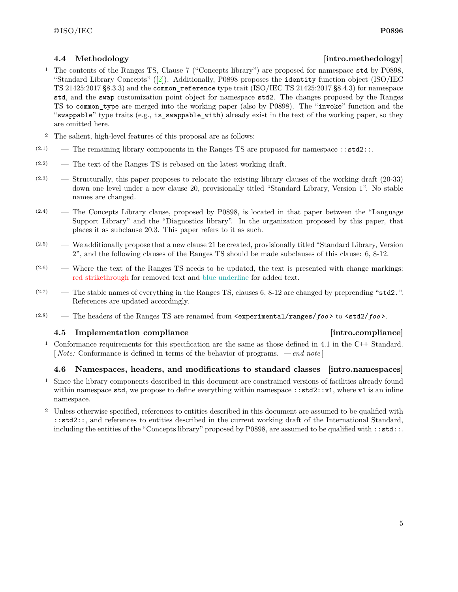# <span id="page-6-0"></span>**4.4 Methodology [intro.methedology]**

- <sup>1</sup> The contents of the Ranges TS, Clause 7 ("Concepts library") are proposed for namespace std by P0898, "Standard Library Concepts" ([\[2\]](#page-149-3)). Additionally, P0898 proposes the identity function object (ISO/IEC TS 21425:2017 §8.3.3) and the common reference type trait (ISO/IEC TS 21425:2017 §8.4.3) for namespace std, and the swap customization point object for namespace std2. The changes proposed by the Ranges TS to common\_type are merged into the working paper (also by P0898). The "invoke" function and the "swappable" type traits (e.g., is\_swappable\_with) already exist in the text of the working paper, so they are omitted here.
- <sup>2</sup> The salient, high-level features of this proposal are as follows:
- $(2.1)$  The remaining library components in the Ranges TS are proposed for namespace ::std2::.
- (2.2) The text of the Ranges TS is rebased on the latest working draft.
- (2.3) Structurally, this paper proposes to relocate the existing library clauses of the working draft (20-33) down one level under a new clause 20, provisionally titled "Standard Library, Version 1". No stable names are changed.
- (2.4) The Concepts Library clause, proposed by P0898, is located in that paper between the "Language Support Library" and the "Diagnostics library". In the organization proposed by this paper, that places it as subclause 20.3. This paper refers to it as such.
- $(2.5)$  We additionally propose that a new clause 21 be created, provisionally titled "Standard Library, Version 2", and the following clauses of the Ranges TS should be made subclauses of this clause: 6, 8-12.
- (2.6) Where the text of the Ranges TS needs to be updated, the text is presented with change markings: red strikethrough for removed text and blue underline for added text.
- $(2.7)$  The stable names of everything in the Ranges TS, clauses 6, 8-12 are changed by preprending "std2.". References are updated accordingly.
- (2.8) The headers of the Ranges TS are renamed from <experimental/ranges/*foo* > to <std2/*foo* >.

# <span id="page-6-1"></span>**4.5 Implementation compliance [intro.compliance]**

<sup>1</sup> Conformance requirements for this specification are the same as those defined in 4.1 in the C**++** Standard. [ *Note:* Conformance is defined in terms of the behavior of programs. *— end note* ]

# <span id="page-6-2"></span>**4.6 Namespaces, headers, and modifications to standard classes [intro.namespaces]**

- <sup>1</sup> Since the library components described in this document are constrained versions of facilities already found within namespace std, we propose to define everything within namespace  $::std2::v1$ , where v1 is an inline namespace.
- <sup>2</sup> Unless otherwise specified, references to entities described in this document are assumed to be qualified with ::std2::, and references to entities described in the current working draft of the International Standard, including the entities of the "Concepts library" proposed by P0898, are assumed to be qualified with ::std::.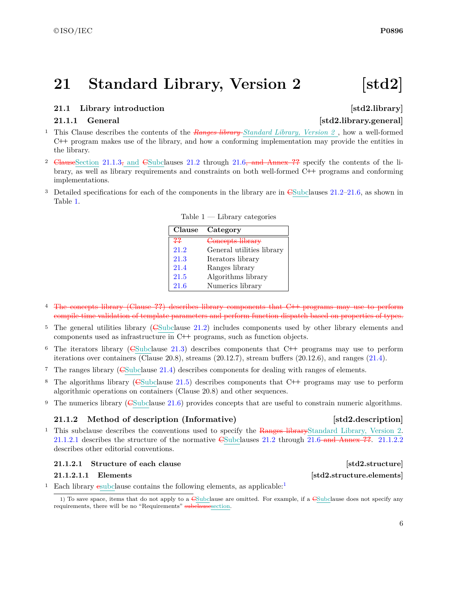# <span id="page-7-0"></span>**21 Standard Library, Version 2 [std2]**

# <span id="page-7-1"></span>21.1 Library introduction [std2.library]

## **21.1.1 General**  *Constanting Std2.library.general*

- <sup>1</sup> This Clause describes the contents of the *Ranges library Standard Library, Version 2* , how a well-formed C**++** program makes use of the library, and how a conforming implementation may provide the entities in the library.
- <sup>2</sup> ClauseSection [21.1.3,](#page-9-0) and CSubclauses [21.2](#page-11-0) through [21.6,](#page-147-0) and Annex **??** specify the contents of the library, as well as library requirements and constraints on both well-formed C**++** programs and conforming implementations.
- <sup>3</sup> Detailed specifications for each of the components in the library are in CSubclauses [21.2](#page-11-0)[–21.6,](#page-147-0) as shown in Table [1.](#page-7-2)

| Clause | Category                  |
|--------|---------------------------|
| 22     | Concepts library          |
| 21.2   | General utilities library |
| 21.3   | Iterators library         |
| 21.4   | Ranges library            |
| 21.5   | Algorithms library        |
| 21.6   | Numerics library          |

<span id="page-7-2"></span>Table  $1 -$  Library categories

- <sup>4</sup> The concepts library (Clause **??**) describes library components that C**++** programs may use to perform compile-time validation of template parameters and perform function dispatch based on properties of types.
- <sup>5</sup> The general utilities library (CSubclause [21.2\)](#page-11-0) includes components used by other library elements and components used as infrastructure in C**++** programs, such as function objects.
- <sup>6</sup> The iterators library (CSubclause [21.3\)](#page-20-0) describes components that C**++** programs may use to perform iterations over containers (Clause 20.8), streams (20.12.7), stream buffers (20.12.6), and ranges [\(21.4\)](#page-87-0).
- <sup>7</sup> The ranges library (CSubclause [21.4\)](#page-87-0) describes components for dealing with ranges of elements.
- <sup>8</sup> The algorithms library (CSubclause [21.5\)](#page-96-0) describes components that C**++** programs may use to perform algorithmic operations on containers (Clause 20.8) and other sequences.
- <sup>9</sup> The numerics library (CSubclause [21.6\)](#page-147-0) provides concepts that are useful to constrain numeric algorithms.

# **21.1.2** Method of description (Informative) [std2.description]

<sup>1</sup> This subclause describes the conventions used to specify the Ranges libraryStandard Library, Version 2. [21.1.2.1](#page-7-3) describes the structure of the normative CSubclauses [21.2](#page-11-0) through [21.6](#page-147-0) and Annex **??**. [21.1.2.2](#page-9-1) describes other editorial conventions.

# <span id="page-7-3"></span>**21.1.2.1** Structure of each clause **and in the state is a set of each clause** [std2.structure]

## **21.1.2.1.1 Elements [std2.structure.elements]**

<sup>[1](#page-7-4)</sup> Each library esubclause contains the following elements, as applicable:<sup>1</sup>

<span id="page-7-4"></span><sup>1)</sup> To save space, items that do not apply to a CSubclause are omitted. For example, if a CSubclause does not specify any requirements, there will be no "Requirements" subclauses ection.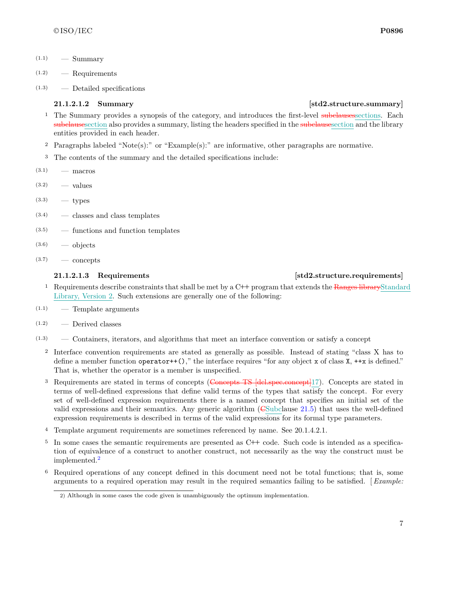- $(1.1)$  Summary
- (1.2) Requirements
- $(1.3)$  Detailed specifications

# **21.1.2.1.2 Summary [std2.structure.summary]**

- <sup>1</sup> The Summary provides a synopsis of the category, and introduces the first-level subclauses sections. Each subclauses ection also provides a summary, listing the headers specified in the subclauses ection and the library entities provided in each header.
- <sup>2</sup> Paragraphs labeled "Note(s):" or "Example(s):" are informative, other paragraphs are normative.
- <sup>3</sup> The contents of the summary and the detailed specifications include:
- $(3.1)$  macros
- $(3.2)$  values
- $(3.3)$  types
- $(3.4)$  classes and class templates
- (3.5) functions and function templates
- $(3.6)$  objects
- $(3.7)$  concepts

- <span id="page-8-1"></span>**21.1.2.1.3 Requirements [std2.structure.requirements]**
- <sup>1</sup> Requirements describe constraints that shall be met by a C**++** program that extends the Ranges libraryStandard Library, Version 2. Such extensions are generally one of the following:
- (1.1) Template arguments
- (1.2) Derived classes
- (1.3) Containers, iterators, and algorithms that meet an interface convention or satisfy a concept
	- <sup>2</sup> Interface convention requirements are stated as generally as possible. Instead of stating "class X has to define a member function operator++()," the interface requires "for any object x of class  $X$ , ++x is defined." That is, whether the operator is a member is unspecified.
	- <sup>3</sup> Requirements are stated in terms of concepts (Concepts TS [del.spec.concept]17). Concepts are stated in terms of well-defined expressions that define valid terms of the types that satisfy the concept. For every set of well-defined expression requirements there is a named concept that specifies an initial set of the valid expressions and their semantics. Any generic algorithm  $(\text{CSub clause } 21.5)$  $(\text{CSub clause } 21.5)$  that uses the well-defined expression requirements is described in terms of the valid expressions for its formal type parameters.
	- <sup>4</sup> Template argument requirements are sometimes referenced by name. See 20.1.4.2.1.
	- <sup>5</sup> In some cases the semantic requirements are presented as C**++** code. Such code is intended as a specification of equivalence of a construct to another construct, not necessarily as the way the construct must be implemented.[2](#page-8-0)
	- <sup>6</sup> Required operations of any concept defined in this document need not be total functions; that is, some arguments to a required operation may result in the required semantics failing to be satisfied. [ *Example:*

<span id="page-8-0"></span><sup>2)</sup> Although in some cases the code given is unambiguously the optimum implementation.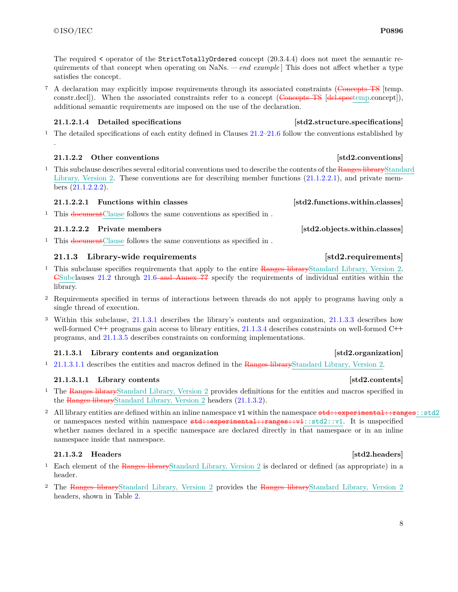.

The required  $\leq$  operator of the StrictTotallyOrdered concept (20.3.4.4) does not meet the semantic requirements of that concept when operating on NaNs. *— end example* ] This does not affect whether a type satisfies the concept.

<sup>7</sup> A declaration may explicitly impose requirements through its associated constraints (Concepts TS [temp. constr.decl]). When the associated constraints refer to a concept (Concepts TS [del.spectemp.concept]), additional semantic requirements are imposed on the use of the declaration.

# **21.1.2.1.4 Detailed specifications [std2.structure.specifications]**

<sup>1</sup> The detailed specifications of each entity defined in Clauses [21.2](#page-11-0)[–21.6](#page-147-0) follow the conventions established by

# <span id="page-9-1"></span>**21.1.2.2** Other conventions **b**  $\left[std2$ .conventions

<sup>1</sup> This subclause describes several editorial conventions used to describe the contents of the Ranges libraryStandard Library, Version 2. These conventions are for describing member functions  $(21.1.2.2.1)$ , and private members [\(21.1.2.2.2\)](#page-9-3).

# <span id="page-9-2"></span>**21.1.2.2.1 Functions within classes [std2.functions.within.classes]**

<sup>1</sup> This document Clause follows the same conventions as specified in.

# <span id="page-9-3"></span>**21.1.2.2.2 Private members [std2.objects.within.classes]**

<sup>1</sup> This document Clause follows the same conventions as specified in.

# <span id="page-9-0"></span>**21.1.3 Library-wide requirements [std2.requirements]**

- <sup>1</sup> This subclause specifies requirements that apply to the entire Ranges libraryStandard Library, Version 2. CSubclauses [21.2](#page-11-0) through [21.6](#page-147-0) and Annex **??** specify the requirements of individual entities within the library.
- <sup>2</sup> Requirements specified in terms of interactions between threads do not apply to programs having only a single thread of execution.
- <sup>3</sup> Within this subclause, [21.1.3.1](#page-9-4) describes the library's contents and organization, [21.1.3.3](#page-10-0) describes how well-formed C**++** programs gain access to library entities, [21.1.3.4](#page-10-1) describes constraints on well-formed C**++** programs, and [21.1.3.5](#page-11-1) describes constraints on conforming implementations.

# <span id="page-9-4"></span>**21.1.3.1 Library contents and organization [std2.organization]**

<sup>1</sup> [21.1.3.1.1](#page-9-5) describes the entities and macros defined in the Ranges libraryStandard Library, Version 2.

# <span id="page-9-5"></span>**21.1.3.1.1 Library contents [std2.contents]**

- <sup>1</sup> The Ranges libraryStandard Library, Version 2 provides definitions for the entities and macros specified in the Ranges libraryStandard Library, Version 2 headers [\(21.1.3.2\)](#page-9-6).
- <sup>2</sup> All library entities are defined within an inline namespace  $v1$  within the namespace  $std$ :  $experimental$ : ranges: : $std$ or namespaces nested within namespace  $\text{std}$ :: $\text{experimental}$ :: $\text{range}$ : $\text{wt}$ :: $\text{std2}$ :: $\text{vt}$ . It is unspecified whether names declared in a specific namespace are declared directly in that namespace or in an inline namespace inside that namespace.

# <span id="page-9-6"></span>**21.1.3.2 Headers b Example 21.1.3.2 Headers**

- <sup>1</sup> Each element of the Ranges libraryStandard Library, Version 2 is declared or defined (as appropriate) in a header.
- <sup>2</sup> The Ranges libraryStandard Library, Version 2 provides the Ranges libraryStandard Library, Version 2 headers, shown in Table [2.](#page-10-2)

# 8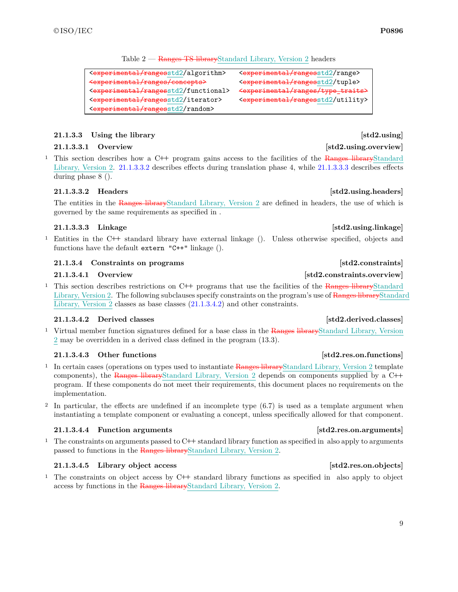<span id="page-10-2"></span>Table 2 — Ranges TS libraryStandard Library, Version 2 headers

<experimental/rangesstd2/algorithm> <experimental/rangesstd2/range> <experimental/ranges/concepts> <experimental/rangesstd2/tuple> <experimental/rangesstd2/functional> <experimental/ranges/type\_traits> <experimental/rangesstd2/iterator> <experimental/rangesstd2/utility> <experimental/rangesstd2/random>

# <span id="page-10-0"></span>**21.1.3.3** Using the library **being**  $[std2.using]$

# **21.1.3.3.1 Overview [std2.using.overview]**

<sup>1</sup> This section describes how a C**++** program gains access to the facilities of the Ranges libraryStandard Library, Version 2. [21.1.3.3.2](#page-10-3) describes effects during translation phase 4, while [21.1.3.3.3](#page-10-4) describes effects during phase 8 ().

# <span id="page-10-3"></span>**21.1.3.3.2 Headers [std2.using.headers]**

The entities in the Ranges libraryStandard Library, Version 2 are defined in headers, the use of which is governed by the same requirements as specified in .

# <span id="page-10-4"></span>**21.1.3.3.3** Linkage *a* **Example 1.1.3.3.3** Linkage

<sup>1</sup> Entities in the C**++** standard library have external linkage (). Unless otherwise specified, objects and functions have the default extern "C++" linkage ().

# <span id="page-10-1"></span>**21.1.3.4 Constraints on programs [std2.constraints]**

<sup>1</sup> This section describes restrictions on C**++** programs that use the facilities of the Ranges libraryStandard Library, Version 2. The following subclauses specify constraints on the program's use of Ranges libraryStandard Library, Version 2 classes as base classes [\(21.1.3.4.2\)](#page-10-5) and other constraints.

# <span id="page-10-5"></span>**21.1.3.4.2 Derived classes [std2.derived.classes]**

<sup>1</sup> Virtual member function signatures defined for a base class in the Ranges libraryStandard Library, Version 2 may be overridden in a derived class defined in the program (13.3).

# **21.1.3.4.3 Other functions [std2.res.on.functions]**

- <sup>1</sup> In certain cases (operations on types used to instantiate Ranges libraryStandard Library, Version 2 template components), the Ranges libraryStandard Library, Version 2 depends on components supplied by a C**++** program. If these components do not meet their requirements, this document places no requirements on the implementation.
- <sup>2</sup> In particular, the effects are undefined if an incomplete type (6.7) is used as a template argument when instantiating a template component or evaluating a concept, unless specifically allowed for that component.

# **21.1.3.4.4 Function arguments [std2.res.on.arguments]**

<sup>1</sup> The constraints on arguments passed to C**++** standard library function as specified in also apply to arguments passed to functions in the Ranges libraryStandard Library, Version 2.

# **21.1.3.4.5 Library object access [std2.res.on.objects]**

<sup>1</sup> The constraints on object access by C**++** standard library functions as specified in also apply to object access by functions in the Ranges libraryStandard Library, Version 2.

# **21.1.3.4.1 Overview [std2.constraints.overview]**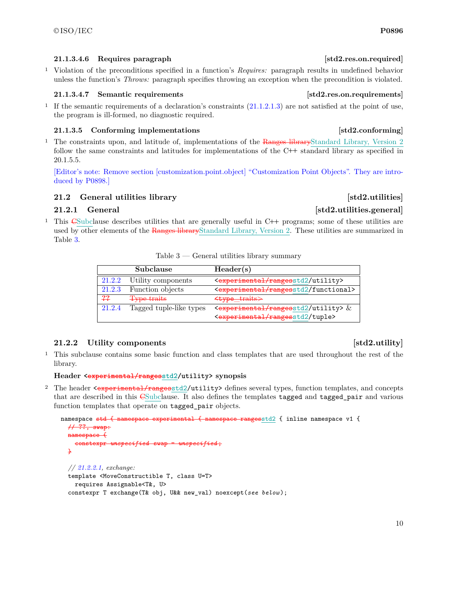# **21.1.3.4.6 Requires paragraph [std2.res.on.required]**

<sup>1</sup> Violation of the preconditions specified in a function's *Requires:* paragraph results in undefined behavior unless the function's *Throws:* paragraph specifies throwing an exception when the precondition is violated.

# **21.1.3.4.7 Semantic requirements [std2.res.on.requirements]**

<sup>1</sup> If the semantic requirements of a declaration's constraints  $(21.1.2.1.3)$  are not satisfied at the point of use, the program is ill-formed, no diagnostic required.

# <span id="page-11-1"></span>**21.1.3.5 Conforming implementations** [std2.conforming]

<sup>1</sup> The constraints upon, and latitude of, implementations of the Ranges libraryStandard Library, Version 2 follow the same constraints and latitudes for implementations of the C**++** standard library as specified in 20.1.5.5.

[Editor's note: Remove section [customization.point.object] "Customization Point Objects". They are introduced by P0898.]

# <span id="page-11-0"></span>21.2 General utilities library **and in the set of the Second State Seconds** (std2.utilities)

<sup>1</sup> This CSubclause describes utilities that are generally useful in C**++** programs; some of these utilities are used by other elements of the Ranges libraryStandard Library, Version 2. These utilities are summarized in Table [3.](#page-11-2)

# <span id="page-11-2"></span> $Table 3$  — General utilities library summary

|           | Subclause               | Header(s)                                                                  |
|-----------|-------------------------|----------------------------------------------------------------------------|
| 21.2.2    | Utility components      | <experimental rangesstd2="" utility=""></experimental>                     |
| 21.2.3    | Function objects        | <experimental functional="" rangesstd2=""></experimental>                  |
| <u>??</u> | Type traits             | $\leftarrow$ $\leftarrow$ $\leftarrow$ $\leftarrow$                        |
| 21.2.4    | Tagged tuple-like types | $\frac{1}{2}$ <experimental rangesstd2="" utility=""> &amp;</experimental> |
|           |                         | <experimental rangesstd2="" tuple=""></experimental>                       |

# <span id="page-11-3"></span>**21.2.2 Utility components** [std2.utility]

<sup>1</sup> This subclause contains some basic function and class templates that are used throughout the rest of the library.

# **Header <experimental/rangesstd2/utility> synopsis**

<sup>2</sup> The header  $\epsilon$ <sub>xperimental/rangesstd2/utility</sub>> defines several types, function templates, and concepts that are described in this CSubclause. It also defines the templates tagged and tagged\_pair and various function templates that operate on tagged\_pair objects.

```
namespace std { namespace experimental { namespace rangesstd2 { inline namespace v1 {
  // ??, swap:
  namespace {
    constexpr unspecified swap = unspecified ;
  \ddot{\ddag}// 21.2.2.1, exchange:
  template <MoveConstructible T, class U=T>
    requires Assignable<T&, U>
  constexpr T exchange(T& obj, U&& new_val) noexcept(see below );
```
# **21.2.1 General 21.2.1** General *statution statution statution statution statution* **<b>***statution statution statution statution statution* **<b>***statution statution statution* **<b>***statut*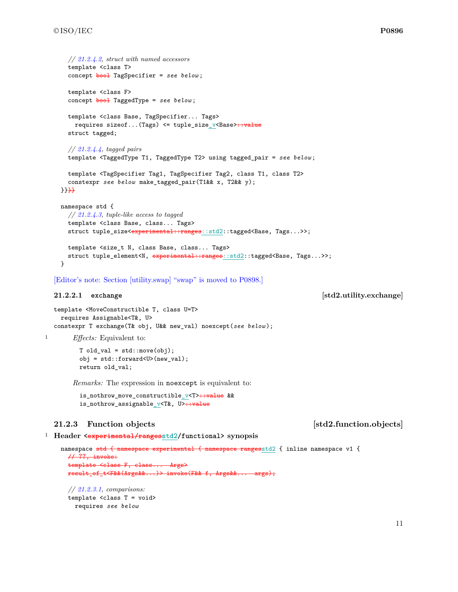```
// 21.2.4.2, struct with named accessors
    template <class T>
    concept bool TagSpecifier = see below ;
    template <class F>
    concept bool TaggedType = see below ;
    template <class Base, TagSpecifier... Tags>
     requires sizeof...(Tags) <= tuple_size_v<Base>::value
   struct tagged;
    // 21.2.4.4, tagged pairs
    template <TaggedType T1, TaggedType T2> using tagged_pair = see below ;
    template <TagSpecifier Tag1, TagSpecifier Tag2, class T1, class T2>
   constexpr see below make_tagged_pair(T1&& x, T2&& y);
  }}}}
  namespace std {
   // 21.2.4.3, tuple-like access to tagged
    template <class Base, class... Tags>
    struct tuple_size<experimental::ranges::std2::tagged<Base, Tags...>>;
   template <size_t N, class Base, class... Tags>
    struct tuple_element<N, experimental::ranges::std2::tagged<Base, Tags...>>;
  }
[Editor's note: Section [utility.swap] "swap" is moved to P0898.]
21.2.2.1 exchange [std2.utility.exchange]
template <MoveConstructible T, class U=T>
 requires Assignable<T&, U>
constexpr T exchange(T& obj, U&& new_val) noexcept(see below );
```

```
1 Effects: Equivalent to:
```

```
T old_val = std::move(obj);obj = std::forward<U>(new_val);
return old_val;
```
*Remarks:* The expression in noexcept is equivalent to:

is\_nothrow\_move\_constructible\_v<T>-::value && is\_nothrow\_assignable\_v<T&, U>::value

# <span id="page-12-0"></span>**21.2.3 Function objects [std2.function.objects]**

<sup>1</sup> **Header <experimental/rangesstd2/functional> synopsis**

```
namespace std { namespace experimental { namespace rangesstd2 { inline namespace v1 {
  // ??, invoke:
  template <class F, class... Args>
  result_of_t<F&&(Args&&...)> invoke(F&& f, Args&&... args);
  // 21.2.3.1, comparisons:
```
template <class T = void> requires *see below*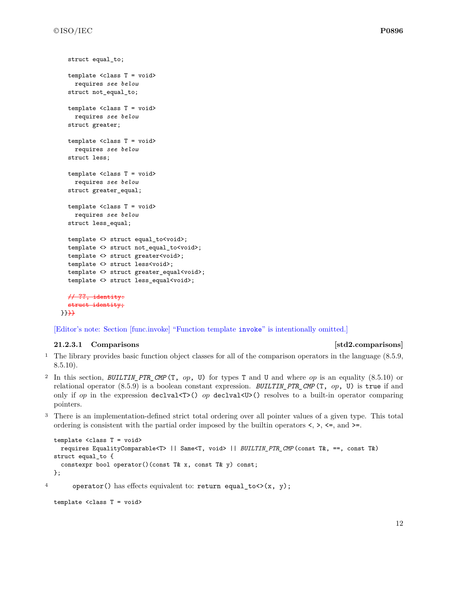```
struct equal_to;
 template <class T = void>
   requires see below
  struct not_equal_to;
  template <class T = void>
   requires see below
  struct greater;
 template <class T = void>
   requires see below
  struct less;
 template <class T = void>
   requires see below
  struct greater_equal;
  template <class T = void>
   requires see below
  struct less_equal;
  template <> struct equal_to<void>;
  template <> struct not_equal_to<void>;
  template <> struct greater<void>;
  template <> struct less<void>;
 template <> struct greater_equal<void>;
  template <> struct less_equal<void>;
  // ??, identity:
  struct identity;
}}}}
```
[Editor's note: Section [func.invoke] "Function template invoke" is intentionally omitted.]

# <span id="page-13-0"></span>**21.2.3.1 Comparisons [std2.comparisons]**

- <sup>1</sup> The library provides basic function object classes for all of the comparison operators in the language (8.5.9, 8.5.10).
- <sup>2</sup> In this section, *BUILTIN\_PTR\_CMP* (T, *op*, U) for types T and U and where *op* is an equality (8.5.10) or relational operator (8.5.9) is a boolean constant expression. *BUILTIN\_PTR\_CMP* (T, *op*, U) is true if and only if *op* in the expression declval<T>() *op* declval<U>() resolves to a built-in operator comparing pointers.
- <sup>3</sup> There is an implementation-defined strict total ordering over all pointer values of a given type. This total ordering is consistent with the partial order imposed by the builtin operators  $\langle, \rangle, \langle =, \rangle$ , and  $\rangle =$ .

```
template <class T = void>
 requires EqualityComparable<T> || Same<T, void> || BUILTIN_PTR_CMP (const T&, ==, const T&)
struct equal_to {
  constexpr bool operator()(const T& x, const T& y) const;
};
```
4 operator() has effects equivalent to: return equal\_to $\langle x, y \rangle$ ;

```
template <class T = void>
```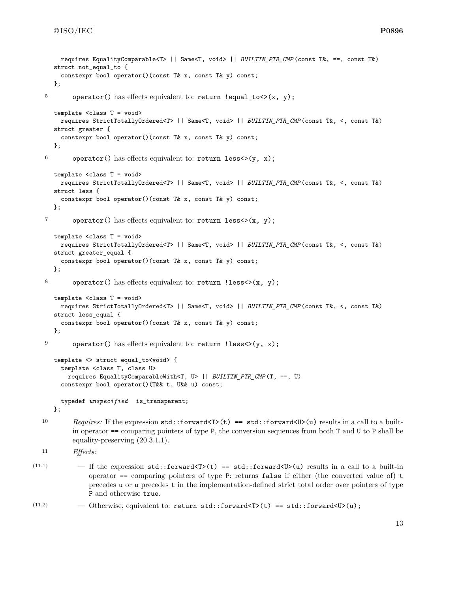```
requires EqualityComparable<T> || Same<T, void> || BUILTIN_PTR_CMP (const T&, ==, const T&)
   struct not_equal_to {
     constexpr bool operator()(const T& x, const T& y) const;
   };
5 operator() has effects equivalent to: return ! equal \text{to}<< (x, y);
   template <class T = void>
     requires StrictTotallyOrdered<T> || Same<T, void> || BUILTIN_PTR_CMP (const T&, <, const T&)
   struct greater {
     constexpr bool operator()(const T& x, const T& y) const;
   };
6 operator() has effects equivalent to: return less <> (y, x);
   template <class T = void>
     requires StrictTotallyOrdered<T> || Same<T, void> || BUILTIN_PTR_CMP (const T&, <, const T&)
   struct less {
     constexpr bool operator()(const T& x, const T& y) const;
   };
7 operator() has effects equivalent to: return less \langle x, y \rangle;
   template <class T = void>
     requires StrictTotallyOrdered<T> || Same<T, void> || BUILTIN_PTR_CMP (const T&, <, const T&)
   struct greater_equal {
     constexpr bool operator()(const T& x, const T& y) const;
   };
8 operator() has effects equivalent to: return !less <> (x, y);
   template <class T = void>
     requires StrictTotallyOrdered<T> || Same<T, void> || BUILTIN_PTR_CMP (const T&, <, const T&)
   struct less_equal {
     constexpr bool operator()(const T& x, const T& y) const;
   };
9 operator() has effects equivalent to: return !less <> (y, x);
   template <> struct equal_to<void> {
     template <class T, class U>
       requires EqualityComparableWith<T, U> || BUILTIN_PTR_CMP (T, ==, U)
     constexpr bool operator()(T&& t, U&& u) const;
     typedef unspecified is_transparent;
   };
10 Requires: If the expression std::forward(T>(t) == std::forward\vee U)(u) results in a call to a built-
        in operator == comparing pointers of type P, the conversion sequences from both T and U to P shall be
        equality-preserving (20.3.1.1).
```

```
11 Effects:
```
- $(11.1)$  If the expression std::forward<T>(t) == std::forward<U>(u) results in a call to a built-in operator  $==$  comparing pointers of type P: returns false if either (the converted value of)  $t$ precedes u or u precedes t in the implementation-defined strict total order over pointers of type P and otherwise true.
- (11.2)  $\qquad \qquad$  Otherwise, equivalent to: return std::forward<T>(t) == std::forward<U>(u);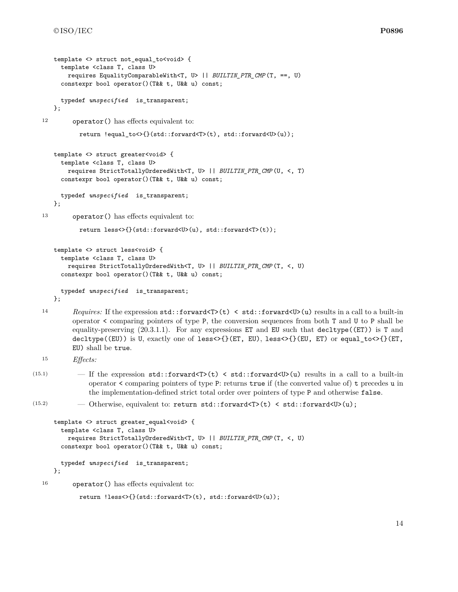```
template <> struct not equal to<void> {
        template <class T, class U>
         requires EqualityComparableWith<T, U> || BUILTIN_PTR_CMP (T, ==, U)
        constexpr bool operator()(T&& t, U&& u) const;
        typedef unspecified is_transparent;
      };
  12 operator() has effects equivalent to:
             return !equal_to<>{}(std::forward<T>(t), std::forward<U>(u));
      template <> struct greater<void> {
        template <class T, class U>
         requires StrictTotallyOrderedWith<T, U> || BUILTIN_PTR_CMP (U, <, T)
        constexpr bool operator()(T&& t, U&& u) const;
        typedef unspecified is_transparent;
      };
  13 operator() has effects equivalent to:
             return less<>{}(std::forward<U>(u), std::forward<T>(t));
      template <> struct less<void> {
        template <class T, class U>
          requires StrictTotallyOrderedWith<T, U> || BUILTIN_PTR_CMP (T, <, U)
        constexpr bool operator()(T&& t, U&& u) const;
        typedef unspecified is_transparent;
      };
  14 Requires: If the expression std::forward<T>(t) < std::forward<U>(u) results in a call to a built-in
           operator < comparing pointers of type P, the conversion sequences from both T and U to P shall be
           equality-preserving (20.3.1.1). For any expressions ET and EU such that decltype((ET)) is T and
           decltype((EU)) is U, exactly one of less<>{}(ET, EU), less<>{}(EU, ET) or equal_to<>{}(ET,
           EU) shall be true.
  15 Effects:
(15.1) – If the expression std::forward<T>(t) < std::forward<U>(u) results in a call to a built-in
                operator < comparing pointers of type P: returns true if (the converted value of) t precedes u in
                the implementation-defined strict total order over pointers of type P and otherwise false.
(15.2) \qquad \qquad - Otherwise, equivalent to: return std::forward<T>(t) < std::forward<U>(u);
      template <> struct greater_equal<void> {
        template <class T, class U>
          requires StrictTotallyOrderedWith<T, U> || BUILTIN_PTR_CMP (T, <, U)
        constexpr bool operator()(T&& t, U&& u) const;
        typedef unspecified is_transparent;
      };
  16 operator() has effects equivalent to:
```

```
return !less<>{}(std::forward<T>(t), std::forward<U>(u));
```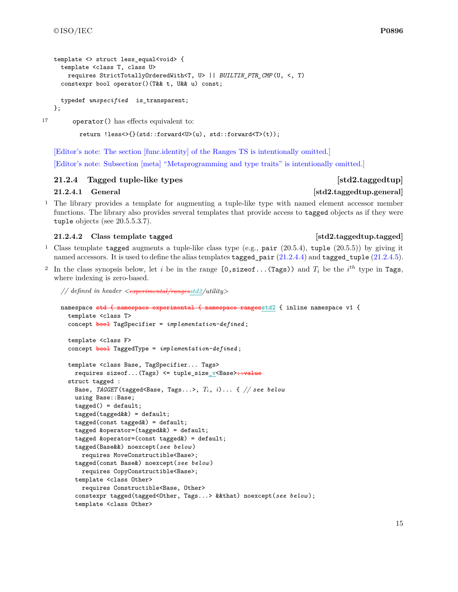```
template <> struct less equal<void> {
 template <class T, class U>
   requires StrictTotallyOrderedWith<T, U> || BUILTIN_PTR_CMP (U, <, T)
 constexpr bool operator()(T&& t, U&& u) const;
 typedef unspecified is_transparent;
};
```
<sup>17</sup> operator() has effects equivalent to:

return !less<>{}(std::forward<U>(u), std::forward<T>(t));

[Editor's note: The section [func.identity] of the Ranges TS is intentionally omitted.]

[Editor's note: Subsection [meta] "Metaprogramming and type traits" is intentionally omitted.]

# <span id="page-16-0"></span>**21.2.4 Tagged tuple-like types** [std2.taggedtup]

# **21.2.4.1** General **and Series Controllering Controllering Controllering Controllering (std2.taggedtup.general]**

<sup>1</sup> The library provides a template for augmenting a tuple-like type with named element accessor member functions. The library also provides several templates that provide access to tagged objects as if they were tuple objects (see 20.5.5.3.7).

## <span id="page-16-1"></span>**21.2.4.2 Class template tagged [std2.taggedtup.tagged]**

- <sup>1</sup> Class template tagged augments a tuple-like class type (e.g., pair  $(20.5.4)$ , tuple  $(20.5.5)$ ) by giving it named accessors. It is used to define the alias templates tagged\_pair [\(21.2.4.4\)](#page-19-0) and tagged\_tuple [\(21.2.4.5\)](#page-20-1).
- <sup>2</sup> In the class synopsis below, let *i* be in the range  $[0, sizeof... (Tags))$  and  $T_i$  be the *i*<sup>th</sup> type in Tags, where indexing is zero-based.

*// defined in header <experimental/rangesstd2/utility>*

```
namespace std { namespace experimental { namespace rangesstd2 { inline namespace v1 {
  template <class T>
  concept bool TagSpecifier = implementation-defined ;
  template <class F>
  concept bool TaggedType = implementation-defined ;
  template <class Base, TagSpecifier... Tags>
    requires sizeof...(Tags) <= tuple_size_v<Base>::value
  struct tagged :
    Base, TAGGET (tagged<Base, Tags...>, Ti, i)... { // see below
    using Base::Base;
    tagged() = default;
    tagged(tagged&&) = default;
    tagged(const tagged&) = default;
    tagged &operator=(tagged&&) = default;
    tagged &operator=(const tagged&) = default;
    tagged(Base&&) noexcept(see below )
      requires MoveConstructible<Base>;
    tagged(const Base&) noexcept(see below )
     requires CopyConstructible<Base>;
    template <class Other>
      requires Constructible<Base, Other>
    constexpr tagged(tagged<Other, Tags...> &&that) noexcept(see below);
    template <class Other>
```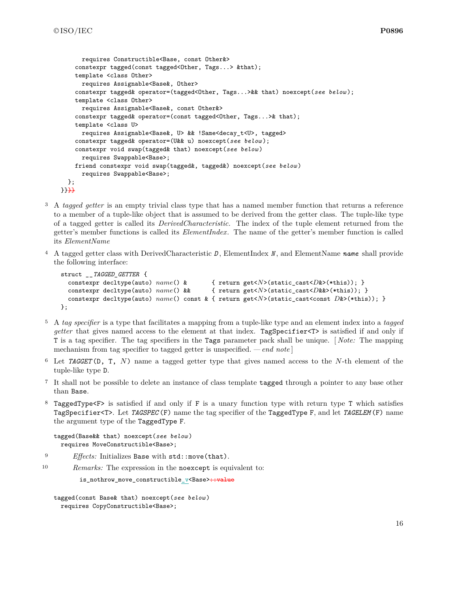```
requires Constructible<Base, const Other&>
    constexpr tagged(const tagged<Other, Tags...> &that);
    template <class Other>
      requires Assignable<Base&, Other>
    constexpr tagged& operator=(tagged<Other, Tags...>&& that) noexcept(see below );
    template <class Other>
      requires Assignable<Base&, const Other&>
    constexpr tagged& operator=(const tagged<Other, Tags... > & that);
    template <class U>
      requires Assignable<Base&, U> && !Same<decay_t<U>, tagged>
    constexpr tagged& operator=(U&& u) noexcept(see below );
    constexpr void swap(tagged& that) noexcept(see below )
      requires Swappable<Base>;
    friend constexpr void swap(tagged&, tagged&) noexcept(see below )
      requires Swappable<Base>;
  };
}}}}
```
- <sup>3</sup> A *tagged getter* is an empty trivial class type that has a named member function that returns a reference to a member of a tuple-like object that is assumed to be derived from the getter class. The tuple-like type of a tagged getter is called its *DerivedCharacteristic*. The index of the tuple element returned from the getter's member functions is called its *ElementIndex*. The name of the getter's member function is called its *ElementName*
- <sup>4</sup> A tagged getter class with DerivedCharacteristic *D* , ElementIndex *N* , and ElementName *name* shall provide the following interface:

```
struct __TAGGED_GETTER {
 constexpr decltype(auto) name() & { return get<N>(static_cast<D&>(*this)); }
 constexpr decltype(auto) name() && { return get<N>(static_cast<D&&>(*this)); }
 constexpr decltype(auto) name() const & { return get<N>(static_cast<const D&>(*this)); }
};
```
- <sup>5</sup> A *tag specifier* is a type that facilitates a mapping from a tuple-like type and an element index into a *tagged getter* that gives named access to the element at that index. TagSpecifier <T> is satisfied if and only if T is a tag specifier. The tag specifiers in the Tags parameter pack shall be unique. [ *Note:* The mapping mechanism from tag specifier to tagged getter is unspecified. *— end note* ]
- <sup>6</sup> Let *TAGGET* (D, T, *N*) name a tagged getter type that gives named access to the *N*-th element of the tuple-like type D.
- <sup>7</sup> It shall not be possible to delete an instance of class template tagged through a pointer to any base other than Base.
- <sup>8</sup> TaggedType<F> is satisfied if and only if F is a unary function type with return type T which satisfies TagSpecifier<T>. Let *TAGSPEC* (F) name the tag specifier of the TaggedType F, and let *TAGELEM* (F) name the argument type of the TaggedType F.

```
tagged(Base&& that) noexcept(see below )
 requires MoveConstructible<Base>;
```
<sup>9</sup> *Effects:* Initializes Base with std::move(that).

<sup>10</sup> *Remarks:* The expression in the noexcept is equivalent to:

is\_nothrow\_move\_constructible\_v<Base>::value

```
tagged(const Base& that) noexcept(see below )
 requires CopyConstructible<Base>;
```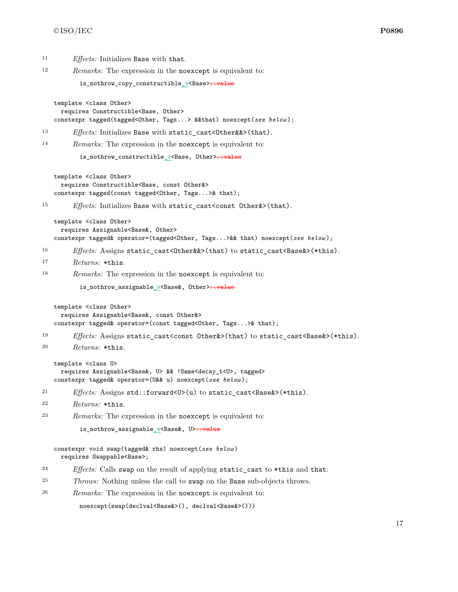```
11 Effects: Initializes Base with that.
```
<sup>12</sup> *Remarks:* The expression in the noexcept is equivalent to:

is\_nothrow\_copy\_constructible\_v<Base>::value

```
template <class Other>
     requires Constructible<Base, Other>
   constexpr tagged(tagged<Other, Tags...> &&that) noexcept(see below );
13 Effects: Initializes Base with static_cast<Other&&>(that).
14 Remarks: The expression in the noexcept is equivalent to:
          is_nothrow_constructible_v<Base, Other>::value
   template <class Other>
     requires Constructible<Base, const Other&>
   constexpr tagged(const tagged<Other, Tags... > & that);
15 Effects: Initializes Base with static_cast<const Other&>(that).
   template <class Other>
     requires Assignable<Base&, Other>
   constexpr tagged& operator=(tagged<Other, Tags...>&& that) noexcept(see below );
16 Effects: Assigns static_cast<Other&&>(that) to static_cast<Base&>(*this).
17 Returns: *this.
18 Remarks: The expression in the noexcept is equivalent to:
          is_nothrow_assignable_v<Base&, Other>::value
   template <class Other>
     requires Assignable<Base&, const Other&>
   constexpr tagged& operator=(const tagged<Other, Tags...>& that);
19 Effects: Assigns static_cast<const Other&>(that) to static_cast<Base&>(*this).
20 Returns: *this.
   template <class U>
     requires Assignable<Base&, U> && !Same<decay_t<U>, tagged>
   constexpr tagged& operator=(U&& u) noexcept(see below );
21 Effects: Assigns std::forward<U>(u) to static_cast<Base&>(*this).
22 Returns: *this.
23 Remarks: The expression in the noexcept is equivalent to:
          is_nothrow_assignable_v<Base&, U>::value
   constexpr void swap(tagged& rhs) noexcept(see below )
     requires Swappable<Base>;
24 Effects: Calls swap on the result of applying static_cast to *this and that.
```
- <sup>25</sup> *Throws:* Nothing unless the call to swap on the Base sub-objects throws.
- <sup>26</sup> *Remarks:* The expression in the noexcept is equivalent to:

```
noexcept(swap(declval<Base&>(), declval<Base&>()))
```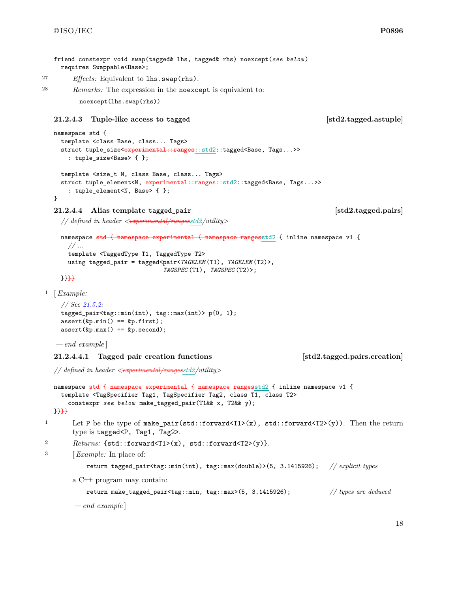<span id="page-19-1"></span>friend constexpr void swap(tagged& lhs, tagged& rhs) noexcept(*see below* ) requires Swappable<Base>; <sup>27</sup> *Effects:* Equivalent to lhs.swap(rhs). <sup>28</sup> *Remarks:* The expression in the noexcept is equivalent to: noexcept(lhs.swap(rhs)) **21.2.4.3 Tuple-like access to tagged [std2.tagged.astuple]** namespace std { template <class Base, class... Tags> struct tuple\_size<experimental::ranges::std2::tagged<Base, Tags...>> : tuple size<Base> { }; template <size\_t N, class Base, class... Tags> struct tuple\_element<N, experimental::ranges::std2::tagged<Base, Tags...>> : tuple\_element<N, Base> { }; } **21.2.4.4 Alias template tagged\_pair [std2.tagged.pairs]** *// defined in header <experimental/rangesstd2/utility>* namespace std { namespace experimental { namespace rangesstd2 { inline namespace v1 { *// ...* template <TaggedType T1, TaggedType T2> using tagged\_pair = tagged<pair<*TAGELEM* (T1), *TAGELEM* (T2)>, *TAGSPEC* (T1), *TAGSPEC* (T2)>; }}}}

```
1 [Example:
```

```
// See 21.5.2:
tagged_pair<tag::min(int), tag::max(int)> p{0, 1};
assert(kp.min() == kp.fit);
assert(kp.max() == kp.second);
```
*— end example* ]

**21.2.4.4.1 Tagged pair creation functions [std2.tagged.pairs.creation]**

*// defined in header <experimental/rangesstd2/utility>*

```
namespace std { namespace experimental { namespace rangesstd2 { inline namespace v1 {
    template <TagSpecifier Tag1, TagSpecifier Tag2, class T1, class T2>
      constexpr see below make_tagged_pair(T1&& x, T2&& y);
  }}}}
1 Let P be the type of make_pair(std::forward<T1>(x), std::forward<T2>(y)). Then the return
       type is tagged<P, Tag1, Tag2>.
2 Returns: {std::forward<T1>(x), std::forward<T2>(y)}.
3 [Example: In place of:
           return tagged_pair<tag::min(int), tag::max(double)>(5, 3.1415926); // explicit types
       a C++ program may contain:
           return make_tagged_pair<tag::min, tag::max>(5, 3.1415926); // types are deduced
        — end example ]
```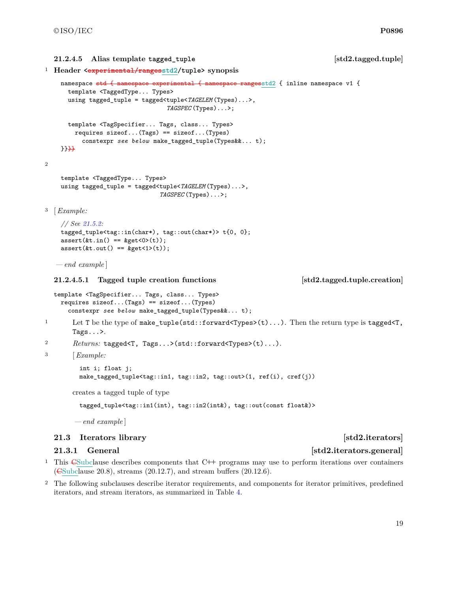2

## <span id="page-20-1"></span>**21.2.4.5 Alias template tagged\_tuple [std2.tagged.tuple]**

<sup>1</sup> **Header <experimental/rangesstd2/tuple> synopsis**

```
namespace std { namespace experimental { namespace rangesstd2 { inline namespace v1 {
      template <TaggedType... Types>
      using tagged_tuple = tagged<tuple<TAGELEM (Types)...>,
                                 TAGSPEC (Types)...>;
      template <TagSpecifier... Tags, class... Types>
        requires sizeof...(Tags) == sizeof...(Types)
          constexpr see below make_tagged_tuple(Types&&... t);
    }}}}
    template <TaggedType... Types>
    using tagged_tuple = tagged<tuple<TAGELEM (Types)...>,
                               TAGSPEC (Types)...>;
3 [Example:
    // See 21.5.2:
    tagged_tuple<tag::in(char*), tag::out(char*)> t{0, 0};
    assert(kt.in() == kget<0>(t));assert(kt.out() == kget<1>(t));— end example ]
  21.2.4.5.1 Tagged tuple creation functions [std2.tagged.tuple.creation]
  template <TagSpecifier... Tags, class... Types>
    requires sizeof...(Tags) == sizeof...(Types)
      constexpr see below make_tagged_tuple(Types&&... t);
1 Let T be the type of make_tuple(std::forward<Types>(t)...). Then the return type is tagged<T,
       Tags...>.
2 Returns: tagged<T, Tags...>(std::forward<Types>(t)...).
3 [Example:
         int i; float j;
         make_tagged_tuple<tag::in1, tag::in2, tag::out>(1, ref(i), cref(j))
       creates a tagged tuple of type
         tagged_tuple<tag::in1(int), tag::in2(int&), tag::out(const float&)>
        — end example ]
```
# <span id="page-20-0"></span>**21.3 Iterators library and all states in the state of state is stated as a state of state is stated as a state of state is stated as**  $\vert$  **state is stated as**  $\vert$  **state is stated as**  $\vert$  **stated as**  $\vert$  **stated as**  $\vert$  **state**

# **21.3.1 General**  *Constanting Series Constanting Std2.iterators.general* **<b>***constanting Std2.iterators.general*

- <sup>1</sup> This CSubclause describes components that C**++** programs may use to perform iterations over containers (CSubclause 20.8), streams (20.12.7), and stream buffers (20.12.6).
- <sup>2</sup> The following subclauses describe iterator requirements, and components for iterator primitives, predefined iterators, and stream iterators, as summarized in Table [4.](#page-21-0)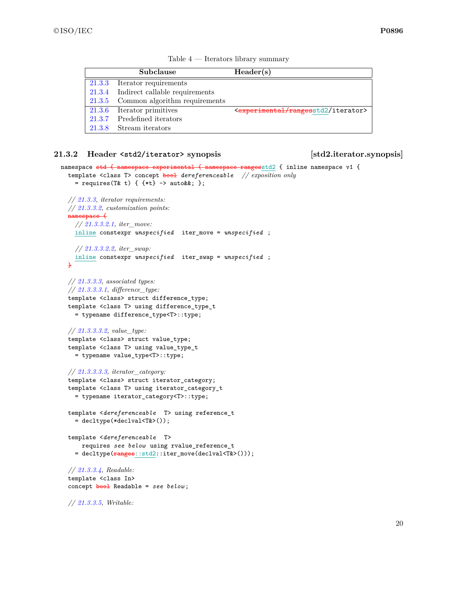| Subclause                             | Header(s)                                               |
|---------------------------------------|---------------------------------------------------------|
| 21.3.3 Iterator requirements          |                                                         |
| 21.3.4 Indirect callable requirements |                                                         |
| 21.3.5 Common algorithm requirements  |                                                         |
| 21.3.6 Iterator primitives            | <experimental iterator="" rangesstd2=""></experimental> |
| 21.3.7 Predefined iterators           |                                                         |
| 21.3.8 Stream iterators               |                                                         |

## <span id="page-21-0"></span>Table 4 — Iterators library summary

# **21.3.2 Header <std2/iterator> synopsis [std2.iterator.synopsis]**

```
namespace std { namespace experimental { namespace rangesstd2 { inline namespace v1 {
  template <class T> concept bool dereferenceable // exposition only
    = requires(T& t) { {*t} -> auto&&; };
  // 21.3.3, iterator requirements:
  // 21.3.3.2, customization points:
  namespace {
    // 21.3.3.2.1, iter_move:
    inline constexpr unspecified iter_move = unspecified ;
    // 21.3.3.2.2, iter_swap:
    inline constexpr unspecified iter_swap = unspecified ;
  \ddot{\mathbf{r}}// 21.3.3.3, associated types:
  // 21.3.3.3.1, difference_type:
  template <class> struct difference_type;
  template <class T> using difference_type_t
    = typename difference_type<T>::type;
  // 21.3.3.3.2, value_type:
  template <class> struct value_type;
  template <class T> using value_type_t
    = typename value_type<T>::type;
  // 21.3.3.3.3, iterator_category:
  template <class> struct iterator_category;
  template <class T> using iterator_category_t
    = typename iterator_category<T>::type;
  template <dereferenceable T> using reference_t
    = decltype(*declval<T&>());
  template <dereferenceable T>
      requires see below using rvalue_reference_t
    = decltype(ranges::std2::iter_move(declval<T&>()));
  // 21.3.3.4, Readable:
  template <class In>
  concept bool Readable = see below ;
```
*// [21.3.3.5,](#page-35-0) Writable:*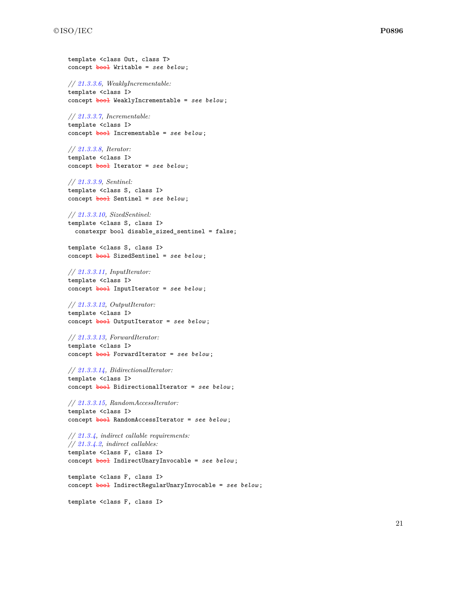template <class Out, class T> concept bool Writable = *see below* ;

*// [21.3.3.6,](#page-35-1) WeaklyIncrementable:* template <class I> concept bool WeaklyIncrementable = *see below* ;

*// [21.3.3.7,](#page-36-0) Incrementable:* template <class I> concept bool Incrementable = *see below* ;

*// [21.3.3.8,](#page-36-1) Iterator:* template <class I> concept bool Iterator = *see below* ;

*// [21.3.3.9,](#page-36-2) Sentinel:* template <class S, class I> concept bool Sentinel = *see below* ;

*// [21.3.3.10,](#page-37-0) SizedSentinel:* template <class S, class I> constexpr bool disable\_sized\_sentinel = false;

template <class S, class I> concept bool SizedSentinel = *see below* ;

*// [21.3.3.11,](#page-37-1) InputIterator:* template <class I> concept bool InputIterator = *see below* ;

*// [21.3.3.12,](#page-38-0) OutputIterator:* template <class I> concept **bool** OutputIterator = see below;

*// [21.3.3.13,](#page-38-1) ForwardIterator:* template <class I> concept bool ForwardIterator = *see below* ;

*// [21.3.3.14,](#page-38-2) BidirectionalIterator:* template <class I> concept bool BidirectionalIterator = *see below* ;

*// [21.3.3.15,](#page-39-0) RandomAccessIterator:* template <class I> concept bool RandomAccessIterator = *see below* ;

*// [21.3.4,](#page-40-0) indirect callable requirements: // [21.3.4.2,](#page-40-1) indirect callables:* template <class F, class I> concept bool IndirectUnaryInvocable = *see below* ;

template <class F, class I> concept bool IndirectRegularUnaryInvocable = *see below* ;

template <class F, class I>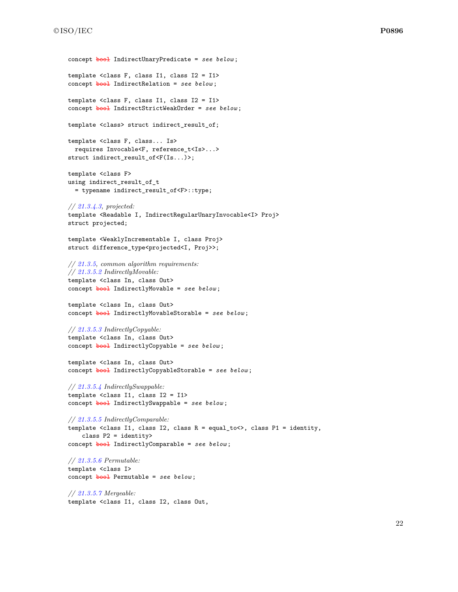```
concept bool IndirectUnaryPredicate = see below ;
template <class F, class I1, class I2 = I1>
concept bool IndirectRelation = see below ;
template <class F, class I1, class I2 = I1>
concept bool IndirectStrictWeakOrder = see below ;
template <class> struct indirect_result_of;
template <class F, class... Is>
  requires Invocable<F, reference_t<Is>...>
struct indirect_result_of<F(Is...)>;
template <class F>
using indirect_result_of_t
  = typename indirect_result_of<F>::type;
// 21.3.4.3, projected:
template <Readable I, IndirectRegularUnaryInvocable<I> Proj>
struct projected;
template <WeaklyIncrementable I, class Proj>
struct difference_type<projected<I, Proj>>;
// 21.3.5, common algorithm requirements:
// 21.3.5.2 IndirectlyMovable:
template <class In, class Out>
concept bool IndirectlyMovable = see below ;
template <class In, class Out>
concept bool IndirectlyMovableStorable = see below ;
// 21.3.5.3 IndirectlyCopyable:
template <class In, class Out>
concept bool IndirectlyCopyable = see below ;
template <class In, class Out>
concept bool IndirectlyCopyableStorable = see below ;
// 21.3.5.4 IndirectlySwappable:
template <class I1, class I2 = I1>
concept bool IndirectlySwappable = see below ;
// 21.3.5.5 IndirectlyComparable:
template <class I1, class I2, class R = equal_to<>, class P1 = identity,
    class P2 = identity>
concept bool IndirectlyComparable = see below ;
// 21.3.5.6 Permutable:
template <class I>
concept bool Permutable = see below ;
// 21.3.5.7 Mergeable:
```
template <class I1, class I2, class Out,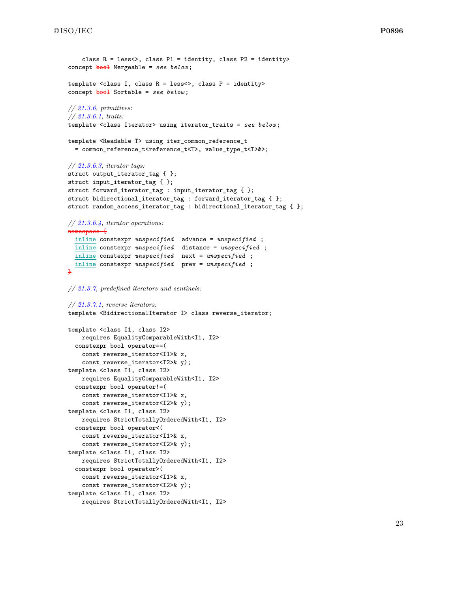```
class R = less<>, class P1 = identity, class P2 = identity>
concept bool Mergeable = see below ;
template <class I, class R = less<>, class P = identity>
concept bool Sortable = see below ;
// 21.3.6, primitives:
// 21.3.6.1, traits:
template <class Iterator> using iterator_traits = see below ;
template <Readable T> using iter_common_reference_t
  = common_reference_t<reference_t<T>, value_type_t<T>&>;
// 21.3.6.3, iterator tags:
struct output_iterator_tag { };
struct input_iterator_tag { };
struct forward_iterator_tag : input_iterator_tag { };
struct bidirectional_iterator_tag : forward_iterator_tag { };
struct random_access_iterator_tag : bidirectional_iterator_tag { };
// 21.3.6.4, iterator operations:
namespace {
  inline constexpr unspecified advance = unspecified ;
  inline constexpr unspecified distance = unspecified ;
  inline constexpr unspecified next = unspecified ;
  inline constexpr unspecified prev = unspecified ;
\ddot{\ddag}// 21.3.7, predefined iterators and sentinels:
// 21.3.7.1, reverse iterators:
template <BidirectionalIterator I> class reverse_iterator;
template <class I1, class I2>
    requires EqualityComparableWith<I1, I2>
  constexpr bool operator==(
    const reverse_iterator<I1>& x,
```

```
const reverse_iterator<I2>& y);
template <class I1, class I2>
    requires EqualityComparableWith<I1, I2>
  constexpr bool operator!=(
    const reverse_iterator<I1>& x,
    const reverse_iterator<I2>& y);
template <class I1, class I2>
    requires StrictTotallyOrderedWith<I1, I2>
  constexpr bool operator<(
    const reverse_iterator<I1>& x,
    const reverse_iterator<I2>& y);
template <class I1, class I2>
    requires StrictTotallyOrderedWith<I1, I2>
  constexpr bool operator>(
    const reverse_iterator<I1>& x,
    const reverse_iterator<I2>& y);
template <class I1, class I2>
```

```
requires StrictTotallyOrderedWith<I1, I2>
```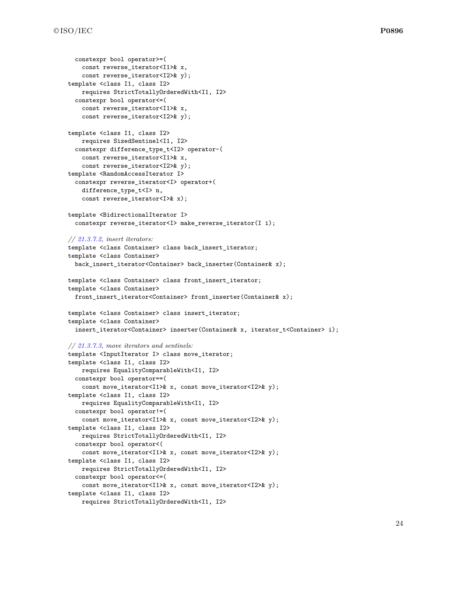```
constexpr bool operator>=(
    const reverse_iterator<I1>& x,
    const reverse_iterator<I2>& y);
template <class I1, class I2>
    requires StrictTotallyOrderedWith<I1, I2>
  constexpr bool operator<=(
    const reverse_iterator<I1>& x,
    const reverse_iterator<I2>& y);
template <class I1, class I2>
    requires SizedSentinel<I1, I2>
  constexpr difference_type_t<I2> operator-(
    const reverse_iterator<I1>& x,
    const reverse_iterator<I2>& y);
template <RandomAccessIterator I>
  constexpr reverse_iterator<I> operator+(
    difference_type_t<I> n,
    const reverse_iterator<I>& x);
template <BidirectionalIterator I>
  constexpr reverse_iterator<I> make_reverse_iterator(I i);
// 21.3.7.2, insert iterators:
template <class Container> class back_insert_iterator;
template <class Container>
  back_insert_iterator<Container> back_inserter(Container& x);
template <class Container> class front_insert_iterator;
template <class Container>
  front_insert_iterator<Container> front_inserter(Container& x);
template <class Container> class insert_iterator;
template <class Container>
  insert_iterator<Container> inserter(Container& x, iterator_t<Container> i);
// 21.3.7.3, move iterators and sentinels:
template <InputIterator I> class move_iterator;
template <class I1, class I2>
    requires EqualityComparableWith<I1, I2>
  constexpr bool operator==(
    const move_iterator<I1>& x, const move_iterator<I2>& y);
template <class I1, class I2>
    requires EqualityComparableWith<I1, I2>
  constexpr bool operator!=(
    const move_iterator<I1>& x, const move_iterator<I2>& y);
template <class I1, class I2>
    requires StrictTotallyOrderedWith<I1, I2>
  constexpr bool operator<(
    const move_iterator<I1>& x, const move_iterator<I2>& y);
template <class I1, class I2>
    requires StrictTotallyOrderedWith<I1, I2>
  constexpr bool operator<=(
    const move_iterator<I1>& x, const move_iterator<I2>& y);
template <class I1, class I2>
    requires StrictTotallyOrderedWith<I1, I2>
```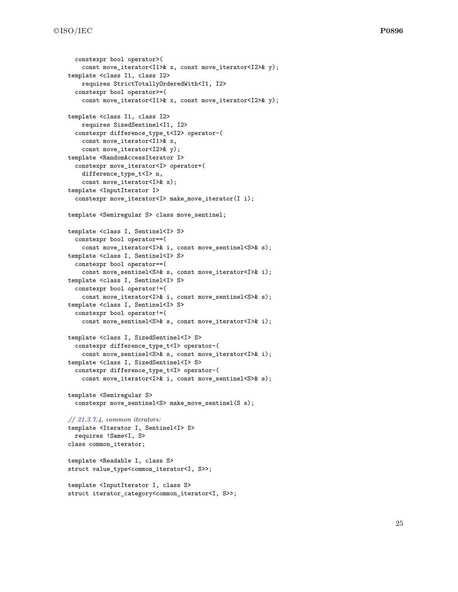```
constexpr bool operator>(
    const move_iterator<I1>& x, const move_iterator<I2>& y);
template <class I1, class I2>
    requires StrictTotallyOrderedWith<I1, I2>
  constexpr bool operator>=(
    const move_iterator<I1>& x, const move_iterator<I2>& y);
template <class I1, class I2>
    requires SizedSentinel<I1, I2>
  constexpr difference_type_t<I2> operator-(
    const move_iterator<I1>& x,
    const move_iterator<I2>& y);
template <RandomAccessIterator I>
  constexpr move_iterator<I> operator+(
    difference_type_t<I> n,
    const move_iterator<I>& x);
template <InputIterator I>
  constexpr move_iterator<I> make_move_iterator(I i);
template <Semiregular S> class move_sentinel;
template <class I, Sentinel<I> S>
  constexpr bool operator==(
    const move_iterator<I>& i, const move_sentinel<S>& s);
template <class I, Sentinel<I> S>
  constexpr bool operator==(
    const move_sentinel<S>& s, const move_iterator<I>& i);
template <class I, Sentinel<I> S>
  constexpr bool operator!=(
    const move_iterator<I>& i, const move_sentinel<S>& s);
template <class I, Sentinel<I> S>
  constexpr bool operator!=(
    const move_sentinel<S>& s, const move_iterator<I>& i);
template <class I, SizedSentinel<I> S>
  constexpr difference_type_t<I> operator-(
    const move_sentinel<S>& s, const move_iterator<I>& i);
template <class I, SizedSentinel<I> S>
  constexpr difference_type_t<I> operator-(
    const move_iterator<I>& i, const move_sentinel<S>& s);
template <Semiregular S>
  constexpr move_sentinel<S> make_move_sentinel(S s);
// 21.3.7.4, common iterators:
template <Iterator I, Sentinel<I> S>
 requires !Same<I, S>
class common_iterator;
template <Readable I, class S>
struct value_type<common_iterator<I, S>>;
```

```
template <InputIterator I, class S>
struct iterator_category<common_iterator<I, S>>;
```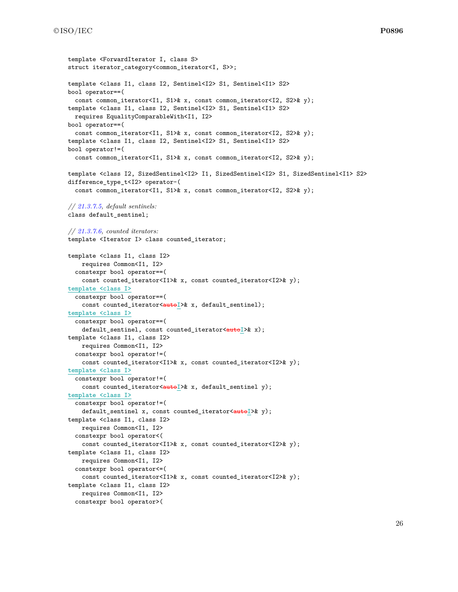```
template <ForwardIterator I, class S>
struct iterator_category<common_iterator<I, S>>;
template <class I1, class I2, Sentinel<I2> S1, Sentinel<I1> S2>
bool operator==(
  const common_iterator<I1, S1>& x, const common_iterator<I2, S2>& y);
template <class I1, class I2, Sentinel<I2> S1, Sentinel<I1> S2>
 requires EqualityComparableWith<I1, I2>
bool operator==(
  const common_iterator<I1, S1>& x, const common_iterator<I2, S2>& y);
template <class I1, class I2, Sentinel<I2> S1, Sentinel<I1> S2>
bool operator!=(
  const common_iterator<I1, S1>& x, const common_iterator<I2, S2>& y);
template <class I2, SizedSentinel<I2> I1, SizedSentinel<I2> S1, SizedSentinel<I1> S2>
difference_type_t<I2> operator-(
  const common_iterator<I1, S1>& x, const common_iterator<I2, S2>& y);
// 21.3.7.5, default sentinels:
class default_sentinel;
// 21.3.7.6, counted iterators:
template <Iterator I> class counted_iterator;
template <class I1, class I2>
    requires Common<I1, I2>
  constexpr bool operator==(
    const counted_iterator<I1>& x, const counted_iterator<I2>& y);
template <class I>
  constexpr bool operator==(
    const counted_iterator<autoI>& x, default_sentinel);
template <class I>
  constexpr bool operator==(
    default_sentinel, const counted_iterator<autoI>& x);
template <class I1, class I2>
   requires Common<I1, I2>
  constexpr bool operator!=(
    const counted_iterator<I1>& x, const counted_iterator<I2>& y);
template <class I>
  constexpr bool operator!=(
   const counted_iterator<autoI>& x, default_sentinel y);
template <class I>
  constexpr bool operator!=(
    default_sentinel x, const counted_iterator<autoI>& y);
template <class I1, class I2>
   requires Common<I1, I2>
  constexpr bool operator<(
    const counted_iterator<I1>& x, const counted_iterator<I2>& y);
template <class I1, class I2>
   requires Common<I1, I2>
  constexpr bool operator<=(
    const counted_iterator<I1>& x, const counted_iterator<I2>& y);
template <class I1, class I2>
    requires Common<I1, I2>
  constexpr bool operator>(
```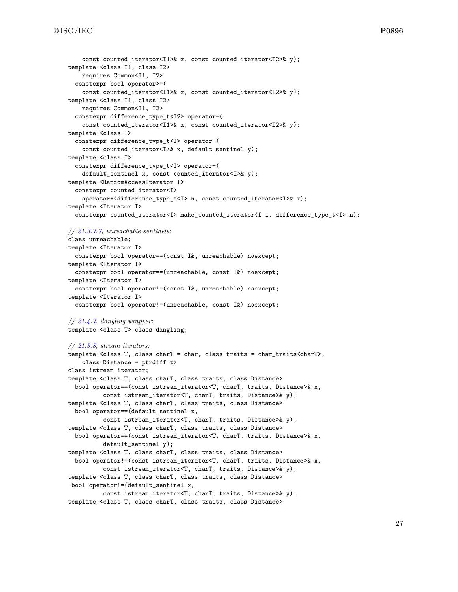```
const counted iterator<I1>& x, const counted iterator<I2>& y);
template <class I1, class I2>
   requires Common<I1, I2>
  constexpr bool operator>=(
    const counted_iterator<I1>& x, const counted_iterator<I2>& y);
template <class I1, class I2>
   requires Common<I1, I2>
 constexpr difference_type_t<I2> operator-(
    const counted_iterator<I1>& x, const counted_iterator<I2>& y);
template <class I>
  constexpr difference_type_t<I> operator-(
    const counted_iterator<I>& x, default_sentinel y);
template <class I>
 constexpr difference_type_t<I> operator-(
   default_sentinel x, const counted_iterator<I>& y);
template <RandomAccessIterator I>
 constexpr counted_iterator<I>
   operator+(difference_type_t<I> n, const counted_iterator<I>& x);
template <Iterator I>
 constexpr counted_iterator<I> make_counted_iterator(I i, difference_type_t<I> n);
// 21.3.7.7, unreachable sentinels:
class unreachable;
template <Iterator I>
  constexpr bool operator==(const I&, unreachable) noexcept;
template <Iterator I>
 constexpr bool operator==(unreachable, const I&) noexcept;
template <Iterator I>
 constexpr bool operator!=(const I&, unreachable) noexcept;
template <Iterator I>
 constexpr bool operator!=(unreachable, const I&) noexcept;
// 21.4.7, dangling wrapper:
template <class T> class dangling;
// 21.3.8, stream iterators:
template <class T, class charT = char, class traits = char_traits<charT>,
    class Distance = ptrdiff_t>
class istream_iterator;
template <class T, class charT, class traits, class Distance>
 bool operator==(const istream_iterator<T, charT, traits, Distance>& x,
          const istream_iterator<T, charT, traits, Distance>& y);
template <class T, class charT, class traits, class Distance>
 bool operator==(default_sentinel x,
          const istream_iterator<T, charT, traits, Distance>& y);
template <class T, class charT, class traits, class Distance>
 bool operator==(const istream_iterator<T, charT, traits, Distance>& x,
          default_sentinel y);
template <class T, class charT, class traits, class Distance>
 bool operator!=(const istream_iterator<T, charT, traits, Distance>& x,
          const istream_iterator<T, charT, traits, Distance>& y);
template <class T, class charT, class traits, class Distance>
bool operator!=(default_sentinel x,
          const istream_iterator<T, charT, traits, Distance>& y);
template <class T, class charT, class traits, class Distance>
```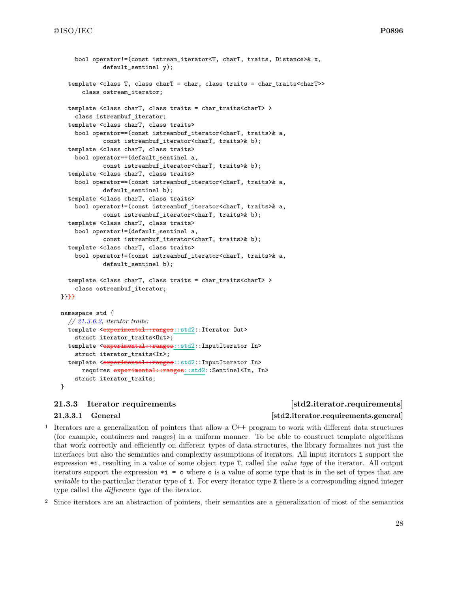```
bool operator!=(const istream_iterator<T, charT, traits, Distance>& x,
            default_sentinel y);
  template <class T, class charT = char, class traits = char_traits<charT>>
      class ostream_iterator;
  template <class charT, class traits = char_traits<charT> >
    class istreambuf_iterator;
  template <class charT, class traits>
    bool operator==(const istreambuf_iterator<charT, traits>& a,
            const istreambuf_iterator<charT, traits>& b);
  template <class charT, class traits>
    bool operator==(default_sentinel a,
            const istreambuf_iterator<charT, traits>& b);
  template <class charT, class traits>
    bool operator==(const istreambuf_iterator<charT, traits>& a,
            default_sentinel b);
  template <class charT, class traits>
    bool operator!=(const istreambuf_iterator<charT, traits>& a,
            const istreambuf_iterator<charT, traits>& b);
  template <class charT, class traits>
    bool operator!=(default_sentinel a,
            const istreambuf_iterator<charT, traits>& b);
  template <class charT, class traits>
    bool operator!=(const istreambuf_iterator<charT, traits>& a,
            default_sentinel b);
  template <class charT, class traits = char_traits<charT> >
    class ostreambuf_iterator;
}}}}
namespace std {
  // 21.3.6.2, iterator traits:
  template <experimental::ranges::std2::Iterator Out>
   struct iterator_traits<Out>;
  template <experimental::ranges::std2::InputIterator In>
    struct iterator_traits<In>;
  template <experimental::ranges::std2::InputIterator In>
      requires experimental::ranges::std2::Sentinel<In, In>
    struct iterator_traits;
}
```
# <span id="page-29-0"></span>**21.3.3 Iterator requirements [std2.iterator.requirements] 21.3.3.1** General *Ceneral Ceneral Ceneral Ceneral Ceneral Ceneral Ceneral Ceneral Ceneral Ceneral Ceneral Ceneral Ceneral Ceneral Ceneral Ceneral Ceneral*

<sup>1</sup> Iterators are a generalization of pointers that allow a C**++** program to work with different data structures (for example, containers and ranges) in a uniform manner. To be able to construct template algorithms that work correctly and efficiently on different types of data structures, the library formalizes not just the interfaces but also the semantics and complexity assumptions of iterators. All input iterators i support the expression \*i, resulting in a value of some object type T, called the *value type* of the iterator. All output iterators support the expression  $*$ **i** = **o** where **o** is a value of some type that is in the set of types that are *writable* to the particular iterator type of i. For every iterator type X there is a corresponding signed integer type called the *difference type* of the iterator.

<sup>2</sup> Since iterators are an abstraction of pointers, their semantics are a generalization of most of the semantics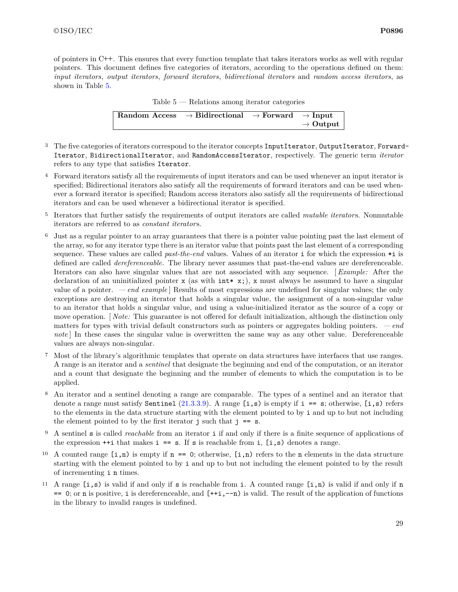of pointers in C**++**. This ensures that every function template that takes iterators works as well with regular pointers. This document defines five categories of iterators, according to the operations defined on them: *input iterators*, *output iterators*, *forward iterators*, *bidirectional iterators* and *random access iterators*, as shown in Table [5.](#page-30-0)

<span id="page-30-0"></span>

| Table $5$ — Relations among iterator categories |  |  |
|-------------------------------------------------|--|--|
|                                                 |  |  |

| Random Access $\rightarrow$ Bidirectional $\rightarrow$ Forward $\rightarrow$ Input |  |                      |
|-------------------------------------------------------------------------------------|--|----------------------|
|                                                                                     |  | $\rightarrow$ Output |

- <sup>3</sup> The five categories of iterators correspond to the iterator concepts InputIterator, OutputIterator, Forward-Iterator, BidirectionalIterator, and RandomAccessIterator, respectively. The generic term *iterator* refers to any type that satisfies Iterator.
- <sup>4</sup> Forward iterators satisfy all the requirements of input iterators and can be used whenever an input iterator is specified; Bidirectional iterators also satisfy all the requirements of forward iterators and can be used whenever a forward iterator is specified; Random access iterators also satisfy all the requirements of bidirectional iterators and can be used whenever a bidirectional iterator is specified.
- <sup>5</sup> Iterators that further satisfy the requirements of output iterators are called *mutable iterator*s. Nonmutable iterators are referred to as *constant iterator*s.
- <sup>6</sup> Just as a regular pointer to an array guarantees that there is a pointer value pointing past the last element of the array, so for any iterator type there is an iterator value that points past the last element of a corresponding sequence. These values are called *past-the-end* values. Values of an iterator i for which the expression  $*$ i is defined are called *dereferenceable*. The library never assumes that past-the-end values are dereferenceable. Iterators can also have singular values that are not associated with any sequence. [ *Example:* After the declaration of an uninitialized pointer x (as with  $int* x$ ;), x must always be assumed to have a singular value of a pointer. *— end example* ] Results of most expressions are undefined for singular values; the only exceptions are destroying an iterator that holds a singular value, the assignment of a non-singular value to an iterator that holds a singular value, and using a value-initialized iterator as the source of a copy or move operation. [*Note:* This guarantee is not offered for default initialization, although the distinction only matters for types with trivial default constructors such as pointers or aggregates holding pointers. *— end note* In these cases the singular value is overwritten the same way as any other value. Dereferenceable values are always non-singular.
- <sup>7</sup> Most of the library's algorithmic templates that operate on data structures have interfaces that use ranges. A range is an iterator and a *sentinel* that designate the beginning and end of the computation, or an iterator and a count that designate the beginning and the number of elements to which the computation is to be applied.
- <sup>8</sup> An iterator and a sentinel denoting a range are comparable. The types of a sentinel and an iterator that denote a range must satisfy Sentinel  $(21.3.3.9)$ . A range  $[i, s)$  is empty if  $i == s$ ; otherwise,  $[i, s)$  refers to the elements in the data structure starting with the element pointed to by i and up to but not including the element pointed to by the first iterator j such that  $j = s$ .
- <sup>9</sup> A sentinel s is called *reachable* from an iterator i if and only if there is a finite sequence of applications of the expression  $++i$  that makes  $i == s$ . If s is reachable from  $i$ ,  $[i, s)$  denotes a range.
- 10 A counted range  $[i,n)$  is empty if  $n == 0$ ; otherwise,  $[i,n)$  refers to the n elements in the data structure starting with the element pointed to by i and up to but not including the element pointed to by the result of incrementing i n times.
- <sup>11</sup> A range  $[i, s)$  is valid if and only if s is reachable from i. A counted range  $[i, n)$  is valid if and only if n  $== 0$ ; or n is positive, i is dereferenceable, and  $[++i,--n)$  is valid. The result of the application of functions in the library to invalid ranges is undefined.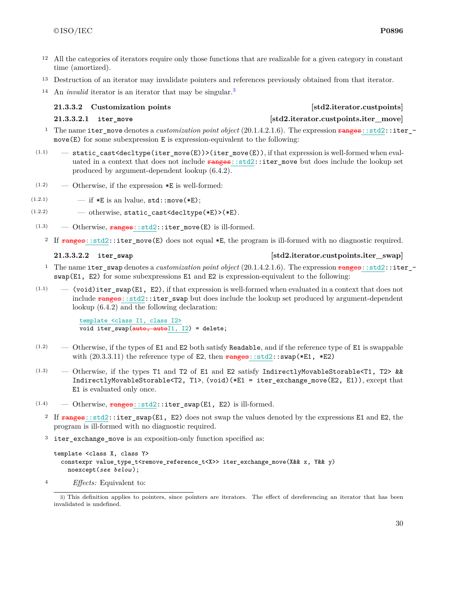- <sup>12</sup> All the categories of iterators require only those functions that are realizable for a given category in constant time (amortized).
- <sup>13</sup> Destruction of an iterator may invalidate pointers and references previously obtained from that iterator.
- <sup>14</sup> An *invalid* iterator is an iterator that may be singular <sup>[3](#page-31-3)</sup>

## <span id="page-31-0"></span>**21.3.3.2 Customization points [std2.iterator.custpoints]**

- <sup>1</sup> The name iter\_move denotes a *customization point object* (20.1.4.2.1.6). The expression ranges::std2::iter\_ move  $(E)$  for some subexpression  $E$  is expression-equivalent to the following:
- $(1.1)$   $-$  static\_cast<decltype(iter\_move(E))>(iter\_move(E)), if that expression is well-formed when evaluated in a context that does not include  $\frac{ranges}{r:std2::iter\_move}$  but does include the lookup set produced by argument-dependent lookup (6.4.2).
- $(1.2)$  Otherwise, if the expression  $*E$  is well-formed:
- $(1.2.1)$   $-$  if  $*E$  is an lvalue,  $std::move(*E);$
- (1.2.2) otherwise, static\_cast<decltype(\*E)>(\*E).
- $(1.3)$  Otherwise, ranges::std2::iter\_move(E) is ill-formed.
	- <sup>2</sup> If  $r$ **anges**::std2::**iter** move(E) does not equal \*E, the program is ill-formed with no diagnostic required.

## <span id="page-31-2"></span>**21.3.3.2.2 iter\_swap [std2.iterator.custpoints.iter\_swap]**

- <sup>1</sup> The name iter\_swap denotes a *customization point object* (20.1.4.2.1.6). The expression ranges::std2::iter\_ swap(E1, E2) for some subexpressions E1 and E2 is expression-equivalent to the following:
- $(1.1)$  (void) iter\_swap(E1, E2), if that expression is well-formed when evaluated in a context that does not include ranges::std2::iter\_swap but does include the lookup set produced by argument-dependent lookup (6.4.2) and the following declaration:

template <class I1, class I2> void iter\_swap( $\frac{a}{a b}$ ,  $\frac{a}{b}$ ],  $\frac{1}{2}$ ) = delete;

- $(1.2)$  Otherwise, if the types of E1 and E2 both satisfy Readable, and if the reference type of E1 is swappable with  $(20.3.3.11)$  the reference type of E2, then  $\overline{\text{ranges}}$ : std2::swap(\*E1, \*E2)
- $(1.3)$  Otherwise, if the types T1 and T2 of E1 and E2 satisfy IndirectlyMovableStorable<T1, T2> && IndirectlyMovableStorable<T2, T1>, (void)(\*E1 = iter\_exchange\_move(E2, E1)), except that E1 is evaluated only once.
- $(1.4)$  Otherwise, ranges::std2::iter swap(E1, E2) is ill-formed.
	- <sup>2</sup> If  $r$ **anges**::std2::**iter** swap(E1, E2) does not swap the values denoted by the expressions E1 and E2, the program is ill-formed with no diagnostic required.
	- <sup>3</sup> iter\_exchange\_move is an exposition-only function specified as:

```
template <class X, class Y>
 constexpr value type t<remove reference t<X>> iter exchange move(X&& x, Y&& y)
   noexcept(see below );
```
<sup>4</sup> *Effects:* Equivalent to:

# <span id="page-31-1"></span>**21.3.3.2.1 iter\_move [std2.iterator.custpoints.iter\_move]**

<span id="page-31-3"></span><sup>3)</sup> This definition applies to pointers, since pointers are iterators. The effect of dereferencing an iterator that has been invalidated is undefined.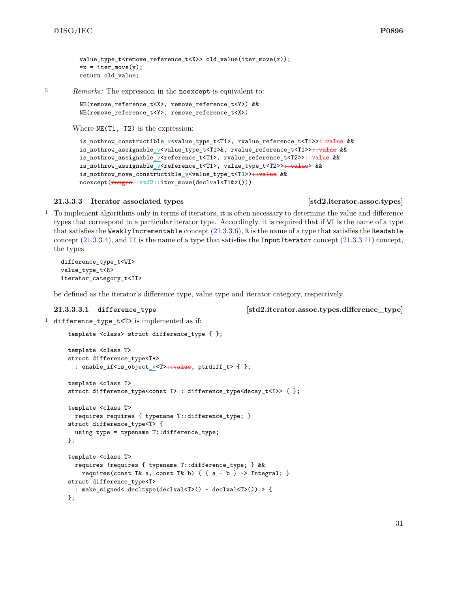```
value type t<remove reference t<X>> old value(iter move(x));
*x = iter_move(y);return old_value;
```
<sup>5</sup> *Remarks:* The expression in the noexcept is equivalent to:

```
NE(remove_reference_t<X>, remove_reference_t<Y>) &&
NE(remove_reference_t<Y>, remove_reference_t<X>)
```
Where  $NE(T1, T2)$  is the expression:

```
is_nothrow_constructible_v<value_type_t<T1>, rvalue_reference_t<T1>>::value &&
is_nothrow_assignable_v<value_type_t<T1>&, rvalue_reference_t<T1>> :: value &&
is_nothrow_assignable_v<reference_t<T1>, rvalue_reference_t<T2>>::value &&
is_nothrow_assignable_v<reference_t<T1>, value_type_t<T2>>::value> &&
is_nothrow_move_constructible_v<value_type_t<T1>> ::value &&
noexcept(ranges::std2::iter_move(declval<T1&>()))
```
# <span id="page-32-0"></span>**21.3.3.3 Iterator associated types [std2.iterator.assoc.types]**

<sup>1</sup> To implement algorithms only in terms of iterators, it is often necessary to determine the value and difference types that correspond to a particular iterator type. Accordingly, it is required that if WI is the name of a type that satisfies the WeaklyIncrementable concept [\(21.3.3.6\)](#page-35-1), R is the name of a type that satisfies the Readable concept [\(21.3.3.4\)](#page-34-0), and II is the name of a type that satisfies the InputIterator concept [\(21.3.3.11\)](#page-37-1) concept, the types

```
difference_type_t<WI>
value_type_t<R>
iterator_category_t<II>
```
be defined as the iterator's difference type, value type and iterator category, respectively.

<span id="page-32-1"></span>**21.3.3.3.1 difference\_type [std2.iterator.assoc.types.difference\_type]**

```
1 difference_type_t<T> is implemented as if:
```

```
template <class> struct difference_type { };
template <class T>
struct difference_type<T*>
  : enable_if<is_object_v<T>:: value, ptrdiff_t> { };
template <class I>
struct difference_type<const I> : difference_type<decay_t<I>> { };
template <class T>
 requires requires { typename T::difference_type; }
struct difference_type<T> {
 using type = typename T::difference_type;
};
template <class T>
  requires !requires { typename T::difference_type; } &&
    requires(const T& a, const T& b) { { a - b } -> Integral; }
struct difference_type<T>
  : make_signed< decltype(declval<T>() - declval<T>()) > {
};
```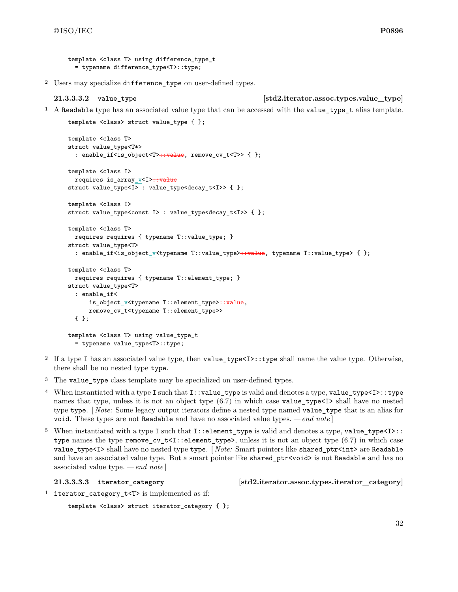```
template <class T> using difference type t
 = typename difference_type<T>::type;
```
<sup>2</sup> Users may specialize difference\_type on user-defined types.

# <span id="page-33-0"></span>**21.3.3.3.2 value\_type [std2.iterator.assoc.types.value\_type]**

<sup>1</sup> A Readable type has an associated value type that can be accessed with the value\_type\_t alias template.

```
template <class> struct value_type { };
template <class T>
struct value_type<T*>
  : enable_if<is_object<T>::value, remove_cv_t<T>> { };
template <class I>
 requires is_array_v<I>::value
struct value_type<I> : value_type<decay_t<I>> { };
template <class I>
struct value_type<const I> : value_type<decay_t<I>> { };
template <class T>
 requires requires { typename T::value_type; }
struct value_type<T>
 : enable_if<is_object_v<typename T::value_type>::value, typename T::value_type> { };
template <class T>
 requires requires { typename T::element_type; }
struct value_type<T>
  : enable_if<
      is_object_v<typename T::element_type>::value,
      remove_cv_t<typename T::element_type>>
  { };
template <class T> using value_type_t
  = typename value_type<T>::type;
```
- <sup>2</sup> If a type I has an associated value type, then value  $type < I$ ::type shall name the value type. Otherwise, there shall be no nested type type.
- <sup>3</sup> The value\_type class template may be specialized on user-defined types.
- <sup>4</sup> When instantiated with a type I such that I::value type is valid and denotes a type, value type<I>::type names that type, unless it is not an object type (6.7) in which case value\_type<I> shall have no nested type type. [ *Note:* Some legacy output iterators define a nested type named value\_type that is an alias for void. These types are not Readable and have no associated value types. *— end note* ]
- <sup>5</sup> When instantiated with a type I such that I::element\_type is valid and denotes a type, value\_type<I>:: type names the type remove\_cv\_t<I::element\_type>, unless it is not an object type (6.7) in which case value\_type<I> shall have no nested type type. [ *Note:* Smart pointers like shared\_ptr<int> are Readable and have an associated value type. But a smart pointer like shared\_ptr<void> is not Readable and has no associated value type. *— end note* ]

<span id="page-33-1"></span>**21.3.3.3.3 iterator\_category [std2.iterator.assoc.types.iterator\_category]**

<sup>1</sup> iterator\_category\_t<T> is implemented as if:

```
template <class> struct iterator_category { };
```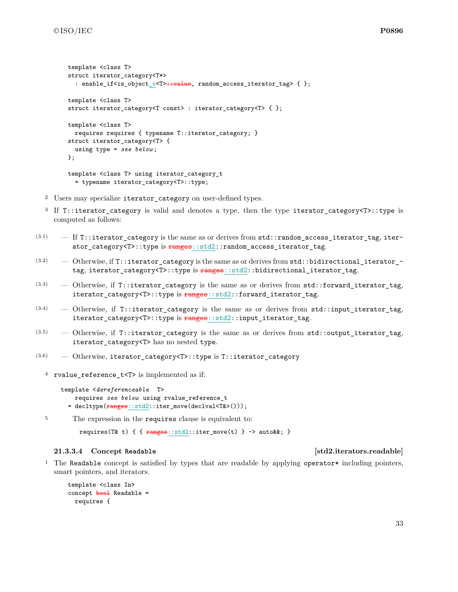```
template <class T>
struct iterator_category<T*>
  : enable_if<is_object_v<T>-: value, random_access_iterator_tag> { };
template <class T>
struct iterator_category<T const> : iterator_category<T> { };
template <class T>
 requires requires { typename T::iterator_category; }
struct iterator_category<T> {
  using type = see below ;
};
template <class T> using iterator_category_t
  = typename iterator_category<T>::type;
```
- <sup>2</sup> Users may specialize iterator\_category on user-defined types.
- <sup>3</sup> If T::iterator\_category is valid and denotes a type, then the type iterator\_category<T>::type is computed as follows:
- $(3.1)$  If T::iterator\_category is the same as or derives from std::random\_access\_iterator\_tag, iterator\_category<T>::type is ranges::std2::random\_access\_iterator\_tag.
- $(3.2)$  Otherwise, if T::iterator\_category is the same as or derives from std::bidirectional\_iterator\_tag, iterator\_category<T>::type is  $r$ anges::std2::bidirectional\_iterator\_tag.
- $(3.3)$  Otherwise, if T::iterator\_category is the same as or derives from std::forward\_iterator\_tag, iterator\_category<T>::type is ranges::std2::forward\_iterator\_tag.
- $(3.4)$  Otherwise, if T::iterator\_category is the same as or derives from std::input\_iterator\_tag, iterator\_category<T>::type is ranges::std2::input\_iterator\_tag.
- $(3.5)$  Otherwise, if T::iterator\_category is the same as or derives from std::output\_iterator\_tag, iterator\_category<T> has no nested type.
- (3.6) Otherwise, iterator\_category<T>::type is T::iterator\_category
	- <sup>4</sup> rvalue reference  $t$ <T> is implemented as if:

```
template <dereferenceable T>
   requires see below using rvalue_reference_t
 = decltype(ranges::std2::iter_move(declval<T&>()));
```
<sup>5</sup> The expression in the requires clause is equivalent to:

requires(T& t) { {  $r_{\text{anges}}::\text{std2}: \text{iter\_move(t)}$  } -> auto&&; }

# <span id="page-34-0"></span>**21.3.3.4 Concept Readable [std2.iterators.readable]**

<sup>1</sup> The Readable concept is satisfied by types that are readable by applying operator\* including pointers, smart pointers, and iterators.

```
template <class In>
concept bool Readable =
 requires {
```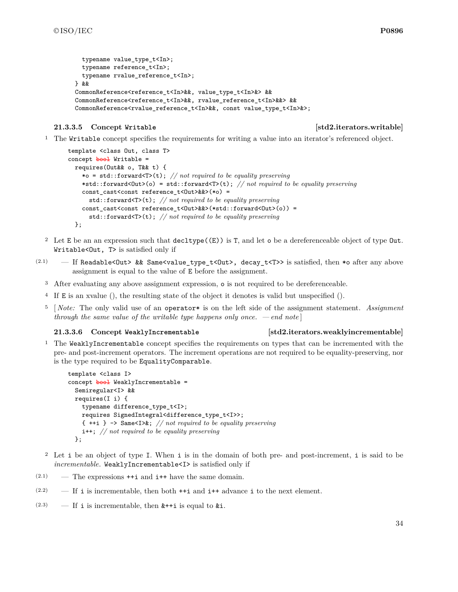```
typename value type t<In>;
  typename reference_t<In>;
  typename rvalue_reference_t<In>;
} &&
CommonReference<reference_t<In>&&, value_type_t<In>&> &&
CommonReference<reference_t<In>&&, rvalue_reference_t<In>&&> &&
CommonReference<rvalue_reference_t<In>&&, const value_type_t<In>&>;
```
# <span id="page-35-0"></span>**21.3.3.5 Concept Writable [std2.iterators.writable]**

<sup>1</sup> The Writable concept specifies the requirements for writing a value into an iterator's referenced object.

```
template <class Out, class T>
concept bool Writable =
  requires(Out&& o, T&& t) {
    *o = std::forward<T>(t); // not required to be equality preserving
    *std::forward<Out>(o) = std::forward<T>(t); // not required to be equality preserving
    const_cast<const reference_t<Out>&&>(*o) =
      std::forward<T>(t); // not required to be equality preserving
    const_cast<const reference_t<Out>&&>(*std::forward<Out>(o)) =
      std::forward<T>(t); // not required to be equality preserving
  };
```
- <sup>2</sup> Let E be an an expression such that  $\text{decltype}(\mathbb{E})$  is T, and let o be a dereferenceable object of type Out. Writable<Out, T> is satisfied only if
- (2.1) If Readable<Out> && Same<value\_type\_t<Out>, decay\_t<T>> is satisfied, then \*o after any above assignment is equal to the value of E before the assignment.
	- <sup>3</sup> After evaluating any above assignment expression, o is not required to be dereferenceable.
	- <sup>4</sup> If E is an xvalue (), the resulting state of the object it denotes is valid but unspecified ().
	- <sup>5</sup> [ *Note:* The only valid use of an operator\* is on the left side of the assignment statement. *Assignment through the same value of the writable type happens only once. — end note* ]

```
21.3.3.6 Concept WeaklyIncrementable [std2.iterators.weaklyincrementable]
```
<sup>1</sup> The WeaklyIncrementable concept specifies the requirements on types that can be incremented with the pre- and post-increment operators. The increment operations are not required to be equality-preserving, nor is the type required to be EqualityComparable.

```
template <class I>
concept bool WeaklyIncrementable =
  Semiregular<I> &&
  requires(I i) {
    typename difference_type_t<I>;
    requires SignedIntegral<difference_type_t<I>>;
    { ++i } -> Same<I>&; // not required to be equality preserving
    i++; // not required to be equality preserving
  };
```
- <sup>2</sup> Let i be an object of type I. When i is in the domain of both pre- and post-increment, i is said to be *incrementable*. WeaklyIncrementable<I> is satisfied only if
- $(2.1)$  The expressions  $++i$  and  $i++$  have the same domain.
- $(2.2)$  If i is incrementable, then both  $++i$  and  $i++$  advance i to the next element.
- (2.3) If i is incrementable, then  $k++i$  is equal to  $ki$ .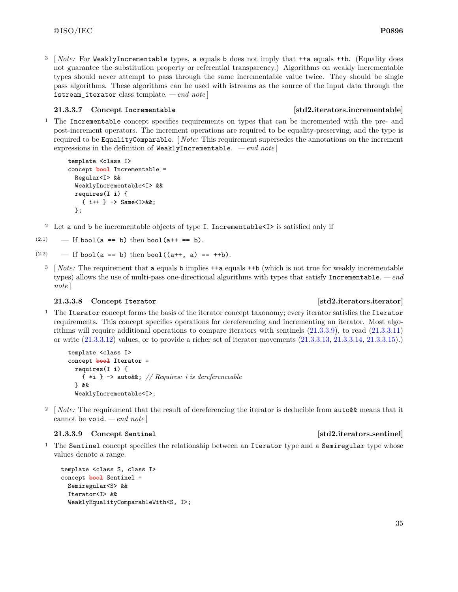<sup>3</sup> [ *Note:* For WeaklyIncrementable types, a equals b does not imply that ++a equals ++b. (Equality does not guarantee the substitution property or referential transparency.) Algorithms on weakly incrementable types should never attempt to pass through the same incrementable value twice. They should be single pass algorithms. These algorithms can be used with istreams as the source of the input data through the istream\_iterator class template. *— end note* ]

# **21.3.3.7 Concept Incrementable [std2.iterators.incrementable]**

<sup>1</sup> The Incrementable concept specifies requirements on types that can be incremented with the pre- and post-increment operators. The increment operations are required to be equality-preserving, and the type is required to be EqualityComparable. [ *Note:* This requirement supersedes the annotations on the increment expressions in the definition of WeaklyIncrementable. *— end note* ]

```
template <class I>
concept bool Incrementable =
 Regular<I> &&
 WeaklyIncrementable<I> &&
 requires(I i) {
    { i++ } -> Same<I>&&;
 };
```
<sup>2</sup> Let a and b be incrementable objects of type I. Incrementable<I> is satisfied only if

- (2.1) If bool(a == b) then bool(a++ == b).
- $(2.2)$  If bool(a == b) then bool((a++, a) == ++b).
	- <sup>3</sup> [*Note:* The requirement that a equals b implies  $++a$  equals  $++b$  (which is not true for weakly incrementable types) allows the use of multi-pass one-directional algorithms with types that satisfy Incrementable. *— end note* ]

# <span id="page-36-1"></span>**21.3.3.8 Concept Iterator [std2.iterators.iterator]**

<sup>1</sup> The Iterator concept forms the basis of the iterator concept taxonomy; every iterator satisfies the Iterator requirements. This concept specifies operations for dereferencing and incrementing an iterator. Most algorithms will require additional operations to compare iterators with sentinels [\(21.3.3.9\)](#page-36-0), to read [\(21.3.3.11\)](#page-37-0) or write [\(21.3.3.12\)](#page-38-0) values, or to provide a richer set of iterator movements [\(21.3.3.13,](#page-38-1) [21.3.3.14,](#page-38-2) [21.3.3.15\)](#page-39-0).)

```
template <class I>
concept bool Iterator =
  requires(I i) {
    { *i } -> auto&&; // Requires: i is dereferenceable
  } &&
  WeaklyIncrementable<I>;
```
<sup>2</sup> [*Note:* The requirement that the result of dereferencing the iterator is deducible from **auto&&** means that it cannot be void. *— end note* ]

# <span id="page-36-0"></span>**21.3.3.9 Concept Sentinel [std2.iterators.sentinel]**

<sup>1</sup> The Sentinel concept specifies the relationship between an Iterator type and a Semiregular type whose values denote a range.

```
template <class S, class I>
concept bool Sentinel =
 Semiregular<S> &&
 Iterator<I> &&
 WeaklyEqualityComparableWith<S, I>;
```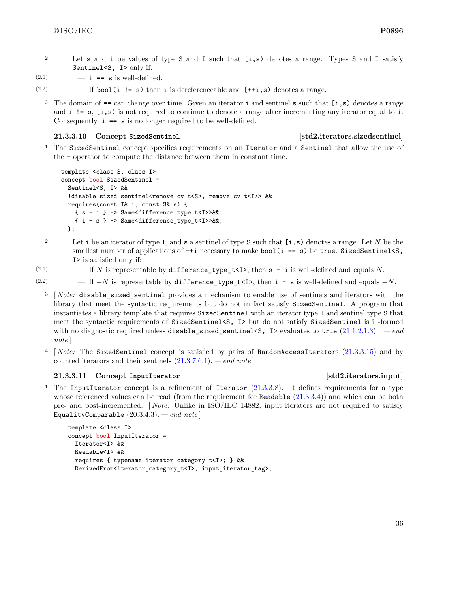- <sup>2</sup> Let s and i be values of type S and I such that [i,s) denotes a range. Types S and I satisfy Sentinel<S, I> only if:
- (2.1)  $i == s$  is well-defined.
- (2.2)  $-$  If bool(i != s) then i is dereferenceable and  $[++i,s)$  denotes a range.
	- <sup>3</sup> The domain of == can change over time. Given an iterator i and sentinel s such that [i,s) denotes a range and  $i := s$ ,  $[i, s)$  is not required to continue to denote a range after incrementing any iterator equal to i. Consequently,  $i == s$  is no longer required to be well-defined.

# **21.3.3.10 Concept SizedSentinel [std2.iterators.sizedsentinel]**

<sup>1</sup> The SizedSentinel concept specifies requirements on an Iterator and a Sentinel that allow the use of the - operator to compute the distance between them in constant time.

```
template <class S, class I>
concept bool SizedSentinel =
 Sentinel<S, I> &&
 !disable_sized_sentinel<remove_cv_t<S>, remove_cv_t<I>> &&
 requires(const I& i, const S& s) {
   { s - i } -> Same<difference_type_t<I>>&&;
   { i - s } -> Same<difference_type_t<I>>&&;
 };
```
- <sup>2</sup> Let i be an iterator of type I, and s a sentinel of type S such that [i,s) denotes a range. Let *N* be the smallest number of applications of  $++i$  necessary to make  $bool(i == s)$  be true. SizedSentinel $\leq$ S, I> is satisfied only if:
- (2.1)  $-$  If *N* is representable by difference\_type\_t<I>, then  $s i$  is well-defined and equals *N*.
- (2.2) If  $-N$  is representable by difference\_type\_t<I>, then i s is well-defined and equals  $-N$ .
	- <sup>3</sup> [ *Note:* disable\_sized\_sentinel provides a mechanism to enable use of sentinels and iterators with the library that meet the syntactic requirements but do not in fact satisfy SizedSentinel. A program that instantiates a library template that requires SizedSentinel with an iterator type I and sentinel type S that meet the syntactic requirements of SizedSentinel<S, I> but do not satisfy SizedSentinel is ill-formed with no diagnostic required unless disable\_sized\_sentinel<S, I> evaluates to true  $(21.1.2.1.3).$  $(21.1.2.1.3).$  *— end note* ]
	- <sup>4</sup> [ *Note:* The SizedSentinel concept is satisfied by pairs of RandomAccessIterators [\(21.3.3.15\)](#page-39-0) and by counted iterators and their sentinels [\(21.3.7.6.1\)](#page-71-0). *— end note* ]

# <span id="page-37-0"></span>**21.3.3.11 Concept InputIterator [std2.iterators.input]**

<sup>1</sup> The InputIterator concept is a refinement of Iterator  $(21.3.3.8)$ . It defines requirements for a type whose referenced values can be read (from the requirement for  $\text{Readable } (21.3.3.4)$  $\text{Readable } (21.3.3.4)$ ) and which can be both pre- and post-incremented. [ *Note:* Unlike in ISO/IEC 14882, input iterators are not required to satisfy EqualityComparable (20.3.4.3). *— end note* ]

```
template <class I>
concept bool InputIterator =
 Iterator<I> &&
 Readable<I> &&
 requires { typename iterator_category_t<I>; } &&
 DerivedFrom<iterator_category_t<I>, input_iterator_tag>;
```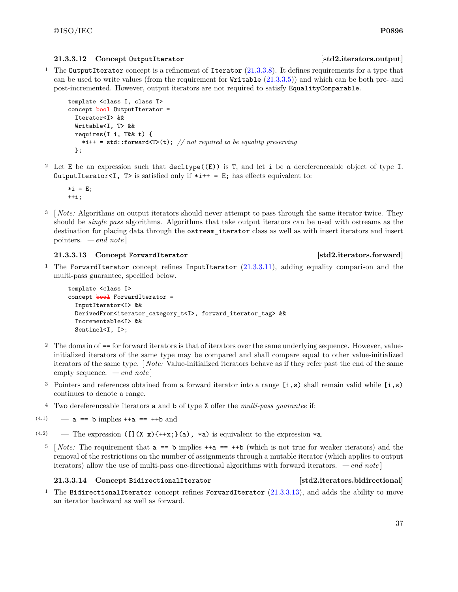# <span id="page-38-0"></span>**21.3.3.12 Concept OutputIterator [std2.iterators.output]**

<sup>1</sup> The **OutputIterator** concept is a refinement of Iterator  $(21.3.3.8)$ . It defines requirements for a type that can be used to write values (from the requirement for Writable [\(21.3.3.5\)](#page-35-0)) and which can be both pre- and post-incremented. However, output iterators are not required to satisfy EqualityComparable.

```
template <class I, class T>
concept bool OutputIterator =
  Iterator<I> &&
  Writable<I, T> &&
  requires(I i, T&& t) {
    *i++ = std::forward<T>(t); // not required to be equality preserving
  };
```
<sup>2</sup> Let E be an expression such that decltype((E)) is T, and let i be a dereferenceable object of type I. OutputIterator<I,  $T$  is satisfied only if  $*$ i++ = E; has effects equivalent to:

```
*i = E;
++i;
```
<sup>3</sup> [ *Note:* Algorithms on output iterators should never attempt to pass through the same iterator twice. They should be *single pass* algorithms. Algorithms that take output iterators can be used with ostreams as the destination for placing data through the ostream\_iterator class as well as with insert iterators and insert pointers. *— end note* ]

# <span id="page-38-1"></span>**21.3.3.13 Concept ForwardIterator [std2.iterators.forward]**

<sup>1</sup> The ForwardIterator concept refines InputIterator [\(21.3.3.11\)](#page-37-0), adding equality comparison and the multi-pass guarantee, specified below.

```
template <class I>
concept bool ForwardIterator =
  InputIterator<I> &&
  DerivedFrom<iterator_category_t<I>, forward_iterator_tag> &&
  Incrementable<I> &&
 Sentinel<I, I>;
```
- <sup>2</sup> The domain of == for forward iterators is that of iterators over the same underlying sequence. However, valueinitialized iterators of the same type may be compared and shall compare equal to other value-initialized iterators of the same type. [ *Note:* Value-initialized iterators behave as if they refer past the end of the same empty sequence. *— end note* ]
- <sup>3</sup> Pointers and references obtained from a forward iterator into a range [i,s) shall remain valid while [i,s) continues to denote a range.
- <sup>4</sup> Two dereferenceable iterators a and b of type X offer the *multi-pass guarantee* if:

(4.1) 
$$
ightharpoonup a == b
$$
 implies **++a == ++b** and

(4.2) — The expression  $([X \times \{++x\}; \{a), *a\})$  is equivalent to the expression  $*a$ .

 $5 \left[ Note: The requirement that  $a == b$  implies  $+a == +b$  (which is not true for weaker iterators) and the$ removal of the restrictions on the number of assignments through a mutable iterator (which applies to output iterators) allow the use of multi-pass one-directional algorithms with forward iterators. *— end note* ]

# <span id="page-38-2"></span>**21.3.3.14 Concept BidirectionalIterator [std2.iterators.bidirectional]**

<sup>1</sup> The BidirectionalIterator concept refines ForwardIterator [\(21.3.3.13\)](#page-38-1), and adds the ability to move an iterator backward as well as forward.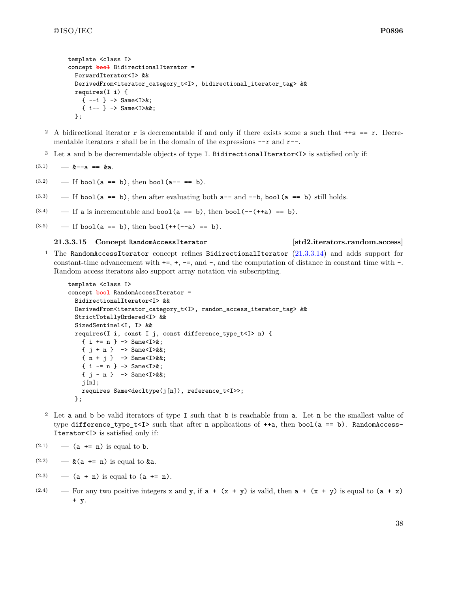```
template <class I>
concept bool BidirectionalIterator =
  ForwardIterator<I> &&
  DerivedFrom<iterator_category_t<I>, bidirectional_iterator_tag> &&
  requires(I i) {
    {-i} \rightarrow Same<I>&;
    \{ i-- \} \rightarrow Same < I > \&;
  };
```
- <sup>2</sup> A bidirectional iterator **r** is decrementable if and only if there exists some **s** such that  $++s == r$ . Decrementable iterators  $\mathbf r$  shall be in the domain of the expressions  $-\mathbf r$  and  $\mathbf r$ --.
- <sup>3</sup> Let a and b be decrementable objects of type I. BidirectionalIterator<I> is satisfied only if:

$$
(3.1) \qquad \qquad \mathbf{L} - \mathbf{a} \ = \ \& \mathbf{a}.
$$

- (3.2) If bool(a == b), then bool(a-- == b).
- $(3.3)$  If bool(a == b), then after evaluating both a-- and --b, bool(a == b) still holds.
- $(3.4)$  If a is incrementable and bool(a == b), then bool(--(++a) == b).

```
(3.5) — If bool(a == b), then bool(++(--a) == b).
```
### <span id="page-39-0"></span>**21.3.3.15 Concept RandomAccessIterator [std2.iterators.random.access]**

<sup>1</sup> The RandomAccessIterator concept refines BidirectionalIterator [\(21.3.3.14\)](#page-38-2) and adds support for constant-time advancement with  $+=, +, -=$ , and  $-$ , and the computation of distance in constant time with  $-$ . Random access iterators also support array notation via subscripting.

```
template <class I>
concept \frac{b \cdot o \cdot b}{c} RandomAccessIterator =
  BidirectionalIterator<I> &&
  DerivedFrom<iterator_category_t<I>, random_access_iterator_tag> &&
  StrictTotallyOrdered<I> &&
  SizedSentinel<I, I> &&
  requires(I i, const I j, const difference_type_t<I> n) {
    \{ i \leftarrow n \} \rightarrow Same<I>&;
    { j + n } \rightarrow Same<I>&&;
    { n + j } -> Same<I>&&;
    { i -= n } -> Same<I>&;
    {j - n } > Same<I>&&;
    j[n];
    requires Same<decltype(j[n]), reference_t<I>>;
  };
```
- <sup>2</sup> Let a and b be valid iterators of type I such that b is reachable from a. Let n be the smallest value of type difference type  $t$ <I> such that after n applications of  $++a$ , then bool(a == b). RandomAccess-Iterator<I> is satisfied only if:
- $(2.1)$  (a += n) is equal to b.
- $(2.2)$   $\&$  (a += n) is equal to  $\&$ a.
- (2.3)  $(a + n)$  is equal to  $(a == n)$ .
- (2.4) For any two positive integers x and y, if  $a + (x + y)$  is valid, then  $a + (x + y)$  is equal to  $(a + x)$ + y.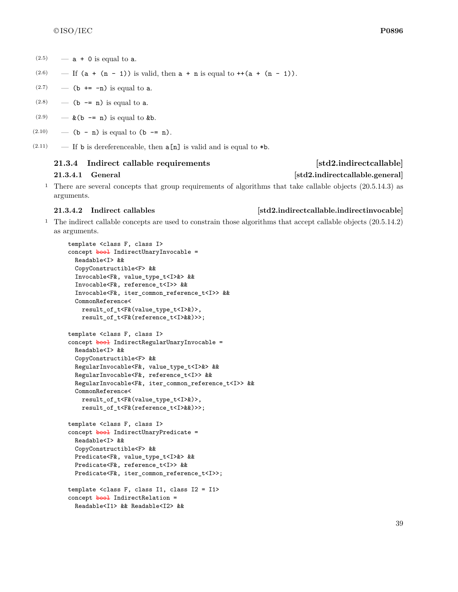- $(2.5)$  a + 0 is equal to a.
- (2.6) If  $(a + (n 1))$  is valid, then  $a + n$  is equal to  $++(a + (n 1))$ .
- $(2.7)$  (b += -n) is equal to a.
- $(2.8)$  (b -= n) is equal to a.
- (2.9)  $\&$  (b -= n) is equal to  $&$  b.
- (2.10) (b n) is equal to (b -= n).
- (2.11)  $-$  If b is dereferenceable, then  $a[n]$  is valid and is equal to \*b.

# **21.3.4 Indirect callable requirements [std2.indirectcallable] 21.3.4.1 General [std2.indirectcallable.general]**

<sup>1</sup> There are several concepts that group requirements of algorithms that take callable objects (20.5.14.3) as arguments.

# **21.3.4.2 Indirect callables [std2.indirectcallable.indirectinvocable]**

<sup>1</sup> The indirect callable concepts are used to constrain those algorithms that accept callable objects (20.5.14.2) as arguments.

```
template <class F, class I>
concept bool IndirectUnaryInvocable =
  Readable<I> &&
  CopyConstructible<F> &&
  Invocable<F&, value_type_t<I>&> &&
  Invocable<F&, reference_t<I>> &&
  Invocable<F&, iter_common_reference_t<I>> &&
  CommonReference<
    result_of_t<F&(value_type_t<I>&)>,
    result_of_t<F&(reference_t<I>&&)>>;
template <class F, class I>
concept bool IndirectRegularUnaryInvocable =
  Readable<I> &&
  CopyConstructible<F> &&
  RegularInvocable<F&, value_type_t<I>&> &&
  RegularInvocable<F&, reference_t<I>> &&
  RegularInvocable<F&, iter_common_reference_t<I>> &&
  CommonReference<
    result_of_t<F&(value_type_t<I>&)>,
    result_of_t<F&(reference_t<I>&&)>>;
template <class F, class I>
concept bool IndirectUnaryPredicate =
  Readable<I> &&
  CopyConstructible<F> &&
  Predicate<F&, value_type_t<I>&> &&
  Predicate<F&, reference_t<I>> &&
  Predicate<F&, iter_common_reference_t<I>>;
template <class F, class I1, class I2 = I1>
concept bool IndirectRelation =
  Readable<I1> && Readable<I2> &&
```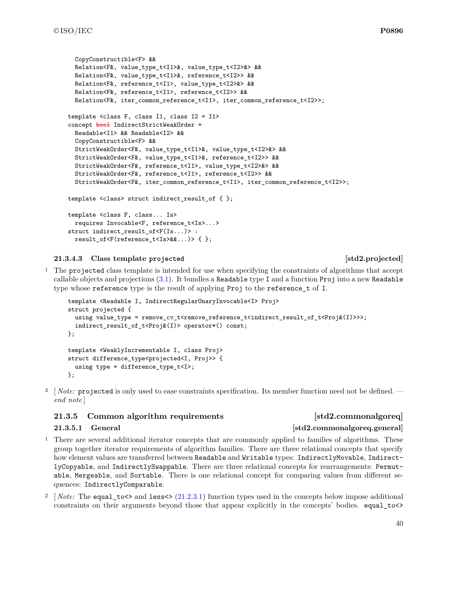```
CopyConstructible<F> &&
  Relation<F&, value_type_t<I1>&, value_type_t<I2>&> &&
  Relation<F&, value_type_t<I1>&, reference_t<I2>> &&
  Relation<F&, reference_t<I1>, value_type_t<I2>&> &&
  Relation<F&, reference_t<I1>, reference_t<I2>> &&
  Relation<F&, iter_common_reference_t<I1>, iter_common_reference_t<I2>>;
template <class F, class I1, class I2 = I1>
concept bool IndirectStrictWeakOrder =
  Readable<I1> && Readable<I2> &&
  CopyConstructible<F> &&
  StrictWeakOrder<F&, value_type_t<I1>&, value_type_t<I2>&> &&
  StrictWeakOrder<F&, value_type_t<I1>&, reference_t<I2>> &&
  StrictWeakOrder<F&, reference_t<I1>, value_type_t<I2>&> &&
  StrictWeakOrder<F&, reference_t<I1>, reference_t<I2>> &&
  StrictWeakOrder<F&, iter_common_reference_t<I1>, iter_common_reference_t<I2>>;
template <class> struct indirect_result_of { };
template <class F, class... Is>
  requires Invocable<F, reference_t<Is>...>
struct indirect_result_of<F(Is...)> :
  result_of<F(reference_t<Is>&&...)> { };
```
**21.3.4.3 Class template projected [std2.projected]**

<sup>1</sup> The projected class template is intended for use when specifying the constraints of algorithms that accept callable objects and projections [\(3.1\)](#page-4-0). It bundles a Readable type I and a function Proj into a new Readable type whose reference type is the result of applying Proj to the reference\_t of I.

```
template <Readable I, IndirectRegularUnaryInvocable<I> Proj>
struct projected {
  using value_type = remove_cv_t<remove_reference_t<indirect_result_of_t<Proj&(I)>>>;
  indirect_result_of_t<Proj&(I)> operator*() const;
};
template <WeaklyIncrementable I, class Proj>
struct difference_type<projected<I, Proj>> {
  using type = difference_type_t<I>;
};
```
<sup>2</sup> [ *Note:* projected is only used to ease constraints specification. Its member function need not be defined.  *end note* ]

# **21.3.5 Common algorithm requirements [std2.commonalgoreq]**

# **21.3.5.1** General *Std2.commonalgoreq.general*

- <sup>1</sup> There are several additional iterator concepts that are commonly applied to families of algorithms. These group together iterator requirements of algorithm families. There are three relational concepts that specify how element values are transferred between Readable and Writable types: IndirectlyMovable, IndirectlyCopyable, and IndirectlySwappable. There are three relational concepts for rearrangements: Permutable, Mergeable, and Sortable. There is one relational concept for comparing values from different sequences: IndirectlyComparable.
- [*Note:* The equal\_to<> and less<>  $(21.2.3.1)$  function types used in the concepts below impose additional constraints on their arguments beyond those that appear explicitly in the concepts' bodies. equal\_to<>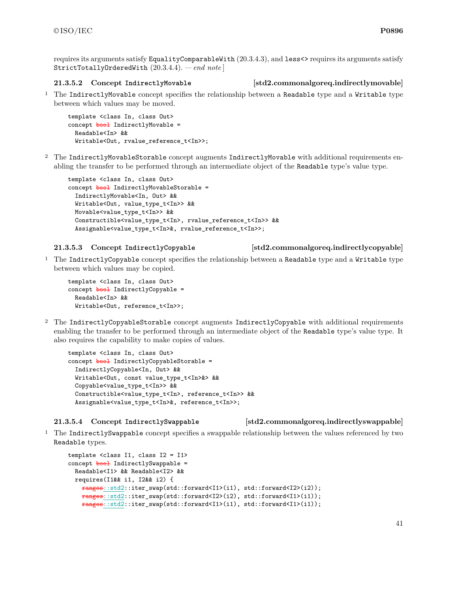requires its arguments satisfy EqualityComparableWith  $(20.3.4.3)$ , and less <> requires its arguments satisfy StrictTotallyOrderedWith (20.3.4.4). *— end note* ]

**21.3.5.2 Concept IndirectlyMovable [std2.commonalgoreq.indirectlymovable]**

<sup>1</sup> The IndirectlyMovable concept specifies the relationship between a Readable type and a Writable type between which values may be moved.

```
template <class In, class Out>
concept bool IndirectlyMovable =
  Readable<In> &&
  Writable<Out, rvalue_reference_t<In>>;
```
<sup>2</sup> The IndirectlyMovableStorable concept augments IndirectlyMovable with additional requirements enabling the transfer to be performed through an intermediate object of the Readable type's value type.

```
template <class In, class Out>
concept bool IndirectlyMovableStorable =
 IndirectlyMovable<In, Out> &&
 Writable<Out, value_type_t<In>> &&
 Movable<value_type_t<In>> &&
 Constructible<value_type_t<In>, rvalue_reference_t<In>> &&
  Assignable<value_type_t<In>&, rvalue_reference_t<In>>;
```
<sup>1</sup> The IndirectlyCopyable concept specifies the relationship between a Readable type and a Writable type between which values may be copied.

```
template <class In, class Out>
concept bool IndirectlyCopyable =
 Readable<In> &&
  Writable<Out, reference t<In>>;
```
<sup>2</sup> The IndirectlyCopyableStorable concept augments IndirectlyCopyable with additional requirements enabling the transfer to be performed through an intermediate object of the Readable type's value type. It also requires the capability to make copies of values.

```
template <class In, class Out>
concept bool IndirectlyCopyableStorable =
 IndirectlyCopyable<In, Out> &&
 Writable<Out, const value_type_t<In>&> &&
 Copyable<value_type_t<In>> &&
  Constructible<value_type_t<In>, reference_t<In>> &&
  Assignable<value_type_t<In>&, reference_t<In>>;
```
**21.3.5.4 Concept IndirectlySwappable [std2.commonalgoreq.indirectlyswappable]**

<sup>1</sup> The IndirectlySwappable concept specifies a swappable relationship between the values referenced by two Readable types.

```
template <class I1, class I2 = I1>
concept bool IndirectlySwappable =
 Readable<I1> && Readable<I2> &&
 requires(I1&& i1, I2&& i2) {
   ranges::std2::iter_swap(std::forward<I1>(i1), std::forward<I2>(i2));
    ranges::std2::iter_swap(std::forward<I2>(i2), std::forward<I1>(i1));
    ranges::std2::iter_swap(std::forward<I1>(i1), std::forward<I1>(i1));
```
**21.3.5.3 Concept IndirectlyCopyable [std2.commonalgoreq.indirectlycopyable]**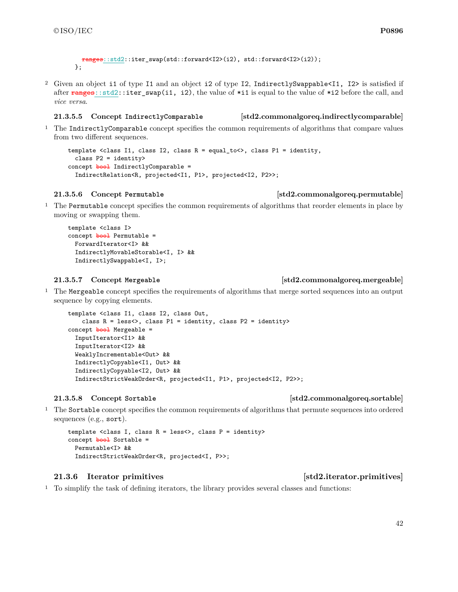```
ranges::std2::iter_swap(std::forward<I2>(i2), std::forward<I2>(i2));
};
```
<sup>2</sup> Given an object i1 of type I1 and an object i2 of type I2, IndirectlySwappable<I1, I2> is satisfied if after ranges::std2::iter\_swap(i1, i2), the value of  $*$ i1 is equal to the value of  $*$ i2 before the call, and *vice versa*.

### **21.3.5.5 Concept IndirectlyComparable [std2.commonalgoreq.indirectlycomparable]**

<sup>1</sup> The IndirectlyComparable concept specifies the common requirements of algorithms that compare values from two different sequences.

```
template <class I1, class I2, class R = equal_to<>, class P1 = identity,
  class P2 = identity>
concept bool IndirectlyComparable =
 IndirectRelation<R, projected<I1, P1>, projected<I2, P2>>;
```
# **21.3.5.6 Concept Permutable [std2.commonalgoreq.permutable]**

<sup>1</sup> The Permutable concept specifies the common requirements of algorithms that reorder elements in place by moving or swapping them.

```
template <class I>
concept bool Permutable =
  ForwardIterator<I> &&
  IndirectlyMovableStorable<I, I> &&
  IndirectlySwappable<I, I>;
```
## **21.3.5.7 Concept Mergeable [std2.commonalgoreq.mergeable]**

<sup>1</sup> The Mergeable concept specifies the requirements of algorithms that merge sorted sequences into an output sequence by copying elements.

```
template <class I1, class I2, class Out,
    class R = less<>, class P1 = identity, class P2 = identity>
concept bool Mergeable =
 InputIterator<I1> &&
 InputIterator<I2> &&
 WeaklyIncrementable<Out> &&
 IndirectlyCopyable<I1, Out> &&
  IndirectlyCopyable<I2, Out> &&
  IndirectStrictWeakOrder<R, projected<I1, P1>, projected<I2, P2>>;
```
## **21.3.5.8 Concept Sortable [std2.commonalgoreq.sortable]**

# <sup>1</sup> The Sortable concept specifies the common requirements of algorithms that permute sequences into ordered sequences (e.g., sort).

```
template <class I, class R = less<>, class P = identity>
concept bool Sortable =
 Permutable<I> &&
  IndirectStrictWeakOrder<R, projected<I, P>>;
```
# **21.3.6 Iterator primitives [std2.iterator.primitives]**

<sup>1</sup> To simplify the task of defining iterators, the library provides several classes and functions: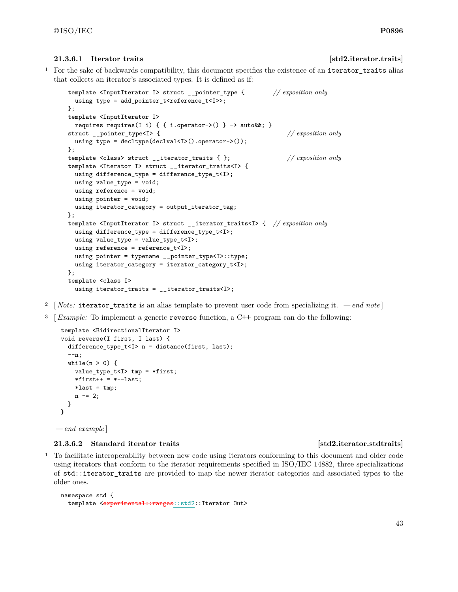### **21.3.6.1** Iterator traits **and its contrained in the set of the set of std2.iterator.traits**

<sup>1</sup> For the sake of backwards compatibility, this document specifies the existence of an iterator\_traits alias that collects an iterator's associated types. It is defined as if:

```
template <InputIterator I> struct __pointer_type { // exposition only
 using type = add_pointer_t<reference_t<I>>;
};
template <InputIterator I>
 requires requires(I i) { { i.operator->() } -> auto&&; }
struct __pointer_type<I> { // exposition only
 using type = decltype(declval<I>().operator->());
};
template <class> struct __iterator_traits { }; // exposition only
template <Iterator I> struct __iterator_traits<I> {
 using difference_type = difference_type_t<I>;
 using value_type = void;
 using reference = void;
 using pointer = void;
 using iterator_category = output_iterator_tag;
};
template <InputIterator I> struct __iterator_traits<I> { // exposition only
 using difference_type = difference_type_t<I>;
 using value_type = value_type_t<I>;
 using reference = reference_t<I>;
 using pointer = typename __pointer_type<I>::type;
 using iterator_category = iterator_category_t<I>;
};
template <class I>
 using iterator_traits = __iterator_traits<I>;
```
- <sup>2</sup> [*Note:* iterator traits is an alias template to prevent user code from specializing it.  *end note* ]
- <sup>3</sup> [*Example:* To implement a generic reverse function, a C**++** program can do the following:

```
template <BidirectionalIterator I>
void reverse(I first, I last) {
  difference_type_t<I> n = distance(first, last);
  --n;
  while(n > 0) {
   value_type_t<I> tmp = *first;
   *first++ = *--last;*last = tmp;n -= 2;
  }
}
```
*— end example* ]

## **21.3.6.2 Standard iterator traits [std2.iterator.stdtraits]**

<sup>1</sup> To facilitate interoperability between new code using iterators conforming to this document and older code using iterators that conform to the iterator requirements specified in ISO/IEC 14882, three specializations of std::iterator\_traits are provided to map the newer iterator categories and associated types to the older ones.

```
namespace std {
  template <experimental::ranges::std2::Iterator Out>
```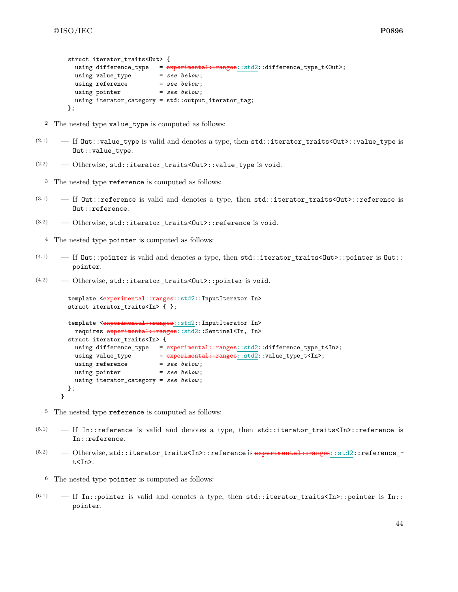```
struct iterator traits<Out> {
 using difference_type = ext{experimental::ranges::std2::difference_type_t<Out>};using value_type = see below ;
 using reference = see below;
 using pointer = see below;
 using iterator_category = std::output_iterator_tag;
};
```
- <sup>2</sup> The nested type value\_type is computed as follows:
- $(2.1)$  If Out::value\_type is valid and denotes a type, then std::iterator\_traits<Out>::value\_type is Out::value\_type.
- $(2.2)$  Otherwise, std::iterator\_traits<Out>::value\_type is void.

<sup>3</sup> The nested type reference is computed as follows:

- $(3.1)$  If Out::reference is valid and denotes a type, then std::iterator\_traits<Out>::reference is Out::reference.
- $(3.2)$  Otherwise, std::iterator\_traits<Out>::reference is void.

<sup>4</sup> The nested type pointer is computed as follows:

- (4.1) If Out::pointer is valid and denotes a type, then std::iterator\_traits<Out>::pointer is Out:: pointer.
- (4.2)  $-$  Otherwise, std::iterator\_traits<Out>::pointer is void.

```
template <experimental::ranges::std2::InputIterator In>
struct iterator_traits<In> { };
template <experimental::ranges::std2::InputIterator In>
  requires \frac{experimental::ranges::std2::Sentinel<In, In>}{}struct iterator_traits<In> {
  using difference_type = \texttt{experimental::ranges::std2::difference\_type_t<In>};
  using value_type = \frac{1}{2} = \frac{1}{2} = \frac{1}{2} = \frac{1}{2} = \frac{1}{2} = \frac{1}{2} = \frac{1}{2} = \frac{1}{2} = \frac{1}{2} = \frac{1}{2} = \frac{1}{2} = \frac{1}{2} = \frac{1}{2} = \frac{1}{2} = \frac{1}{2} = \frac{1}{2} = \frac{1}{2} =
  using reference = see below;
  using pointer = see below;
  using iterator_category = see below ;
};
```
<sup>5</sup> The nested type reference is computed as follows:

}

- $(5.1)$  If In::reference is valid and denotes a type, then std::iterator\_traits<In>::reference is In::reference.
- $(5.2)$  Otherwise, std::iterator\_traits<In>::reference is experimental::ranges::std2::reference\_t<In>.
	- <sup>6</sup> The nested type pointer is computed as follows:
- $(6.1)$  If In::pointer is valid and denotes a type, then std::iterator\_traits<In>::pointer is In:: pointer.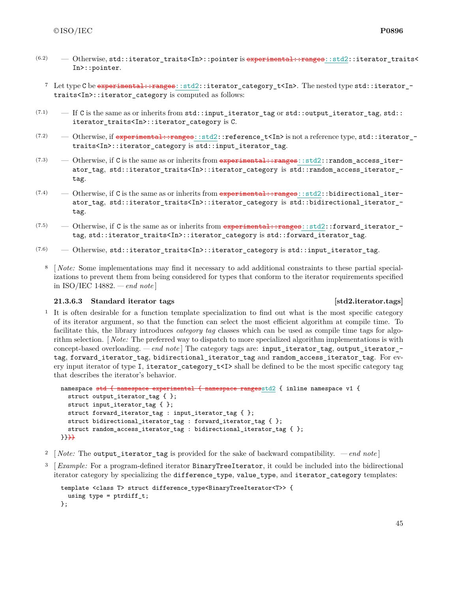- $(6.2)$  Otherwise, std::iterator\_traits<In>::pointer is experimental::ranges::std2::iterator\_traits< In>::pointer.
	- 7 Let type C be experimental::ranges::std2::iterator\_category\_t<In>. The nested type std::iterator\_traits<In>::iterator\_category is computed as follows:
- $(7.1)$  If C is the same as or inherits from std::input\_iterator\_tag or std::output\_iterator\_tag, std:: iterator\_traits<In>::iterator\_category is C.
- (7.2) Otherwise, if experimental::ranges::std2::reference\_t<In> is not a reference type, std::iterator\_traits<In>::iterator\_category is std::input\_iterator\_tag.
- $(7.3)$  Otherwise, if C is the same as or inherits from  $\alpha$  experimental::ranges::std2::random\_access\_iterator\_tag, std::iterator\_traits<In>::iterator\_category is std::random\_access\_iterator\_ tag.
- $(7.4)$  Otherwise, if C is the same as or inherits from  $\alpha$  experimental::ranges::std2::bidirectional\_iterator\_tag, std::iterator\_traits<In>::iterator\_category is std::bidirectional\_iterator\_ tag.
- $(7.5)$  Otherwise, if C is the same as or inherits from experimental::ranges::std2::forward\_iterator\_tag, std::iterator\_traits<In>::iterator\_category is std::forward\_iterator\_tag.
- $(7.6)$  Otherwise, std::iterator\_traits<In>::iterator\_category is std::input\_iterator\_tag.
	- <sup>8</sup> [ *Note:* Some implementations may find it necessary to add additional constraints to these partial specializations to prevent them from being considered for types that conform to the iterator requirements specified in ISO/IEC 14882. *— end note* ]

# **21.3.6.3 Standard iterator tags [std2.iterator.tags]**

<sup>1</sup> It is often desirable for a function template specialization to find out what is the most specific category of its iterator argument, so that the function can select the most efficient algorithm at compile time. To facilitate this, the library introduces *category tag* classes which can be used as compile time tags for algorithm selection. [ *Note:* The preferred way to dispatch to more specialized algorithm implementations is with concept-based overloading. *— end note* | The category tags are: input\_iterator\_tag, output\_iterator\_tag, forward\_iterator\_tag, bidirectional\_iterator\_tag and random\_access\_iterator\_tag. For every input iterator of type I, iterator category  $t < I$  shall be defined to be the most specific category tag that describes the iterator's behavior.

```
namespace std { namespace experimental { namespace rangesstd2 { inline namespace v1 {
  struct output_iterator_tag { };
  struct input_iterator_tag { };
  struct forward_iterator_tag : input_iterator_tag { };
  struct bidirectional_iterator_tag : forward_iterator_tag { };
  struct random_access_iterator_tag : bidirectional_iterator_tag { };
}}}}
```
<sup>2</sup> [ *Note:* The output\_iterator\_tag is provided for the sake of backward compatibility. *— end note* ]

<sup>3</sup> [*Example:* For a program-defined iterator BinaryTreeIterator, it could be included into the bidirectional iterator category by specializing the difference\_type, value\_type, and iterator\_category templates:

```
template <class T> struct difference_type<BinaryTreeIterator<T>> {
  using type = ptrdiff_t;
};
```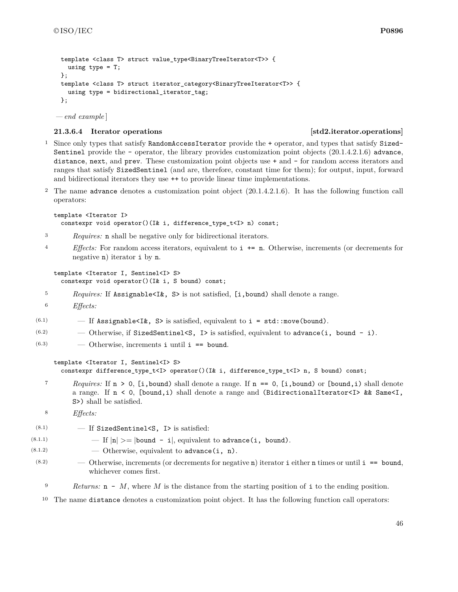```
template <class T> struct value type<BinaryTreeIterator<T>> {
  using type = T;
};
template <class T> struct iterator_category<BinaryTreeIterator<T>> {
  using type = bidirectional_iterator_tag;
};
```
*— end example* ]

# **21.3.6.4 Iterator operations [std2.iterator.operations]**

- <sup>1</sup> Since only types that satisfy RandomAccessIterator provide the + operator, and types that satisfy Sized-Sentinel provide the - operator, the library provides customization point objects  $(20.1.4.2.1.6)$  advance, distance, next, and prev. These customization point objects use + and - for random access iterators and ranges that satisfy SizedSentinel (and are, therefore, constant time for them); for output, input, forward and bidirectional iterators they use ++ to provide linear time implementations.
- <sup>2</sup> The name advance denotes a customization point object (20.1.4.2.1.6). It has the following function call operators:

```
template <Iterator I>
  constexpr void operator()(I& i, difference_type_t<I> n) const;
```
- <sup>3</sup> *Requires:* n shall be negative only for bidirectional iterators.
- <sup>4</sup> *Effects:* For random access iterators, equivalent to i += n. Otherwise, increments (or decrements for negative n) iterator i by n.

```
template <Iterator I, Sentinel<I> S>
  constexpr void operator()(I& i, S bound) const;
```
- <sup>5</sup> *Requires:* If Assignable<I&, S> is not satisfied, [i,bound) shall denote a range.
- <sup>6</sup> *Effects:*
- (6.1)  $-$  If Assignable <I&, S> is satisfied, equivalent to i = std: move(bound).
- $(6.2)$  Otherwise, if SizedSentinel<S, I> is satisfied, equivalent to advance(i, bound i).
- $(6.3)$   $\qquad$   $\qquad$  Otherwise, increments i until i == bound.

### template <Iterator I, Sentinel<I> S>

constexpr difference\_type\_t<I> operator()(I& i, difference\_type\_t<I> n, S bound) const;

- <sup>7</sup> *Requires:* If n > 0, [i,bound) shall denote a range. If n == 0, [i,bound) or [bound,i) shall denote a range. If n < 0, [bound,i) shall denote a range and (BidirectionalIterator<I> && Same<I, S>) shall be satisfied.
- <sup>8</sup> *Effects:*
- $(8.1)$  If SizedSentinel<S, I> is satisfied:
- (8.1.1)  $-$  If  $|n|$  > = |bound i|, equivalent to advance(i, bound).
- $(8.1.2)$   $\qquad \qquad$  Otherwise, equivalent to advance (i, n).
- (8.2)  $\qquad -$  Otherwise, increments (or decrements for negative n) iterator i either n times or until i == bound, whichever comes first.
	- <sup>9</sup> *Returns:* n *M*, where *M* is the distance from the starting position of i to the ending position.
	- <sup>10</sup> The name distance denotes a customization point object. It has the following function call operators: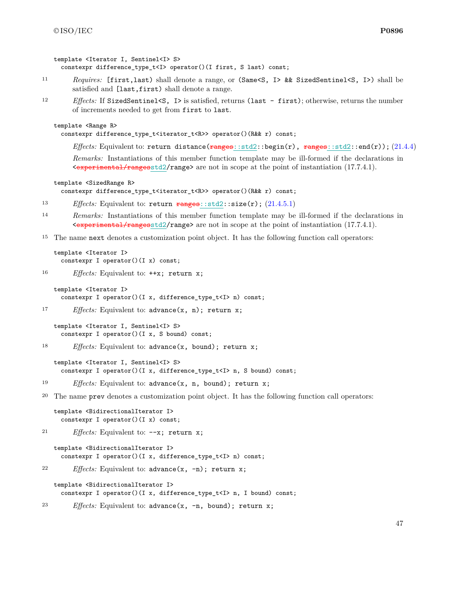```
template <Iterator I, Sentinel<I> S>
     constexpr difference_type_t<I> operator()(I first, S last) const;
11 Requires: [first,last) shall denote a range, or (Same<S, I> && SizedSentinel<S, I>) shall be
         satisfied and [last, first) shall denote a range.
12 Effects: If SizedSentinel<S, I> is satisfied, returns (last - first); otherwise, returns the number
         of increments needed to get from first to last.
   template <Range R>
     constexpr difference_type_t<iterator_t<R>> operator()(R&& r) const;
         Effects: Equivalent to: return distance (\frac{range}{\text{range}}::\text{std2}::\text{begin}(r), \frac{range}{\text{range}}::\text{std2}::\text{end}(r)); (21.4.4)Remarks: Instantiations of this member function template may be ill-formed if the declarations in
         \epsilon is experimental/rangesstd2/range> are not in scope at the point of instantiation (17.7.4.1).
   template <SizedRange R>
     constexpr difference_type_t<iterator_t<R>> operator()(R&& r) const;
13 Effects:(21.4.5.1)
14 Remarks: Instantiations of this member function template may be ill-formed if the declarations in
         \epsilon is experimental/rangesstd2/range> are not in scope at the point of instantiation (17.7.4.1).
15 The name next denotes a customization point object. It has the following function call operators:
   template <Iterator I>
     constexpr I operator()(I x) const;
16 Effects: Equivalent to: ++x; return x;
   template <Iterator I>
     constexpr I operator()(I x, difference_type_t<I> n) const;
17 Effects: Equivalent to: advance(x, n); return x;
   template <Iterator I, Sentinel<I> S>
     constexpr I operator()(I x, S bound) const;
18 Effects: Equivalent to: advance(x, bound); return x;
   template <Iterator I, Sentinel<I> S>
     constexpr I operator()(I x, difference_type_t<I> n, S bound) const;
19 Effects: Equivalent to: advance(x, n, bound); return x;
<sup>20</sup> The name prev denotes a customization point object. It has the following function call operators:
   template <BidirectionalIterator I>
     constexpr I operator()(I x) const;
<sup>21</sup> Effects: Equivalent to: -\infty; return x;
   template <BidirectionalIterator I>
     constexpr I operator()(I x, difference_type_t<I> n) const;
<sup>22</sup> Effects: Equivalent to: advance(x, -n); return x;
   template <BidirectionalIterator I>
     constexpr I operator()(I x, difference_type_t<I> n, I bound) const;
```

```
23 Effects: Equivalent to: advance(x, -n, bound); return x;
```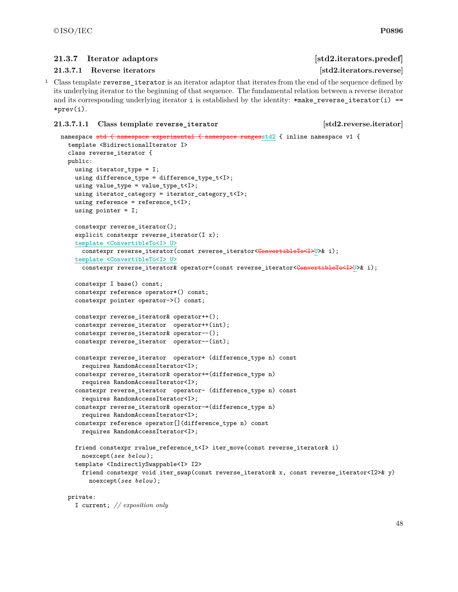# **21.3.7 Iterator adaptors [std2.iterators.predef]**

# **21.3.7.1** Reverse iterators **b 1.3.7.1 Reverse** iterators **b**

<sup>1</sup> Class template reverse\_iterator is an iterator adaptor that iterates from the end of the sequence defined by its underlying iterator to the beginning of that sequence. The fundamental relation between a reverse iterator and its corresponding underlying iterator i is established by the identity:  $\ast$ make\_reverse\_iterator(i) == \*prev(i).

```
21.3.7.1.1 Class template reverse_iterator [std2.reverse.iterator]
```

```
namespace std { namespace experimental { namespace rangesstd2 { inline namespace v1 {
  template <BidirectionalIterator I>
 class reverse_iterator {
  public:
    using iterator_type = I;
    using difference_type = difference_type_t<I>;
    using value_type = value_type_t<I>;
    using iterator_category = iterator_category_t<I>;
    using reference = reference_t<I>;
    using pointer = I;
    constexpr reverse_iterator();
    explicit constexpr reverse_iterator(I x);
    template <ConvertibleTo<I> U>
      constexpr reverse_iterator(const reverse_iterator<<del>ConvertibleTo<I></del>U>& i);
    template <ConvertibleTo<I> U>
      constexpr reverse_iterator& operator=(const reverse_iterator<GonvertibleTo<I>U>& i);
    constexpr I base() const;
    constexpr reference operator*() const;
    constexpr pointer operator->() const;
    constexpr reverse_iterator& operator++();
    constexpr reverse_iterator operator++(int);
    constexpr reverse_iterator& operator--();
    constexpr reverse_iterator operator--(int);
    constexpr reverse_iterator operator+ (difference_type n) const
     requires RandomAccessIterator<I>;
    constexpr reverse_iterator& operator+=(difference_type n)
      requires RandomAccessIterator<I>;
    constexpr reverse_iterator operator- (difference_type n) const
      requires RandomAccessIterator<I>;
    constexpr reverse_iterator& operator-=(difference_type n)
      requires RandomAccessIterator<I>;
    constexpr reference operator[](difference_type n) const
      requires RandomAccessIterator<I>;
    friend constexpr rvalue_reference_t<I> iter_move(const reverse_iterator& i)
      noexcept(see below );
    template <IndirectlySwappable<I> I2>
      friend constexpr void iter_swap(const reverse_iterator& x, const reverse_iterator<I2>& y)
        noexcept(see below );
```
# private:

I current; *// exposition only*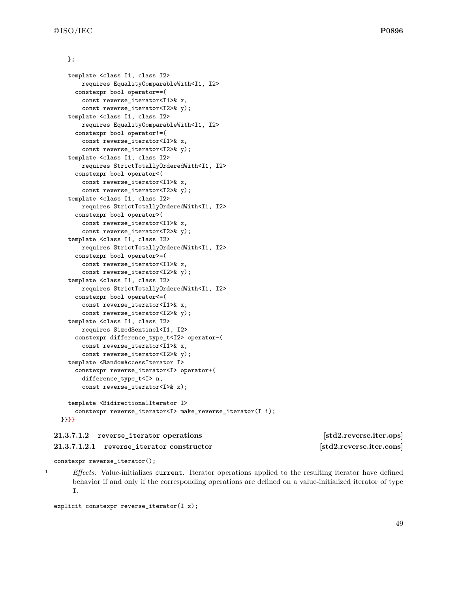### };

```
template <class I1, class I2>
      requires EqualityComparableWith<I1, I2>
    constexpr bool operator==(
      const reverse_iterator<I1>& x,
      const reverse_iterator<I2>& y);
 template <class I1, class I2>
      requires EqualityComparableWith<I1, I2>
    constexpr bool operator!=(
      const reverse_iterator<I1>& x,
      const reverse_iterator<I2>& y);
  template <class I1, class I2>
      requires StrictTotallyOrderedWith<I1, I2>
    constexpr bool operator<(
      const reverse_iterator<I1>& x,
      const reverse_iterator<I2>& y);
 template <class I1, class I2>
      requires StrictTotallyOrderedWith<I1, I2>
    constexpr bool operator>(
      const reverse_iterator<I1>& x,
      const reverse_iterator<I2>& y);
  template <class I1, class I2>
      requires StrictTotallyOrderedWith<I1, I2>
    constexpr bool operator>=(
      const reverse_iterator<I1>& x,
      const reverse_iterator<I2>& y);
  template <class I1, class I2>
      requires StrictTotallyOrderedWith<I1, I2>
    constexpr bool operator<=(
      const reverse_iterator<I1>& x,
      const reverse_iterator<I2>& y);
  template <class I1, class I2>
     requires SizedSentinel<I1, I2>
    constexpr difference_type_t<I2> operator-(
      const reverse_iterator<I1>& x,
      const reverse_iterator<I2>& y);
  template <RandomAccessIterator I>
    constexpr reverse_iterator<I> operator+(
      difference_type_t<I> n,
      const reverse_iterator<I>& x);
  template <BidirectionalIterator I>
    constexpr reverse_iterator<I> make_reverse_iterator(I i);
}}}}
```
# **21.3.7.1.2 reverse\_iterator operations [std2.reverse.iter.ops] 21.3.7.1.2.1 reverse\_iterator constructor [std2.reverse.iter.cons]**

constexpr reverse\_iterator();

<sup>1</sup> *Effects:* Value-initializes current. Iterator operations applied to the resulting iterator have defined behavior if and only if the corresponding operations are defined on a value-initialized iterator of type I.

```
explicit constexpr reverse_iterator(I x);
```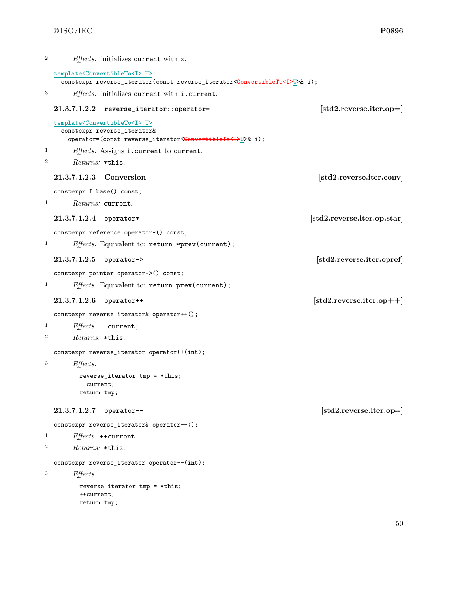<sup>2</sup> *Effects:* Initializes current with x. template<ConvertibleTo<I> U> constexpr reverse\_iterator(const reverse\_iterator<<del>ConvertibleTo<I></del>U>& i); <sup>3</sup> *Effects:* Initializes current with i.current. **21.3.7.1.2.2 reverse\_iterator::operator= [std2.reverse.iter.op=]** template<ConvertibleTo<I> U> constexpr reverse\_iterator& operator=(const reverse\_iterator<ConvertibleTo<I>U>& i); <sup>1</sup> *Effects:* Assigns i.current to current. <sup>2</sup> *Returns:* \*this. **21.3.7.1.2.3 Conversion [std2.reverse.iter.conv]** constexpr I base() const; <sup>1</sup> *Returns:* current. **21.3.7.1.2.4 operator\* [std2.reverse.iter.op.star]** constexpr reference operator\*() const; <sup>1</sup> *Effects:* Equivalent to: return \*prev(current); **21.3.7.1.2.5 operator-> [std2.reverse.iter.opref]** constexpr pointer operator->() const; <sup>1</sup> *Effects:* Equivalent to: return prev(current); **21.3.7.1.2.6 operator++ [std2.reverse.iter.op++]** constexpr reverse\_iterator& operator++(); <sup>1</sup> *Effects:* --current; <sup>2</sup> *Returns:* \*this. constexpr reverse\_iterator operator++(int); <sup>3</sup> *Effects:* reverse\_iterator tmp = \*this; --current; return tmp; **21.3.7.1.2.7 operator-- [std2.reverse.iter.op--]** constexpr reverse\_iterator& operator--(); <sup>1</sup> *Effects:* ++current <sup>2</sup> *Returns:* \*this. constexpr reverse\_iterator operator--(int); <sup>3</sup> *Effects:* reverse\_iterator tmp = \*this; ++current; return tmp;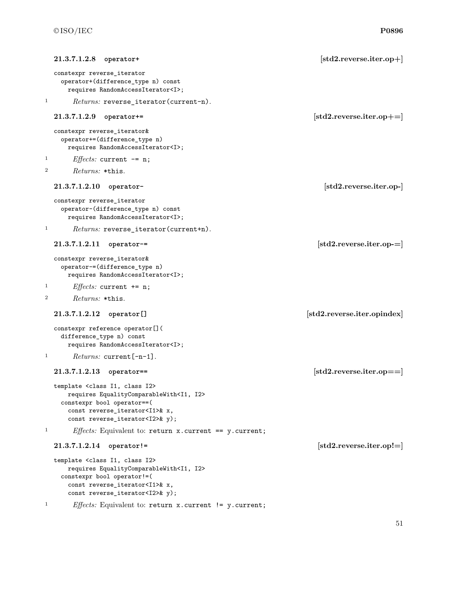|                  | $21.3.7.1.2.8$ operator+                                                                                                                                                                                                      | $[std2. reverse. iter. op+]$    |
|------------------|-------------------------------------------------------------------------------------------------------------------------------------------------------------------------------------------------------------------------------|---------------------------------|
|                  | constexpr reverse_iterator<br>operator+(difference_type n) const<br>requires RandomAccessIterator <i>;</i>                                                                                                                    |                                 |
| 1                | <i>Returns:</i> reverse_iterator(current-n).                                                                                                                                                                                  |                                 |
|                  | 21.3.7.1.2.9<br>operator+=                                                                                                                                                                                                    | $[std2. reverse. iter. op +=]$  |
|                  | constexpr reverse_iterator&<br>operator+=(difference_type n)<br>requires RandomAccessIterator <i>;</i>                                                                                                                        |                                 |
| 1                | <i>Effects:</i> current $-$ = n;                                                                                                                                                                                              |                                 |
| $\boldsymbol{2}$ | <i>Returns:</i> *this.                                                                                                                                                                                                        |                                 |
|                  | 21.3.7.1.2.10<br>operator-                                                                                                                                                                                                    | $[std2. reverse. iter. op-]$    |
|                  | constexpr reverse_iterator<br>operator-(difference_type n) const<br>requires RandomAccessIterator <i>;</i>                                                                                                                    |                                 |
| $\mathbf{1}$     | Returns: reverse_iterator(current+n).                                                                                                                                                                                         |                                 |
|                  | 21.3.7.1.2.11<br>operator-=                                                                                                                                                                                                   | $[std2. reverse. iter. op =]$   |
|                  | constexpr reverse_iterator&<br>operator-=(difference_type n)<br>requires RandomAccessIterator <i>;</i>                                                                                                                        |                                 |
| 1                | <i>Effects:</i> current $+= n;$                                                                                                                                                                                               |                                 |
| $\boldsymbol{2}$ | <i>Returns:</i> *this.                                                                                                                                                                                                        |                                 |
|                  | $21.3.7.1.2.12$ operator[]                                                                                                                                                                                                    | [std2.reverse.iter.opindex]     |
|                  | constexpr reference operator [] (<br>difference_type n) const<br>requires RandomAccessIterator <i>;</i>                                                                                                                       |                                 |
| 1                | $Returns: current[-n-1].$                                                                                                                                                                                                     |                                 |
|                  | $21.3.7.1.2.13$ operator==                                                                                                                                                                                                    | $[std2. reverse. iter. op = =]$ |
|                  | template <class class="" i1,="" i2=""><br/>requires EqualityComparableWith<i1, i2=""><br/>constexpr bool operator == (<br/>const reverse_iterator<i1>&amp; x,<br/>const reverse_iterator<i2>&amp; y);</i2></i1></i1,></class> |                                 |
| $\mathbf{1}$     | <i>Effects:</i> Equivalent to: return x.current == $y$ .current;                                                                                                                                                              |                                 |
|                  | $21.3.7.1.2.14$ operator!=                                                                                                                                                                                                    | $[std2. reverse. iter. op! =]$  |
|                  | template <class class="" i1,="" i2=""><br/>requires EqualityComparableWith<i1, i2=""><br/>constexpr bool operator!=(<br/>const reverse_iterator<i1>&amp; x,<br/>const reverse_iterator<i2>&amp; y);</i2></i1></i1,></class>   |                                 |
| 1                | <i>Effects:</i> Equivalent to: return $x$ . current $!= y$ . current;                                                                                                                                                         |                                 |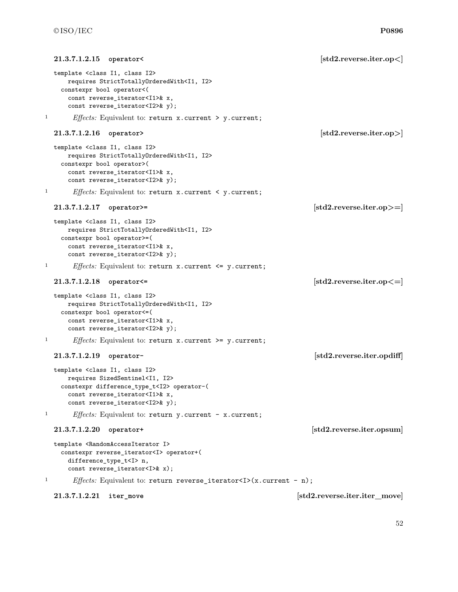```
21.3.7.1.2.15 operator< [std2.reverse.iter.op<]
  template <class I1, class I2>
     requires StrictTotallyOrderedWith<I1, I2>
   constexpr bool operator<(
     const reverse_iterator<I1>& x,
     const reverse_iterator<I2>& y);
<sup>1</sup> Effects: Equivalent to: return x.current > y.current;
  21.3.7.1.2.16 operator> [std2.reverse.iter.op>]
  template <class I1, class I2>
     requires StrictTotallyOrderedWith<I1, I2>
   constexpr bool operator>(
     const reverse_iterator<I1>& x,
     const reverse_iterator<I2>& y);
1 Effects: Equivalent to: return x.current < y.current;
  21.3.7.1.2.17 operator>= [std2.reverse.iter.op>=]
 template <class I1, class I2>
     requires StrictTotallyOrderedWith<I1, I2>
   constexpr bool operator>=(
     const reverse_iterator<I1>& x,
     const reverse_iterator<I2>& y);
1 Effects: Equivalent to: return x.current <= y.current;
  21.3.7.1.2.18 operator<= [std2.reverse.iter.op<=]
  template <class I1, class I2>
     requires StrictTotallyOrderedWith<I1, I2>
   constexpr bool operator<=(
     const reverse_iterator<I1>& x,
     const reverse_iterator<I2>& y);
1 Effects: Equivalent to: return x.current >= y.current;
  21.3.7.1.2.19 operator- [std2.reverse.iter.opdiff]
  template <class I1, class I2>
     requires SizedSentinel<I1, I2>
   constexpr difference_type_t<I2> operator-(
     const reverse_iterator<I1>& x,
     const reverse_iterator<I2>& y);
1 Effects: Equivalent to: return y.current - x.current;
  21.3.7.1.2.20 operator+ [std2.reverse.iter.opsum]
  template <RandomAccessIterator I>
   constexpr reverse_iterator<I> operator+(
     difference_type_t<I> n,
     const reverse_iterator<I>& x);
<sup>1</sup> Effects: Equivalent to: return reverse_iterator<I>(x.current - n);
  21.3.7.1.2.21 iter_move [std2.reverse.iter.iter_move]
```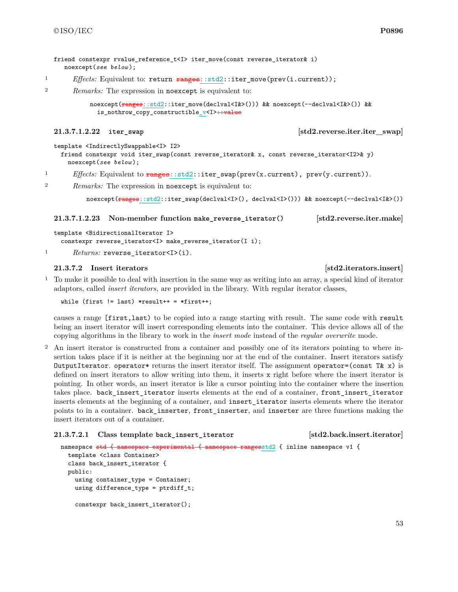friend constexpr rvalue reference  $t < I$ > iter move(const reverse iterator i) noexcept(*see below* );

1 *Effects:* Equivalent to: return  $r$  ranges: : std2:: iter\_move(prev(i.current));

<sup>2</sup> *Remarks:* The expression in noexcept is equivalent to:

noexcept(ranges::std2::iter\_move(declval<I&>())) && noexcept(--declval<I&>()) && is\_nothrow\_copy\_constructible\_v<I>::value

### **21.3.7.1.2.22 iter\_swap [std2.reverse.iter.iter\_swap]**

template <IndirectlySwappable<I> I2> friend constexpr void iter\_swap(const reverse\_iterator& x, const reverse\_iterator<I2>& y) noexcept(*see below* );

1 *Effects:* Equivalent to **ranges**: : std2:: iter\_swap(prev(x.current), prev(y.current)).

<sup>2</sup> *Remarks:* The expression in noexcept is equivalent to:

noexcept(ranges::std2::iter\_swap(declval<I>(), declval<I>())) && noexcept(--declval<I&>())

### **21.3.7.1.2.23 Non-member function make\_reverse\_iterator() [std2.reverse.iter.make]**

template <BidirectionalIterator I> constexpr reverse\_iterator<I> make\_reverse\_iterator(I i);

<sup>1</sup> *Returns:* reverse iterator<I>(i).

### **21.3.7.2 Insert iterators [std2.iterators.insert]**

<sup>1</sup> To make it possible to deal with insertion in the same way as writing into an array, a special kind of iterator adaptors, called *insert iterators*, are provided in the library. With regular iterator classes,

```
while (first != last) *result++ = *first++;
```
causes a range [first,last) to be copied into a range starting with result. The same code with result being an insert iterator will insert corresponding elements into the container. This device allows all of the copying algorithms in the library to work in the *insert mode* instead of the *regular overwrite* mode.

<sup>2</sup> An insert iterator is constructed from a container and possibly one of its iterators pointing to where insertion takes place if it is neither at the beginning nor at the end of the container. Insert iterators satisfy OutputIterator. operator\* returns the insert iterator itself. The assignment operator=(const T& x) is defined on insert iterators to allow writing into them, it inserts x right before where the insert iterator is pointing. In other words, an insert iterator is like a cursor pointing into the container where the insertion takes place. back\_insert\_iterator inserts elements at the end of a container, front\_insert\_iterator inserts elements at the beginning of a container, and insert\_iterator inserts elements where the iterator points to in a container. back\_inserter, front\_inserter, and inserter are three functions making the insert iterators out of a container.

```
21.3.7.2.1 Class template back_insert_iterator [std2.back.insert.iterator]
```

```
namespace std { namespace experimental { namespace rangesstd2 { inline namespace v1 {
  template <class Container>
  class back_insert_iterator {
  public:
    using container_type = Container;
    using difference_type = ptrdiff_t;
    constexpr back_insert_iterator();
```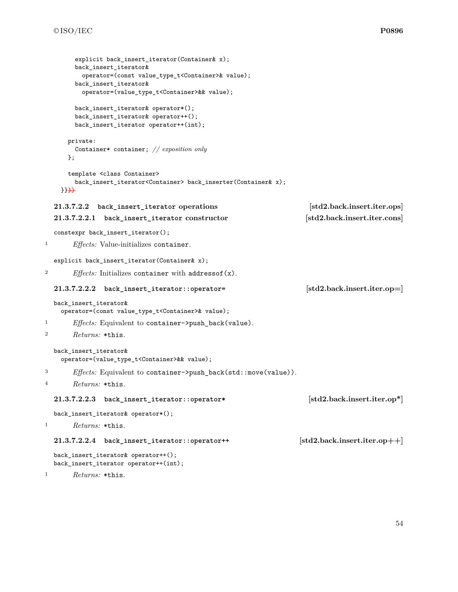```
explicit back insert iterator(Container& x);
       back_insert_iterator&
         operator=(const value_type_t<Container>& value);
       back_insert_iterator&
         operator=(value_type_t<Container>&& value);
       back_insert_iterator& operator*();
       back_insert_iterator& operator++();
       back_insert_iterator operator++(int);
     private:
       Container* container; // exposition only
     };
     template <class Container>
       back_insert_iterator<Container> back_inserter(Container& x);
    }}}}
  21.3.7.2.2 back_insert_iterator operations [std2.back.insert.iter.ops]
  21.3.7.2.2.1 back_insert_iterator constructor [std2.back.insert.iter.cons]
  constexpr back_insert_iterator();
1 Effects: Value-initializes container.
  explicit back_insert_iterator(Container& x);
2 Effects: Initializes container with addressof(x).
  21.3.7.2.2.2 back_insert_iterator::operator= [std2.back.insert.iter.op=]
  back_insert_iterator&
    operator=(const value_type_t<Container>& value);
1 Effects: Equivalent to container->push_back(value).
2 Returns: *this.
  back_insert_iterator&
    operator=(value_type_t<Container>&& value);
3 Effects: Equivalent to container->push_back(std::move(value)).
4 Returns: *this.
  21.3.7.2.2.3 back_insert_iterator::operator* [std2.back.insert.iter.op*]
  back_insert_iterator& operator*();
1 Returns: *this.
  21.3.7.2.2.4 back_insert_iterator::operator++ [std2.back.insert.iter.op++]
  back_insert_iterator& operator++();
  back_insert_iterator operator++(int);
1 Returns: *this.
```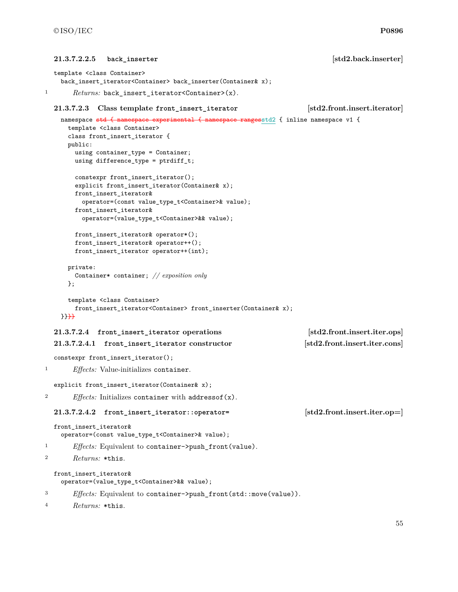```
21.3.7.2.2.5 back_inserter [std2.back.inserter]
  template <class Container>
    back_insert_iterator<Container> back_inserter(Container& x);
1 Returns: back_insert_iterator<Container>(x).
  21.3.7.2.3 Class template front_insert_iterator [std2.front.insert.iterator]
    namespace std { namespace experimental { namespace rangesstd2 { inline namespace v1 {
     template <class Container>
     class front_insert_iterator {
     public:
       using container_type = Container;
       using difference_type = ptrdiff_t;
       constexpr front_insert_iterator();
       explicit front_insert_iterator(Container& x);
       front_insert_iterator&
         operator=(const value_type_t<Container>& value);
       front_insert_iterator&
         operator=(value_type_t<Container>&& value);
       front_insert_iterator& operator*();
       front_insert_iterator& operator++();
       front_insert_iterator operator++(int);
     private:
       Container* container; // exposition only
     };
     template <class Container>
       front_insert_iterator<Container> front_inserter(Container& x);
    }}}}
  21.3.7.2.4 front_insert_iterator operations [std2.front.insert.iter.ops]
  21.3.7.2.4.1 front_insert_iterator constructor [std2.front.insert.iter.cons]
  constexpr front_insert_iterator();
1 Effects: Value-initializes container.
  explicit front_insert_iterator(Container& x);
2 Effects: Initializes container with addressof(x).
  21.3.7.2.4.2 front_insert_iterator::operator= [std2.front.insert.iter.op=]
  front_insert_iterator&
    operator=(const value_type_t<Container>& value);
1 Effects: Equivalent to container->push_front(value).
2 Returns: *this.
  front_insert_iterator&
    operator=(value_type_t<Container>&& value);
3 Effects: Equivalent to container->push_front(std::move(value)).
```
<sup>4</sup> *Returns:* \*this.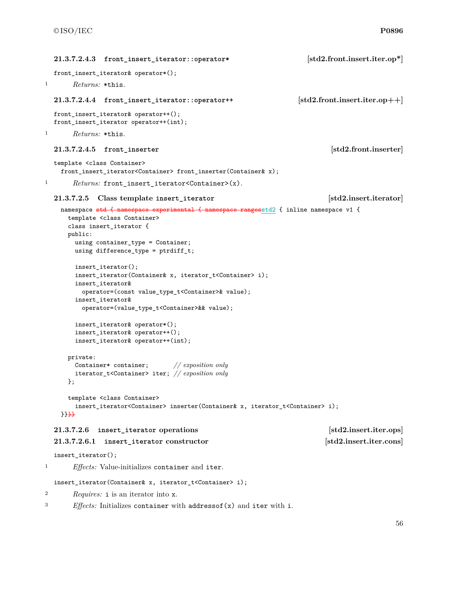|                                                                                                                                              |                                                                                                                                                                                                                                                                                      | 21.3.7.2.4.3 front_insert_iterator::operator*                                   | [std2.front.insert.iter.op*]    |
|----------------------------------------------------------------------------------------------------------------------------------------------|--------------------------------------------------------------------------------------------------------------------------------------------------------------------------------------------------------------------------------------------------------------------------------------|---------------------------------------------------------------------------------|---------------------------------|
|                                                                                                                                              |                                                                                                                                                                                                                                                                                      | front_insert_iterator& operator*();                                             |                                 |
| $\mathbf{1}$                                                                                                                                 | <i>Returns:</i> *this.                                                                                                                                                                                                                                                               |                                                                                 |                                 |
|                                                                                                                                              |                                                                                                                                                                                                                                                                                      | 21.3.7.2.4.4 front_insert_iterator::operator++                                  | $[std2.front.insert.iter.op++]$ |
|                                                                                                                                              |                                                                                                                                                                                                                                                                                      | front_insert_iterator& operator++();<br>front_insert_iterator operator++(int);  |                                 |
| $\mathbf{1}$                                                                                                                                 | <i>Returns:</i> *this.                                                                                                                                                                                                                                                               |                                                                                 |                                 |
|                                                                                                                                              | 21.3.7.2.4.5                                                                                                                                                                                                                                                                         | front_inserter                                                                  | [std2.front.inserter]           |
|                                                                                                                                              | template <class container=""></class>                                                                                                                                                                                                                                                | front_insert_iterator <container> front_inserter(Container&amp; x);</container> |                                 |
| $\mathbf{1}$                                                                                                                                 |                                                                                                                                                                                                                                                                                      | $Returns:$ front_insert_iterator <container>(x).</container>                    |                                 |
|                                                                                                                                              |                                                                                                                                                                                                                                                                                      | 21.3.7.2.5 Class template insert_iterator                                       | [std2.insert.iterator]          |
|                                                                                                                                              | namespace std { namespace experimental { namespace rangesstd2 { inline namespace v1 {<br>template <class container=""><br/>class insert_iterator {<br/>public:<br/>using <math>container_type = Container;</math><br/>using difference_type = <math>ptrdiff_t;</math></class>        |                                                                                 |                                 |
|                                                                                                                                              | $insert\_iterator()$ ;<br>insert_iterator(Container& x, iterator_t <container> i);<br/>insert_iterator&amp;<br/>operator=(const value_type_t<container> walue);<br/>insert_iterator&amp;<br/>operator=(value_type_t<container>&amp;&amp; value);</container></container></container> |                                                                                 |                                 |
| insert_iterator& operator*();<br>insert_iterator& operator++();<br>insert_iterator& operator++(int);                                         |                                                                                                                                                                                                                                                                                      |                                                                                 |                                 |
| private:<br>$//$ exposition only<br>Container* container;<br>iterator_t <container> iter; // <math>exposition</math> only<br/>};</container> |                                                                                                                                                                                                                                                                                      |                                                                                 |                                 |
|                                                                                                                                              | template <class container=""><br/>insert_iterator<container> inserter(Container&amp; x, iterator_t<container> i);<br/><math>\{\}</math></container></container></class>                                                                                                              |                                                                                 |                                 |
|                                                                                                                                              | 21.3.7.2.6                                                                                                                                                                                                                                                                           | insert_iterator operations                                                      | [std2.insert.iter.ops]          |
|                                                                                                                                              | 21.3.7.2.6.1                                                                                                                                                                                                                                                                         | insert_iterator constructor                                                     | [std2.insert.iter.cons]         |
|                                                                                                                                              | $insert_iterator()$ ;                                                                                                                                                                                                                                                                |                                                                                 |                                 |
| 1                                                                                                                                            |                                                                                                                                                                                                                                                                                      | <i>Effects:</i> Value-initializes container and iter.                           |                                 |
|                                                                                                                                              |                                                                                                                                                                                                                                                                                      | insert_iterator(Container& x, iterator_t <container> i);</container>            |                                 |
| $\boldsymbol{2}$                                                                                                                             |                                                                                                                                                                                                                                                                                      | <i>Requires:</i> i is an iterator into x.                                       |                                 |

<sup>3</sup> *Effects:* Initializes container with addressof(x) and iter with i.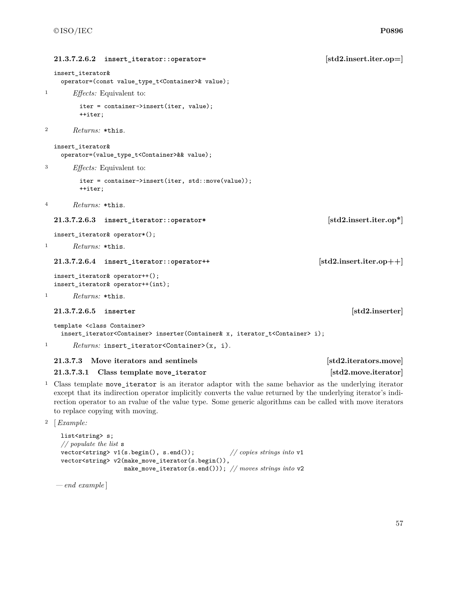| insert_iterator&<br>operator=(const value_type_t <container>&amp; value);<br/><i>Effects:</i> Equivalent to:<br/>iter = container-&gt;insert(iter, value);<br/>++iter;<br/><math>\overline{2}</math><br/>Returns: *this.<br/>insert_iterator&amp;<br/>operator=(value_type_t<container>&amp;&amp; value);<br/>3<br/><i>Effects:</i> Equivalent to:<br/>iter = container-&gt;insert(iter, std::move(value));<br/>++iter;<br/>4<br/>Returns: *this.<br/><math>[std2.insert.iter_op*]</math><br/>21.3.7.2.6.3<br/>insert_iterator::operator*<br/>insert_iterator&amp; operator*();<br/><i>Returns:</i> *this.<br/><math>[std2.insert.iter.open+]</math><br/><math>21.3.7.2.6.4</math> insert_iterator::operator++<br/>insert_iterator&amp; operator++();<br/>insert_iterator&amp; operator++(int);<br/><i>Returns:</i> *this.<br/>21.3.7.2.6.5<br/>[std2.inserter]<br/>inserter<br/>template <class container=""><br/>insert_iterator<container> inserter(Container&amp; x, iterator_t<container> i);<br/><math>Returns:</math> insert_iterator<container><math>(x, i)</math>.<br/>Move iterators and sentinels<br/>[std2.iterators.move]<br/>21.3.7.3</container></container></container></class></container></container> |  | 21.3.7.2.6.2 insert_iterator::operator= | [std2.insert.iter.op=] |
|-------------------------------------------------------------------------------------------------------------------------------------------------------------------------------------------------------------------------------------------------------------------------------------------------------------------------------------------------------------------------------------------------------------------------------------------------------------------------------------------------------------------------------------------------------------------------------------------------------------------------------------------------------------------------------------------------------------------------------------------------------------------------------------------------------------------------------------------------------------------------------------------------------------------------------------------------------------------------------------------------------------------------------------------------------------------------------------------------------------------------------------------------------------------------------------------------------------------------|--|-----------------------------------------|------------------------|
| $\mathbf{1}$<br>$\mathbf{1}$<br>$\mathbf{1}$<br>$\mathbf{1}$                                                                                                                                                                                                                                                                                                                                                                                                                                                                                                                                                                                                                                                                                                                                                                                                                                                                                                                                                                                                                                                                                                                                                            |  |                                         |                        |
|                                                                                                                                                                                                                                                                                                                                                                                                                                                                                                                                                                                                                                                                                                                                                                                                                                                                                                                                                                                                                                                                                                                                                                                                                         |  |                                         |                        |
|                                                                                                                                                                                                                                                                                                                                                                                                                                                                                                                                                                                                                                                                                                                                                                                                                                                                                                                                                                                                                                                                                                                                                                                                                         |  |                                         |                        |
|                                                                                                                                                                                                                                                                                                                                                                                                                                                                                                                                                                                                                                                                                                                                                                                                                                                                                                                                                                                                                                                                                                                                                                                                                         |  |                                         |                        |
|                                                                                                                                                                                                                                                                                                                                                                                                                                                                                                                                                                                                                                                                                                                                                                                                                                                                                                                                                                                                                                                                                                                                                                                                                         |  |                                         |                        |
|                                                                                                                                                                                                                                                                                                                                                                                                                                                                                                                                                                                                                                                                                                                                                                                                                                                                                                                                                                                                                                                                                                                                                                                                                         |  |                                         |                        |
|                                                                                                                                                                                                                                                                                                                                                                                                                                                                                                                                                                                                                                                                                                                                                                                                                                                                                                                                                                                                                                                                                                                                                                                                                         |  |                                         |                        |
|                                                                                                                                                                                                                                                                                                                                                                                                                                                                                                                                                                                                                                                                                                                                                                                                                                                                                                                                                                                                                                                                                                                                                                                                                         |  |                                         |                        |
|                                                                                                                                                                                                                                                                                                                                                                                                                                                                                                                                                                                                                                                                                                                                                                                                                                                                                                                                                                                                                                                                                                                                                                                                                         |  |                                         |                        |
|                                                                                                                                                                                                                                                                                                                                                                                                                                                                                                                                                                                                                                                                                                                                                                                                                                                                                                                                                                                                                                                                                                                                                                                                                         |  |                                         |                        |
|                                                                                                                                                                                                                                                                                                                                                                                                                                                                                                                                                                                                                                                                                                                                                                                                                                                                                                                                                                                                                                                                                                                                                                                                                         |  |                                         |                        |
|                                                                                                                                                                                                                                                                                                                                                                                                                                                                                                                                                                                                                                                                                                                                                                                                                                                                                                                                                                                                                                                                                                                                                                                                                         |  |                                         |                        |
|                                                                                                                                                                                                                                                                                                                                                                                                                                                                                                                                                                                                                                                                                                                                                                                                                                                                                                                                                                                                                                                                                                                                                                                                                         |  |                                         |                        |
|                                                                                                                                                                                                                                                                                                                                                                                                                                                                                                                                                                                                                                                                                                                                                                                                                                                                                                                                                                                                                                                                                                                                                                                                                         |  |                                         |                        |
|                                                                                                                                                                                                                                                                                                                                                                                                                                                                                                                                                                                                                                                                                                                                                                                                                                                                                                                                                                                                                                                                                                                                                                                                                         |  |                                         |                        |
|                                                                                                                                                                                                                                                                                                                                                                                                                                                                                                                                                                                                                                                                                                                                                                                                                                                                                                                                                                                                                                                                                                                                                                                                                         |  |                                         |                        |
|                                                                                                                                                                                                                                                                                                                                                                                                                                                                                                                                                                                                                                                                                                                                                                                                                                                                                                                                                                                                                                                                                                                                                                                                                         |  |                                         |                        |
|                                                                                                                                                                                                                                                                                                                                                                                                                                                                                                                                                                                                                                                                                                                                                                                                                                                                                                                                                                                                                                                                                                                                                                                                                         |  |                                         |                        |
| [std2.move.iterator]<br>21.3.7.3.1 Class template move_iterator                                                                                                                                                                                                                                                                                                                                                                                                                                                                                                                                                                                                                                                                                                                                                                                                                                                                                                                                                                                                                                                                                                                                                         |  |                                         |                        |

<sup>1</sup> Class template move\_iterator is an iterator adaptor with the same behavior as the underlying iterator except that its indirection operator implicitly converts the value returned by the underlying iterator's indirection operator to an rvalue of the value type. Some generic algorithms can be called with move iterators to replace copying with moving.

```
2 [Example:
```

```
list<string> s;
// populate the list s
vector<string> v1(s.begin(), s.end()); // copies strings into v1
vector<string> v2(make_move_iterator(s.begin()),
                  make_move_iterator(s.end())); // moves strings into v2
```

```
— end example ]
```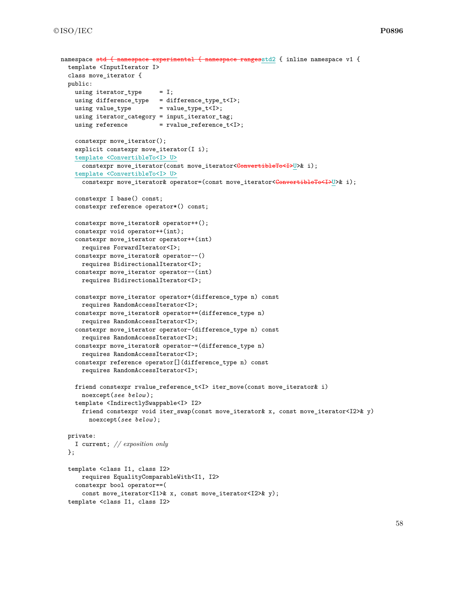```
namespace std { namespace experimental { namespace rangesstd2 { inline namespace v1 {
 template <InputIterator I>
  class move_iterator {
  public:
   using iterator_type = I;
    using difference_type = difference_type_t<I>;
   using value_type = value_type_t<I>;
   using iterator_category = input_iterator_tag;
   using reference = rvalue_reference_t<I>;
    constexpr move_iterator();
    explicit constexpr move_iterator(I i);
    template <ConvertibleTo<I> U>
     constexpr move_iterator(const move_iterator<<del>ConvertibleTo<I></del>U>& i);
    template <ConvertibleTo<I> U>
     constexpr move_iterator& operator=(const move_iterator<<del>ConvertibleTo<I</del>>U>& i);
    constexpr I base() const;
    constexpr reference operator*() const;
    constexpr move_iterator& operator++();
    constexpr void operator++(int);
    constexpr move_iterator operator++(int)
     requires ForwardIterator<I>;
    constexpr move_iterator& operator--()
     requires BidirectionalIterator<I>;
    constexpr move_iterator operator--(int)
     requires BidirectionalIterator<I>;
    constexpr move_iterator operator+(difference_type n) const
     requires RandomAccessIterator<I>;
    constexpr move_iterator& operator+=(difference_type n)
     requires RandomAccessIterator<I>;
    constexpr move_iterator operator-(difference_type n) const
     requires RandomAccessIterator<I>;
    constexpr move_iterator& operator-=(difference_type n)
     requires RandomAccessIterator<I>;
    constexpr reference operator[](difference_type n) const
     requires RandomAccessIterator<I>;
    friend constexpr rvalue_reference_t<I> iter_move(const move_iterator& i)
     noexcept(see below );
    template <IndirectlySwappable<I> I2>
     friend constexpr void iter_swap(const move_iterator& x, const move_iterator<I2>& y)
        noexcept(see below );
  private:
    I current; // exposition only
  };
  template <class I1, class I2>
      requires EqualityComparableWith<I1, I2>
    constexpr bool operator==(
      const move_iterator<I1>& x, const move_iterator<I2>& y);
  template <class I1, class I2>
```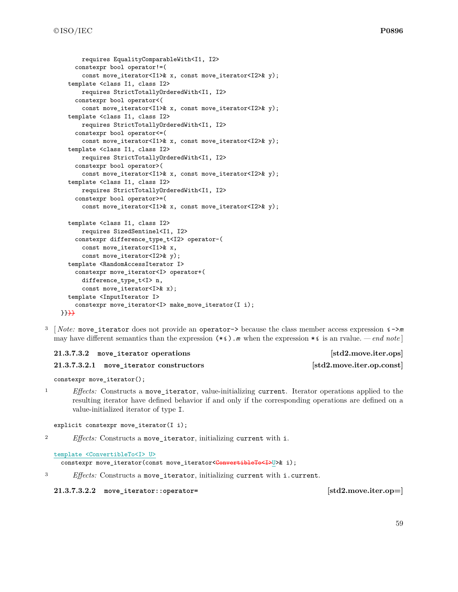```
requires EqualityComparableWith<I1, I2>
    constexpr bool operator!=(
      const move_iterator<I1>& x, const move_iterator<I2>& y);
  template <class I1, class I2>
     requires StrictTotallyOrderedWith<I1, I2>
    constexpr bool operator<(
      const move_iterator<I1>& x, const move_iterator<I2>& y);
 template <class I1, class I2>
     requires StrictTotallyOrderedWith<I1, I2>
    constexpr bool operator<=(
      const move_iterator<I1>& x, const move_iterator<I2>& y);
  template <class I1, class I2>
      requires StrictTotallyOrderedWith<I1, I2>
    constexpr bool operator>(
      const move_iterator<I1>& x, const move_iterator<I2>& y);
 template <class I1, class I2>
     requires StrictTotallyOrderedWith<I1, I2>
    constexpr bool operator>=(
      const move_iterator<I1>& x, const move_iterator<I2>& y);
  template <class I1, class I2>
     requires SizedSentinel<I1, I2>
    constexpr difference_type_t<I2> operator-(
      const move_iterator<I1>& x,
      const move_iterator<I2>& y);
  template <RandomAccessIterator I>
    constexpr move_iterator<I> operator+(
     difference_type_t<I> n,
      const move_iterator<I>& x);
  template <InputIterator I>
    constexpr move_iterator<I> make_move_iterator(I i);
}}}}
```
<sup>3</sup> [ *Note:* move\_iterator does not provide an operator-> because the class member access expression *i* ->*m* may have different semantics than the expression  $(*i)$ . *m* when the expression  $*i$  is an rvalue. *— end note* 

| 21.3.7.3.2 move_iterator operations       |
|-------------------------------------------|
| $21.3.7.3.2.1$ move iterator constructors |

**21.3.7.3.2 move\_iterator operations [std2.move.iter.ops] 21.3.7.3.2.1 move\_iterator constructors [std2.move.iter.op.const]**

constexpr move\_iterator();

<sup>1</sup> *Effects:* Constructs a move\_iterator, value-initializing current. Iterator operations applied to the resulting iterator have defined behavior if and only if the corresponding operations are defined on a value-initialized iterator of type I.

explicit constexpr move\_iterator(I i);

<sup>2</sup> *Effects:* Constructs a move\_iterator, initializing current with i.

### template <ConvertibleTo<I> U>

constexpr move\_iterator(const move\_iterator<<del>ConvertibleTo<I></del>U>& i);

<sup>3</sup> *Effects:* Constructs a move\_iterator, initializing current with i.current.

**21.3.7.3.2.2 move\_iterator::operator= [std2.move.iter.op=]**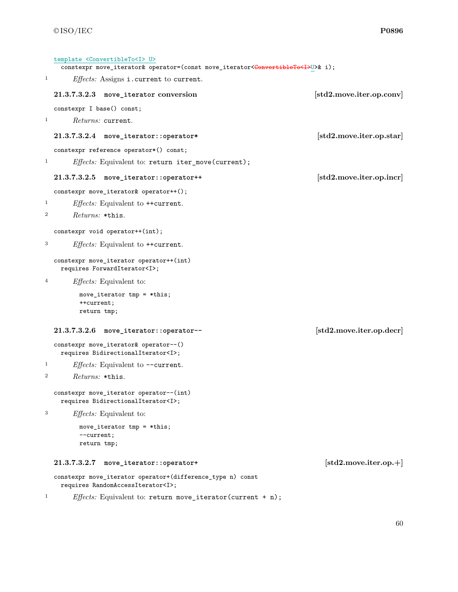|                                                               | template <convertibleto<i> U&gt;<br/>constexpr move_iterator&amp; operator=(const move_iterator&lt;<del>ConvertibleTo<i></i></del>U&gt;&amp; i);</convertibleto<i> |                            |
|---------------------------------------------------------------|--------------------------------------------------------------------------------------------------------------------------------------------------------------------|----------------------------|
| $\mathbf{1}$<br><i>Effects:</i> Assigns i.current to current. |                                                                                                                                                                    |                            |
|                                                               | 21.3.7.3.2.3 move_iterator conversion                                                                                                                              | [std2.move.iter.op.conv]   |
|                                                               | constexpr I base() const;                                                                                                                                          |                            |
| 1                                                             | <i>Returns:</i> current.                                                                                                                                           |                            |
|                                                               | $21.3.7.3.2.4$ move_iterator::operator*                                                                                                                            | [std2.move.iter. op. star] |
|                                                               | constexpr reference operator*() const;                                                                                                                             |                            |
| $\mathbf{1}$                                                  | <i>Effects:</i> Equivalent to: return iter_move(current);                                                                                                          |                            |
|                                                               | $21.3.7.3.2.5$ move_iterator::operator++                                                                                                                           | [std2.move.iter.op.incr]   |
|                                                               | constexpr move_iterator& operator++();                                                                                                                             |                            |
| 1                                                             | <i>Effects:</i> Equivalent to $++current$ .                                                                                                                        |                            |
| $\boldsymbol{2}$                                              | <i>Returns:</i> *this.                                                                                                                                             |                            |
|                                                               | constexpr void operator++(int);                                                                                                                                    |                            |
| 3                                                             | <i>Effects:</i> Equivalent to $++current$ .                                                                                                                        |                            |
|                                                               | constexpr move_iterator operator++(int)<br>requires ForwardIterator <i>;</i>                                                                                       |                            |
| $\overline{4}$                                                | <i>Effects:</i> Equivalent to:                                                                                                                                     |                            |
|                                                               | $move$ _iterator tmp = *this;<br>++current;<br>return tmp;                                                                                                         |                            |
|                                                               | 21.3.7.3.2.6<br>move_iterator::operator--                                                                                                                          | [std2.move.iter.op.decr]   |
|                                                               | constexpr move_iterator& operator--()<br>requires BidirectionalIterator <i>;</i>                                                                                   |                            |
| 1                                                             | <i>Effects:</i> Equivalent to $--current$ .                                                                                                                        |                            |
| $\boldsymbol{2}$                                              | <i>Returns:</i> *this.                                                                                                                                             |                            |
|                                                               | constexpr move_iterator operator -- (int)<br>requires BidirectionalIterator <i>;</i>                                                                               |                            |
| 3                                                             | <i>Effects:</i> Equivalent to:                                                                                                                                     |                            |
|                                                               | move_iterator $tmp = *this;$<br>--current;<br>return tmp;                                                                                                          |                            |
|                                                               | 21.3.7.3.2.7<br>move_iterator::operator+                                                                                                                           | $[std2.move.iter.op.+]$    |
|                                                               | constexpr move_iterator operator+(difference_type n) const<br>requires RandomAccessIterator <i>;</i>                                                               |                            |
| 1                                                             | <i>Effects:</i> Equivalent to: return move_iterator(current + n);                                                                                                  |                            |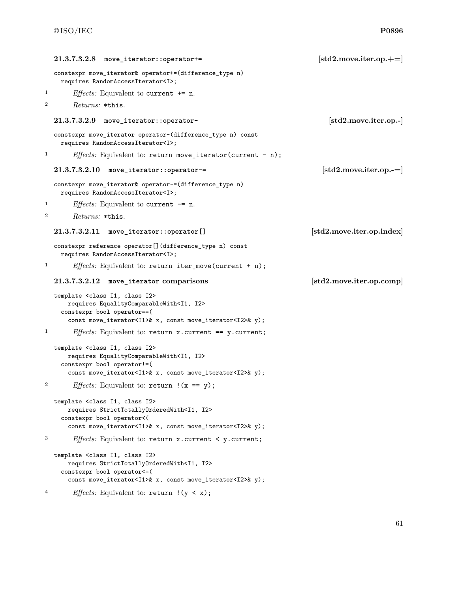|                  | $21.3.7.3.2.8$ move_iterator::operator+=                                                                                                                                                                                 | $[std2.move. iter. op. +=]$ |
|------------------|--------------------------------------------------------------------------------------------------------------------------------------------------------------------------------------------------------------------------|-----------------------------|
|                  | constexpr move_iterator& operator+=(difference_type n)<br>requires RandomAccessIterator <i>;</i>                                                                                                                         |                             |
| 1                | <i>Effects:</i> Equivalent to current $+= n$ .                                                                                                                                                                           |                             |
| 2                | <i>Returns:</i> *this.                                                                                                                                                                                                   |                             |
|                  | 21.3.7.3.2.9<br>move_iterator::operator-                                                                                                                                                                                 | $[std2.move.iter.op.-]$     |
|                  | constexpr move_iterator operator-(difference_type n) const<br>requires RandomAccessIterator <i>;</i>                                                                                                                     |                             |
| 1                | <i>Effects:</i> Equivalent to: return move_iterator(current - n);                                                                                                                                                        |                             |
|                  | 21.3.7.3.2.10<br>move_iterator::operator-=                                                                                                                                                                               | $[std2.move.iter.op. =]$    |
|                  | constexpr move_iterator& operator-=(difference_type n)<br>requires RandomAccessIterator <i>;</i>                                                                                                                         |                             |
| $\mathbf{1}$     | <i>Effects:</i> Equivalent to current $-$ n.                                                                                                                                                                             |                             |
| $\boldsymbol{2}$ | Returns: *this.                                                                                                                                                                                                          |                             |
|                  | $21.3.7.3.2.11$ move_iterator::operator[]                                                                                                                                                                                | [std2.move.iter.op.index]   |
|                  | constexpr reference operator[] (difference_type n) const<br>requires RandomAccessIterator <i>;</i>                                                                                                                       |                             |
| $\mathbf{1}$     | <i>Effects:</i> Equivalent to: return iter_move(current + n);                                                                                                                                                            |                             |
|                  | 21.3.7.3.2.12 move_iterator comparisons                                                                                                                                                                                  | [std2.move.iter.op.comp]    |
|                  | template <class class="" i1,="" i2=""><br/>requires EqualityComparableWith<i1, i2=""><br/>constexpr bool operator == (<br/>const move_iterator<i1>&amp; x, const move_iterator<i2>&amp; y);</i2></i1></i1,></class>      |                             |
| 1                | <i>Effects:</i> Equivalent to: return x.current == y.current;                                                                                                                                                            |                             |
|                  | template <class class="" i1,="" i2=""><br/>requires EqualityComparableWith<i1, i2=""><br/>constexpr bool operator!=(<br/>const move_iterator<i1>&amp; x, const move_iterator<i2>&amp; y);</i2></i1></i1,></class>        |                             |
| $\boldsymbol{2}$ | <i>Effects:</i> Equivalent to: return $!(x == y);$                                                                                                                                                                       |                             |
|                  | template <class class="" i1,="" i2=""><br/>requires StrictTotallyOrderedWith<i1, i2=""><br/>constexpr bool operator&lt;(<br/>const move_iterator<i1>&amp; x, const move_iterator<i2>&amp; y);</i2></i1></i1,></class>    |                             |
| 3                | <i>Effects:</i> Equivalent to: return x.current $\leq$ y.current;                                                                                                                                                        |                             |
|                  | template <class class="" i1,="" i2=""><br/>requires StrictTotallyOrderedWith<i1, i2=""><br/>constexpr bool operator &lt;= (<br/>const move_iterator<i1>&amp; x, const move_iterator<i2>&amp; y);</i2></i1></i1,></class> |                             |
| 4                | <i>Effects:</i> Equivalent to: return $!(y < x);$                                                                                                                                                                        |                             |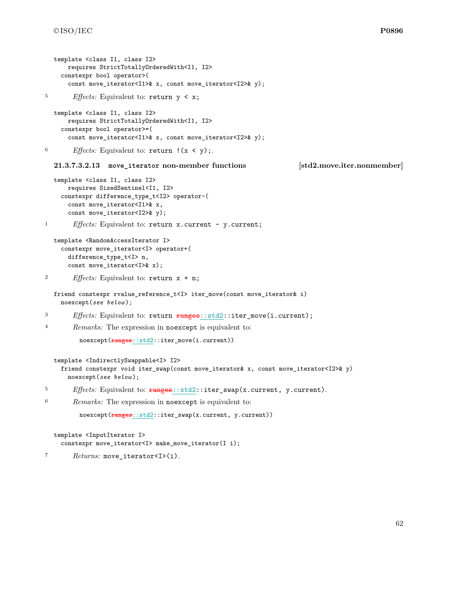```
template <class I1, class I2>
       requires StrictTotallyOrderedWith<I1, I2>
     constexpr bool operator>(
       const move_iterator<I1>& x, const move_iterator<I2>& y);
5 Effects: Equivalent to: return y < x;
  template <class I1, class I2>
       requires StrictTotallyOrderedWith<I1, I2>
     constexpr bool operator>=(
       const move_iterator<I1>& x, const move_iterator<I2>& y);
<sup>6</sup> Effects: Equivalent to: return \, !(x < y);
  21.3.7.3.2.13 move_iterator non-member functions [std2.move.iter.nonmember]
  template <class I1, class I2>
       requires SizedSentinel<I1, I2>
     constexpr difference_type_t<I2> operator-(
       const move_iterator<I1>& x,
       const move_iterator<I2>& y);
<sup>1</sup> Effects: Equivalent to: return x.current - y.current;
  template <RandomAccessIterator I>
     constexpr move_iterator<I> operator+(
       difference_type_t<I> n,
       const move_iterator<I>& x);
2 Effects: Equivalent to: return x + n;
  friend constexpr rvalue_reference_t<I> iter_move(const move_iterator& i)
     noexcept(see below );
3 Effects: Equivalent to: return ranges::std2::iter_move(i.current);
4 Remarks: The expression in noexcept is equivalent to:
           noexcept(ranges::std2::iter_move(i.current))
  template <IndirectlySwappable<I> I2>
     friend constexpr void iter_swap(const move_iterator& x, const move_iterator<I2>& y)
       noexcept(see below );
5 Effects: Equivalent to: \frac{1}{2} \frac{1}{2}: \frac{1}{2} \frac{1}{2} \frac{1}{2} \frac{1}{2} \frac{1}{2} \frac{1}{2} \frac{1}{2} \frac{1}{2} \frac{1}{2} \frac{1}{2} \frac{1}{2} \frac{1}{2} \frac{1}{2} \frac{1}{2} \frac{1}{2} \frac{1}{2} \frac{1}{2} \frac6 Remarks: The expression in noexcept is equivalent to:
           noexcept(\overline{\mathtt{ranges}:\mathtt{std2}:\mathtt{iter\_swap}(x.\mathtt{current},\ y.\mathtt{current})})
  template <InputIterator I>
     constexpr move_iterator<I> make_move_iterator(I i);
```

```
7 Returns: move_iterator<I>(i).
```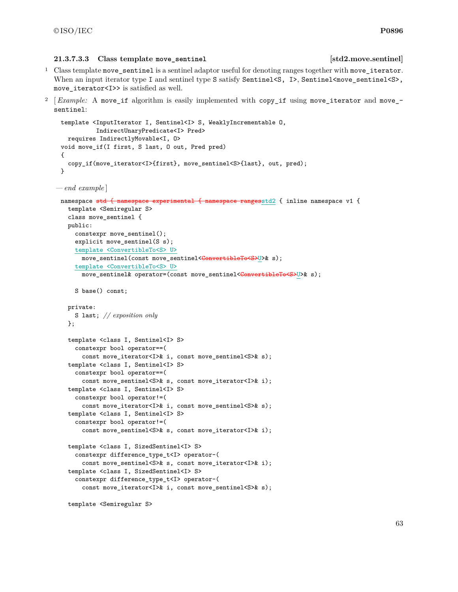### **21.3.7.3.3 Class template move\_sentinel [std2.move.sentinel]**

- <sup>1</sup> Class template move\_sentinel is a sentinel adaptor useful for denoting ranges together with move\_iterator. When an input iterator type I and sentinel type S satisfy Sentinel<S, I>, Sentinel<move\_sentinel<S>, move iterator<I>> is satisfied as well.
- <sup>2</sup> [*Example:* A move\_if algorithm is easily implemented with copy\_if using move\_iterator and move\_sentinel:

```
template <InputIterator I, Sentinel<I> S, WeaklyIncrementable O,
            IndirectUnaryPredicate<I> Pred>
   requires IndirectlyMovable<I, O>
 void move_if(I first, S last, O out, Pred pred)
 {
   copy_if(move_iterator<I>{first}, move_sentinel<S>{last}, out, pred);
 }
— end example ]
 namespace std { namespace experimental { namespace rangesstd2 { inline namespace v1 {
   template <Semiregular S>
   class move_sentinel {
   public:
     constexpr move_sentinel();
     explicit move_sentinel(S s);
     template <ConvertibleTo<S> U>
       move_sentinel(const move_sentinel<<del>ConvertibleTo<S></del>U>& s);
     template <ConvertibleTo<S> U>
       move_sentinel& operator=(const move_sentinel<<del>ConvertibleTo<S></del>U>& s);
     S base() const;
   private:
     S last; // exposition only
   };
   template <class I, Sentinel<I> S>
     constexpr bool operator==(
       const move_iterator<I>& i, const move_sentinel<S>& s);
   template <class I, Sentinel<I> S>
     constexpr bool operator==(
       const move_sentinel<S>& s, const move_iterator<I>& i);
   template <class I, Sentinel<I> S>
     constexpr bool operator!=(
       const move_iterator<I>& i, const move_sentinel<S>& s);
   template <class I, Sentinel<I> S>
     constexpr bool operator!=(
       const move_sentinel<S>& s, const move_iterator<I>& i);
   template <class I, SizedSentinel<I> S>
     constexpr difference_type_t<I> operator-(
       const move_sentinel<S>& s, const move_iterator<I>& i);
   template <class I, SizedSentinel<I> S>
     constexpr difference_type_t<I> operator-(
       const move iterator<I>& i, const move sentinel<S>& s);
   template <Semiregular S>
```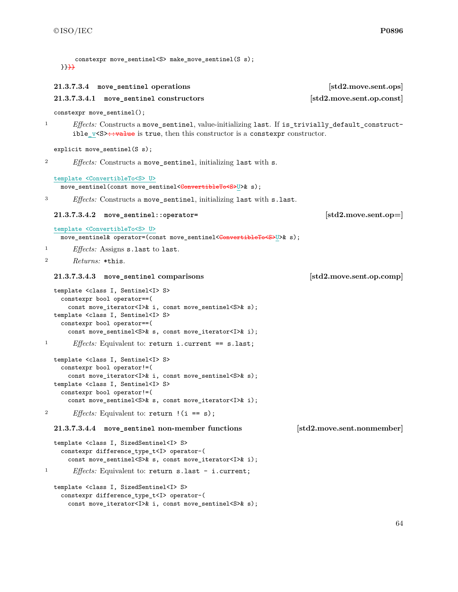```
constexpr move sentinel<S> make move sentinel(S s);
    }}}}
  21.3.7.3.4 move_sentinel operations [std2.move.sent.ops]
  21.3.7.3.4.1 move_sentinel constructors [std2.move.sent.op.const]
  constexpr move_sentinel();
<sup>1</sup> Effects: Constructs a move_sentinel, value-initializing last. If is_trivially_default_construct-
       ible_v\langle S \rangle::value is true, then this constructor is a constexpr constructor.
  explicit move_sentinel(S s);
2 Effects: Constructs a move_sentinel, initializing last with s.
  template <ConvertibleTo<S> U>
    move_sentinel(const move_sentinel<<del>ConvertibleTo<S></del>U>& s);
3 Effects: Constructs a move_sentinel, initializing last with s.last.
  21.3.7.3.4.2 move_sentinel::operator= but information [\text{std2.move}.\text{sent}.\text{op}=
  template <ConvertibleTo<S> U>
    move_sentinel& operator=(const move_sentinel<<del>ConvertibleTo<S>U</del>>& s);
1 Effects: Assigns s.last to last.
2 Returns: *this.
  21.3.7.3.4.3 move_sentinel comparisons [std2.move.sent.op.comp]
  template <class I, Sentinel<I> S>
    constexpr bool operator==(
      const move_iterator<I>& i, const move_sentinel<S>& s);
  template <class I, Sentinel<I> S>
    constexpr bool operator==(
      const move_sentinel<S>& s, const move_iterator<I>& i);
<sup>1</sup> Effects: Equivalent to: return i.current == s.last;
  template <class I, Sentinel<I> S>
    constexpr bool operator!=(
      const move_iterator<I>& i, const move_sentinel<S>& s);
  template <class I, Sentinel<I> S>
    constexpr bool operator!=(
      const move_sentinel<S>& s, const move_iterator<I>& i);
<sup>2</sup> Effects: Equivalent to: return !(i == s);
  21.3.7.3.4.4 move_sentinel non-member functions [std2.move.sent.nonmember]
  template <class I, SizedSentinel<I> S>
    constexpr difference_type_t<I> operator-(
      const move_sentinel<S>& s, const move_iterator<I>& i);
<sup>1</sup> Effects: Equivalent to: return s.last - i.current;
  template <class I, SizedSentinel<I> S>
    constexpr difference_type_t<I> operator-(
      const move_iterator<I>& i, const move_sentinel<S>& s);
```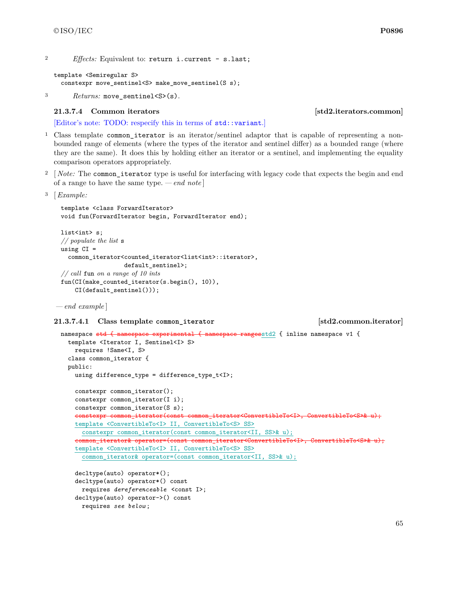```
2 Effects: Equivalent to: return i.current - s.last;
```

```
template <Semiregular S>
  constexpr move_sentinel<S> make_move_sentinel(S s);
```
<sup>3</sup> *Returns:* move\_sentinel<S>(s).

### **21.3.7.4 Common iterators [std2.iterators.common]**

[Editor's note: TODO: respecify this in terms of  $std::variant.]$ 

- <sup>1</sup> Class template common\_iterator is an iterator/sentinel adaptor that is capable of representing a nonbounded range of elements (where the types of the iterator and sentinel differ) as a bounded range (where they are the same). It does this by holding either an iterator or a sentinel, and implementing the equality comparison operators appropriately.
- <sup>2</sup> [*Note:* The common\_iterator type is useful for interfacing with legacy code that expects the begin and end of a range to have the same type. *— end note* ]

<sup>3</sup> [*Example:*

```
template <class ForwardIterator>
void fun(ForwardIterator begin, ForwardIterator end);
```

```
list<int> s;
// populate the list s
using CI =common_iterator<counted_iterator<list<int>::iterator>,
                  default_sentinel>;
// call fun on a range of 10 ints
fun(CI(make_counted_iterator(s.begin(), 10)),
    CI(default_sentinel()));
```
*— end example* ]

```
21.3.7.4.1 Class template common_iterator [std2.common.iterator]
```

```
namespace std { namespace experimental { namespace rangesstd2 { inline namespace v1 {
 template <Iterator I, Sentinel<I> S>
    requires !Same<I, S>
  class common_iterator {
  public:
    using difference_type = difference_type_t<I>;
    constexpr common_iterator();
    constexpr common_iterator(I i);
    constexpr common_iterator(S s);
    constexpr common_iterator(const common_iterator<ConvertibleTo<I>, ConvertibleTo<S»& u);
    template <ConvertibleTo<I> II, ConvertibleTo<S> SS>
     constexpr common_iterator(const common_iterator<II, SS>& u);
    common_iterator& operator=(const common_iterator<ConvertibleTo<I>, ConvertibleTo<S»& u);
    template <ConvertibleTo<I> II, ConvertibleTo<S> SS>
      common_iterator& operator=(const common_iterator<II, SS>& u);
    decltype(auto) operator*();
    decltype(auto) operator*() const
      requires dereferenceable <const I>;
    decltype(auto) operator->() const
     requires see below ;
```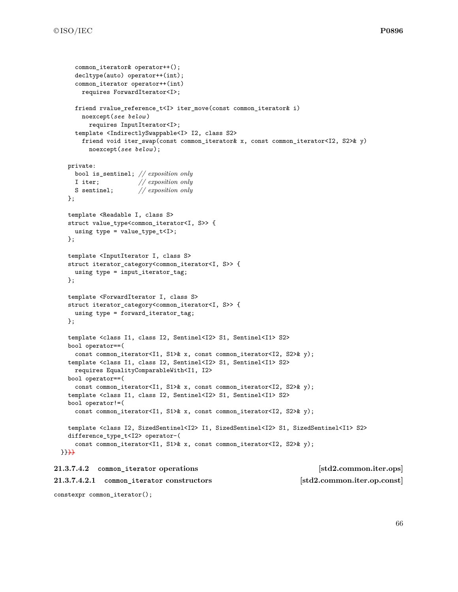```
common_iterator& operator++();
     decltype(auto) operator++(int);
     common_iterator operator++(int)
       requires ForwardIterator<I>;
     friend rvalue_reference_t<I> iter_move(const common_iterator& i)
       noexcept(see below )
         requires InputIterator<I>;
     template <IndirectlySwappable<I> I2, class S2>
       friend void iter_swap(const common_iterator& x, const common_iterator<I2, S2>& y)
         noexcept(see below );
   private:
     bool is_sentinel; // exposition only
     I iter; // exposition only
     S sentinel; // exposition only
   };
   template <Readable I, class S>
   struct value_type<common_iterator<I, S>> {
     using type = value_type_t<I>;
   };
   template <InputIterator I, class S>
   struct iterator_category<common_iterator<I, S>> {
     using type = input_iterator_tag;
   };
   template <ForwardIterator I, class S>
   struct iterator_category<common_iterator<I, S>> {
     using type = forward_iterator_tag;
   };
   template <class I1, class I2, Sentinel<I2> S1, Sentinel<I1> S2>
   bool operator==(
     const common_iterator<I1, S1>& x, const common_iterator<I2, S2>& y);
   template <class I1, class I2, Sentinel<I2> S1, Sentinel<I1> S2>
     requires EqualityComparableWith<I1, I2>
   bool operator==(
     const common_iterator<I1, S1>& x, const common_iterator<I2, S2>& y);
   template <class I1, class I2, Sentinel<I2> S1, Sentinel<I1> S2>
   bool operator!=(
     const common_iterator<I1, S1>& x, const common_iterator<I2, S2>& y);
   template <class I2, SizedSentinel<I2> I1, SizedSentinel<I2> S1, SizedSentinel<I1> S2>
   difference_type_t<I2> operator-(
     const common_iterator<I1, S1>& x, const common_iterator<I2, S2>& y);
 }}}}
21.3.7.4.2 common_iterator operations [std2.common.iter.ops]
```
**21.3.7.4.2.1 common\_iterator constructors [std2.common.iter.op.const]**

constexpr common\_iterator();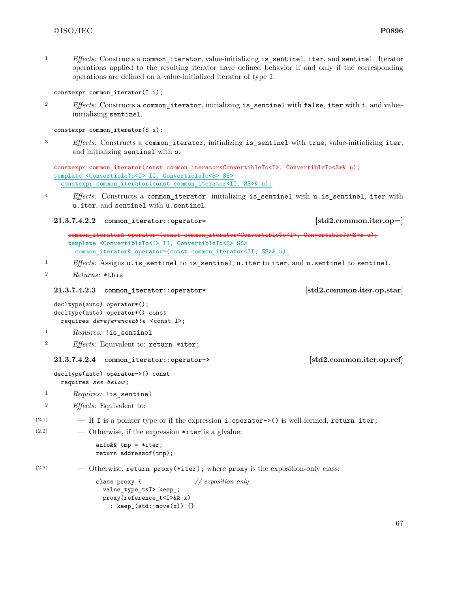<sup>1</sup> *Effects:* Constructs a common iterator, value-initializing is sentinel, iter, and sentinel. Iterator operations applied to the resulting iterator have defined behavior if and only if the corresponding operations are defined on a value-initialized iterator of type I.

### constexpr common\_iterator(I i);

<sup>2</sup> *Effects:* Constructs a common\_iterator, initializing is\_sentinel with false, iter with i, and valueinitializing sentinel.

constexpr common\_iterator(S s);

<sup>3</sup> *Effects:* Constructs a common\_iterator, initializing is\_sentinel with true, value-initializing iter, and initializing sentinel with s.

constexpr common iterator(const common iterator<ConvertibleTo<I>, ConvertibleTo<S»& u); template <ConvertibleTo<I> II, ConvertibleTo<S> SS> constexpr common\_iterator(const common\_iterator<II, SS>& u);

<sup>4</sup> *Effects:* Constructs a common\_iterator, initializing is\_sentinel with u.is\_sentinel, iter with u.iter, and sentinel with u.sentinel.

### **21.3.7.4.2.2 common\_iterator::operator= [std2.common.iter.op=]**

common\_iterator& operator=(const common\_iterator<ConvertibleTo<I>, ConvertibleTo<S»& u); template <ConvertibleTo<I> II, ConvertibleTo<S> SS> common\_iterator& operator=(const common\_iterator<II, SS>& u);

<sup>1</sup> *Effects:* Assigns u.is\_sentinel to is\_sentinel, u.iter to iter, and u.sentinel to sentinel.

# <sup>2</sup> *Returns:* \*this

**21.3.7.4.2.3 common\_iterator::operator\* [std2.common.iter.op.star]**

```
decltype(auto) operator*();
decltype(auto) operator*() const
 requires dereferenceable <const I>;
```
- <sup>1</sup> *Requires:* !is\_sentinel
- <sup>2</sup> *Effects:* Equivalent to: return \*iter;

### **21.3.7.4.2.4 common\_iterator::operator-> [std2.common.iter.op.ref]**

decltype(auto) operator->() const requires *see below* ;

```
1 Requires: !is_sentinel
```

```
2 Effects: Equivalent to:
```

```
(2.1) - If I is a pointer type or if the expression i.operator->() is well-formed, return iter;
```
 $(2.2)$   $\qquad$   $\qquad$   $\qquad$   $\qquad$   $\qquad$   $\qquad$   $\qquad$   $\qquad$   $\qquad$   $\qquad$   $\qquad$   $\qquad$   $\qquad$   $\qquad$   $\qquad$   $\qquad$   $\qquad$   $\qquad$   $\qquad$   $\qquad$   $\qquad$   $\qquad$   $\qquad$   $\qquad$   $\qquad$   $\qquad$   $\qquad$   $\qquad$   $\qquad$   $\qquad$   $\qquad$   $\qquad$   $\qquad$   $\qquad$   $\qquad$   $\q$ 

```
auto&& tmp = *iter;
return addressof(tmp);
```
 $(2.3)$  — Otherwise, return proxy(\*iter); where proxy is the exposition-only class:

```
class proxy { // exposition only
 value_type_t<I> keep_;
 proxy(reference_t<I>&& x)
   : keep_(std::move(x)) {}
```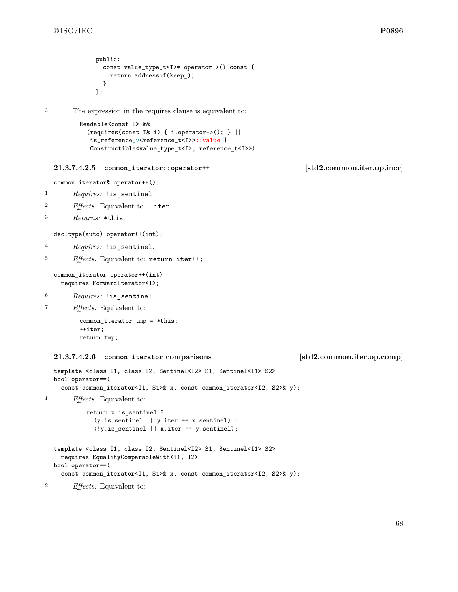```
public:
  const value_type_t<I>* operator->() const {
    return addressof(keep_);
  }
};
```
<sup>3</sup> The expression in the requires clause is equivalent to:

```
Readable<const I> &&
  (requires (const I& i) { i. operator->(); } ||is_reference_v<reference_t<I>>-::value ||
  Constructible<value_type_t<I>, reference_t<I>>)
```
### **21.3.7.4.2.5 common\_iterator::operator++ [std2.common.iter.op.incr]**

```
common_iterator& operator++();
```

```
1 Requires: !is_sentinel
```
- <sup>2</sup> *Effects:* Equivalent to ++iter.
- <sup>3</sup> *Returns:* \*this.

decltype(auto) operator++(int);

- <sup>4</sup> *Requires:* !is\_sentinel.
- <sup>5</sup> *Effects:* Equivalent to: return iter++;

```
common_iterator operator++(int)
 requires ForwardIterator<I>;
```

```
6 Requires: !is_sentinel
```

```
7 Effects: Equivalent to:
```

```
common_iterator tmp = *this;
++iter;
return tmp;
```
### **21.3.7.4.2.6 common\_iterator comparisons [std2.common.iter.op.comp]**

```
template <class I1, class I2, Sentinel<I2> S1, Sentinel<I1> S2>
bool operator==(
 const common_iterator<I1, S1>& x, const common_iterator<I2, S2>& y);
```
<sup>1</sup> *Effects:* Equivalent to:

```
return x.is_sentinel ?
  (y.is_sentinel || y.iter == x.sentinel) :
  (!y.is_sentinel || x.iter == y.sentinel);
```

```
template <class I1, class I2, Sentinel<I2> S1, Sentinel<I1> S2>
 requires EqualityComparableWith<I1, I2>
bool operator==(
  const common_iterator<I1, S1>& x, const common_iterator<I2, S2>& y);
```

```
2 Effects: Equivalent to:
```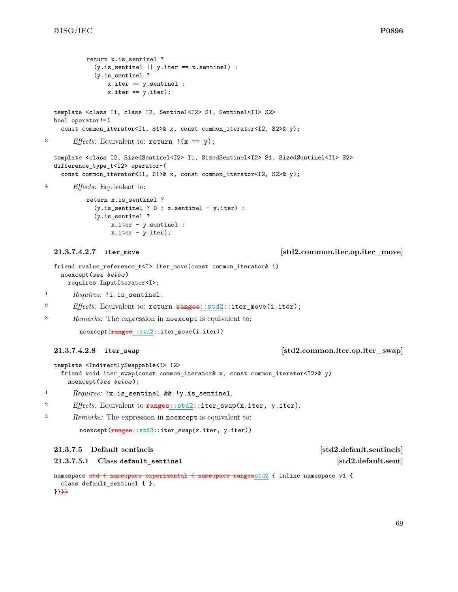```
return x.is_sentinel ?
            (y.is_sentinel || y.iter == x.sentinel) :
            (y.is_sentinel ?
               x.iter == y.sentinel :
               x.iter == y.iter);
  template <class I1, class I2, Sentinel<I2> S1, Sentinel<I1> S2>
  bool operator!=(
   const common_iterator<I1, S1>& x, const common_iterator<I2, S2>& y);
3 Effects: Equivalent to: return !(x == y);
  template <class I2, SizedSentinel<I2> I1, SizedSentinel<I2> S1, SizedSentinel<I1> S2>
  difference_type_t<I2> operator-(
   const common_iterator<I1, S1>& x, const common_iterator<I2, S2>& y);
4 Effects: Equivalent to:
          return x.is_sentinel ?
            (y.is_sentinel ? 0 : x.sentinel - y.iter) :
            (y.is_sentinel ?
                x.iter - y.sentinel :
                x.iter - y.iter);
  21.3.7.4.2.7 iter_move [std2.common.iter.op.iter_move]
  friend rvalue_reference_t<I> iter_move(const common_iterator& i)
   noexcept(see below )
     requires InputIterator<I>;
1 Requires: !i.is_sentinel.
2 Effects: Equivalent to: return ranges::std2::iter_move(i.iter);
3 Remarks: The expression in noexcept is equivalent to:
        noexcept(ranges::std2::iter_move(i.iter))
  21.3.7.4.2.8 iter swap b [std2.common.iter.op.iter_swap]
  template <IndirectlySwappable<I> I2>
    friend void iter_swap(const common_iterator& x, const common_iterator<I2>& y)
     noexcept(see below );
1 Requires: !x.is_sentinel && !y.is_sentinel.
2 Effects: Equivalent to ranges::std2::iter_swap(x.iter, y.iter).
3 Remarks: The expression in noexcept is equivalent to:
        noexcept(ranges::std2::iter_swap(x.iter, y.iter))
  21.3.7.5 Default sentinels [std2.default.sentinels]
  21.3.7.5.1 Class default_sentinel [std2.default.sent]
  namespace std { namespace experimental { namespace rangesstd2 { inline namespace v1 {
   class default_sentinel { };
  }}}}
```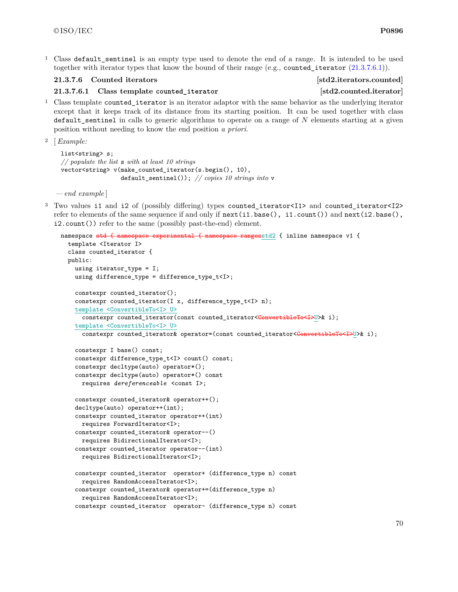<sup>1</sup> Class default sentinel is an empty type used to denote the end of a range. It is intended to be used together with iterator types that know the bound of their range (e.g., counted\_iterator  $(21.3.7.6.1)$ ).

# **21.3.7.6 Counted iterators [std2.iterators.counted]**

### <span id="page-71-0"></span>**21.3.7.6.1 Class template counted\_iterator [std2.counted.iterator]**

<sup>1</sup> Class template counted\_iterator is an iterator adaptor with the same behavior as the underlying iterator except that it keeps track of its distance from its starting position. It can be used together with class default sentinel in calls to generic algorithms to operate on a range of  $N$  elements starting at a given position without needing to know the end position *a priori*.

<sup>2</sup> [*Example:*

```
list<string> s;
// populate the list s with at least 10 strings
vector<string> v(make_counted_iterator(s.begin(), 10),
                  default_sentinel()); // copies 10 strings into v
```

```
— end example ]
```
<sup>3</sup> Two values i1 and i2 of (possibly differing) types counted\_iterator<I1> and counted\_iterator<I2> refer to elements of the same sequence if and only if  $next(i1.base()$ , i1.count()) and  $next(i2.base()$ , i2.count()) refer to the same (possibly past-the-end) element.

```
namespace std { namespace experimental { namespace rangesstd2 { inline namespace v1 {
  template <Iterator I>
  class counted_iterator {
  public:
    using iterator_type = I;
    using difference_type = difference_type_t<I>;
    constexpr counted_iterator();
    constexpr counted_iterator(I x, difference_type_t<I> n);
    template <ConvertibleTo<I> U>
      constexpr counted_iterator(const counted_iterator<<del>ConvertibleTo<I></del>U>& i);
    template <ConvertibleTo<I> U>
      constexpr counted_iterator& operator=(const counted_iterator<<del>ConvertibleTo<I></del>U>& i);
    constexpr I base() const;
    constexpr difference_type_t<I> count() const;
    constexpr decltype(auto) operator*();
    constexpr decltype(auto) operator*() const
      requires dereferenceable <const I>;
    constexpr counted_iterator& operator++();
    decltype(auto) operator++(int);
    constexpr counted_iterator operator++(int)
     requires ForwardIterator<I>;
    constexpr counted_iterator& operator--()
      requires BidirectionalIterator<I>;
    constexpr counted_iterator operator--(int)
      requires BidirectionalIterator<I>;
    constexpr counted_iterator operator+ (difference_type n) const
      requires RandomAccessIterator<I>;
    constexpr counted_iterator& operator+=(difference_type n)
      requires RandomAccessIterator<I>;
    constexpr counted_iterator operator- (difference_type n) const
```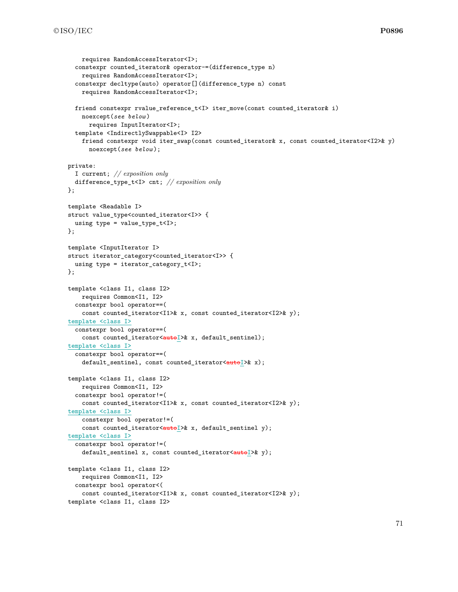```
requires RandomAccessIterator<I>;
  constexpr counted_iterator& operator-=(difference_type n)
    requires RandomAccessIterator<I>;
  constexpr decltype(auto) operator[](difference_type n) const
    requires RandomAccessIterator<I>;
  friend constexpr rvalue_reference_t<I> iter_move(const counted_iterator& i)
    noexcept(see below )
      requires InputIterator<I>;
  template <IndirectlySwappable<I> I2>
    friend constexpr void iter_swap(const counted_iterator& x, const counted_iterator<I2>& y)
      noexcept(see below );
private:
  I current; // exposition only
 difference_type_t<I> cnt; // exposition only
};
template <Readable I>
struct value_type<counted_iterator<I>> {
 using type = value_type_t<I>;
};
template <InputIterator I>
struct iterator_category<counted_iterator<I>> {
  using type = iterator_category_t<I>;
};
template <class I1, class I2>
    requires Common<I1, I2>
  constexpr bool operator==(
    const counted_iterator<I1>& x, const counted_iterator<I2>& y);
template <class I>
  constexpr bool operator==(
    const counted_iterator<autoI>& x, default_sentinel);
template <class I>
  constexpr bool operator==(
    default_sentinel, const counted_iterator<autoI>& x);
template <class I1, class I2>
    requires Common<I1, I2>
  constexpr bool operator!=(
    const counted_iterator<I1>& x, const counted_iterator<I2>& y);
template <class I>
    constexpr bool operator!=(
    const counted_iterator<autoI>& x, default_sentinel y);
template <class I>
  constexpr bool operator!=(
    default_sentinel x, const counted_iterator<autoI>& y);
template <class I1, class I2>
    requires Common<I1, I2>
  constexpr bool operator<(
    const counted_iterator<I1>& x, const counted_iterator<I2>& y);
template <class I1, class I2>
```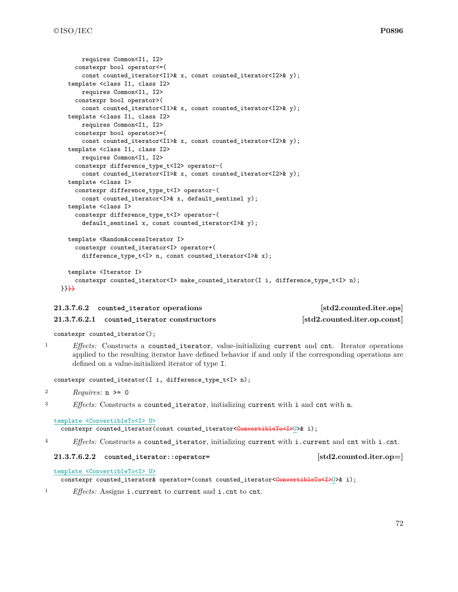```
requires Common<I1, I2>
    constexpr bool operator<=(
      const counted_iterator<I1>& x, const counted_iterator<I2>& y);
  template <class I1, class I2>
     requires Common<I1, I2>
    constexpr bool operator>(
      const counted_iterator<I1>& x, const counted_iterator<I2>& y);
  template <class I1, class I2>
     requires Common<I1, I2>
    constexpr bool operator>=(
      const counted_iterator<I1>& x, const counted_iterator<I2>& y);
  template <class I1, class I2>
     requires Common<I1, I2>
    constexpr difference_type_t<I2> operator-(
     const counted_iterator<I1>& x, const counted_iterator<I2>& y);
  template <class I>
    constexpr difference_type_t<I> operator-(
     const counted_iterator<I>& x, default_sentinel y);
  template <class I>
    constexpr difference_type_t<I> operator-(
     default_sentinel x, const counted_iterator<I>& y);
  template <RandomAccessIterator I>
    constexpr counted_iterator<I> operator+(
      difference_type_t<I> n, const counted_iterator<I>& x);
  template <Iterator I>
    constexpr counted_iterator<I> make_counted_iterator(I i, difference_type_t<I> n);
}}}}
```
### **21.3.7.6.2 counted\_iterator operations [std2.counted.iter.ops]**

**21.3.7.6.2.1 counted\_iterator constructors [std2.counted.iter.op.const]**

constexpr counted\_iterator();

<sup>1</sup> *Effects:* Constructs a counted\_iterator, value-initializing current and cnt. Iterator operations applied to the resulting iterator have defined behavior if and only if the corresponding operations are defined on a value-initialized iterator of type I.

constexpr counted\_iterator(I i, difference\_type\_t<I> n);

<sup>2</sup> *Requires:* n >= 0

<sup>3</sup> *Effects:* Constructs a counted\_iterator, initializing current with i and cnt with n.

template <ConvertibleTo<I> U>

constexpr counted\_iterator(const counted\_iterator<<del>ConvertibleTo<I>U</del>>& i);

<sup>4</sup> *Effects:* Constructs a counted\_iterator, initializing current with i.current and cnt with i.cnt.

### **21.3.7.6.2.2 counted\_iterator::operator= [std2.counted.iter.op=]**

### template <ConvertibleTo<I> U>

constexpr counted\_iterator& operator=(const counted\_iterator<<del>ConvertibleTo<I></del>U>& i);

<sup>1</sup> *Effects:* Assigns i.current to current and i.cnt to cnt.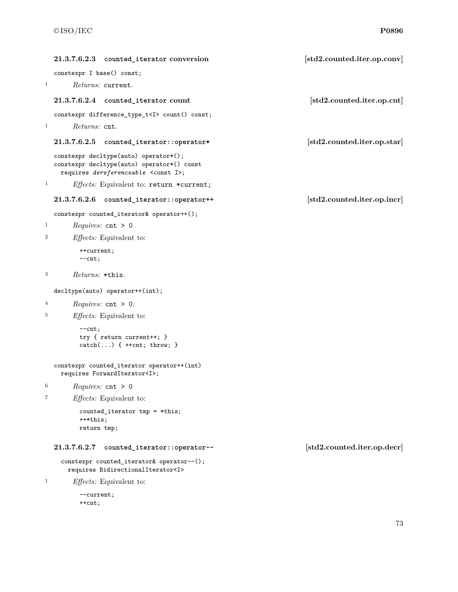requires BidirectionalIterator<I>

<sup>1</sup> *Effects:* Equivalent to: --current; ++cnt;

|                  | 21.3.7.6.2.3 counted_iterator conversion                                                                                              | [std2.counted.iter.op.conv] |
|------------------|---------------------------------------------------------------------------------------------------------------------------------------|-----------------------------|
|                  | constexpr I base() const;                                                                                                             |                             |
| 1                | <i>Returns:</i> current.                                                                                                              |                             |
|                  | 21.3.7.6.2.4 counted_iterator count                                                                                                   | [std2.counted.iter.op.cnt]  |
|                  | constexpr difference_type_t <i> count() const;</i>                                                                                    |                             |
| $\mathbf{1}$     | <i>Returns:</i> cnt.                                                                                                                  |                             |
|                  | $21.3.7.6.2.5$ counted_iterator::operator*                                                                                            | [std2.counted.iter.op.star] |
|                  | constexpr decltype(auto) operator*();<br>constexpr decltype(auto) operator*() const<br>requires dereferenceable <const i="">;</const> |                             |
| 1                | <i>Effects:</i> Equivalent to: return *current;                                                                                       |                             |
|                  | $21.3.7.6.2.6$ counted_iterator::operator++                                                                                           | [std2.counted.iter.op.incr] |
|                  | constexpr counted_iterator& operator++();                                                                                             |                             |
| 1                | <i>Requires:</i> $cnt > 0$                                                                                                            |                             |
| $\boldsymbol{2}$ | <i>Effects:</i> Equivalent to:                                                                                                        |                             |
|                  | ++current;<br>$--cnt$ ;                                                                                                               |                             |
| 3                | <i>Returns:</i> *this.                                                                                                                |                             |
|                  | decltype(auto) operator++(int);                                                                                                       |                             |
| $\overline{4}$   | Requires: $cnt > 0$ .                                                                                                                 |                             |
| 5                | <i>Effects:</i> Equivalent to:                                                                                                        |                             |
|                  | $--cnt$ ;<br>try { return current++; }<br>$\text{catch}(\ldots)$ { $\text{++cnt}$ ; throw; }                                          |                             |
|                  | constexpr counted_iterator operator++(int)<br>requires ForwardIterator <i>;</i>                                                       |                             |
| 6                | Requires: cnt > 0                                                                                                                     |                             |
| 7                | <i>Effects:</i> Equivalent to:                                                                                                        |                             |
|                  | counted_iterator $tmp = *this;$<br>++*this;<br>return tmp;                                                                            |                             |
|                  | 21.3.7.6.2.7<br>counted_iterator::operator--                                                                                          | [std2.counted.iter.op.decr] |
|                  | constexpr counted_iterator& operator--();                                                                                             |                             |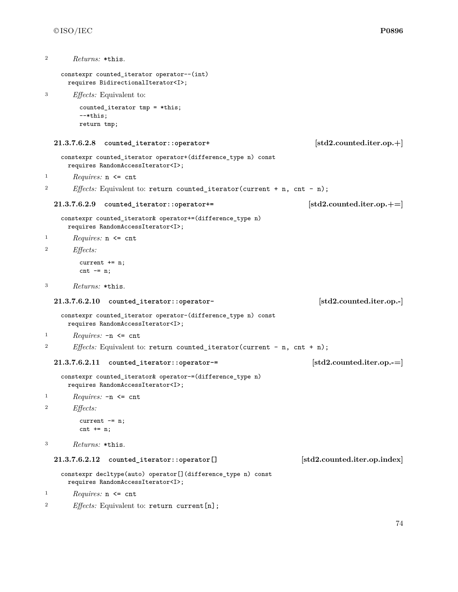```
2 Returns: *this.
    constexpr counted_iterator operator--(int)
     requires BidirectionalIterator<I>;
3 Effects: Equivalent to:
        counted_iterator tmp = *this;
        --*this;
        return tmp;
  21.3.7.6.2.8 counted_iterator::operator+ [std2.counted.iter.op.+]
    constexpr counted_iterator operator+(difference_type n) const
     requires RandomAccessIterator<I>;
1 Requires: n <= cnt
2 Effects: Equivalent to: return counted_iterator(current + n, cnt - n);
  21.3.7.6.2.9 counted_iterator::operator+= [std2.counted.iter.op.+=]
    constexpr counted_iterator& operator+=(difference_type n)
     requires RandomAccessIterator<I>;
1 Requires: n <= cnt
2 Effects:
        current += n;
        cnt -= n;3 Returns: *this.
  21.3.7.6.2.10 counted_iterator::operator- [std2.counted.iter.op.-]
    constexpr counted_iterator operator-(difference_type n) const
     requires RandomAccessIterator<I>;
1 Requires: -n <= cnt
<sup>2</sup> Effects: Equivalent to: return counted_iterator(current - n, cnt + n);
  21.3.7.6.2.11 counted_iterator::operator-= [std2.counted.iter.op.-=]
    constexpr counted_iterator& operator-=(difference_type n)
     requires RandomAccessIterator<I>;
1 Requires: -n <= cnt
2 Effects:
        current -= n;
        cnt += n;3 Returns: *this.
  21.3.7.6.2.12 counted_iterator::operator[] [std2.counted.iter.op.index]
    constexpr decltype(auto) operator[](difference_type n) const
     requires RandomAccessIterator<I>;
1 Requires: n <= cnt
```
<sup>2</sup> *Effects:* Equivalent to: return current[n];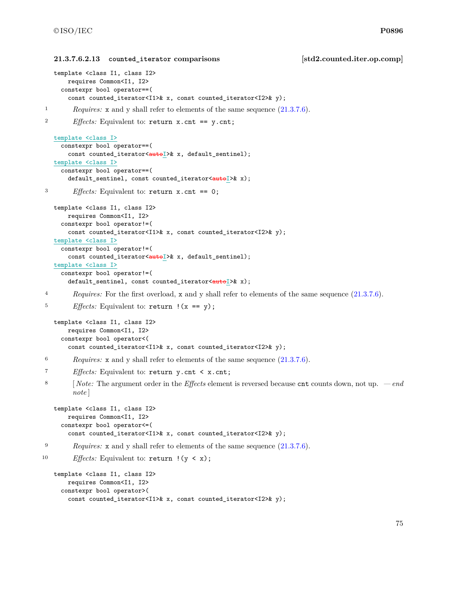```
21.3.7.6.2.13 counted_iterator comparisons [std2.counted.iter.op.comp]
   template <class I1, class I2>
       requires Common<I1, I2>
     constexpr bool operator==(
       const counted_iterator<I1>& x, const counted_iterator<I2>& y);
<sup>1</sup> Requires: x and y shall refer to elements of the same sequence (21.3.7.6).
2 Effects: Equivalent to: return x.cnt == y.cnt;
   template <class I>
     constexpr bool operator==(
       const counted_iterator<autoI>& x, default_sentinel);
   template <class I>
     constexpr bool operator==(
       default_sentinel, const counted_iterator<autoI>& x);
3 Effects: Equivalent to: return x.cnt == 0;
   template <class I1, class I2>
       requires Common<I1, I2>
     constexpr bool operator!=(
       const counted_iterator<I1>& x, const counted_iterator<I2>& y);
   template <class I>
     constexpr bool operator!=(
       const counted_iterator<autoI>& x, default_sentinel);
   template <class I>
     constexpr bool operator!=(
       default_sentinel, const counted_iterator<autoI>& x);
4 Requires: For the first overload, x and y shall refer to elements of the same sequence (21.3.7.6).
5 Effects: Equivalent to: return !(x == y);
   template <class I1, class I2>
      requires Common<I1, I2>
     constexpr bool operator<(
       const counted_iterator<I1>& x, const counted_iterator<I2>& y);
6 Requires: x and y shall refer to elements of the same sequence (21.3.7.6).
7 Effects: Equivalent to: return y.cnt < x.cnt;
8 [ Note: The argument order in the Effects element is reversed because cnt counts down, not up. — end
        note ]
   template <class I1, class I2>
       requires Common<I1, I2>
     constexpr bool operator<=(
       const counted_iterator<I1>& x, const counted_iterator<I2>& y);
9 Requires: x and y shall refer to elements of the same sequence (21.3.7.6).
10 Effects: Equivalent to: return ! (y < x);
   template <class I1, class I2>
       requires Common<I1, I2>
     constexpr bool operator>(
       const counted_iterator<I1>& x, const counted_iterator<I2>& y);
```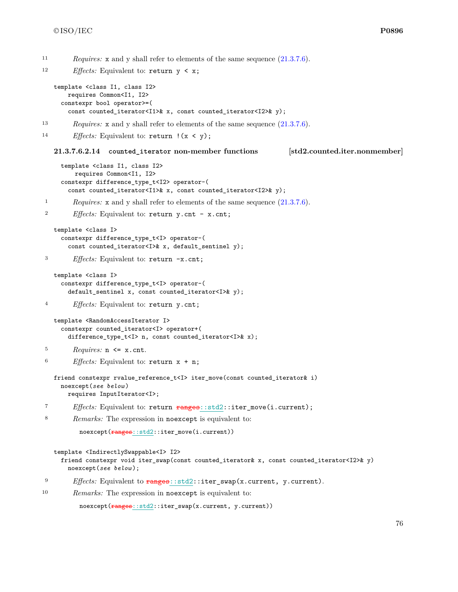<sup>11</sup> *Requires:* x and y shall refer to elements of the same sequence [\(21.3.7.6\)](#page-71-0).

```
12 Effects: Equivalent to: return y < x;
```

```
template <class I1, class I2>
    requires Common<I1, I2>
  constexpr bool operator>=(
    const counted_iterator<I1>& x, const counted_iterator<I2>& y);
```
<sup>13</sup> *Requires:* x and y shall refer to elements of the same sequence [\(21.3.7.6\)](#page-71-0).

```
14 Effects: Equivalent to: return !(x < y);
```
**21.3.7.6.2.14 counted\_iterator non-member functions [std2.counted.iter.nonmember]**

```
template <class I1, class I2>
        requires Common<I1, I2>
     constexpr difference_type_t<I2> operator-(
       const counted_iterator<I1>& x, const counted_iterator<I2>& y);
<sup>1</sup> Requires: x and y shall refer to elements of the same sequence (21.3.7.6).
2 Effects: Equivalent to: return y.cnt - x.cnt;
   template <class I>
     constexpr difference_type_t<I> operator-(
       const counted_iterator<I>& x, default_sentinel y);
3 Effects: Equivalent to: return -x.cnt;
   template <class I>
     constexpr difference_type_t<I> operator-(
       default_sentinel x, const counted_iterator<I>& y);
4 Effects: Equivalent to: return y.cnt;
   template <RandomAccessIterator I>
     constexpr counted_iterator<I> operator+(
       difference_type_t<I> n, const counted_iterator<I>& x);
5 Requires: n \leq x. cnt.
6 Effects: Equivalent to: return x + n;
   friend constexpr rvalue_reference_t<I> iter_move(const counted_iterator& i)
     noexcept(see below )
       requires InputIterator<I>;
7 Effects: Equivalent to: return ranges::std2::iter_move(i.current);
8 Remarks: The expression in noexcept is equivalent to:
          noexcept(ranges::std2::iter_move(i.current))
   template <IndirectlySwappable<I> I2>
     friend constexpr void iter_swap(const counted_iterator& x, const counted_iterator<I2>& y)
      noexcept(see below );
9 Effects: Equivalent to ranges::std2::iter_swap(x.current, y.current).
10 Remarks: The expression in noexcept is equivalent to:
          noexcept(ranges::std2::iter_swap(x.current, y.current))
```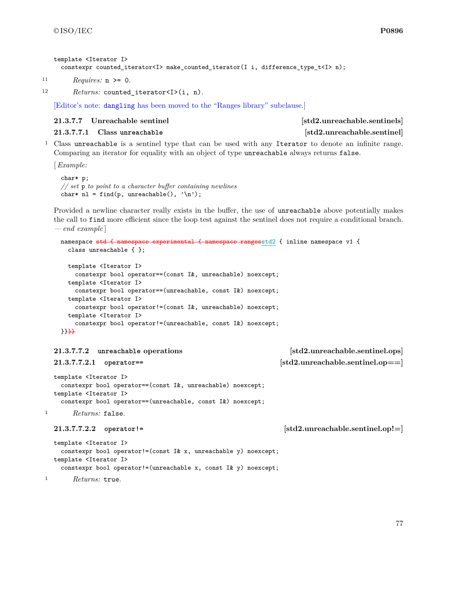```
template <Iterator I>
  constexpr counted_iterator<I> make_counted_iterator(I i, difference_type_t<I> n);
```
<sup>11</sup> *Requires:* n >= 0.

<sup>12</sup> *Returns:* counted iterator<I>(i, n).

[Editor's note: dangling has been moved to the "Ranges library" subclause.]

### **21.3.7.7** Unreachable sentinel **and intervals** [std2.unreachable.sentinels]

### **21.3.7.7.1 Class unreachable [std2.unreachable.sentinel]**

<sup>1</sup> Class unreachable is a sentinel type that can be used with any Iterator to denote an infinite range. Comparing an iterator for equality with an object of type unreachable always returns false.

[*Example:*

```
char* p;
// set p to point to a character buffer containing newlines
char* nl = find(p, unreachable(), '\n\langle n' \rangle;
```
Provided a newline character really exists in the buffer, the use of unreachable above potentially makes the call to find more efficient since the loop test against the sentinel does not require a conditional branch. *— end example* ]

```
namespace std { namespace experimental { namespace rangesstd2 { inline namespace v1 {
     class unreachable { };
     template <Iterator I>
       constexpr bool operator==(const I&, unreachable) noexcept;
     template <Iterator I>
       constexpr bool operator==(unreachable, const I&) noexcept;
     template <Iterator I>
       constexpr bool operator!=(const I&, unreachable) noexcept;
     template <Iterator I>
       constexpr bool operator!=(unreachable, const I&) noexcept;
   }}}}
  21.3.7.7.2 unreachable operations [std2.unreachable.sentinel.ops]
  21.3.7.7.2.1 operator== [std2.unreachable.sentinel.op==]
  template <Iterator I>
   constexpr bool operator==(const I&, unreachable) noexcept;
  template <Iterator I>
    constexpr bool operator==(unreachable, const I&) noexcept;
1 Returns: false.
  21.3.7.7.2.2 operator!= [std2.unreachable.sentinel.op!=]
  template <Iterator I>
    constexpr bool operator!=(const I& x, unreachable y) noexcept;
  template <Iterator I>
    constexpr bool operator!=(unreachable x, const I& y) noexcept;
1 Returns: true.
```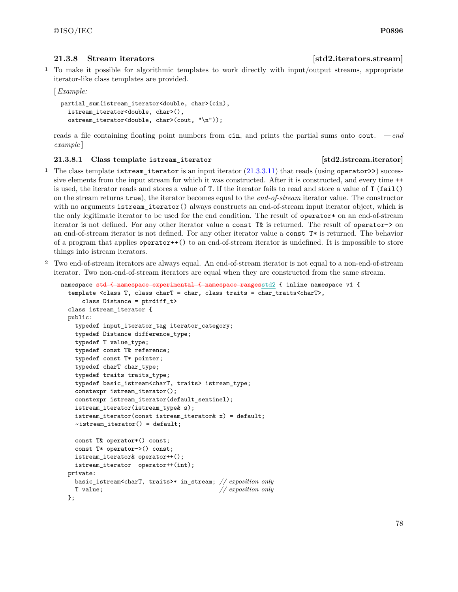## **21.3.8 Stream iterators and iterators** [std2.iterators.stream]

<sup>1</sup> To make it possible for algorithmic templates to work directly with input/output streams, appropriate iterator-like class templates are provided.

[*Example:*

```
partial_sum(istream_iterator<double, char>(cin),
  istream_iterator<double, char>(),
  ostream_iterator<double, char>(cout, "\n"));
```
reads a file containing floating point numbers from cin, and prints the partial sums onto cout. *— end example* ]

## **21.3.8.1 Class template istream\_iterator [std2.istream.iterator]**

- <sup>1</sup> The class template istream\_iterator is an input iterator  $(21.3.3.11)$  that reads (using operator>>) successive elements from the input stream for which it was constructed. After it is constructed, and every time ++ is used, the iterator reads and stores a value of T. If the iterator fails to read and store a value of T (fail() on the stream returns true), the iterator becomes equal to the *end-of-stream* iterator value. The constructor with no arguments istream iterator() always constructs an end-of-stream input iterator object, which is the only legitimate iterator to be used for the end condition. The result of operator\* on an end-of-stream iterator is not defined. For any other iterator value a const T& is returned. The result of operator-> on an end-of-stream iterator is not defined. For any other iterator value a const T\* is returned. The behavior of a program that applies operator++() to an end-of-stream iterator is undefined. It is impossible to store things into istream iterators.
- <sup>2</sup> Two end-of-stream iterators are always equal. An end-of-stream iterator is not equal to a non-end-of-stream iterator. Two non-end-of-stream iterators are equal when they are constructed from the same stream.

```
namespace std { namespace experimental { namespace rangesstd2 { inline namespace v1 {
  template <class T, class charT = char, class traits = char_traits<charT>,
     class Distance = ptrdiff_t>
  class istream_iterator {
 public:
   typedef input_iterator_tag iterator_category;
   typedef Distance difference_type;
    typedef T value_type;
    typedef const T& reference;
    typedef const T* pointer;
    typedef charT char_type;
    typedef traits traits_type;
   typedef basic_istream<charT, traits> istream_type;
    constexpr istream_iterator();
   constexpr istream_iterator(default_sentinel);
    istream_iterator(istream_type& s);
    istream_iterator(const istream_iterator& x) = default;
    ~istream_iterator() = default;
   const T& operator*() const;
   const T* operator->() const;
   istream_iterator& operator++();
   istream_iterator operator++(int);
 private:
   basic_istream<charT, traits>* in_stream; // exposition only
   T value; // exposition only
  };
```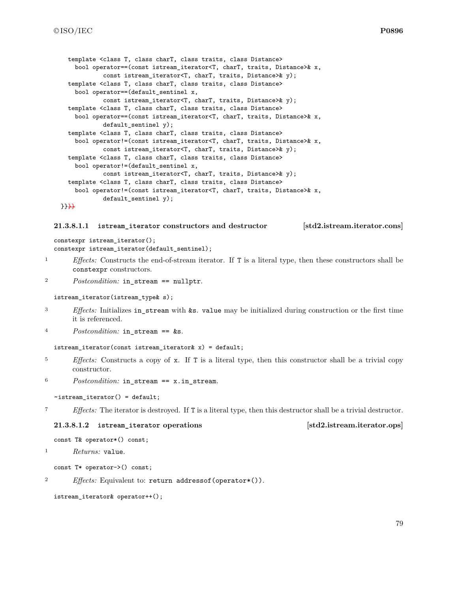```
template <class T, class charT, class traits, class Distance>
    bool operator==(const istream_iterator<T, charT, traits, Distance>& x,
            const istream_iterator<T, charT, traits, Distance>& y);
  template <class T, class charT, class traits, class Distance>
    bool operator==(default_sentinel x,
            const istream_iterator<T, charT, traits, Distance>& y);
  template <class T, class charT, class traits, class Distance>
    bool operator==(const istream_iterator<T, charT, traits, Distance>& x,
            default_sentinel y);
  template <class T, class charT, class traits, class Distance>
    bool operator!=(const istream_iterator<T, charT, traits, Distance>& x,
            const istream_iterator<T, charT, traits, Distance>& y);
  template <class T, class charT, class traits, class Distance>
    bool operator!=(default_sentinel x,
            const istream_iterator<T, charT, traits, Distance>& y);
  template <class T, class charT, class traits, class Distance>
    bool operator!=(const istream_iterator<T, charT, traits, Distance>& x,
            default_sentinel y);
}}}}
```
# **21.3.8.1.1 istream\_iterator constructors and destructor [std2.istream.iterator.cons]**

```
constexpr istream_iterator();
constexpr istream_iterator(default_sentinel);
```
- <sup>1</sup> *Effects:* Constructs the end-of-stream iterator. If **T** is a literal type, then these constructors shall be constexpr constructors.
- <sup>2</sup> *Postcondition:* in\_stream == nullptr.

### istream\_iterator(istream\_type& s);

- <sup>3</sup> *Effects:* Initializes in\_stream with &s. value may be initialized during construction or the first time it is referenced.
- 4 Postcondition: in stream ==  $\&$ s.

### istream\_iterator(const istream\_iterator& x) = default;

- <sup>5</sup> *Effects:* Constructs a copy of x. If T is a literal type, then this constructor shall be a trivial copy constructor.
- <sup>6</sup> *Postcondition:* in\_stream == x.in\_stream.

```
~istream_iterator() = default;
```
<sup>7</sup> *Effects:* The iterator is destroyed. If T is a literal type, then this destructor shall be a trivial destructor.

### **21.3.8.1.2 istream\_iterator operations [std2.istream.iterator.ops]**

```
const T& operator*() const;
```
<sup>1</sup> *Returns:* value.

```
const T* operator->() const;
```
<sup>2</sup> *Effects:* Equivalent to: return addressof(operator\*()).

```
istream_iterator& operator++();
```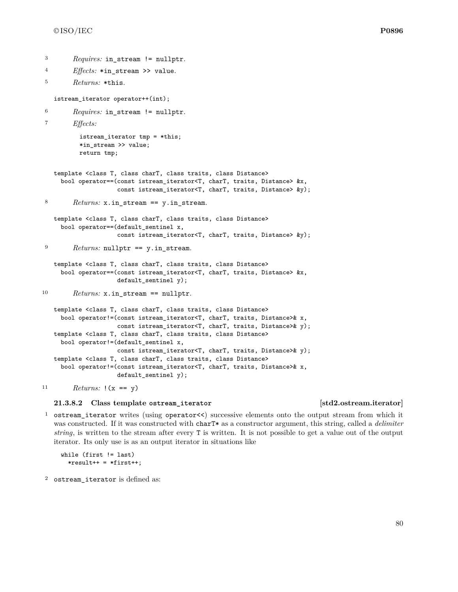```
<sup>3</sup> Requires: in stream != nullptr.
4 Effects: *in_stream >> value.
5 Returns: *this.
   istream_iterator operator++(int);
6 Requires: in_stream != nullptr.
7 Effects:
          istream_iterator tmp = *this;
          *in_stream >> value;
          return tmp;
   template <class T, class charT, class traits, class Distance>
     bool operator==(const istream_iterator<T, charT, traits, Distance> &x,
                     const istream_iterator<T, charT, traits, Distance> &y);
8 Returns: x.in_stream == y.in_stream.
   template <class T, class charT, class traits, class Distance>
     bool operator==(default_sentinel x,
                     const istream_iterator<T, charT, traits, Distance> &y);
9 Returns: nullptr == y.in_stream.
   template <class T, class charT, class traits, class Distance>
     bool operator==(const istream_iterator<T, charT, traits, Distance> &x,
                     default_sentinel y);
10 Returns: x.in_stream == nullptr.
   template <class T, class charT, class traits, class Distance>
     bool operator!=(const istream_iterator<T, charT, traits, Distance>& x,
                     const istream_iterator<T, charT, traits, Distance>& y);
   template <class T, class charT, class traits, class Distance>
     bool operator!=(default_sentinel x,
                     const istream_iterator<T, charT, traits, Distance>& y);
   template <class T, class charT, class traits, class Distance>
     bool operator!=(const istream_iterator<T, charT, traits, Distance>& x,
                     default_sentinel y);
11 Returns: \, \mathsf{I}(x == y)
```
## **21.3.8.2 Class template ostream\_iterator [std2.ostream.iterator]**

<sup>1</sup> ostream\_iterator writes (using operator<<) successive elements onto the output stream from which it was constructed. If it was constructed with charT\* as a constructor argument, this string, called a *delimiter string*, is written to the stream after every T is written. It is not possible to get a value out of the output iterator. Its only use is as an output iterator in situations like

while (first != last)  $*result++ = *first++;$ 

<sup>2</sup> ostream iterator is defined as: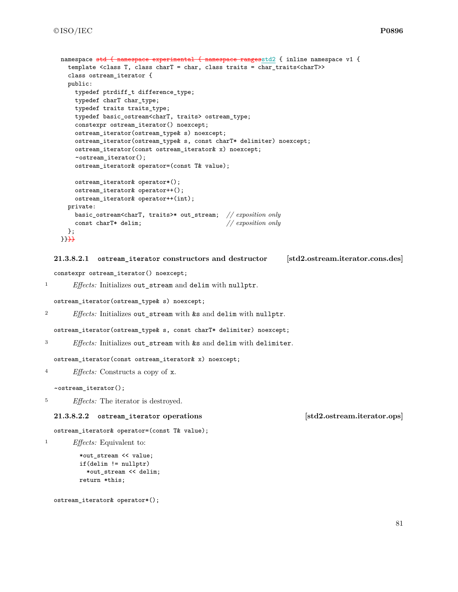```
namespace std { namespace experimental { namespace rangesstd2 { inline namespace v1 {
      template <class T, class charT = char, class traits = char_traits<charT>>
      class ostream_iterator {
      public:
        typedef ptrdiff_t difference_type;
        typedef charT char_type;
        typedef traits traits_type;
        typedef basic_ostream<charT, traits> ostream_type;
        constexpr ostream_iterator() noexcept;
        ostream_iterator(ostream_type& s) noexcept;
        ostream_iterator(ostream_type& s, const charT* delimiter) noexcept;
        ostream_iterator(const ostream_iterator& x) noexcept;
        ~ostream_iterator();
        ostream_iterator& operator=(const T& value);
        ostream_iterator& operator*();
        ostream_iterator& operator++();
        ostream_iterator& operator++(int);
      private:
        basic_ostream<charT, traits>* out_stream; // exposition only
        const charT* delim; // exposition only
      };
    }}}}
  21.3.8.2.1 ostream_iterator constructors and destructor [std2.ostream.iterator.cons.des]
  constexpr ostream_iterator() noexcept;
1 Effects: Initializes out_stream and delim with nullptr.
  ostream_iterator(ostream_type& s) noexcept;
2 Effects: Initializes out_stream with &s and delim with nullptr.
  ostream_iterator(ostream_type& s, const charT* delimiter) noexcept;
3 Effects: Initializes out_stream with &s and delim with delimiter.
  ostream_iterator(const ostream_iterator& x) noexcept;
4 Effects: Constructs a copy of x.
  ~ostream_iterator();
5 Effects: The iterator is destroyed.
  21.3.8.2.2 ostream_iterator operations [std2.ostream.iterator.ops]
  ostream_iterator& operator=(const T& value);
1 Effects: Equivalent to:
         *out_stream << value;
         if(delim != nullptr)
           *out_stream << delim;
         return *this;
  ostream_iterator& operator*();
```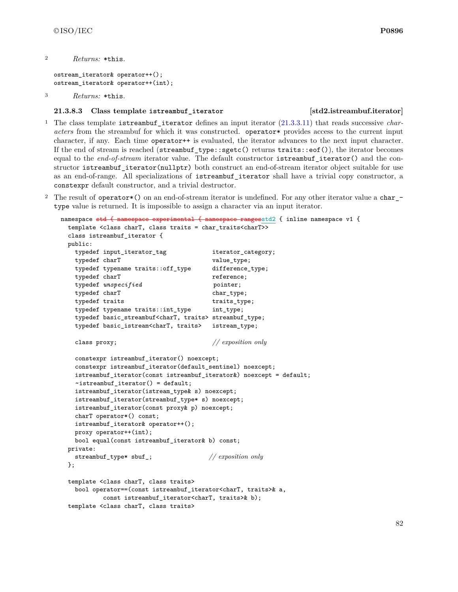```
2 Returns: *this.
```

```
ostream_iterator& operator++();
ostream_iterator& operator++(int);
```

```
3 Returns: *this.
```
## **21.3.8.3 Class template istreambuf\_iterator [std2.istreambuf.iterator]**

<sup>1</sup> The class template istreambuf\_iterator defines an input iterator [\(21.3.3.11\)](#page-37-0) that reads successive *characters* from the streambuf for which it was constructed. operator\* provides access to the current input character, if any. Each time operator++ is evaluated, the iterator advances to the next input character. If the end of stream is reached ( $\{streambut\ type::sqrt()$  returns traits::eof()), the iterator becomes equal to the *end-of-stream* iterator value. The default constructor istreambuf\_iterator() and the constructor istreambuf iterator(nullptr) both construct an end-of-stream iterator object suitable for use as an end-of-range. All specializations of istreambuf\_iterator shall have a trivial copy constructor, a constexpr default constructor, and a trivial destructor.

<sup>2</sup> The result of operator\*() on an end-of-stream iterator is undefined. For any other iterator value a char\_ type value is returned. It is impossible to assign a character via an input iterator.

```
namespace std { namespace experimental { namespace rangesstd2 { inline namespace v1 {
 template <class charT, class traits = char_traits<charT>>
 class istreambuf_iterator {
 public:
   typedef input_iterator_tag iterator_category;
   typedef charT value_type;
   typedef typename traits::off_type difference_type;
   typedef charT reference;
   typedef unspecified pointer;
   typedef charT chartype;
   typedef traits traits_type;
   typedef typename traits::int_type int_type;
   typedef basic_streambuf<charT, traits> streambuf_type;
   typedef basic_istream<charT, traits> istream_type;
   class proxy; // exposition only
   constexpr istreambuf_iterator() noexcept;
   constexpr istreambuf_iterator(default_sentinel) noexcept;
   istreambuf_iterator(const istreambuf_iterator&) noexcept = default;
   ~istreambuf_iterator() = default;
   istreambuf_iterator(istream_type& s) noexcept;
   istreambuf_iterator(streambuf_type* s) noexcept;
   istreambuf_iterator(const proxy& p) noexcept;
   charT operator*() const;
   istreambuf_iterator& operator++();
   proxy operator++(int);
   bool equal(const istreambuf_iterator& b) const;
 private:
   streambuf_type* sbuf_; // exposition only
 };
 template <class charT, class traits>
   bool operator==(const istreambuf_iterator<charT, traits>& a,
          const istreambuf_iterator<charT, traits>& b);
 template <class charT, class traits>
```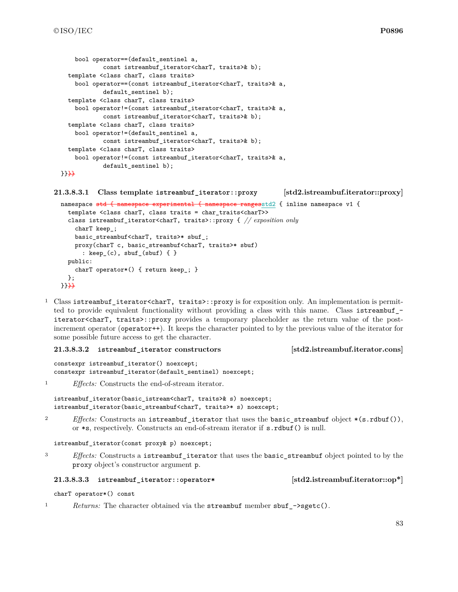```
bool operator==(default_sentinel a,
            const istreambuf_iterator<charT, traits>& b);
  template <class charT, class traits>
    bool operator==(const istreambuf_iterator<charT, traits>& a,
            default_sentinel b);
  template <class charT, class traits>
    bool operator!=(const istreambuf_iterator<charT, traits>& a,
            const istreambuf_iterator<charT, traits>& b);
  template <class charT, class traits>
    bool operator!=(default_sentinel a,
            const istreambuf_iterator<charT, traits>& b);
  template <class charT, class traits>
    bool operator!=(const istreambuf_iterator<charT, traits>& a,
           default_sentinel b);
}}}}
```

```
21.3.8.3.1 Class template istreambuf_iterator::proxy [std2.istreambuf.iterator::proxy]
 namespace std { namespace experimental { namespace rangesstd2 { inline namespace v1 {
   template <class charT, class traits = char_traits<charT>>
   class istreambuf_iterator<charT, traits>::proxy { // exposition only
     charT keep_;
     basic_streambuf<charT, traits>* sbuf_;
     proxy(charT c, basic_streambuf<charT, traits>* sbuf)
       : keep_(c), sbuf_(sbuf) { }
   public:
     charT operator*() { return keep_; }
   };
 }}}}
```
<sup>1</sup> Class istreambuf\_iterator<charT, traits>::proxy is for exposition only. An implementation is permitted to provide equivalent functionality without providing a class with this name. Class istreambuf\_ iterator<charT, traits>::proxy provides a temporary placeholder as the return value of the postincrement operator (operator++). It keeps the character pointed to by the previous value of the iterator for some possible future access to get the character.

### **21.3.8.3.2 istreambuf\_iterator constructors [std2.istreambuf.iterator.cons]**

constexpr istreambuf iterator() noexcept; constexpr istreambuf\_iterator(default\_sentinel) noexcept;

<sup>1</sup> *Effects:* Constructs the end-of-stream iterator.

```
istreambuf_iterator(basic_istream<charT, traits>& s) noexcept;
istreambuf_iterator(basic_streambuf<charT, traits>* s) noexcept;
```
2 *Effects:* Constructs an istreambuf\_iterator that uses the basic\_streambuf object  $*(s.rdbuf())$ , or \*s, respectively. Constructs an end-of-stream iterator if s.rdbuf() is null.

```
istreambuf_iterator(const proxy& p) noexcept;
```
<sup>3</sup> *Effects:* Constructs a istreambuf\_iterator that uses the basic\_streambuf object pointed to by the proxy object's constructor argument p.

## **21.3.8.3.3 istreambuf\_iterator::operator\* [std2.istreambuf.iterator::op\*]**

charT operator\*() const

<sup>1</sup> *Returns:* The character obtained via the streambuf member sbuf ->sgetc().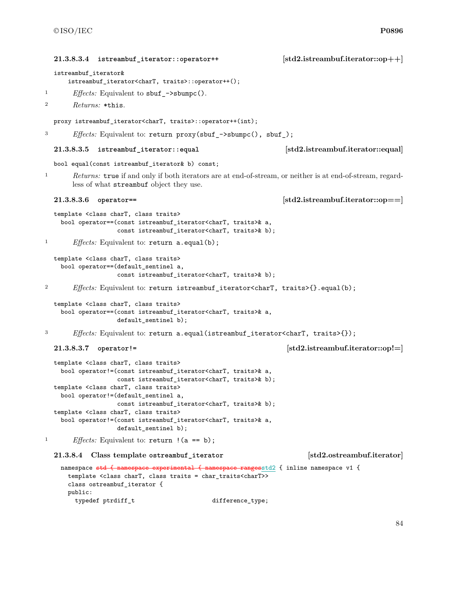**21.3.8.3.4 istreambuf\_iterator::operator++ [std2.istreambuf.iterator::op++]** istreambuf\_iterator& istreambuf\_iterator<charT, traits>::operator++(); <sup>1</sup> *Effects:* Equivalent to sbuf\_->sbumpc(). <sup>2</sup> *Returns:* \*this. proxy istreambuf\_iterator<charT, traits>::operator++(int); <sup>3</sup> *Effects:* Equivalent to: return proxy(sbuf\_->sbumpc(), sbuf\_); **21.3.8.3.5 istreambuf\_iterator::equal [std2.istreambuf.iterator::equal]** bool equal(const istreambuf\_iterator& b) const; <sup>1</sup> *Returns:* true if and only if both iterators are at end-of-stream, or neither is at end-of-stream, regardless of what streambuf object they use. **21.3.8.3.6 operator== [std2.istreambuf.iterator::op==]** template <class charT, class traits> bool operator==(const istreambuf\_iterator<charT, traits>& a, const istreambuf\_iterator<charT, traits>& b); <sup>1</sup> *Effects:* Equivalent to: return a.equal(b); template <class charT, class traits> bool operator==(default\_sentinel a, const istreambuf\_iterator<charT, traits>& b); 2 *Effects:* Equivalent to: return istreambuf\_iterator<charT, traits>{}.equal(b); template <class charT, class traits> bool operator==(const istreambuf\_iterator<charT, traits>& a, default\_sentinel b); <sup>3</sup> *Effects:* Equivalent to: return a.equal(istreambuf\_iterator<charT, traits>{}); **21.3.8.3.7 operator!= [std2.istreambuf.iterator::op!=]** template <class charT, class traits> bool operator!=(const istreambuf\_iterator<charT, traits>& a, const istreambuf\_iterator<charT, traits>& b); template <class charT, class traits> bool operator!=(default\_sentinel a, const istreambuf\_iterator<charT, traits>& b); template <class charT, class traits> bool operator!=(const istreambuf\_iterator<charT, traits>& a, default\_sentinel b); <sup>1</sup> *Effects:* Equivalent to: return ! (a == b); **21.3.8.4 Class template ostreambuf\_iterator [std2.ostreambuf.iterator]** namespace std { namespace experimental { namespace rangesstd2 { inline namespace v1 { template <class charT, class traits = char\_traits<charT>> class ostreambuf\_iterator { public:

typedef ptrdiff\_t difference\_type;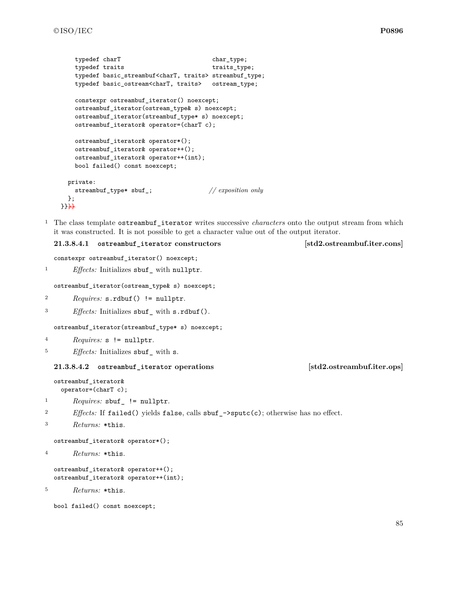```
typedef charT chartype;
   typedef traits traits_type;
   typedef basic_streambuf<charT, traits> streambuf_type;
   typedef basic_ostream<charT, traits> ostream_type;
   constexpr ostreambuf_iterator() noexcept;
   ostreambuf_iterator(ostream_type& s) noexcept;
   ostreambuf_iterator(streambuf_type* s) noexcept;
   ostreambuf_iterator& operator=(charT c);
   ostreambuf_iterator& operator*();
   ostreambuf_iterator& operator++();
   ostreambuf_iterator& operator++(int);
   bool failed() const noexcept;
 private:
   streambuf_type* sbuf_; // exposition only
 };
}}}}
```
<sup>1</sup> The class template ostreambuf\_iterator writes successive *characters* onto the output stream from which it was constructed. It is not possible to get a character value out of the output iterator.

### **21.3.8.4.1 ostreambuf\_iterator constructors [std2.ostreambuf.iter.cons]**

constexpr ostreambuf\_iterator() noexcept;

<sup>1</sup> *Effects:* Initializes sbuf<sub>\_</sub> with nullptr.

ostreambuf\_iterator(ostream\_type& s) noexcept;

```
2 Requires: s.rdbuf() != nullptr.
```
<sup>3</sup> *Effects:* Initializes sbuf\_ with s.rdbuf().

ostreambuf\_iterator(streambuf\_type\* s) noexcept;

- <sup>4</sup> *Requires:* s != nullptr.
- <sup>5</sup> *Effects:* Initializes sbuf<sub>\_</sub> with s.

### **21.3.8.4.2 ostreambuf\_iterator operations [std2.ostreambuf.iter.ops]**

```
ostreambuf_iterator&
  operator=(charT c);
```
- <sup>1</sup> *Requires:* sbuf\_ != nullptr.
- <sup>2</sup> *Effects:* If failed() yields false, calls sbuf\_->sputc(c); otherwise has no effect.

```
3 Returns: *this.
```
ostreambuf\_iterator& operator\*();

```
4 Returns: *this.
```

```
ostreambuf_iterator& operator++();
ostreambuf_iterator& operator++(int);
```

```
5 Returns: *this.
```
bool failed() const noexcept;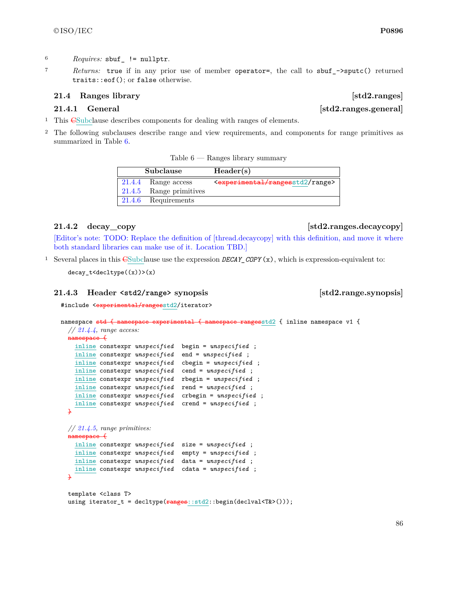$6$  *Requires:* sbuf  $!$  = nullptr.

<sup>7</sup> *Returns:* true if in any prior use of member operator=, the call to sbuf\_->sputc() returned traits::eof(); or false otherwise.

## **21.4 Ranges library and all the set of the set of the set of the set of the set of the set of the set of the set of the set of the set of the set of the set of the set of the set of the set of the set of the set of the se**

## **21.4.1 General 1.6.1.1 General**

- <sup>1</sup> This GSubclause describes components for dealing with ranges of elements.
- <sup>2</sup> The following subclauses describe range and view requirements, and components for range primitives as summarized in Table [6.](#page-87-0)

<span id="page-87-0"></span>

| Table 6 |  |  | Ranges library summary |
|---------|--|--|------------------------|
|---------|--|--|------------------------|

|        | Subclause               | Header(s)                                            |
|--------|-------------------------|------------------------------------------------------|
|        | 21.4.4 Range access     | <experimental range="" rangesstd2=""></experimental> |
|        | 21.4.5 Range primitives |                                                      |
| 21.4.6 | Requirements            |                                                      |

## **21.4.2** decay copy **and the set of state of state and state of state and state and state and state and state and state and state and state and state and state and state and state and state and state and state and state an**

[Editor's note: TODO: Replace the definition of [thread.decaycopy] with this definition, and move it where both standard libraries can make use of it. Location TBD.]

<sup>1</sup> Several places in this CSubclause use the expression *DECAY\_COPY* (x), which is expression-equivalent to:

decay\_t<decltype((x))>(x)

## **21.4.3 Header <std2/range> synopsis [std2.range.synopsis]**

```
#include < experimental/rangesstd2/iterator>
```

```
namespace std \{ namespace experimental \{ namespace ranges\text{std2} \{ inline namespace v1 \{// 21.4.4, range access:
 namespace {
    inline constexpr unspecified begin = unspecified ;
    inline constexpr unspecified end = unspecified ;
    inline constexpr unspecified cbegin = unspecified ;
    inline constexpr unspecified cend = unspecified ;
    inline constexpr unspecified rbegin = unspecified ;
    inline constexpr unspecified rend = unspecified ;
    inline constexpr unspecified crbegin = unspecified ;
    inline constexpr unspecified crend = unspecified ;
  \overline{1}// 21.4.5, range primitives:
  namespace {
    inline constexpr unspecified size = unspecified ;
    inline constexpr unspecified empty = unspecified ;
    inline constexpr unspecified data = unspecified ;
    inline constexpr unspecified cdata = unspecified ;
  \ddot{\ddag}template <class T>
  using iterator_t = decltype(ranges::std2::begin(declval<T&>()));
```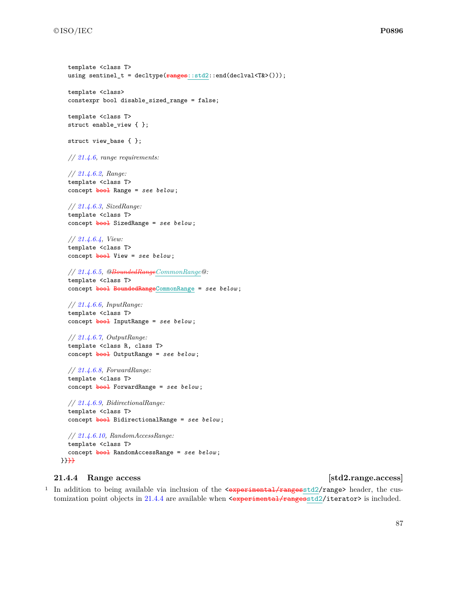```
template <class T>
using sentinel_t = decltype(ranges::std2::end(declval<T&>()));
```

```
template <class>
constexpr bool disable_sized_range = false;
```
template <class T> struct enable\_view { };

struct view\_base { };

*// [21.4.6,](#page-92-0) range requirements:*

*// [21.4.6.2,](#page-93-0) Range:* template <class T> concept bool Range = *see below* ;

*// [21.4.6.3,](#page-93-1) SizedRange:* template <class T> concept bool SizedRange = *see below* ;

*// [21.4.6.4,](#page-94-0) View:* template <class T> concept bool View = *see below* ;

*// [21.4.6.5,](#page-95-0) @BoundedRangeCommonRange@:* template <class T> concept bool BoundedRangeCommonRange = *see below* ;

*// [21.4.6.6,](#page-95-1) InputRange:* template <class T> concept bool InputRange = *see below* ;

*// [21.4.6.7,](#page-95-2) OutputRange:* template <class R, class T> concept bool OutputRange = *see below* ;

*// [21.4.6.8,](#page-95-3) ForwardRange:* template <class T> concept bool ForwardRange = *see below* ;

*// [21.4.6.9,](#page-95-4) BidirectionalRange:* template <class T> concept bool BidirectionalRange = *see below* ;

*// [21.4.6.10,](#page-95-5) RandomAccessRange:* template <class T> concept bool RandomAccessRange = *see below* ; }}}}

## <span id="page-88-0"></span>**21.4.4 Range access [std2.range.access]**

<sup>1</sup> In addition to being available via inclusion of the  $\epsilon$ **xperimental/rangesstd2/range>** header, the cus-tomization point objects in [21.4.4](#page-88-0) are available when  $\leq$   $\leq$   $\leq$   $\leq$   $\leq$   $\leq$   $\leq$   $\leq$   $\leq$   $\leq$   $\leq$   $\leq$   $\leq$   $\leq$   $\leq$   $\leq$   $\leq$   $\leq$   $\leq$   $\leq$   $\leq$   $\leq$   $\leq$   $\leq$   $\leq$   $\leq$   $\leq$   $\leq$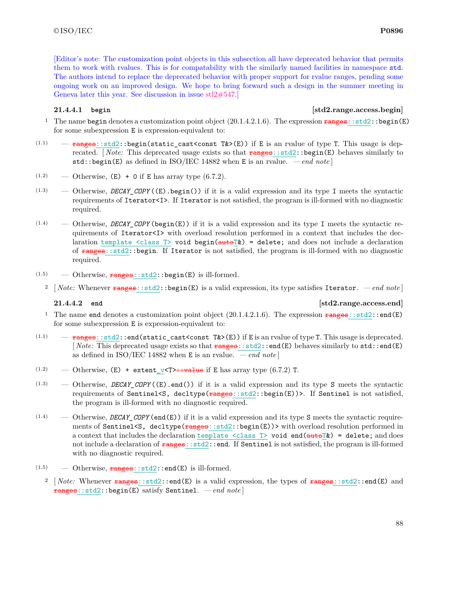[Editor's note: The customization point objects in this subsection all have deprecated behavior that permits them to work with rvalues. This is for compatability with the similarly named facilities in namespace std. The authors intend to replace the deprecated behavior with proper support for rvalue ranges, pending some ongoing work on an improved design. We hope to bring forward such a design in the summer meeting in Geneva later this year. See discussion in issue [stl2#547.](https://github.com/ericniebler/stl2/issues/547)]

## **21.4.4.1 begin [std2.range.access.begin]**

- <sup>1</sup> The name begin denotes a customization point object  $(20.1.4.2.1.6)$ . The expression ranges::std2::begin(E) for some subexpression E is expression-equivalent to:
- $(1.1)$  ranges: std2::begin(static\_cast<const T&>(E)) if E is an rvalue of type T. This usage is deprecated. [*Note:* This deprecated usage exists so that  $\overline{\text{ranges}}$ :  $\text{std2}$ :  $\text{begin}(E)$  behaves similarly to std::begin(E) as defined in ISO/IEC 14882 when E is an rvalue. *— end note* ]
- $(1.2)$  Otherwise,  $(E) + 0$  if E has array type  $(6.7.2)$ .
- $(1.3)$  Otherwise, *DECAY\_COPY* ((E). begin()) if it is a valid expression and its type I meets the syntactic requirements of Iterator<I>. If Iterator is not satisfied, the program is ill-formed with no diagnostic required.
- (1.4) Otherwise, *DECAY\_COPY* (begin(E)) if it is a valid expression and its type I meets the syntactic requirements of Iterator<I> with overload resolution performed in a context that includes the declaration template  $\langle$ class T> void begin( $\frac{a}{a+b}$ ) = delete; and does not include a declaration of ranges::std2::begin. If Iterator is not satisfied, the program is ill-formed with no diagnostic required.
- $(1.5)$  Otherwise, ranges:  $std2$ :  $begin(E)$  is ill-formed.
	- <sup>2</sup> [*Note:* Whenever ranges::std2::begin(E) is a valid expression, its type satisfies Iterator.  *end note* ]

## **21.4.4.2 end [std2.range.access.end]**

- <sup>1</sup> The name end denotes a customization point object  $(20.1.4.2.1.6)$ . The expression ranges::std2::end(E) for some subexpression E is expression-equivalent to:
- $(1.1)$  ranges: : std2:: end(static\_cast<const T&>(E)) if E is an rvalue of type T. This usage is deprecated. [*Note:* This deprecated usage exists so that  $\frac{\text{ranges}}{\text{rangles}}$ :  $\text{std}(E)$  behaves similarly to  $\text{std}$ :  $\text{end}(E)$ as defined in ISO/IEC 14882 when  $E$  is an rvalue.  $\,-$  *end note* ]
- (1.2) Otherwise,  $(E)$  + extent\_v<T>:: value if E has array type (6.7.2) T.
- $(1.3)$  Otherwise, *DECAY* COPY( $(E)$ .end()) if it is a valid expression and its type S meets the syntactic requirements of Sentinel<S, decltype( $r$ anges::std2::begin(E))>. If Sentinel is not satisfied, the program is ill-formed with no diagnostic required.
- $(1.4)$  Otherwise, *DECAY\_COPY* (end(E)) if it is a valid expression and its type S meets the syntactic requirements of Sentinel<S, decltype( $r$ anges::std2::begin(E))> with overload resolution performed in a context that includes the declaration template  $\langle \text{class } \rangle$  void end ( $\text{autoT&o}$ ) = delete; and does not include a declaration of  $r$ anges::std2::end. If Sentinel is not satisfied, the program is ill-formed with no diagnostic required.
- $(1.5)$  Otherwise, ranges: : std2:: end(E) is ill-formed.
	- <sup>2</sup> [*Note:* Whenever ranges::std2::end(E) is a valid expression, the types of ranges::std2::end(E) and ranges::std2::begin(E) satisfy Sentinel. *— end note* ]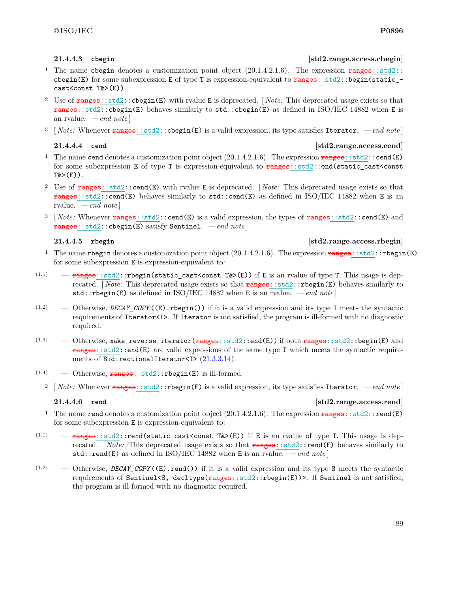## **21.4.4.3 cbegin [std2.range.access.cbegin]**

- <sup>1</sup> The name cbegin denotes a customization point object  $(20.1.4.2.1.6)$ . The expression ranges::std2:: cbegin(E) for some subexpression E of type T is expression-equivalent to  $\overline{\text{ranges}}$ : std2::begin(static cast<const T&>(E)).
- <sup>2</sup> Use of ranges::std2::cbegin(E) with rvalue E is deprecated. [ *Note:* This deprecated usage exists so that ranges::std2::cbegin(E) behaves similarly to std::cbegin(E) as defined in ISO/IEC 14882 when E is an rvalue. *— end note* ]
- 3 [*Note:* Whenever ranges::std2::cbegin(E) is a valid expression, its type satisfies Iterator.  *end note* ]

## **21.4.4.4 cend [std2.range.access.cend]**

- <sup>1</sup> The name cend denotes a customization point object  $(20.1.4.2.1.6)$ . The expression  $\frac{r_{\text{anges}}}{}: \text{std2}$ : cend(E) for some subexpression E of type T is expression-equivalent to ranges::std2::end(static\_cast<const  $T&>(E)$ ).
- <sup>2</sup> Use of ranges::std2::cend(E) with rvalue E is deprecated. [ *Note:* This deprecated usage exists so that ranges::std2::cend(E) behaves similarly to std::cend(E) as defined in ISO/IEC 14882 when E is an rvalue. *— end note* ]
- 3 *[Note:* Whenever  $r$ **anges**::std2::cend(E) is a valid expression, the types of  $r$ **anges**::std2::cend(E) and ranges::std2::cbegin(E) satisfy Sentinel. *— end note* ]

## **21.4.4.5 rbegin [std2.range.access.rbegin]**

- <sup>1</sup> The name rbegin denotes a customization point object  $(20.1.4.2.1.6)$ . The expression ranges::std2::rbegin(E) for some subexpression E is expression-equivalent to:
- $(1.1)$  ranges: :std2::rbegin(static\_cast<const T&>(E)) if E is an rvalue of type T. This usage is deprecated. [*Note:* This deprecated usage exists so that  $\frac{\text{ranges}}{\text{rangles}}$ :  $\text{std2}: \text{rbegin}}$  (E) behaves similarly to std::rbegin(E) as defined in ISO/IEC 14882 when E is an rvalue. *— end note* ]
- $(1.2)$  Otherwise, *DECAY\_COPY* ((E). rbegin()) if it is a valid expression and its type I meets the syntactic requirements of Iterator<I>. If Iterator is not satisfied, the program is ill-formed with no diagnostic required.
- $(1.3)$  Otherwise, make\_reverse\_iterator(ranges::std2::end(E)) if both ranges::std2::begin(E) and ranges::std2::end(E) are valid expressions of the same type I which meets the syntactic requirements of BidirectionalIterator<I>  $(21.3.3.14)$ .
- $(1.4)$  Otherwise,  $r$ anges::std2::rbegin(E) is ill-formed.
	- <sup>2</sup> [*Note:* Whenever **ranges**::std2::rbegin(E) is a valid expression, its type satisfies Iterator.  *end note* ]

## **21.4.4.6 rend [std2.range.access.rend]**

- <sup>1</sup> The name rend denotes a customization point object  $(20.1.4.2.1.6)$ . The expression ranges::std2::rend(E) for some subexpression E is expression-equivalent to:
- $(1.1)$  ranges::std2::rend(static\_cast<const T&>(E)) if E is an rvalue of type T. This usage is deprecated. [*Note:* This deprecated usage exists so that  $\overline{\text{ranges}}$ :  $\text{std2}$ :  $\text{rend}(E)$  behaves similarly to std::rend(E) as defined in ISO/IEC 14882 when E is an rvalue. *— end note* ]
- $(1.2)$  Otherwise, *DECAY\_COPY* ( $(E)$ . rend()) if it is a valid expression and its type S meets the syntactic requirements of Sentinel<S, decltype( $\texttt{ranges}::std2::rbegin(E))$ ). If Sentinel is not satisfied, the program is ill-formed with no diagnostic required.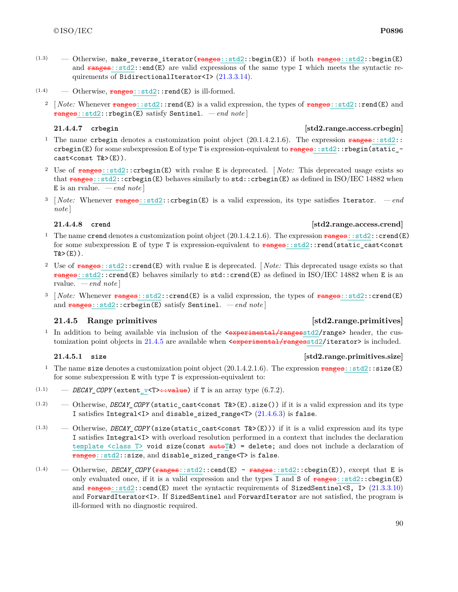- $(1.3)$  Otherwise, make reverse iterator(ranges::std2::begin(E)) if both ranges::std2::begin(E) and  $\overline{\text{ranges}}$ :  $\text{std2}$ :  $\text{end}(E)$  are valid expressions of the same type I which meets the syntactic requirements of BidirectionalIterator $\langle I \rangle$  [\(21.3.3.14\)](#page-38-0).
- $(1.4)$  Otherwise, ranges::std2::rend(E) is ill-formed.
	- <sup>2</sup> [*Note:* Whenever ranges::std2::rend(E) is a valid expression, the types of ranges::std2::rend(E) and ranges::std2::rbegin(E) satisfy Sentinel. *— end note* ]

## **21.4.4.7 crbegin [std2.range.access.crbegin]**

- <sup>1</sup> The name crosegin denotes a customization point object  $(20.1.4.2.1.6)$ . The expression ranges::std2:: crbegin(E) for some subexpression E of type T is expression-equivalent to  $\frac{r_{\text{ampes}}}{}$ : std2: : rbegin(static cast<const T&>(E)).
- <sup>2</sup> Use of ranges::std2::crbegin(E) with rvalue E is deprecated. [ *Note:* This deprecated usage exists so that  $\frac{\text{range}}{\text{range}}$ : std2::crbegin(E) behaves similarly to std::crbegin(E) as defined in ISO/IEC 14882 when E is an rvalue.  $\ - end \ note$
- <sup>3</sup> [ *Note:* Whenever ranges::std2::crbegin(E) is a valid expression, its type satisfies Iterator.  *end note* ]

- <sup>1</sup> The name crend denotes a customization point object  $(20.1.4.2.1.6)$ . The expression ranges::std2::crend(E) for some subexpression E of type T is expression-equivalent to  $\frac{range}{range}:std2::rend(\text{static\_cast} < \text{const})$  $T&>(E)$ ).
- <sup>2</sup> Use of ranges::std2::crend(E) with rvalue E is deprecated. [ *Note:* This deprecated usage exists so that  $r$ anges::std2::crend(E) behaves similarly to std::crend(E) as defined in ISO/IEC 14882 when E is an rvalue. *— end note* ]
- 3 *[Note:* Whenever ranges: : std2:: crend(E) is a valid expression, the types of ranges: : std2:: crend(E) and **ranges**::std2::crbegin(E) satisfy Sentinel. *— end note* ]

## <span id="page-91-0"></span>**21.4.5 Range primitives [std2.range.primitives]**

<sup>1</sup> In addition to being available via inclusion of the  $\leq$ **xperimental/rangesstd2/range>** header, the cus-tomization point objects in [21.4.5](#page-91-0) are available when  $\leq$ **experimental/rangesstd2/iterator>** is included.

- **21.4.5.1 size [std2.range.primitives.size]**
- <sup>1</sup> The name size denotes a customization point object  $(20.1.4.2.1.6)$ . The expression  $\frac{r_{\text{anges}}}{}: \text{std2}: \text{size}(E)$ for some subexpression E with type T is expression-equivalent to:
- $(1.1)$  *DECAY\_COPY* (extent\_v<T>:: value) if T is an array type  $(6.7.2)$ .
- $(1.2)$  Otherwise, *DECAY* COPY (static cast <const T& $>(E)$ .size()) if it is a valid expression and its type I satisfies Integral<I> and disable\_sized\_range<T>  $(21.4.6.3)$  is false.
- $(1.3)$  Otherwise, *DECAY\_COPY* (size (static\_cast<const T&>(E))) if it is a valid expression and its type I satisfies Integral<I> with overload resolution performed in a context that includes the declaration template  $\langle \text{class} \rangle$  void size(const autoT&) = delete; and does not include a declaration of ranges::std2::size, and disable\_sized\_range<T> is false.
- $(1.4)$  Otherwise, *DECAY\_COPY* ( $\overline{\text{ranges}}$ : std2::cend(E)  $\overline{\text{ranges}}$ : std2::cbegin(E)), except that E is only evaluated once, if it is a valid expression and the types I and S of  $\overline{\text{ranges}}$ : $\text{std2}$ : $\text{cbegin}}$  $\mathbf{E}$ ) and  $r$ anges::std2::cend(E) meet the syntactic requirements of SizedSentinel<S, I> [\(21.3.3.10\)](#page-37-1) and ForwardIterator<I>. If SizedSentinel and ForwardIterator are not satisfied, the program is ill-formed with no diagnostic required.

## **21.4.4.8 crend [std2.range.access.crend]**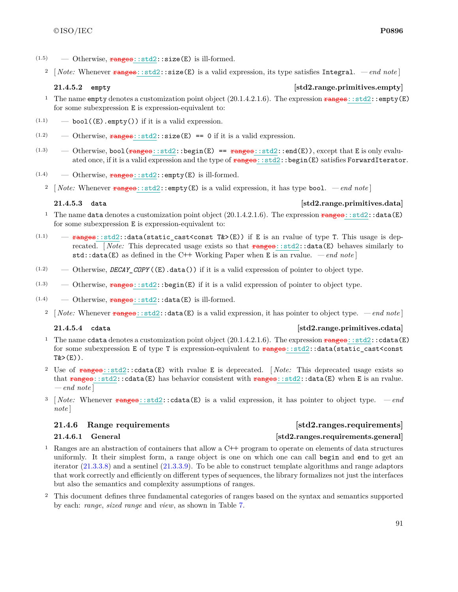- $(1.5)$  Otherwise, ranges: : std2: : size(E) is ill-formed.
	- <sup>2</sup> [*Note:* Whenever ranges::std2::size(E) is a valid expression, its type satisfies Integral.  *end note* ]

### **21.4.5.2 empty [std2.range.primitives.empty]**

- <sup>1</sup> The name empty denotes a customization point object  $(20.1.4.2.1.6)$ . The expression ranges::std2::empty(E) for some subexpression E is expression-equivalent to:
- $(1.1)$  bool( $(E)$ . empty()) if it is a valid expression.
- $(1.2)$  Otherwise, ranges::std2::size(E) == 0 if it is a valid expression.
- $(1.3)$  Otherwise, bool (ranges:  $std2$ : begin(E) == ranges:  $std2$ : end(E)), except that E is only evaluated once, if it is a valid expression and the type of  $r$ anges::std2::begin(E) satisfies ForwardIterator.
- $(1.4)$  Otherwise, ranges: : std2:: empty(E) is ill-formed.
	- <sup>2</sup> [*Note:* Whenever **ranges**::std2::empty(E) is a valid expression, it has type bool.  *end note* ]

## **21.4.5.3 data [std2.range.primitives.data]**

- <sup>1</sup> The name data denotes a customization point object  $(20.1.4.2.1.6)$ . The expression  $\frac{r_{\text{anges}}}{}: \text{std2}$ : data(E) for some subexpression E is expression-equivalent to:
- $(1.1)$  ranges: std2::data(static\_cast<const T&>(E)) if E is an rvalue of type T. This usage is deprecated. *Note:* This deprecated usage exists so that **ranges**::std2::data(E) behaves similarly to std::data(E) as defined in the C**++** Working Paper when E is an rvalue. *— end note* ]
- $(1.2)$  Otherwise, *DECAY\_COPY* ( $(E)$ .data()) if it is a valid expression of pointer to object type.
- $(1.3)$  Otherwise, ranges: : std2::begin(E) if it is a valid expression of pointer to object type.
- $(1.4)$  Otherwise, ranges: : std2::data(E) is ill-formed.
	- <sup>2</sup> [*Note:* Whenever ranges::std2::data(E) is a valid expression, it has pointer to object type.  *end note* ]

- <sup>1</sup> The name cdata denotes a customization point object  $(20.1.4.2.1.6)$ . The expression ranges::std2::cdata(E) for some subexpression E of type T is expression-equivalent to ranges::std2::data(static\_cast<const  $T&>(E)$ ).
- <sup>2</sup> Use of ranges::std2::cdata(E) with rvalue E is deprecated. [ *Note:* This deprecated usage exists so that  $r$ anges::std2::cdata(E) has behavior consistent with  $r$ anges::std2::data(E) when E is an rvalue. *— end note* ]
- <sup>3</sup> [ *Note:* Whenever ranges::std2::cdata(E) is a valid expression, it has pointer to object type.  *end note* ]

## <span id="page-92-0"></span>**21.4.6 Range requirements [std2.ranges.requirements]**

- <sup>1</sup> Ranges are an abstraction of containers that allow a C**++** program to operate on elements of data structures uniformly. It their simplest form, a range object is one on which one can call begin and end to get an iterator [\(21.3.3.8\)](#page-36-0) and a sentinel [\(21.3.3.9\)](#page-36-1). To be able to construct template algorithms and range adaptors that work correctly and efficiently on different types of sequences, the library formalizes not just the interfaces but also the semantics and complexity assumptions of ranges.
- <sup>2</sup> This document defines three fundamental categories of ranges based on the syntax and semantics supported by each: *range*, *sized range* and *view*, as shown in Table [7.](#page-93-2)

## **21.4.5.4 cdata [std2.range.primitives.cdata]**

## **21.4.6.1 General [std2.ranges.requirements.general]**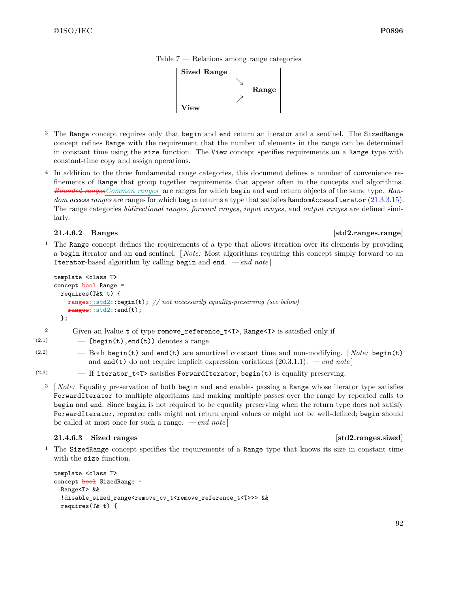

<span id="page-93-2"></span>

- <sup>3</sup> The Range concept requires only that begin and end return an iterator and a sentinel. The SizedRange concept refines Range with the requirement that the number of elements in the range can be determined in constant time using the size function. The View concept specifies requirements on a Range type with constant-time copy and assign operations.
- <sup>4</sup> In addition to the three fundamental range categories, this document defines a number of convenience refinements of Range that group together requirements that appear often in the concepts and algorithms. *Bounded ranges Common ranges* are ranges for which begin and end return objects of the same type. Ran*dom access ranges* are ranges for which begin returns a type that satisfies RandomAccessIterator [\(21.3.3.15\)](#page-39-0). The range categories *bidirectional ranges*, *forward ranges*, *input ranges*, and *output ranges* are defined similarly.

## <span id="page-93-0"></span>**21.4.6.2 Ranges [std2.ranges.range]**

<sup>1</sup> The Range concept defines the requirements of a type that allows iteration over its elements by providing a begin iterator and an end sentinel. [ *Note:* Most algorithms requiring this concept simply forward to an Iterator-based algorithm by calling begin and end. *— end note* ]

```
template <class T>
concept \frac{1}{2} Range =
  requires(T&& t) {
    ranges::std2::begin(t); // not necessarily equality-preserving (see below)
    ranges::std2::end(t);
  };
```
<sup>2</sup> Given an lvalue t of type remove\_reference\_t<T>, Range<T> is satisfied only if

```
(2.1) - [begin(t),end(t)) denotes a range.
```
 $(2.2)$  — Both begin(t) and end(t) are amortized constant time and non-modifying. [*Note:* begin(t) and end(t) do not require implicit expression variations (20.3.1.1). *— end note* ]

```
(2.3) - If iterator_t<T> satisfies ForwardIterator, begin(t) is equality preserving.
```
<sup>3</sup> [ *Note:* Equality preservation of both begin and end enables passing a Range whose iterator type satisfies ForwardIterator to multiple algorithms and making multiple passes over the range by repeated calls to begin and end. Since begin is not required to be equality preserving when the return type does not satisfy ForwardIterator, repeated calls might not return equal values or might not be well-defined; begin should be called at most once for such a range. *— end note* ]

## <span id="page-93-1"></span>**21.4.6.3 Sized ranges [std2.ranges.sized]**

<sup>1</sup> The SizedRange concept specifies the requirements of a Range type that knows its size in constant time with the size function.

```
template <class T>
concept bool SizedRange =
 Range<T> &&
  !disable_sized_range<remove_cv_t<remove_reference_t<T>>> &&
 requires(T& t) {
```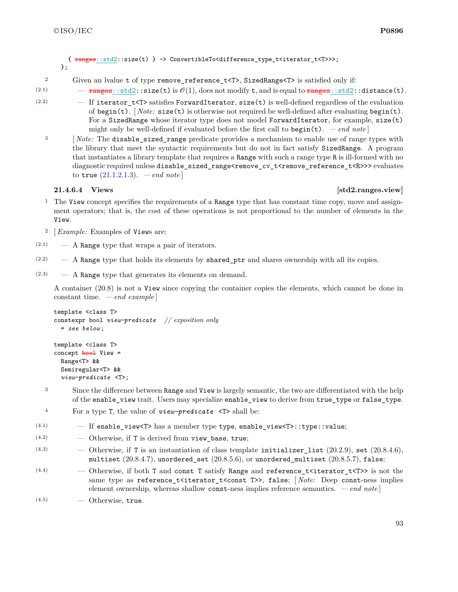## { ranges::std2::size(t) } -> ConvertibleTo<difference type t<iterator t<T>>>;

};

<sup>2</sup> Given an lvalue t of type remove\_reference\_t<T>, SizedRange<T> is satisfied only if:

- (2.1)  $-$  ranges::std2::size(t) is  $\mathcal{O}(1)$ , does not modify t, and is equal to ranges::std2::distance(t).
- $(2.2)$  If iterator\_t<T> satisfies ForwardIterator, size(t) is well-defined regardless of the evaluation of begin(t). [ *Note:* size(t) is otherwise not required be well-defined after evaluating begin(t). For a SizedRange whose iterator type does not model ForwardIterator, for example, size(t) might only be well-defined if evaluated before the first call to begin(t).  $\,-\,end$  note
	- <sup>3</sup> [*Note:* The **disable\_sized\_range** predicate provides a mechanism to enable use of range types with the library that meet the syntactic requirements but do not in fact satisfy SizedRange. A program that instantiates a library template that requires a Range with such a range type R is ill-formed with no diagnostic required unless disable\_sized\_range<remove\_cv\_t<remove\_reference\_t<R>>> evaluates to true [\(21.1.2.1.3\)](#page-8-0). *— end note* ]

## <span id="page-94-0"></span>**21.4.6.4 Views** Set of the Set of the Set of the Set of the Set of the Set of the Set of the Set of the Set of the Set of the Set of the Set of the Set of the Set of the Set of the Set of the Set of the Set of the Set of

- <sup>1</sup> The View concept specifies the requirements of a Range type that has constant time copy, move and assignment operators; that is, the cost of these operations is not proportional to the number of elements in the View.
- <sup>2</sup> [*Example:* Examples of Views are:
- $(2.1)$  A Range type that wraps a pair of iterators.
- $(2.2)$  A Range type that holds its elements by shared ptr and shares ownership with all its copies.
- (2.3) A Range type that generates its elements on demand.

A container (20.8) is not a View since copying the container copies the elements, which cannot be done in constant time. *— end example* ]

```
template <class T>
constexpr bool view-predicate // exposition only
 = see below ;
template <class T>
concept bool View =
 Range<T> &&
 Semiregular<T> &&
  view-predicate <T>;
```
- <sup>3</sup> Since the difference between Range and View is largely semantic, the two are differentiated with the help of the enable\_view trait. Users may specialize enable\_view to derive from true\_type or false\_type.
- <sup>4</sup> For a type T, the value of *view-predicate* <T> shall be:
- (4.1) If enable\_view<T> has a member type type, enable\_view<T>::type::value;
- $(4.2)$   $\qquad \qquad$   $\qquad$  Otherwise, if T is derived from view base, true;
- (4.3)  $-$  Otherwise, if T is an instantiation of class template initializer\_list  $(20.2.9)$ , set  $(20.8.4.6)$ , multiset  $(20.8.4.7)$ , unordered\_set  $(20.8.5.6)$ , or unordered\_multiset  $(20.8.5.7)$ , false;
- $(4.4)$  Otherwise, if both T and const T satisfy Range and reference\_t<iterator\_t<T>> is not the same type as reference\_t<iterator\_t<const T>>, false; [*Note:* Deep const-ness implies element ownership, whereas shallow const-ness implies reference semantics. *— end note* ]
- $(4.5)$  Otherwise, true.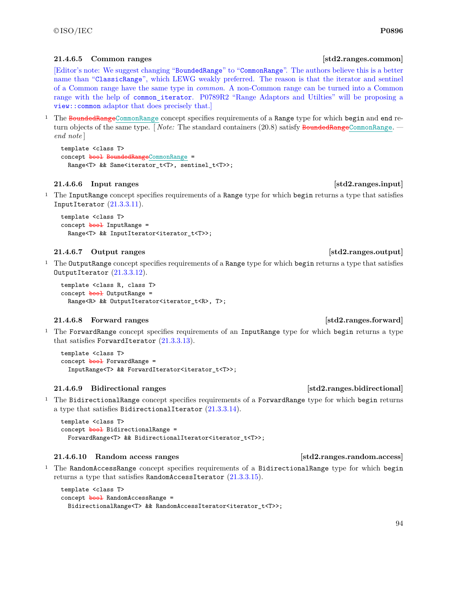## <span id="page-95-0"></span>**21.4.6.5 Common ranges is a common range in the set of the set of std2.ranges.common**

[Editor's note: We suggest changing "BoundedRange" to "CommonRange". The authors believe this is a better name than "ClassicRange", which LEWG weakly preferred. The reason is that the iterator and sentinel of a Common range have the same type in *common*. A non-Common range can be turned into a Common range with the help of common iterator. P0789R2 "Range Adaptors and Utilties" will be proposing a view::common adaptor that does precisely that.]

<sup>1</sup> The BoundedRangeCommonRange concept specifies requirements of a Range type for which begin and end return objects of the same type. [*Note:* The standard containers (20.8) satisfy **BoundedRange**CommonRange. *end note* ]

```
template <class T>
concept bool BoundedRangeCommonRange =
  Range<T> && Same<iterator_t<T>, sentinel_t<T>>;
```
## <span id="page-95-1"></span>**21.4.6.6 Input ranges [std2.ranges.input]**

<sup>1</sup> The InputRange concept specifies requirements of a Range type for which begin returns a type that satisfies InputIterator [\(21.3.3.11\)](#page-37-0).

```
template <class T>
concept boot InputRange =
 Range<T> && InputIterator<iterator_t<T>>;
```
## <span id="page-95-2"></span>**21.4.6.7** Output ranges **and Std2.** [std2.ranges.output]

<sup>1</sup> The **OutputRange** concept specifies requirements of a **Range** type for which begin returns a type that satisfies OutputIterator [\(21.3.3.12\)](#page-38-1).

```
template <class R, class T>
concept boot Output map =
 Range<R> && OutputIterator<iterator_t<R>, T>;
```
## <span id="page-95-3"></span>**21.4.6.8 Forward ranges [std2.ranges.forward]**

<sup>1</sup> The ForwardRange concept specifies requirements of an InputRange type for which begin returns a type that satisfies ForwardIterator  $(21.3.3.13)$ .

```
template <class T>
concept \frac{1}{0} ForwardRange =
  InputRange<T> && ForwardIterator<iterator_t<T>>;
```
## <span id="page-95-4"></span>**21.4.6.9 Bidirectional ranges [std2.ranges.bidirectional]**

<sup>1</sup> The BidirectionalRange concept specifies requirements of a ForwardRange type for which begin returns a type that satisfies BidirectionalIterator [\(21.3.3.14\)](#page-38-0).

```
template <class T>
concept bool BidirectionalRange =
 ForwardRange<T> && BidirectionalIterator<iterator_t<T>>;
```
## <span id="page-95-5"></span>**21.4.6.10 Random access ranges [std2.ranges.random.access]**

 $1$  The RandomAccessRange concept specifies requirements of a BidirectionalRange type for which begin returns a type that satisfies RandomAccessIterator [\(21.3.3.15\)](#page-39-0).

```
template <class T>
concept bool RandomAccessRange =
  BidirectionalRange<T> && RandomAccessIterator<iterator_t<T>>;
```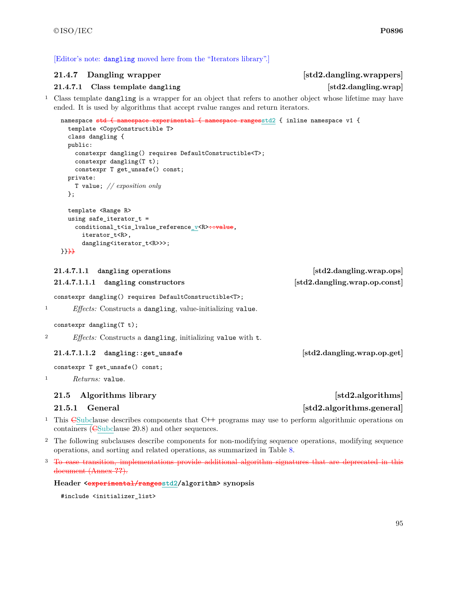## [Editor's note: dangling moved here from the "Iterators library".]

## **21.4.7 Dangling wrapper [std2.dangling.wrappers]**

## **21.4.7.1 Class template dangling [std2.dangling.wrap]**

<sup>1</sup> Class template dangling is a wrapper for an object that refers to another object whose lifetime may have ended. It is used by algorithms that accept rvalue ranges and return iterators.

```
namespace std { namespace experimental { namespace rangesstd2 { inline namespace v1 {
  template <CopyConstructible T>
 class dangling {
  public:
    constexpr dangling() requires DefaultConstructible<T>;
    constexpr dangling(T t);
    constexpr T get_unsafe() const;
 private:
    T value; // exposition only
  };
  template <Range R>
  using safe_iterator_t =
    conditional_t<is_lvalue_reference_v<R>::value,
      iterator_t<R>,
      dangling<iterator_t<R>>>;
}}}}
```
# **21.4.7.1.1 dangling operations [std2.dangling.wrap.ops] 21.4.7.1.1.1 dangling constructors [std2.dangling.wrap.op.const]** constexpr dangling() requires DefaultConstructible<T>; <sup>1</sup> *Effects:* Constructs a dangling, value-initializing value.

constexpr dangling(T t);

<sup>2</sup> *Effects:* Constructs a dangling, initializing value with t.

**21.4.7.1.1.2 dangling::get\_unsafe [std2.dangling.wrap.op.get]**

constexpr T get\_unsafe() const;

<sup>1</sup> *Returns:* value.

## **21.5 Algorithms library and algorithms**  $[std2.]$

- <sup>1</sup> This CSubclause describes components that C**++** programs may use to perform algorithmic operations on containers (CSubclause 20.8) and other sequences.
- <sup>2</sup> The following subclauses describe components for non-modifying sequence operations, modifying sequence operations, and sorting and related operations, as summarized in Table [8.](#page-97-0)
- <sup>3</sup> To ease transition, implementations provide additional algorithm signatures that are deprecated in this document (Annex **??**).

**Header <experimental/rangesstd2/algorithm> synopsis**

#include <initializer\_list>

## **21.5.1 General**  *Constanting Constanting Constanting Constanting Constanting Constanting Constanting Constanting Constanting Constanting Constanting Constanting Constanting Constanting Constanting Constanting Constantin*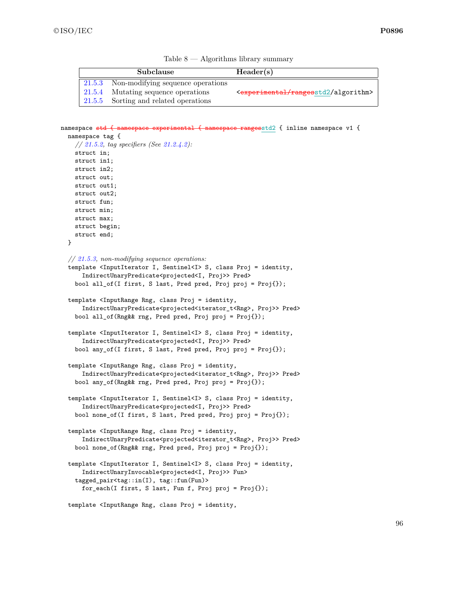|                 | Table $8$ — Algorithms library summary                                                                                                                                                                                                                                                                                                                                                                                                                                                                                                                                                                                                                                                                                                                                                                                    |                                                                                                   |
|-----------------|---------------------------------------------------------------------------------------------------------------------------------------------------------------------------------------------------------------------------------------------------------------------------------------------------------------------------------------------------------------------------------------------------------------------------------------------------------------------------------------------------------------------------------------------------------------------------------------------------------------------------------------------------------------------------------------------------------------------------------------------------------------------------------------------------------------------------|---------------------------------------------------------------------------------------------------|
|                 | Subclause                                                                                                                                                                                                                                                                                                                                                                                                                                                                                                                                                                                                                                                                                                                                                                                                                 | Header(s)                                                                                         |
| 21.5.3          | Non-modifying sequence operations                                                                                                                                                                                                                                                                                                                                                                                                                                                                                                                                                                                                                                                                                                                                                                                         |                                                                                                   |
| 21.5.4          | Mutating sequence operations                                                                                                                                                                                                                                                                                                                                                                                                                                                                                                                                                                                                                                                                                                                                                                                              | <experimental algorithm="" rangesstd2=""></experimental>                                          |
| 21.5.5          | Sorting and related operations                                                                                                                                                                                                                                                                                                                                                                                                                                                                                                                                                                                                                                                                                                                                                                                            |                                                                                                   |
|                 |                                                                                                                                                                                                                                                                                                                                                                                                                                                                                                                                                                                                                                                                                                                                                                                                                           |                                                                                                   |
|                 |                                                                                                                                                                                                                                                                                                                                                                                                                                                                                                                                                                                                                                                                                                                                                                                                                           |                                                                                                   |
|                 |                                                                                                                                                                                                                                                                                                                                                                                                                                                                                                                                                                                                                                                                                                                                                                                                                           | namespace <del>std { namespace experimental { namespace ranges</del> std2 { inline namespace v1 { |
| namespace tag { |                                                                                                                                                                                                                                                                                                                                                                                                                                                                                                                                                                                                                                                                                                                                                                                                                           |                                                                                                   |
|                 | // 21.5.2, tag specifiers (See 21.2.4.2):                                                                                                                                                                                                                                                                                                                                                                                                                                                                                                                                                                                                                                                                                                                                                                                 |                                                                                                   |
| struct in;      |                                                                                                                                                                                                                                                                                                                                                                                                                                                                                                                                                                                                                                                                                                                                                                                                                           |                                                                                                   |
| struct in1;     |                                                                                                                                                                                                                                                                                                                                                                                                                                                                                                                                                                                                                                                                                                                                                                                                                           |                                                                                                   |
| struct in2;     |                                                                                                                                                                                                                                                                                                                                                                                                                                                                                                                                                                                                                                                                                                                                                                                                                           |                                                                                                   |
| struct out;     |                                                                                                                                                                                                                                                                                                                                                                                                                                                                                                                                                                                                                                                                                                                                                                                                                           |                                                                                                   |
| struct out1;    |                                                                                                                                                                                                                                                                                                                                                                                                                                                                                                                                                                                                                                                                                                                                                                                                                           |                                                                                                   |
| struct out2;    |                                                                                                                                                                                                                                                                                                                                                                                                                                                                                                                                                                                                                                                                                                                                                                                                                           |                                                                                                   |
| struct fun;     |                                                                                                                                                                                                                                                                                                                                                                                                                                                                                                                                                                                                                                                                                                                                                                                                                           |                                                                                                   |
| struct min;     |                                                                                                                                                                                                                                                                                                                                                                                                                                                                                                                                                                                                                                                                                                                                                                                                                           |                                                                                                   |
| struct max;     |                                                                                                                                                                                                                                                                                                                                                                                                                                                                                                                                                                                                                                                                                                                                                                                                                           |                                                                                                   |
| struct begin;   |                                                                                                                                                                                                                                                                                                                                                                                                                                                                                                                                                                                                                                                                                                                                                                                                                           |                                                                                                   |
| struct end;     |                                                                                                                                                                                                                                                                                                                                                                                                                                                                                                                                                                                                                                                                                                                                                                                                                           |                                                                                                   |
| }               |                                                                                                                                                                                                                                                                                                                                                                                                                                                                                                                                                                                                                                                                                                                                                                                                                           |                                                                                                   |
|                 | template <inputiterator i,="" sentinel<i=""> S, class Proj = identity,<br/>IndirectUnaryPredicate<projected<i, proj="">&gt; Pred&gt;<br/>bool all_of(I first, S last, Pred pred, Proj proj = Proj{});<br/>template <inputrange class="" proj="identity,&lt;br" rng,="">IndirectUnaryPredicate<projected<iterator_t<rng>, Proj&gt;&gt; Pred&gt;<br/>bool all_of(Rng&amp;&amp; rng, Pred pred, Proj proj = Proj{});<br/>template <inputiterator i,="" sentinel<i="">S, class Proj = identity,<br/>IndirectUnaryPredicate<projected<i, proj="">&gt; Pred&gt;<br/>bool any_of(I first, S last, Pred pred, Proj proj = Proj{});<br/>template <inputrange class="" proj="identity,&lt;/td" rng,=""><td></td></inputrange></projected<i,></inputiterator></projected<iterator_t<rng></inputrange></projected<i,></inputiterator> |                                                                                                   |
|                 | IndirectUnaryPredicate <projected<iterator_t<rng>, Proj&gt;&gt; Pred&gt;<br/>bool any_of(Rng&amp;&amp; rng, Pred pred, Proj proj = Proj{});</projected<iterator_t<rng>                                                                                                                                                                                                                                                                                                                                                                                                                                                                                                                                                                                                                                                    |                                                                                                   |
|                 | template <inputiterator i,="" sentinel<i=""> S, class Proj = identity,<br/>IndirectUnaryPredicate<projected<i, proj="">&gt; Pred&gt;<br/>bool none_of(I first, S last, Pred pred, Proj proj = Proj{});</projected<i,></inputiterator>                                                                                                                                                                                                                                                                                                                                                                                                                                                                                                                                                                                     |                                                                                                   |
|                 | template <inputrange class="" proj="identity,&lt;br" rng,="">IndirectUnaryPredicate<projected<iterator_t<rng>, Proj&gt;&gt; Pred&gt;<br/>bool none_of(Rng&amp;&amp; rng, Pred pred, Proj proj = Proj{});</projected<iterator_t<rng></inputrange>                                                                                                                                                                                                                                                                                                                                                                                                                                                                                                                                                                          |                                                                                                   |
|                 | template <inputiterator i,="" sentinel<i=""> S, class Proj = identity,<br/>IndirectUnaryInvocable<projected<i, proj="">&gt; Fun&gt;<br/>tagged_pair<tag::in(i), tag::fun(fun)=""><br/>for_each(I first, S last, Fun f, Proj proj = Proj{});</tag::in(i),></projected<i,></inputiterator>                                                                                                                                                                                                                                                                                                                                                                                                                                                                                                                                  |                                                                                                   |
|                 | template <inputrange class="" proj="identity,&lt;/td" rng,=""><td></td></inputrange>                                                                                                                                                                                                                                                                                                                                                                                                                                                                                                                                                                                                                                                                                                                                      |                                                                                                   |

<span id="page-97-0"></span>

| Table 8 | Algorithms library summary |  |
|---------|----------------------------|--|
|         |                            |  |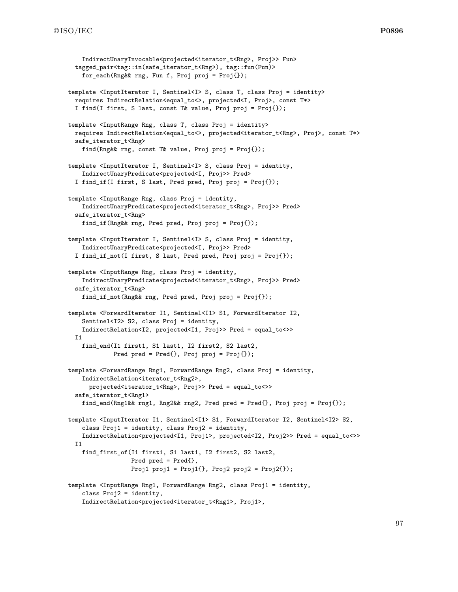```
IndirectUnaryInvocable<projected<iterator t<Rng>, Proj>> Fun>
  tagged_pair<tag::in(safe_iterator_t<Rng>), tag::fun(Fun)>
    for_each(Rng&& rng, Fun f, Proj proj = Proj{});
template <InputIterator I, Sentinel<I> S, class T, class Proj = identity>
  requires IndirectRelation<equal_to<>, projected<I, Proj>, const T*>
  I find(I first, S last, const T& value, Proj proj = Proj{});
template <InputRange Rng, class T, class Proj = identity>
  requires IndirectRelation<equal_to<>, projected<iterator_t<Rng>, Proj>, const T*>
  safe_iterator_t<Rng>
    find(Rng&& rng, const T& value, Proj proj = Proj{});
template <InputIterator I, Sentinel<I> S, class Proj = identity,
    IndirectUnaryPredicate<projected<I, Proj>> Pred>
  I find_if(I first, S last, Pred pred, Proj proj = Proj{});
template <InputRange Rng, class Proj = identity,
    IndirectUnaryPredicate<projected<iterator_t<Rng>, Proj>> Pred>
  safe_iterator_t<Rng>
    find_if(Rng&& rng, Pred pred, Proj proj = Proj{});
template <InputIterator I, Sentinel<I> S, class Proj = identity,
    IndirectUnaryPredicate<projected<I, Proj>> Pred>
  I find_if_not(I first, S last, Pred pred, Proj proj = Proj{});
template <InputRange Rng, class Proj = identity,
    IndirectUnaryPredicate<projected<iterator_t<Rng>, Proj>> Pred>
  safe_iterator_t<Rng>
    find_if_not(Rng&& rng, Pred pred, Proj proj = Proj{});
template <ForwardIterator I1, Sentinel<I1> S1, ForwardIterator I2,
    Sentinel<I2> S2, class Proj = identity,
    IndirectRelation<I2, projected<I1, Proj>> Pred = equal_to<>>
  I1
    find_end(I1 first1, S1 last1, I2 first2, S2 last2,
             Pred pred = Pred{}, Proj proj = Proj{});
template <ForwardRange Rng1, ForwardRange Rng2, class Proj = identity,
    IndirectRelation<iterator_t<Rng2>,
      projected<iterator_t<Rng>, Proj>> Pred = equal_to<>>
  safe_iterator_t<Rng1>
    find_end(Rng1&& rng1, Rng2&& rng2, Pred pred = Pred{}, Proj proj = Proj{});
template <InputIterator I1, Sentinel<I1> S1, ForwardIterator I2, Sentinel<I2> S2,
    class Proj1 = identity, class Proj2 = identity,
    IndirectRelation<projected<I1, Proj1>, projected<I2, Proj2>> Pred = equal_to<>>
  I1
    find_first_of(I1 first1, S1 last1, I2 first2, S2 last2,
                  Pred pred = Pred{},
                  Proj1 proj1 = Proj1\{\}, Proj2 proj2 = Proj2\{\});
template <InputRange Rng1, ForwardRange Rng2, class Proj1 = identity,
    class Proj2 = identity,
    IndirectRelation<projected<iterator_t<Rng1>, Proj1>,
```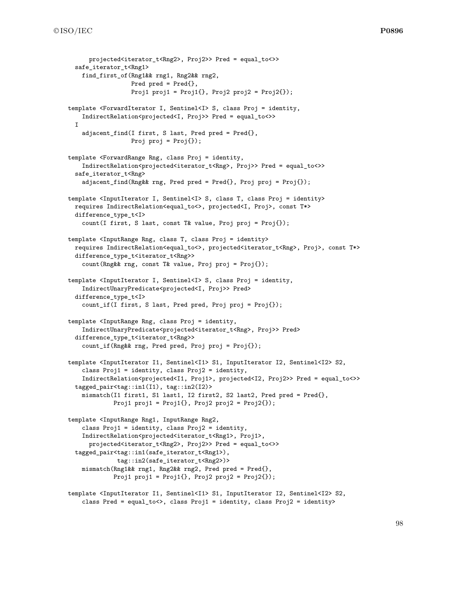```
projected<iterator t<Rng2>, Proj2>> Pred = equal to<>>
 safe_iterator_t<Rng1>
    find_first_of(Rng1&& rng1, Rng2&& rng2,
                  Pred pred = Pred{},
                  Proj1 proj1 = Proj1\{ \}, Proj2 proj2 = Proj2\{ \});
template <ForwardIterator I, Sentinel<I> S, class Proj = identity,
   IndirectRelation<projected<I, Proj>> Pred = equal_to<>>
  I
    adjacent_find(I first, S last, Pred pred = Pred{},
                  Proj proj = Proj });
template <ForwardRange Rng, class Proj = identity,
    IndirectRelation<projected<iterator_t<Rng>, Proj>> Pred = equal_to<>>
 safe_iterator_t<Rng>
    adjacent_find(Rng&& rng, Pred pred = Pred{}, Proj proj = Proj{});
template <InputIterator I, Sentinel<I> S, class T, class Proj = identity>
 requires IndirectRelation<equal_to<>, projected<I, Proj>, const T*>
 difference_type_t<I>
    count(I first, S last, const T& value, Proj proj = Proj{});
template <InputRange Rng, class T, class Proj = identity>
 requires IndirectRelation<equal_to<>, projected<iterator_t<Rng>, Proj>, const T*>
 difference_type_t<iterator_t<Rng>>
    count(Rng&& rng, const T& value, Proj proj = Proj{});
template <InputIterator I, Sentinel<I> S, class Proj = identity,
    IndirectUnaryPredicate<projected<I, Proj>> Pred>
 difference_type_t<I>
    count_if(I first, S last, Pred pred, Proj proj = Proj{});
template <InputRange Rng, class Proj = identity,
    IndirectUnaryPredicate<projected<iterator_t<Rng>, Proj>> Pred>
 difference_type_t<iterator_t<Rng>>
    count_if(Rng&& rng, Pred pred, Proj proj = Proj{});
template <InputIterator I1, Sentinel<I1> S1, InputIterator I2, Sentinel<I2> S2,
    class Proj1 = identity, class Proj2 = identity,
    IndirectRelation<projected<I1, Proj1>, projected<I2, Proj2>> Pred = equal_to<>>
 tagged_pair<tag::in1(I1), tag::in2(I2)>
   mismatch(I1 first1, S1 last1, I2 first2, S2 last2, Pred pred = Pred{},
            Proj1 proj1 = Proj1}, Proj2 proj2 = Proj2};
template <InputRange Rng1, InputRange Rng2,
    class Proj1 = identity, class Proj2 = identity,
    IndirectRelation<projected<iterator_t<Rng1>, Proj1>,
      projected<iterator_t<Rng2>, Proj2>> Pred = equal_to<>>
  tagged_pair<tag::in1(safe_iterator_t<Rng1>),
              tag::in2(safe_iterator_t<Rng2>)>
    mismatch(Rng1&& rng1, Rng2&& rng2, Pred pred = Pred{},
             Proj1 proj1 = Proj1\{ \}, Proj2 proj2 = Proj2\{ \});
template <InputIterator I1, Sentinel<I1> S1, InputIterator I2, Sentinel<I2> S2,
    class Pred = equal_to<>, class Proj1 = identity, class Proj2 = identity>
```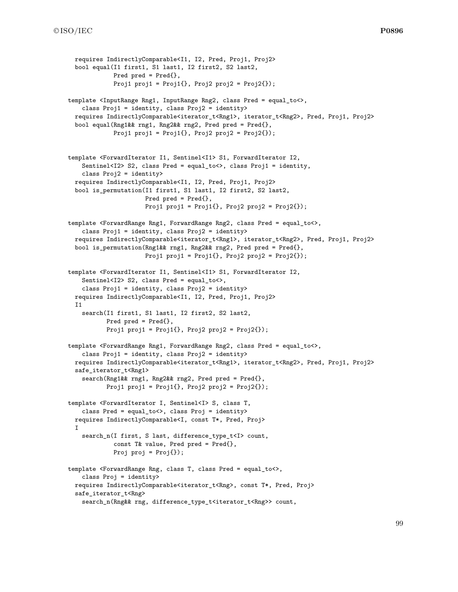```
requires IndirectlyComparable<I1, I2, Pred, Proj1, Proj2>
  bool equal(I1 first1, S1 last1, I2 first2, S2 last2,
             Pred pred = Pred{},
             Proj1 proj1 = Proj1\{ \}, Proj2 proj2 = Proj2\{ \});
template <InputRange Rng1, InputRange Rng2, class Pred = equal_to<>,
    class Proj1 = identity, class Proj2 = identity>
  requires IndirectlyComparable<iterator_t<Rng1>, iterator_t<Rng2>, Pred, Proj1, Proj2>
  bool equal(Rng1&& rng1, Rng2&& rng2, Pred pred = Pred{},
             Proj1 proj1 = Proj1\{\}, Proj2 proj2 = Proj2\{\}\;
template <ForwardIterator I1, Sentinel<I1> S1, ForwardIterator I2,
    Sentinel<I2> S2, class Pred = equal_to<>, class Proj1 = identity,
    class Proj2 = identity>
 requires IndirectlyComparable<I1, I2, Pred, Proj1, Proj2>
  bool is_permutation(I1 first1, S1 last1, I2 first2, S2 last2,
                      Pred pred = Pred{};
                      Proj1 proj1 = Proj1}, Proj2 proj2 = Proj2};
template <ForwardRange Rng1, ForwardRange Rng2, class Pred = equal_to<>,
    class Proj1 = identity, class Proj2 = identity>
  requires IndirectlyComparable<iterator_t<Rng1>, iterator_t<Rng2>, Pred, Proj1, Proj2>
  bool is_permutation(Rng1&& rng1, Rng2&& rng2, Pred pred = Pred{},
                      Proj1 proj1 = Proj1\{ \}, Proj2 proj2 = Proj2\{ \});
template <ForwardIterator I1, Sentinel<I1> S1, ForwardIterator I2,
    Sentinel<I2> S2, class Pred = equal_to<>,
    class Proj1 = identity, class Proj2 = identity>
  requires IndirectlyComparable<I1, I2, Pred, Proj1, Proj2>
  I1
    search(I1 first1, S1 last1, I2 first2, S2 last2,
           Pred pred = Pred{},
           Proj1 proj1 = Proj1\{ \}, Proj2 proj2 = Proj2\{ \});
template <ForwardRange Rng1, ForwardRange Rng2, class Pred = equal_to<>,
    class Proj1 = identity, class Proj2 = identity>
  requires IndirectlyComparable<iterator_t<Rng1>, iterator_t<Rng2>, Pred, Proj1, Proj2>
  safe_iterator_t<Rng1>
    search(Rng1&& rng1, Rng2&& rng2, Pred pred = Pred{},
           Proj1 proj1 = Proj1\{ \}, Proj2 proj2 = Proj2\{ \});
template <ForwardIterator I, Sentinel<I> S, class T,
    class Pred = equal_to<>, class Proj = identity>
  requires IndirectlyComparable<I, const T*, Pred, Proj>
  I
    search_n(I first, S last, difference_type_t<I> count,
             const T& value, Pred pred = Pred{},
             Proj proj = Proj{});
template <ForwardRange Rng, class T, class Pred = equal_to<>,
    class Proj = identity>
  requires IndirectlyComparable<iterator_t<Rng>, const T*, Pred, Proj>
  safe_iterator_t<Rng>
    search_n(Rng&& rng, difference_type_t<iterator_t<Rng>> count,
```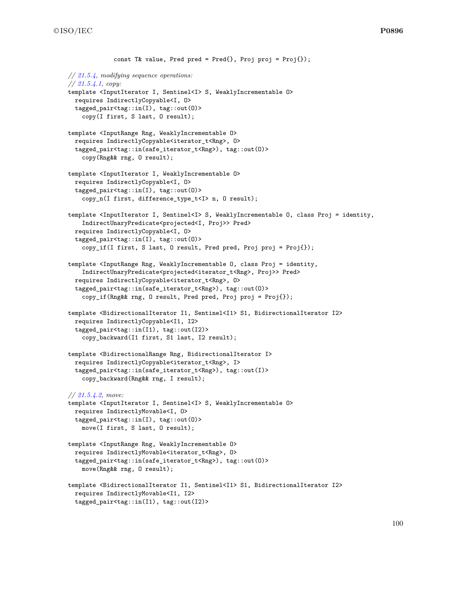```
const T& value, Pred pred = Pred{}, Proj proj = Proj{});
// 21.5.4, modifying sequence operations:
// 21.5.4.1, copy:
template <InputIterator I, Sentinel<I> S, WeaklyIncrementable O>
  requires IndirectlyCopyable<I, O>
  tagged_pair<tag::in(I), tag::out(O)>
    copy(I first, S last, O result);
template <InputRange Rng, WeaklyIncrementable O>
  requires IndirectlyCopyable<iterator_t<Rng>, 0>
  tagged_pair<tag::in(safe_iterator_t<Rng>), tag::out(O)>
    copy(Rng&& rng, O result);
template <InputIterator I, WeaklyIncrementable O>
  requires IndirectlyCopyable<I, O>
  tagged_pair<tag::in(I), tag::out(O)>
    copy_n(I first, difference_type_t<I> n, O result);
template <InputIterator I, Sentinel<I> S, WeaklyIncrementable O, class Proj = identity,
    IndirectUnaryPredicate<projected<I, Proj>> Pred>
  requires IndirectlyCopyable<I, O>
  tagged_pair<tag::in(I), tag::out(O)>
    copy_if(I first, S last, O result, Pred pred, Proj proj = Proj{});
template <InputRange Rng, WeaklyIncrementable O, class Proj = identity,
    IndirectUnaryPredicate<projected<iterator_t<Rng>, Proj>> Pred>
  requires IndirectlyCopyable<iterator_t<Rng>, 0>
  tagged_pair<tag::in(safe_iterator_t<Rng>), tag::out(O)>
    copy_if(Rng&& rng, O result, Pred pred, Proj proj = Proj{});
template <BidirectionalIterator I1, Sentinel<I1> S1, BidirectionalIterator I2>
  requires IndirectlyCopyable<I1, I2>
  tagged_pair<tag::in(I1), tag::out(I2)>
    copy_backward(I1 first, S1 last, I2 result);
template <BidirectionalRange Rng, BidirectionalIterator I>
  requires IndirectlyCopyable<iterator_t<Rng>, I>
  tagged_pair<tag::in(safe_iterator_t<Rng>), tag::out(I)>
    copy_backward(Rng&& rng, I result);
// 21.5.4.2, move:
template <InputIterator I, Sentinel<I> S, WeaklyIncrementable O>
  requires IndirectlyMovable<I, O>
  tagged_pair<tag::in(I), tag::out(O)>
    move(I first, S last, O result);
template <InputRange Rng, WeaklyIncrementable O>
  requires IndirectlyMovable<iterator_t<Rng>, O>
  tagged_pair<tag::in(safe_iterator_t<Rng>), tag::out(O)>
    move(Rng&& rng, O result);
template <BidirectionalIterator I1, Sentinel<I1> S1, BidirectionalIterator I2>
  requires IndirectlyMovable<I1, I2>
  tagged_pair<tag::in(I1), tag::out(I2)>
```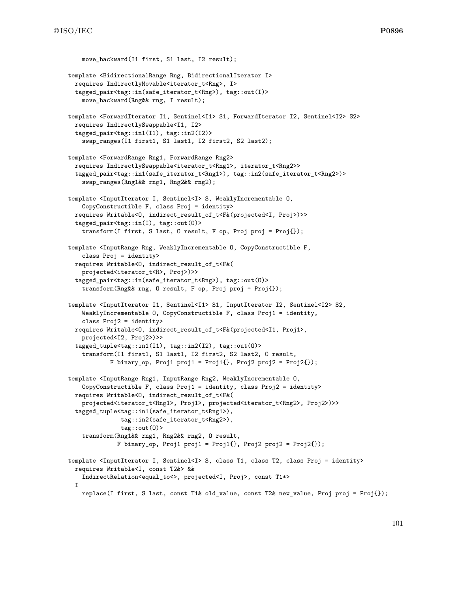```
move backward(I1 first, S1 last, I2 result);
template <BidirectionalRange Rng, BidirectionalIterator I>
 requires IndirectlyMovable<iterator_t<Rng>, I>
 tagged_pair<tag::in(safe_iterator_t<Rng>), tag::out(I)>
    move_backward(Rng&& rng, I result);
template <ForwardIterator I1, Sentinel<I1> S1, ForwardIterator I2, Sentinel<I2> S2>
 requires IndirectlySwappable<I1, I2>
  tagged_pair<tag::in1(I1), tag::in2(I2)>
    swap_ranges(I1 first1, S1 last1, I2 first2, S2 last2);
template <ForwardRange Rng1, ForwardRange Rng2>
 requires IndirectlySwappable<iterator_t<Rng1>, iterator_t<Rng2>>
 tagged_pair<tag::in1(safe_iterator_t<Rng1>), tag::in2(safe_iterator_t<Rng2>)>
    swap_ranges(Rng1&& rng1, Rng2&& rng2);
template <InputIterator I, Sentinel<I> S, WeaklyIncrementable O,
   CopyConstructible F, class Proj = identity>
 requires Writable<O, indirect_result_of_t<F&(projected<I, Proj>)>>
  tagged_pair<tag::in(I), tag::out(O)>
    transform(I first, S last, O result, F op, Proj proj = Proj{});
template <InputRange Rng, WeaklyIncrementable O, CopyConstructible F,
    class Proj = identity>
 requires Writable<O, indirect_result_of_t<F&(
    projected<iterator_t<R>, Proj>)>>
 tagged_pair<tag::in(safe_iterator_t<Rng>), tag::out(O)>
    transform(Rng&& rng, O result, F op, Proj proj = Proj{});
template <InputIterator I1, Sentinel<I1> S1, InputIterator I2, Sentinel<I2> S2,
    WeaklyIncrementable O, CopyConstructible F, class Proj1 = identity,
    class Proj2 = identity>
 requires Writable<O, indirect_result_of_t<F&(projected<I1, Proj1>,
    projected<I2, Proj2>)>>
  tagged_tuple<tag::in1(I1), tag::in2(I2), tag::out(O)>
    transform(I1 first1, S1 last1, I2 first2, S2 last2, O result,
            F binary_op, Proj1 proj1 = Proj1{}, Proj2 proj2 = Proj2{});
template <InputRange Rng1, InputRange Rng2, WeaklyIncrementable O,
    CopyConstructible F, class Proj1 = identity, class Proj2 = identity>
 requires Writable<O, indirect_result_of_t<F&(
    projected<iterator_t<Rng1>, Proj1>, projected<iterator_t<Rng2>, Proj2>)>>
  tagged_tuple<tag::in1(safe_iterator_t<Rng1>),
              tag::in2(safe_iterator_t<Rng2>),
               tag::out(O)>
    transform(Rng1&& rng1, Rng2&& rng2, O result,
              F binary_op, Proj1 proj1 = Proj1{}, Proj2 proj2 = Proj2{});
template <InputIterator I, Sentinel<I> S, class T1, class T2, class Proj = identity>
 requires Writable<I, const T2&> &&
    IndirectRelation<equal_to<>, projected<I, Proj>, const T1*>
  I
   replace(I first, S last, const T1& old_value, const T2& new_value, Proj proj = Proj{});
```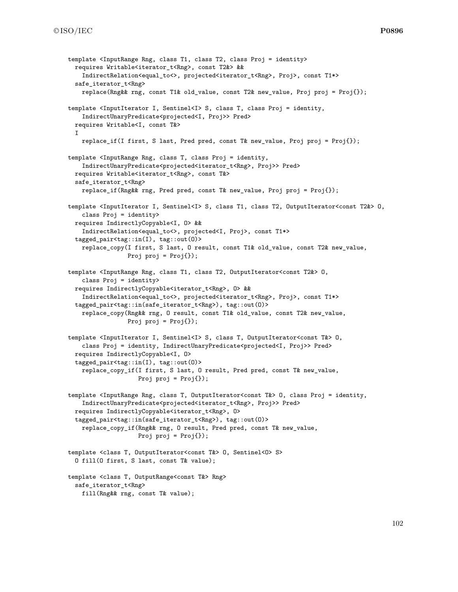```
template <InputRange Rng, class T1, class T2, class Proj = identity>
 requires Writable<iterator_t<Rng>, const T2&> &&
    IndirectRelation<equal_to<>, projected<iterator_t<Rng>, Proj>, const T1*>
 safe_iterator_t<Rng>
    replace(Rng&& rng, const T1& old_value, const T2& new_value, Proj proj = Proj{});
template <InputIterator I, Sentinel<I> S, class T, class Proj = identity,
   IndirectUnaryPredicate<projected<I, Proj>> Pred>
 requires Writable<I, const T&>
 I
   replace_if(I first, S last, Pred pred, const T& new_value, Proj proj = Proj{});
template <InputRange Rng, class T, class Proj = identity,
    IndirectUnaryPredicate<projected<iterator_t<Rng>, Proj>> Pred>
 requires Writable<iterator_t<Rng>, const T&>
 safe_iterator_t<Rng>
   replace_if(Rng&& rng, Pred pred, const T& new_value, Proj proj = Proj{});
template <InputIterator I, Sentinel<I> S, class T1, class T2, OutputIterator<const T2&> O,
    class Proj = identity>
 requires IndirectlyCopyable<I, O> &&
    IndirectRelation<equal_to<>, projected<I, Proj>, const T1*>
 tagged_pair<tag::in(I), tag::out(O)>
   replace_copy(I first, S last, O result, const T1& old_value, const T2& new_value,
                 Proj proj = Proj();
template <InputRange Rng, class T1, class T2, OutputIterator<const T2&> O,
    class Proj = identity>
 requires IndirectlyCopyable<iterator_t<Rng>, 0> &&
    IndirectRelation<equal_to<>, projected<iterator_t<Rng>, Proj>, const T1*>
 tagged_pair<tag::in(safe_iterator_t<Rng>), tag::out(O)>
    replace_copy(Rng&& rng, O result, const T1& old_value, const T2& new_value,
                Proj proj = Proj{});
template <InputIterator I, Sentinel<I> S, class T, OutputIterator<const T&> O,
    class Proj = identity, IndirectUnaryPredicate<projected<I, Proj>> Pred>
 requires IndirectlyCopyable<I, O>
  tagged_pair<tag::in(I), tag::out(O)>
    replace_copy_if(I first, S last, O result, Pred pred, const T& new_value,
                    Proj proj = Proj{});
template <InputRange Rng, class T, OutputIterator<const T&> O, class Proj = identity,
    IndirectUnaryPredicate<projected<iterator_t<Rng>, Proj>> Pred>
 requires IndirectlyCopyable<iterator_t<Rng>, O>
 tagged_pair<tag::in(safe_iterator_t<Rng>), tag::out(O)>
   replace_copy_if(Rng&& rng, O result, Pred pred, const T& new_value,
                    Proj proj = Proj);
template <class T, OutputIterator<const T&> O, Sentinel<O> S>
 O fill(O first, S last, const T& value);
template <class T, OutputRange<const T&> Rng>
  safe_iterator_t<Rng>
   fill(Rng&& rng, const T& value);
```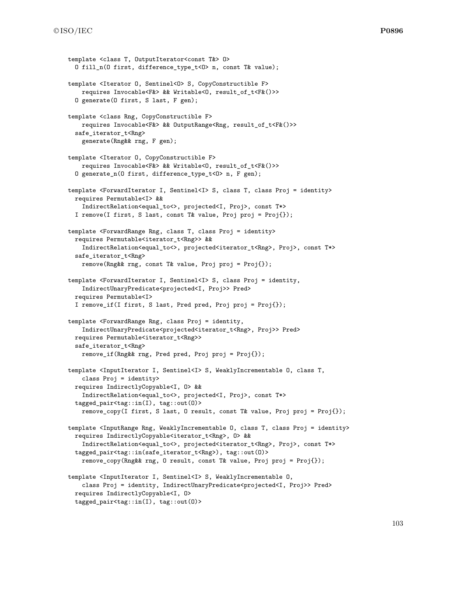```
template <class T, OutputIterator<const T&> O>
  O fill_n(O first, difference_type_t<O> n, const T& value);
template <Iterator 0, Sentinel<0> S, CopyConstructible F>
    requires Invocable<F&> && Writable<O, result_of_t<F&()>>
  O generate(O first, S last, F gen);
template <class Rng, CopyConstructible F>
    requires Invocable<F&> && OutputRange<Rng, result_of_t<F&()>>
  safe_iterator_t<Rng>
    generate(Rng&& rng, F gen);
template <Iterator O, CopyConstructible F>
    requires Invocable<F&> && Writable<0, result_of_t<F&()>>
  O generate_n(O first, difference_type_t<O> n, F gen);
template <ForwardIterator I, Sentinel<I> S, class T, class Proj = identity>
  requires Permutable<I> &&
    IndirectRelation<equal_to<>, projected<I, Proj>, const T*>
  I remove(I first, S last, const T& value, Proj proj = Proj{});
template <ForwardRange Rng, class T, class Proj = identity>
  requires Permutable<iterator_t<Rng>> &&
    IndirectRelation<equal_to<>, projected<iterator_t<Rng>, Proj>, const T*>
  safe_iterator_t<Rng>
    remove(Rng&& rng, const T& value, Proj proj = Proj{});
template <ForwardIterator I, Sentinel<I> S, class Proj = identity,
    IndirectUnaryPredicate<projected<I, Proj>> Pred>
  requires Permutable<I>
  I remove_if(I first, S last, Pred pred, Proj proj = Proj{});
template <ForwardRange Rng, class Proj = identity,
    IndirectUnaryPredicate<projected<iterator_t<Rng>, Proj>> Pred>
  requires Permutable<iterator_t<Rng>>
  safe_iterator_t<Rng>
    remove_if(Rng&& rng, Pred pred, Proj proj = Proj{});
template <InputIterator I, Sentinel<I> S, WeaklyIncrementable O, class T,
    class Proj = identity>
  requires IndirectlyCopyable<I, O> &&
    IndirectRelation<equal_to<>, projected<I, Proj>, const T*>
  tagged_pair<tag::in(I), tag::out(O)>
    remove_copy(I first, S last, O result, const T& value, Proj proj = Proj{});
template <InputRange Rng, WeaklyIncrementable O, class T, class Proj = identity>
  requires IndirectlyCopyable<iterator_t<Rng>, 0> &&
    IndirectRelation<equal_to<>, projected<iterator_t<Rng>, Proj>, const T*>
  tagged_pair<tag::in(safe_iterator_t<Rng>), tag::out(O)>
    remove_copy(Rng&& rng, O result, const T& value, Proj proj = Proj{});
template <InputIterator I, Sentinel<I> S, WeaklyIncrementable O,
    class Proj = identity, IndirectUnaryPredicate<projected<I, Proj>> Pred>
  requires IndirectlyCopyable<I, O>
  tagged_pair<tag::in(I), tag::out(O)>
```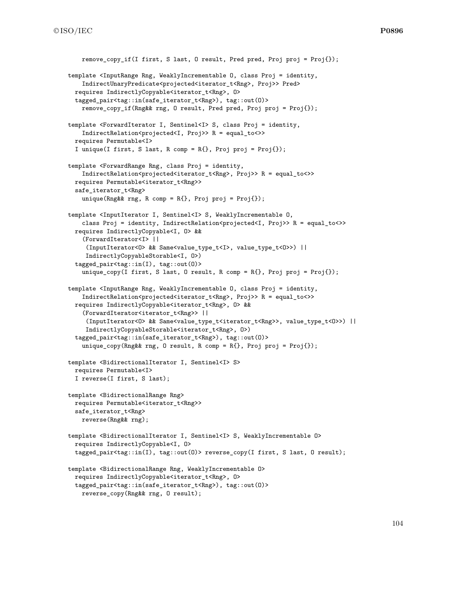```
remove copy if(I first, S last, O result, Pred pred, Proj proj = Proj\{\});
template <InputRange Rng, WeaklyIncrementable O, class Proj = identity,
    IndirectUnaryPredicate<projected<iterator_t<Rng>, Proj>> Pred>
 requires IndirectlyCopyable<iterator_t<Rng>, O>
  tagged_pair<tag::in(safe_iterator_t<Rng>), tag::out(O)>
    remove_copy_if(Rng&& rng, O result, Pred pred, Proj proj = Proj{});
template <ForwardIterator I, Sentinel<I> S, class Proj = identity,
    IndirectRelation<projected<I, Proj>> R = equal_to<>>
 requires Permutable<I>
  I unique(I first, S last, R comp = R{}, Proj proj = Proj{});
template <ForwardRange Rng, class Proj = identity,
    IndirectRelation<projected<iterator_t<Rng>, Proj>> R = equal_to<>>
 requires Permutable<iterator_t<Rng>>
 safe_iterator_t<Rng>
   unique(Rng&& rng, R comp = R{}, Proj proj = Proj{});
template <InputIterator I, Sentinel<I> S, WeaklyIncrementable O,
   class Proj = identity, IndirectRelation<projected<I, Proj>> R = equal_to<>>
 requires IndirectlyCopyable<I, O> &&
    (ForwardIterator<I> ||
     (InputIterator<O> && Same<value_type_t<I>, value_type_t<O>>) ||
     IndirectlyCopyableStorable<I, O>)
  tagged_pair<tag::in(I), tag::out(O)>
    unique_copy(I first, S last, O result, R comp = R{}, Proj proj = Proj{});
template <InputRange Rng, WeaklyIncrementable O, class Proj = identity,
    IndirectRelation<projected<iterator_t<Rng>, Proj>> R = equal_to<>>
 requires IndirectlyCopyable<iterator_t<Rng>, O> &&
    (ForwardIterator<iterator_t<Rng>> ||
     (InputIterator<O> && Same<value_type_t<iterator_t<Rng>>, value_type_t<O>>) ||
     IndirectlyCopyableStorable<iterator_t<Rng>, O>)
  tagged_pair<tag::in(safe_iterator_t<Rng>), tag::out(O)>
    unique_copy(Rng&& rng, O result, R comp = R{}, Proj proj = Proj{});
template <BidirectionalIterator I, Sentinel<I> S>
 requires Permutable<I>
 I reverse(I first, S last);
template <BidirectionalRange Rng>
 requires Permutable<iterator_t<Rng>>
 safe_iterator_t<Rng>
   reverse(Rng&& rng);
template <BidirectionalIterator I, Sentinel<I> S, WeaklyIncrementable O>
 requires IndirectlyCopyable<I, O>
  tagged_pair<tag::in(I), tag::out(O)> reverse_copy(I first, S last, O result);
template <BidirectionalRange Rng, WeaklyIncrementable O>
 requires IndirectlyCopyable<iterator_t<Rng>, O>
  tagged_pair<tag::in(safe_iterator_t<Rng>), tag::out(O)>
    reverse_copy(Rng&& rng, O result);
```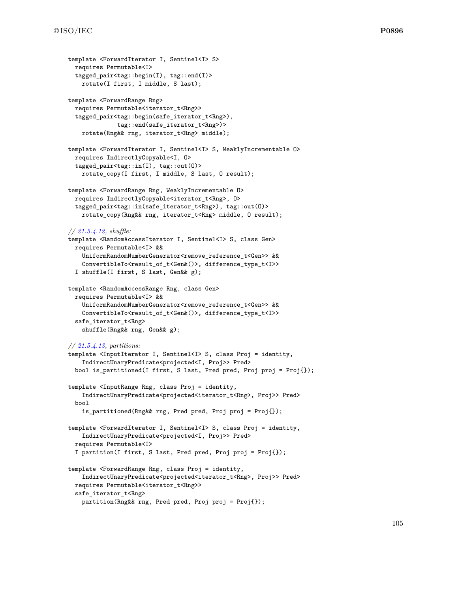```
template <ForwardIterator I, Sentinel<I> S>
  requires Permutable<I>
  tagged_pair<tag::begin(I), tag::end(I)>
    rotate(I first, I middle, S last);
template <ForwardRange Rng>
  requires Permutable<iterator_t<Rng>>
  tagged_pair<tag::begin(safe_iterator_t<Rng>),
              tag::end(safe_iterator_t<Rng>)>
    rotate(Rng&& rng, iterator_t<Rng> middle);
template <ForwardIterator I, Sentinel<I> S, WeaklyIncrementable O>
  requires IndirectlyCopyable<I, O>
  tagged_pair<tag::in(I), tag::out(O)>
    rotate_copy(I first, I middle, S last, O result);
template <ForwardRange Rng, WeaklyIncrementable O>
  requires IndirectlyCopyable<iterator_t<Rng>, O>
  tagged_pair<tag::in(safe_iterator_t<Rng>), tag::out(O)>
    rotate_copy(Rng&& rng, iterator_t<Rng> middle, O result);
// 21.5.4.12, shuffle:
template <RandomAccessIterator I, Sentinel<I> S, class Gen>
  requires Permutable<I> &&
    UniformRandomNumberGenerator<remove_reference_t<Gen>> &&
    ConvertibleTo<result_of_t<Gen&()>, difference_type_t<I>>
  I shuffle(I first, S last, Gen&& g);
template <RandomAccessRange Rng, class Gen>
  requires Permutable<I> &&
    UniformRandomNumberGenerator<remove_reference_t<Gen>> &&
    ConvertibleTo<result_of_t<Gen&()>, difference_type_t<I>>
  safe_iterator_t<Rng>
    shuffle(Rng&& rng, Gen&& g);
// 21.5.4.13, partitions:
template <InputIterator I, Sentinel<I> S, class Proj = identity,
    IndirectUnaryPredicate<projected<I, Proj>> Pred>
  bool is_partitioned(I first, S last, Pred pred, Proj proj = Proj{});
template <InputRange Rng, class Proj = identity,
    IndirectUnaryPredicate<projected<iterator_t<Rng>, Proj>> Pred>
  bool
    is_partitioned(Rng&& rng, Pred pred, Proj proj = Proj{});
template <ForwardIterator I, Sentinel<I> S, class Proj = identity,
    IndirectUnaryPredicate<projected<I, Proj>> Pred>
  requires Permutable<I>
  I partition(I first, S last, Pred pred, Proj proj = Proj{});
template <ForwardRange Rng, class Proj = identity,
    IndirectUnaryPredicate<projected<iterator_t<Rng>, Proj>> Pred>
  requires Permutable<iterator_t<Rng>>
  safe_iterator_t<Rng>
    partition(Rng&& rng, Pred pred, Proj proj = Proj{});
```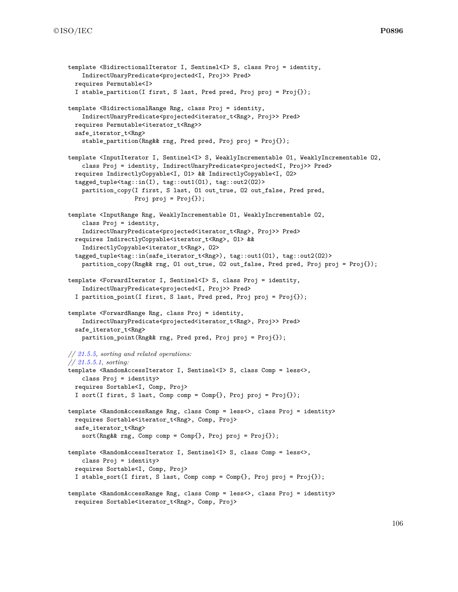```
template <BidirectionalIterator I, Sentinel<I> S, class Proj = identity,
    IndirectUnaryPredicate<projected<I, Proj>> Pred>
 requires Permutable<I>
 I stable_partition(I first, S last, Pred pred, Proj proj = Proj{});
template <BidirectionalRange Rng, class Proj = identity,
    IndirectUnaryPredicate<projected<iterator_t<Rng>, Proj>> Pred>
 requires Permutable<iterator_t<Rng>>
  safe_iterator_t<Rng>
    stable_partition(Rng&& rng, Pred pred, Proj proj = Proj{});
template <InputIterator I, Sentinel<I> S, WeaklyIncrementable O1, WeaklyIncrementable O2,
    class Proj = identity, IndirectUnaryPredicate<projected<I, Proj>> Pred>
 requires IndirectlyCopyable<I, O1> && IndirectlyCopyable<I, O2>
 tagged_tuple<tag::in(I), tag::out1(O1), tag::out2(O2)>
   partition_copy(I first, S last, O1 out_true, O2 out_false, Pred pred,
                   Proj proj = Proj{});
template <InputRange Rng, WeaklyIncrementable O1, WeaklyIncrementable O2,
    class Proj = identity,
    IndirectUnaryPredicate<projected<iterator_t<Rng>, Proj>> Pred>
 requires IndirectlyCopyable<iterator_t<Rng>, O1> &&
    IndirectlyCopyable<iterator_t<Rng>, O2>
  tagged_tuple<tag::in(safe_iterator_t<Rng>), tag::out1(O1), tag::out2(O2)>
    partition_copy(Rng&& rng, O1 out_true, O2 out_false, Pred pred, Proj proj = Proj{});
template <ForwardIterator I, Sentinel<I> S, class Proj = identity,
    IndirectUnaryPredicate<projected<I, Proj>> Pred>
  I partition_point(I first, S last, Pred pred, Proj proj = Proj{});
template <ForwardRange Rng, class Proj = identity,
    IndirectUnaryPredicate<projected<iterator_t<Rng>, Proj>> Pred>
  safe_iterator_t<Rng>
   partition_point(Rng&& rng, Pred pred, Proj proj = Proj{});
// 21.5.5, sorting and related operations:
// 21.5.5.1, sorting:
template <RandomAccessIterator I, Sentinel<I> S, class Comp = less<>,
    class Proj = identity>
 requires Sortable<I, Comp, Proj>
 I sort(I first, S last, Comp comp = Comp{}, Proj proj = Proj{});
template <RandomAccessRange Rng, class Comp = less<>, class Proj = identity>
 requires Sortable<iterator_t<Rng>, Comp, Proj>
 safe_iterator_t<Rng>
    sort(Rng&& rng, Comp comp = Comp{}, Proj proj = Proj{});
template <RandomAccessIterator I, Sentinel<I> S, class Comp = less<>,
   class Proj = identity>
 requires Sortable<I, Comp, Proj>
 I stable_sort(I first, S last, Comp comp = Comp{}, Proj proj = Proj{});
template <RandomAccessRange Rng, class Comp = less<>, class Proj = identity>
 requires Sortable<iterator_t<Rng>, Comp, Proj>
```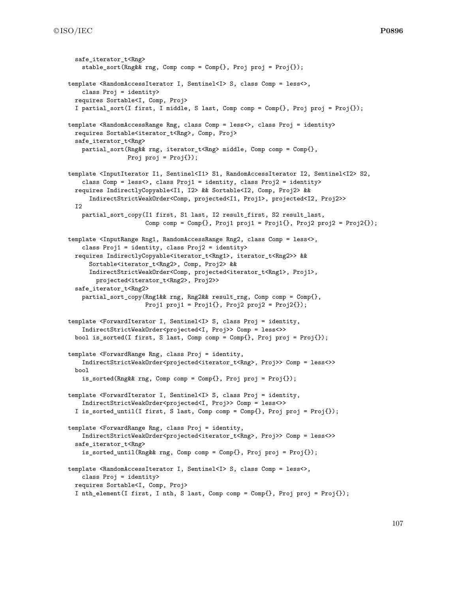```
safe_iterator_t<Rng>
    stable_sort(Rng&& rng, Comp comp = Comp{}, Proj proj = Proj{});
template <RandomAccessIterator I, Sentinel<I> S, class Comp = less<>,
    class Proj = identity>
 requires Sortable<I, Comp, Proj>
  I partial_sort(I first, I middle, S last, Comp comp = Comp{}, Proj proj = Proj{});
template <RandomAccessRange Rng, class Comp = less<>, class Proj = identity>
 requires Sortable<iterator_t<Rng>, Comp, Proj>
 safe_iterator_t<Rng>
    partial_sort(Rng&& rng, iterator_t<Rng> middle, Comp comp = Comp{},
                 Proj proj = Proj();
template <InputIterator I1, Sentinel<I1> S1, RandomAccessIterator I2, Sentinel<I2> S2,
    class Comp = less<>, class Proj1 = identity, class Proj2 = identity>
 requires IndirectlyCopyable<I1, I2> && Sortable<I2, Comp, Proj2> &&
     IndirectStrictWeakOrder<Comp, projected<I1, Proj1>, projected<I2, Proj2>>
 T2partial_sort_copy(I1 first, S1 last, I2 result_first, S2 result_last,
                      Comp comp = Comp\, Proj1 proj1 = Proj1\}, Proj2 proj2 = Proj2\});
template <InputRange Rng1, RandomAccessRange Rng2, class Comp = less<>,
    class Proj1 = identity, class Proj2 = identity>
 requires IndirectlyCopyable<iterator_t<Rng1>, iterator_t<Rng2>> &&
      Sortable<iterator_t<Rng2>, Comp, Proj2> &&
      IndirectStrictWeakOrder<Comp, projected<iterator_t<Rng1>, Proj1>,
        projected<iterator_t<Rng2>, Proj2>>
  safe_iterator_t<Rng2>
    partial_sort_copy(Rng1&& rng, Rng2&& result_rng, Comp comp = Comp{},
                      Proj1 proj1 = Proj1\{ \}, Proj2 proj2 = Proj2\{ \});
template <ForwardIterator I, Sentinel<I> S, class Proj = identity,
    IndirectStrictWeakOrder<projected<I, Proj>> Comp = less<>>
 bool is_sorted(I first, S last, Comp comp = Comp{}, Proj proj = Proj{});
template <ForwardRange Rng, class Proj = identity,
    IndirectStrictWeakOrder<projected<iterator_t<Rng>, Proj>> Comp = less<>>
 bool
    is_sorted(Rng&& rng, Comp comp = Comp{}, Proj proj = Proj{});
template <ForwardIterator I, Sentinel<I> S, class Proj = identity,
    IndirectStrictWeakOrder<projected<I, Proj>> Comp = less<>>
 I is_sorted_until(I first, S last, Comp comp = Comp{}, Proj proj = Proj{});
template <ForwardRange Rng, class Proj = identity,
    IndirectStrictWeakOrder<projected<iterator_t<Rng>, Proj>> Comp = less<>>
 safe_iterator_t<Rng>
    is_sorted_until(Rng&& rng, Comp comp = Comp{}, Proj proj = Proj{});
template <RandomAccessIterator I, Sentinel<I> S, class Comp = less<>,
    class Proj = identity>
 requires Sortable<I, Comp, Proj>
  I nth_element(I first, I nth, S last, Comp comp = Comp{}, Proj proj = Proj{});
```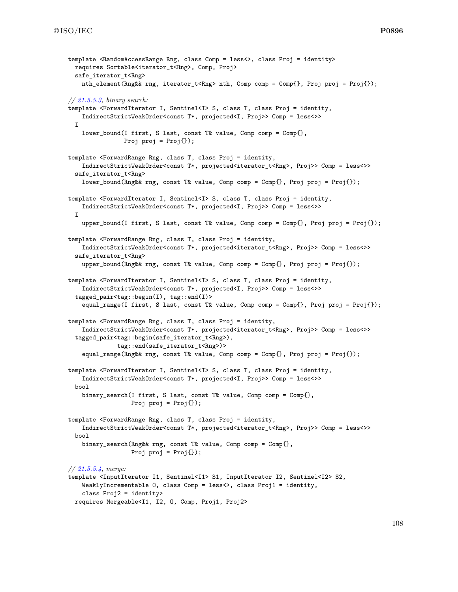```
template <RandomAccessRange Rng, class Comp = less<>, class Proj = identity>
 requires Sortable<iterator_t<Rng>, Comp, Proj>
 safe_iterator_t<Rng>
   nth_element(Rng&& rng, iterator_t<Rng> nth, Comp comp = Comp{}, Proj proj = Proj{});
// 21.5.5.3, binary search:
template <ForwardIterator I, Sentinel<I> S, class T, class Proj = identity,
    IndirectStrictWeakOrder<const T*, projected<I, Proj>> Comp = less<>>
 I
    lower_bound(I first, S last, const T& value, Comp comp = Comp{},
               Proj proj = Proj });
template <ForwardRange Rng, class T, class Proj = identity,
    IndirectStrictWeakOrder<const T*, projected<iterator_t<Rng>, Proj>> Comp = less<>>
 safe_iterator_t<Rng>
   lower_bound(Rng&& rng, const T& value, Comp comp = Comp{}, Proj proj = Proj{});
template <ForwardIterator I, Sentinel<I> S, class T, class Proj = identity,
    IndirectStrictWeakOrder<const T*, projected<I, Proj>> Comp = less<>>
 I
    upper_bound(I first, S last, const T& value, Comp comp = Comp{}, Proj proj = Proj{});
template <ForwardRange Rng, class T, class Proj = identity,
    IndirectStrictWeakOrder<const T*, projected<iterator_t<Rng>, Proj>> Comp = less<>>
  safe_iterator_t<Rng>
    upper_bound(Rng&& rng, const T& value, Comp comp = Comp{}, Proj proj = Proj{});
template <ForwardIterator I, Sentinel<I> S, class T, class Proj = identity,
    IndirectStrictWeakOrder<const T*, projected<I, Proj>> Comp = less<>>
 tagged_pair<tag::begin(I), tag::end(I)>
    equal_range(I first, S last, const T& value, Comp comp = Comp{}, Proj proj = Proj{});
template <ForwardRange Rng, class T, class Proj = identity,
    IndirectStrictWeakOrder<const T*, projected<iterator_t<Rng>, Proj>> Comp = less<>>
  tagged_pair<tag::begin(safe_iterator_t<Rng>),
              tag::end(safe_iterator_t<Rng>)>
    equal_range(Rng&& rng, const T& value, Comp comp = Comp{}, Proj proj = Proj{});
template <ForwardIterator I, Sentinel<I> S, class T, class Proj = identity,
    IndirectStrictWeakOrder<const T*, projected<I, Proj>> Comp = less<>>
 bool
   binary_search(I first, S last, const T& value, Comp comp = Comp{},
                 Proj proj = Proj{});
template <ForwardRange Rng, class T, class Proj = identity,
   IndirectStrictWeakOrder<const T*, projected<iterator_t<Rng>, Proj>> Comp = less<>>
 bool
    binary_search(Rng&& rng, const T& value, Comp comp = Comp{},
                  Proj proj = Proj{});
// 21.5.5.4, merge:
template <InputIterator I1, Sentinel<I1> S1, InputIterator I2, Sentinel<I2> S2,
    WeaklyIncrementable O, class Comp = less<>, class Proj1 = identity,
    class Proj2 = identity>
 requires Mergeable<I1, I2, O, Comp, Proj1, Proj2>
```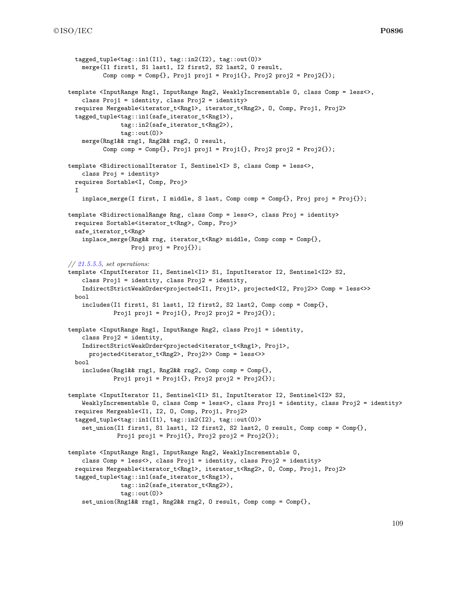```
tagged tuple<tag::in1(I1), tag::in2(I2), tag::out(O)>
    merge(I1 first1, S1 last1, I2 first2, S2 last2, O result,
          Comp comp = Comp\{\}, Prop1 = proj1 = Proj1\}, Prop2 = Proj2\});
template <InputRange Rng1, InputRange Rng2, WeaklyIncrementable O, class Comp = less<>,
    class Proj1 = identity, class Proj2 = identity>
 requires Mergeable<iterator_t<Rng1>, iterator_t<Rng2>, O, Comp, Proj1, Proj2>
  tagged_tuple<tag::in1(safe_iterator_t<Rng1>),
               tag::in2(safe_iterator_t<Rng2>),
               tag::out(O)>
   merge(Rng1&& rng1, Rng2&& rng2, O result,
          Comp comp = Comp\{\}, Propiji = Proj1\}, Propiji = Proj1\}.template <BidirectionalIterator I, Sentinel<I> S, class Comp = less<>,
   class Proj = identity>
 requires Sortable<I, Comp, Proj>
 I
    inplace_merge(I first, I middle, S last, Comp comp = Comp{}, Proj proj = Proj{});
template <BidirectionalRange Rng, class Comp = less<>, class Proj = identity>
 requires Sortable<iterator_t<Rng>, Comp, Proj>
 safe_iterator_t<Rng>
    inplace_merge(Rng&& rng, iterator_t<Rng> middle, Comp comp = Comp{},
                  Proj proj = Proj });
// 21.5.5.5, set operations:
template <InputIterator I1, Sentinel<I1> S1, InputIterator I2, Sentinel<I2> S2,
    class Proj1 = identity, class Proj2 = identity,
    IndirectStrictWeakOrder<projected<I1, Proj1>, projected<I2, Proj2>> Comp = less<>>
 bool
    includes(I1 first1, S1 last1, I2 first2, S2 last2, Comp comp = Comp\,
             Proj1 proj1 = Proj1\; Proj2 proj2 = Proj2\);
template <InputRange Rng1, InputRange Rng2, class Proj1 = identity,
   class Proj2 = identity,
    IndirectStrictWeakOrder<projected<iterator_t<Rng1>, Proj1>,
     projected<iterator_t<Rng2>, Proj2>> Comp = less<>>
 bool
    includes(Rng1&& rng1, Rng2&& rng2, Comp comp = Comp{},
             Proj1 proj1 = Proj1\{ \}, Proj2 proj2 = Proj2\{ \});
template <InputIterator I1, Sentinel<I1> S1, InputIterator I2, Sentinel<I2> S2,
    WeaklyIncrementable 0, class Comp = less<>, class Proj1 = identity, class Proj2 = identity>
 requires Mergeable<I1, I2, O, Comp, Proj1, Proj2>
 tagged_tuple<tag::in1(I1), tag::in2(I2), tag::out(O)>
    set_union(I1 first1, S1 last1, I2 first2, S2 last2, O result, Comp comp = Comp{},
              Proj1 proj1 = Proj1\{ \}, Proj2 proj2 = Proj2\{ \});
template <InputRange Rng1, InputRange Rng2, WeaklyIncrementable O,
    class Comp = less<>, class Proj1 = identity, class Proj2 = identity>
 requires Mergeable<iterator_t<Rng1>, iterator_t<Rng2>, O, Comp, Proj1, Proj2>
  tagged_tuple<tag::in1(safe_iterator_t<Rng1>),
               tag::in2(safe_iterator_t<Rng2>),
               tag::out(O)>
    set_union(Rng1&& rng1, Rng2&& rng2, O result, Comp comp = Comp{},
```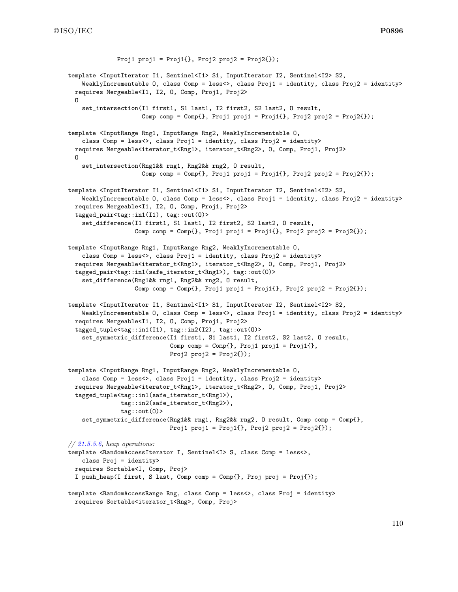```
Proj1 proj1 = Proj1\{ \}, Proj2 proj2 = Proj2\{ \};
template <InputIterator I1, Sentinel<I1> S1, InputIterator I2, Sentinel<I2> S2,
    WeaklyIncrementable 0, class Comp = less<>, class Proj1 = identity, class Proj2 = identity>
  requires Mergeable<I1, I2, O, Comp, Proj1, Proj2>
  \Omegaset_intersection(I1 first1, S1 last1, I2 first2, S2 last2, O result,
                     Comp comp = Comp\{\}, Prop1 = proj1 = Proj1\}, Prop2 = Proj2\});
template <InputRange Rng1, InputRange Rng2, WeaklyIncrementable O,
    class Comp = less<>, class Proj1 = identity, class Proj2 = identity>
  requires Mergeable<iterator_t<Rng1>, iterator_t<Rng2>, O, Comp, Proj1, Proj2>
  O
    set_intersection(Rng1&& rng1, Rng2&& rng2, O result,
                     Comp comp = Comp\{\}, Prop1 = proj1 = Proj1\}, Prop2 = Proj2\});
template <InputIterator I1, Sentinel<I1> S1, InputIterator I2, Sentinel<I2> S2,
    WeaklyIncrementable O, class Comp = less<>, class Proj1 = identity, class Proj2 = identity>
  requires Mergeable<I1, I2, O, Comp, Proj1, Proj2>
  tagged_pair<tag::in1(I1), tag::out(O)>
    set_difference(I1 first1, S1 last1, I2 first2, S2 last2, O result,
                   Comp comp = Comp\{\}, Prop1 = proj1 = Proj1\}, Prop2 = Proj2\});
template <InputRange Rng1, InputRange Rng2, WeaklyIncrementable O,
    class Comp = less<>, class Proj1 = identity, class Proj2 = identity>
  requires Mergeable<iterator_t<Rng1>, iterator_t<Rng2>, O, Comp, Proj1, Proj2>
  tagged_pair<tag::in1(safe_iterator_t<Rng1>), tag::out(O)>
    set_difference(Rng1&& rng1, Rng2&& rng2, O result,
                   Comp comp = Comp\{\}, Prop1 = proj1 = Proj1\}, Prop2 = Proj2\});
template <InputIterator I1, Sentinel<I1> S1, InputIterator I2, Sentinel<I2> S2,
    WeaklyIncrementable 0, class Comp = less<>, class Proj1 = identity, class Proj2 = identity>
  requires Mergeable<I1, I2, O, Comp, Proj1, Proj2>
  tagged_tuple<tag::in1(I1), tag::in2(I2), tag::out(O)>
    set_symmetric_difference(I1 first1, S1 last1, I2 first2, S2 last2, O result,
                             Comp comp = Comp\{\}, Prop1 \text{proj1} = Proj1\},Proj2 proj2 = Proj2{});
template <InputRange Rng1, InputRange Rng2, WeaklyIncrementable O,
    class Comp = less<>, class Proj1 = identity, class Proj2 = identity>
  requires Mergeable<iterator_t<Rng1>, iterator_t<Rng2>, O, Comp, Proj1, Proj2>
  tagged_tuple<tag::in1(safe_iterator_t<Rng1>),
               tag::in2(safe_iterator_t<Rng2>),
               tag::out(O)>
    set_symmetric_difference(Rng1&& rng1, Rng2&& rng2, O result, Comp comp = Comp{},
                             Proj1 proj1 = Proj1\{ \}, Proj2 proj2 = Proj2\{ \});
// 21.5.5.6, heap operations:
template <RandomAccessIterator I, Sentinel<I> S, class Comp = less<>,
    class Proj = identity>
  requires Sortable<I, Comp, Proj>
  I push_heap(I first, S last, Comp comp = Comp{}, Proj proj = Proj{});
template <RandomAccessRange Rng, class Comp = less<>, class Proj = identity>
  requires Sortable<iterator_t<Rng>, Comp, Proj>
```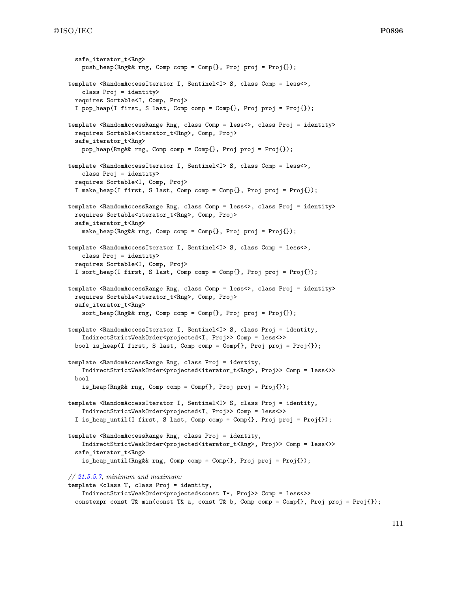```
safe_iterator_t<Rng>
    push_heap(Rng&& rng, Comp comp = Comp{}, Proj proj = Proj{});
template <RandomAccessIterator I, Sentinel<I>>S<>, class Comp = less<>,
    class Proj = identity>
 requires Sortable<I, Comp, Proj>
  I pop_heap(I first, S last, Comp comp = Comp{}, Proj proj = Proj{});
template <RandomAccessRange Rng, class Comp = less<>, class Proj = identity>
 requires Sortable<iterator_t<Rng>, Comp, Proj>
 safe_iterator_t<Rng>
   pop_heap(Rng&& rng, Comp comp = Comp{}, Proj proj = Proj{});
template <RandomAccessIterator I, Sentinel<I> S, class Comp = less<>,
   class Proj = identity>
 requires Sortable<I, Comp, Proj>
 I make_heap(I first, S last, Comp comp = Comp{}, Proj proj = Proj{});
template <RandomAccessRange Rng, class Comp = less<>, class Proj = identity>
 requires Sortable<iterator_t<Rng>, Comp, Proj>
 safe_iterator_t<Rng>
   make_heap(Rng&& rng, Comp comp = Comp{}, Proj proj = Proj{});
template <RandomAccessIterator I, Sentinel<I> S, class Comp = less<>,
   class Proj = identity>
 requires Sortable<I, Comp, Proj>
 I sort_heap(I first, S last, Comp comp = Comp{}, Proj proj = Proj{});
template <RandomAccessRange Rng, class Comp = less<>, class Proj = identity>
 requires Sortable<iterator_t<Rng>, Comp, Proj>
 safe_iterator_t<Rng>
    sort_heap(Rng&& rng, Comp comp = Comp{}, Proj proj = Proj{});
template <RandomAccessIterator I, Sentinel<I>>>>>> S, class Proj = identity,
    IndirectStrictWeakOrder<projected<I, Proj>> Comp = less<>>
 bool is_heap(I first, S last, Comp comp = Comp{}, Proj proj = Proj{});
template <RandomAccessRange Rng, class Proj = identity,
    IndirectStrictWeakOrder<projected<iterator_t<Rng>, Proj>> Comp = less<>>
 bool
    is_heap(Rng&& rng, Comp comp = Comp{}, Proj proj = Proj{});
template <RandomAccessIterator I, Sentinel<I> S, class Proj = identity,
    IndirectStrictWeakOrder<projected<I, Proj>> Comp = less<>>
  I is_heap_until(I first, S last, Comp comp = Comp{}, Proj proj = Proj{});
template <RandomAccessRange Rng, class Proj = identity,
   IndirectStrictWeakOrder<projected<iterator_t<Rng>, Proj>> Comp = less<>>
 safe_iterator_t<Rng>
    is_heap_until(Rng&& rng, Comp comp = Comp{}, Proj proj = Proj{});
// 21.5.5.7, minimum and maximum:
template <class T, class Proj = identity,
    IndirectStrictWeakOrder<projected<const T*, Proj>> Comp = less<>>
 constexpr const T& min(const T& a, const T& b, Comp comp = Comp{}, Proj proj = Proj{});
```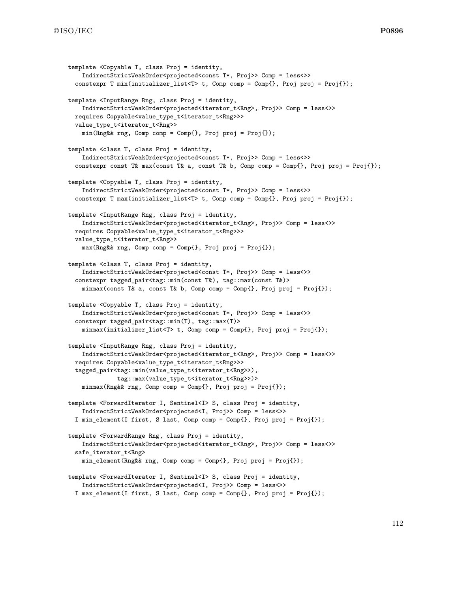```
template <Copyable T, class Proj = identity,
    IndirectStrictWeakOrder<projected<const T*, Proj>> Comp = less<>>
  constexpr T min(initializer_list<T> t, Comp comp = Comp{}, Proj proj = Proj{});
template <InputRange Rng, class Proj = identity,
    IndirectStrictWeakOrder<projected<iterator_t<Rng>, Proj>> Comp = less<>>
  requires Copyable<value_type_t<iterator_t<Rng>>>
  value_type_t<iterator_t<Rng>>
    min(Rng&& rng, Comp comp = Comp{}, Proj proj = Proj{});
template <class T, class Proj = identity,
    IndirectStrictWeakOrder<projected<const T*, Proj>> Comp = less<>>
  constexpr const T& max(const T& a, const T& b, Comp comp = Comp{}, Proj proj = Proj{});
template <Copyable T, class Proj = identity,
    IndirectStrictWeakOrder<projected<const T*, Proj>> Comp = less<>>
  constexpr T max(initializer_list<T> t, Comp comp = Comp{}, Proj proj = Proj{});
template <InputRange Rng, class Proj = identity,
   IndirectStrictWeakOrder<projected<iterator_t<Rng>, Proj>> Comp = less<>>
  requires Copyable<value_type_t<iterator_t<Rng>>>
  value_type_t<iterator_t<Rng>>
    max(Rng&& rng, Comp comp = Comp{}, Proj proj = Proj{});
template <class T, class Proj = identity,
    IndirectStrictWeakOrder<projected<const T*, Proj>> Comp = less<>>
  constexpr tagged_pair<tag::min(const T&), tag::max(const T&)>
    minmax(const T& a, const T& b, Comp comp = Comp{}, Proj proj = Proj{});
template <Copyable T, class Proj = identity,
    IndirectStrictWeakOrder<projected<const T*, Proj>> Comp = less<>>
  constexpr tagged_pair<tag::min(T), tag::max(T)>
    minmax(initializer_list<T> t, Comp comp = Comp{}, Proj proj = Proj{});
template <InputRange Rng, class Proj = identity,
    IndirectStrictWeakOrder<projected<iterator_t<Rng>, Proj>> Comp = less<>>
  requires Copyable<value_type_t<iterator_t<Rng>>>
  tagged_pair<tag::min(value_type_t<iterator_t<Rng>>),
              tag::max(value_type_t<iterator_t<Rng>>)>
    minmax(Rng&& rng, Comp comp = Comp{}, Proj proj = Proj{});
template <ForwardIterator I, Sentinel<I> S, class Proj = identity,
    IndirectStrictWeakOrder<projected<I, Proj>> Comp = less<>>
  I min_element(I first, S last, Comp comp = Comp{}, Proj proj = Proj{});
template <ForwardRange Rng, class Proj = identity,
    IndirectStrictWeakOrder<projected<iterator_t<Rng>, Proj>> Comp = less<>>
  safe_iterator_t<Rng>
    min_element(Rng&& rng, Comp comp = Comp{}, Proj proj = Proj{});
template <ForwardIterator I, Sentinel<I> S, class Proj = identity,
    IndirectStrictWeakOrder<projected<I, Proj>> Comp = less<>>
  I max_element(I first, S last, Comp comp = Comp{}, Proj proj = Proj{});
```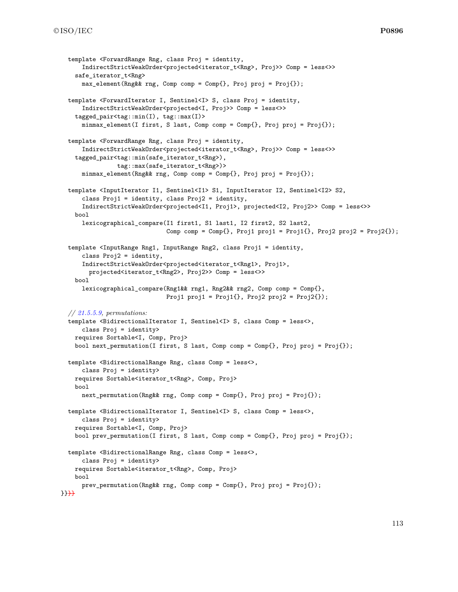```
template <ForwardRange Rng, class Proj = identity,
      IndirectStrictWeakOrder<projected<iterator_t<Rng>, Proj>> Comp = less<>>
    safe_iterator_t<Rng>
     max_element(Rng&& rng, Comp comp = Comp{}, Proj proj = Proj{});
  template <ForwardIterator I, Sentinel<I> S, class Proj = identity,
      IndirectStrictWeakOrder<projected<I, Proj>> Comp = less<>>
    tagged_pair<tag::min(I), tag::max(I)>
     minmax_element(I first, S last, Comp comp = Comp{}, Proj proj = Proj{});
  template <ForwardRange Rng, class Proj = identity,
      IndirectStrictWeakOrder<projected<iterator_t<Rng>, Proj>> Comp = less<>>
    tagged_pair<tag::min(safe_iterator_t<Rng>),
                tag::max(safe_iterator_t<Rng>)>
     minmax_element(Rng&& rng, Comp comp = Comp{}, Proj proj = Proj{});
  template <InputIterator I1, Sentinel<I1> S1, InputIterator I2, Sentinel<I2> S2,
      class Proj1 = identity, class Proj2 = identity,
      IndirectStrictWeakOrder<projected<I1, Proj1>, projected<I2, Proj2>> Comp = less<>>
    bool
      lexicographical_compare(I1 first1, S1 last1, I2 first2, S2 last2,
                              Comp comp = Comp\{\}, Prop1 = proj1 = Proj1\}, Prop2 = Proj2\});
  template <InputRange Rng1, InputRange Rng2, class Proj1 = identity,
      class Proj2 = identity,
      IndirectStrictWeakOrder<projected<iterator_t<Rng1>, Proj1>,
        projected<iterator_t<Rng2>, Proj2>> Comp = less<>>
    bool
      lexicographical_compare(Rng1&& rng1, Rng2&& rng2, Comp comp = Comp{},
                              Proj1 proj1 = Proj1\; Proj2 proj2 = Proj2\);
  // 21.5.5.9, permutations:
  template <BidirectionalIterator I, Sentinel<I> S, class Comp = less<>,
      class Proj = identity>
    requires Sortable<I, Comp, Proj>
    bool next_permutation(I first, S last, Comp comp = Comp{}, Proj proj = Proj{});
  template <BidirectionalRange Rng, class Comp = less<>,
     class Proj = identity>
    requires Sortable<iterator_t<Rng>, Comp, Proj>
    bool
     next_permutation(Rng&& rng, Comp comp = Comp{}, Proj proj = Proj{});
  template <BidirectionalIterator I, Sentinel<I> S, class Comp = less<>,
     class Proj = identity>
    requires Sortable<I, Comp, Proj>
    bool prev_permutation(I first, S last, Comp comp = Comp{}, Proj proj = Proj{});
 template <BidirectionalRange Rng, class Comp = less<>,
     class Proj = identity>
    requires Sortable<iterator_t<Rng>, Comp, Proj>
    bool
     prev_permutation(Rng&& rng, Comp comp = Comp{}, Proj proj = Proj{});
}}}}
```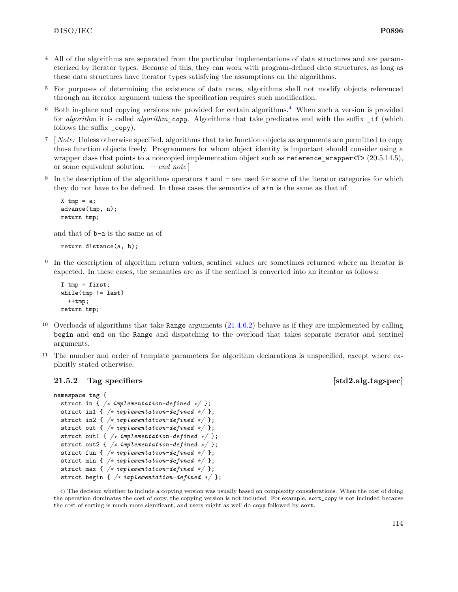- <sup>4</sup> All of the algorithms are separated from the particular implementations of data structures and are parameterized by iterator types. Because of this, they can work with program-defined data structures, as long as these data structures have iterator types satisfying the assumptions on the algorithms.
- <sup>5</sup> For purposes of determining the existence of data races, algorithms shall not modify objects referenced through an iterator argument unless the specification requires such modification.
- <sup>6</sup> Both in-place and copying versions are provided for certain algorithms.[4](#page-115-0) When such a version is provided for *algorithm* it is called *algorithm\_copy*. Algorithms that take predicates end with the suffix \_if (which follows the suffix \_copy).
- <sup>7</sup> [ *Note:* Unless otherwise specified, algorithms that take function objects as arguments are permitted to copy those function objects freely. Programmers for whom object identity is important should consider using a wrapper class that points to a noncopied implementation object such as reference wrapper $\langle T \rangle$  (20.5.14.5), or some equivalent solution. *— end note* ]
- <sup>8</sup> In the description of the algorithms operators + and are used for some of the iterator categories for which they do not have to be defined. In these cases the semantics of a+n is the same as that of

```
X tmp = a;
advance(tmp, n);
return tmp;
```
and that of b-a is the same as of

return distance(a, b);

<sup>9</sup> In the description of algorithm return values, sentinel values are sometimes returned where an iterator is expected. In these cases, the semantics are as if the sentinel is converted into an iterator as follows:

```
I tmp = first;
while(tmp != last)
  ++tmp;
return tmp;
```
- <sup>10</sup> Overloads of algorithms that take Range arguments [\(21.4.6.2\)](#page-93-0) behave as if they are implemented by calling begin and end on the Range and dispatching to the overload that takes separate iterator and sentinel arguments.
- The number and order of template parameters for algorithm declarations is unspecified, except where explicitly stated otherwise.

# **21.5.2 Tag specifiers b 21.5.2 Tag specifiers**

```
namespace tag {
 struct in { /∗ implementation-defined ∗/ };
 struct in1 { /∗ implementation-defined ∗/ };
  struct in2 { /∗ implementation-defined ∗/ };
  struct out { /∗ implementation-defined ∗/ };
  struct out1 { /∗ implementation-defined ∗/ };
  struct out2 { /∗ implementation-defined ∗/ };
  struct fun { /∗ implementation-defined ∗/ };
  struct min { /∗ implementation-defined ∗/ };
  struct max { /∗ implementation-defined ∗/ };
  struct begin { /∗ implementation-defined ∗/ };
```
<span id="page-115-0"></span><sup>4)</sup> The decision whether to include a copying version was usually based on complexity considerations. When the cost of doing the operation dominates the cost of copy, the copying version is not included. For example, sort\_copy is not included because the cost of sorting is much more significant, and users might as well do copy followed by sort.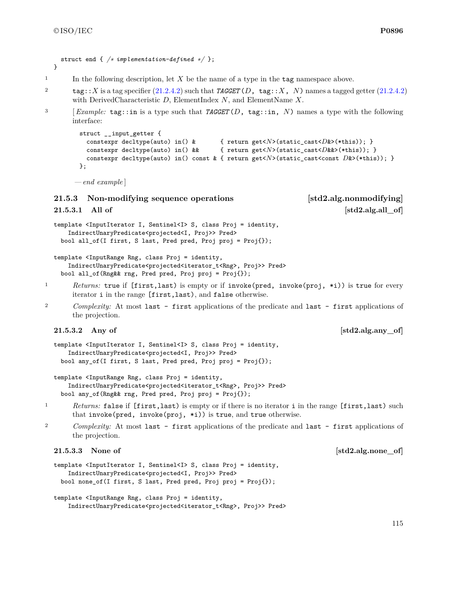|                                                                                                                                        | struct end { $/*$ implementation-defined $*/$ };<br>}                                                                                                                                                                                                                                                                                                                                                                                                                                   |                         |
|----------------------------------------------------------------------------------------------------------------------------------------|-----------------------------------------------------------------------------------------------------------------------------------------------------------------------------------------------------------------------------------------------------------------------------------------------------------------------------------------------------------------------------------------------------------------------------------------------------------------------------------------|-------------------------|
| $\mathbf{1}$                                                                                                                           | In the following description, let $X$ be the name of a type in the <b>tag</b> namespace above.                                                                                                                                                                                                                                                                                                                                                                                          |                         |
| $\sqrt{2}$                                                                                                                             | tag:: X is a tag specifier (21.2.4.2) such that TAGGET (D, tag:: X, N) names a tagged getter (21.2.4.2)<br>with DerivedCharacteristic $D$ , ElementIndex $N$ , and ElementName $X$ .                                                                                                                                                                                                                                                                                                    |                         |
| 3                                                                                                                                      | <i>Example:</i> tag::in is a type such that TAGGET (D, tag::in, N) names a type with the following<br>interface:                                                                                                                                                                                                                                                                                                                                                                        |                         |
|                                                                                                                                        | struct __input_getter {<br>constexpr decltype(auto) in() &<br>{ return get< $N$ >(static_cast< $D$ &>(*this)); }<br>{ return get< $N$ >(static_cast< $D$ &&>(*this)); }<br>constexpr decltype(auto) in() &&<br>constexpr decltype(auto) in() const & { return get <n>(static_cast<const d&="">(*this)); }<br/><math>\}</math> ;</const></n>                                                                                                                                             |                         |
|                                                                                                                                        | $-end example$                                                                                                                                                                                                                                                                                                                                                                                                                                                                          |                         |
|                                                                                                                                        | Non-modifying sequence operations<br>21.5.3                                                                                                                                                                                                                                                                                                                                                                                                                                             | [std2.alg.nonmodifying] |
|                                                                                                                                        | All of<br>21.5.3.1                                                                                                                                                                                                                                                                                                                                                                                                                                                                      | $[std2.alg.all_of]$     |
|                                                                                                                                        | template <inputiterator i,="" sentinel<i="">S, class Proj = identity,<br/>IndirectUnaryPredicate<projected<i, proj="">&gt; Pred&gt;<br/>bool all_of(I first, S last, Pred pred, Proj proj = Proj{});<br/>template <inputrange class="" proj="identity,&lt;br" rng,="">IndirectUnaryPredicate<projected<iterator_t<rng>, Proj&gt;&gt; Pred&gt;<br/>bool all_of(Rng&amp;&amp; rng, Pred pred, Proj proj = Proj{});</projected<iterator_t<rng></inputrange></projected<i,></inputiterator> |                         |
|                                                                                                                                        |                                                                                                                                                                                                                                                                                                                                                                                                                                                                                         |                         |
| 1                                                                                                                                      | Returns: true if [first, last) is empty or if invoke(pred, invoke(proj, *i)) is true for every<br>iterator i in the range [first, last), and false otherwise.                                                                                                                                                                                                                                                                                                                           |                         |
| $\sqrt{2}$                                                                                                                             | Complexity: At most last - first applications of the predicate and last - first applications of<br>the projection.                                                                                                                                                                                                                                                                                                                                                                      |                         |
|                                                                                                                                        | 21.5.3.2 Any of                                                                                                                                                                                                                                                                                                                                                                                                                                                                         | $[std2.alg. any_of]$    |
|                                                                                                                                        | template <inputiterator i,="" sentinel<i=""> S, class Proj = identity,<br/>IndirectUnaryPredicate<projected<i, proj="">&gt; Pred&gt;<br/>bool any_of(I first, S last, Pred pred, Proj proj = Proj<math>\{\}</math>);</projected<i,></inputiterator>                                                                                                                                                                                                                                     |                         |
|                                                                                                                                        | template <inputrange class="" proj="identity,&lt;br" rng,="">IndirectUnaryPredicate<projected<iterator_t<rng>, Proj&gt;&gt; Pred&gt;<br/>bool any_of(Rng&amp;&amp; rng, Pred pred, Proj proj = Proj{});</projected<iterator_t<rng></inputrange>                                                                                                                                                                                                                                         |                         |
| 1                                                                                                                                      | Returns: false if [first, last) is empty or if there is no iterator i in the range [first, last) such<br>that invoke(pred, invoke(proj, *i)) is true, and true otherwise.                                                                                                                                                                                                                                                                                                               |                         |
| $\boldsymbol{2}$<br>Complexity: At most last - first applications of the predicate and last - first applications of<br>the projection. |                                                                                                                                                                                                                                                                                                                                                                                                                                                                                         |                         |
|                                                                                                                                        | None of<br>21.5.3.3                                                                                                                                                                                                                                                                                                                                                                                                                                                                     | $[std2.alg.none_of]$    |
|                                                                                                                                        | template <inputiterator i,="" sentinel<i=""> S, class Proj = identity,<br/>IndirectUnaryPredicate<projected<i, proj="">&gt; Pred&gt;<br/>bool none_of(I first, S last, Pred pred, Proj proj = Proj{});</projected<i,></inputiterator>                                                                                                                                                                                                                                                   |                         |
|                                                                                                                                        | template <inputrange class="" proj="identity,&lt;br" rng,="">IndirectUnaryPredicate<projected<iterator_t<rng>, Proj&gt;&gt; Pred&gt;</projected<iterator_t<rng></inputrange>                                                                                                                                                                                                                                                                                                            |                         |

115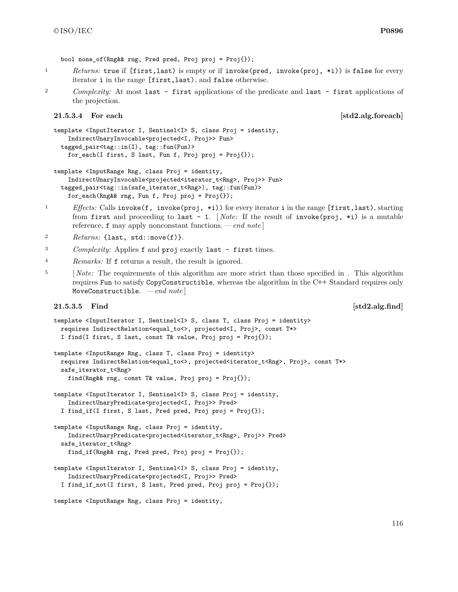bool none of (Rng&& rng, Pred pred, Proj proj = Proj{});

- <sup>1</sup> *Returns:* true if [first,last) is empty or if invoke(pred, invoke(proj, \*i)) is false for every iterator i in the range [first,last), and false otherwise.
- <sup>2</sup> *Complexity:* At most last first applications of the predicate and last first applications of the projection.

**21.5.3.4** For each **a [std2.alg.foreach**]

```
template <InputIterator I, Sentinel<I> S, class Proj = identity,
    IndirectUnaryInvocable<projected<I, Proj>> Fun>
  tagged_pair<tag::in(I), tag::fun(Fun)>
    for_each(I first, S last, Fun f, Proj proj = Proj{});
```

```
template <InputRange Rng, class Proj = identity,
    IndirectUnaryInvocable<projected<iterator_t<Rng>, Proj>> Fun>
  tagged_pair<tag::in(safe_iterator_t<Rng>), tag::fun(Fun)>
    for_each(Rng&& rng, Fun f, Proj proj = Proj{});
```
- <sup>1</sup> *Effects:* Calls invoke(f, invoke(proj, \*i)) for every iterator i in the range [first,last), starting from first and proceeding to last - 1. [ *Note:* If the result of invoke(proj, \*i) is a mutable reference, f may apply nonconstant functions. *— end note* ]
- <sup>2</sup> *Returns:* {last, std::move(f)}.
- <sup>3</sup> *Complexity:* Applies f and proj exactly last first times.
- <sup>4</sup> *Remarks:* If f returns a result, the result is ignored.
- <sup>5</sup> [*Note:* The requirements of this algorithm are more strict than those specified in . This algorithm requires Fun to satisfy CopyConstructible, whereas the algorithm in the C**++** Standard requires only MoveConstructible. *— end note* ]

### **21.5.3.5 Find [std2.alg.find]**

```
template <InputIterator I, Sentinel<I> S, class T, class Proj = identity>
 requires IndirectRelation<equal_to<>, projected<I, Proj>, const T*>
  I find(I first, S last, const T& value, Proj proj = Proj{});
```

```
template <InputRange Rng, class T, class Proj = identity>
 requires IndirectRelation<equal_to<>, projected<iterator_t<Rng>, Proj>, const T*>
  safe_iterator_t<Rng>
    find(Rng&& rng, const T& value, Proj proj = Proj{});
```

```
template <InputIterator I, Sentinel<I> S, class Proj = identity,
    IndirectUnaryPredicate<projected<I, Proj>> Pred>
  I find_if(I first, S last, Pred pred, Proj proj = Proj{});
```

```
template <InputRange Rng, class Proj = identity,
    IndirectUnaryPredicate<projected<iterator_t<Rng>, Proj>> Pred>
  safe_iterator_t<Rng>
   find_if(Rng&& rng, Pred pred, Proj proj = Proj{});
```

```
template <InputIterator I, Sentinel<I> S, class Proj = identity,
   IndirectUnaryPredicate<projected<I, Proj>> Pred>
  I find_if_not(I first, S last, Pred pred, Proj proj = Proj{});
```

```
template <InputRange Rng, class Proj = identity,
```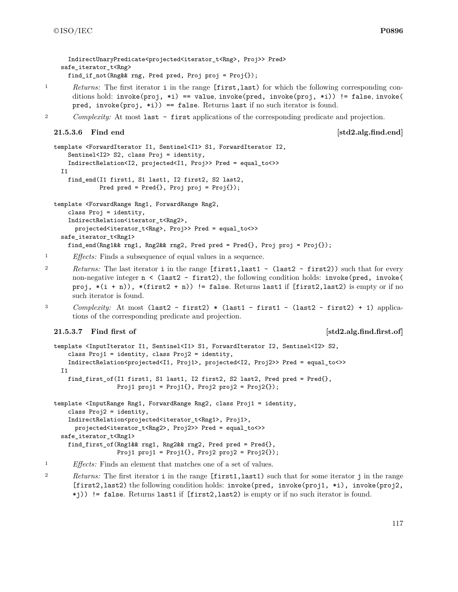```
IndirectUnaryPredicate<projected<iterator t<Rng>, Proj>> Pred>
safe_iterator_t<Rng>
 find_if_not(Rng&& rng, Pred pred, Proj proj = Proj{});
```
- <sup>1</sup> *Returns:* The first iterator i in the range [first,last) for which the following corresponding conditions hold: invoke(proj, \*i) == value, invoke(pred, invoke(proj, \*i)) != false, invoke( pred, invoke(proj,  $*$ i)) == false. Returns last if no such iterator is found.
- <sup>2</sup> *Complexity:* At most last first applications of the corresponding predicate and projection.

```
21.5.3.6 Find end and <b>a Example 21.5.3.6 Find end [std2.alg.find.end]
```

```
template <ForwardIterator I1, Sentinel<I1> S1, ForwardIterator I2,
    Sentinel<I2> S2, class Proj = identity,
    IndirectRelation<I2, projected<I1, Proj>> Pred = equal_to<>>
  T<sub>1</sub>
    find_end(I1 first1, S1 last1, I2 first2, S2 last2,
             Pred pred = Pred{}; Proj proj = Proj{};
```

```
template <ForwardRange Rng1, ForwardRange Rng2,
    class Proj = identity,
    IndirectRelation<iterator_t<Rng2>,
     projected<iterator_t<Rng>, Proj>> Pred = equal_to<>>
  safe_iterator_t<Rng1>
    find_end(Rng1&& rng1, Rng2&& rng2, Pred pred = Pred{}, Proj proj = Proj{});
```

```
1 Effects: Finds a subsequence of equal values in a sequence.
```
- 2 *Returns:* The last iterator i in the range [first1,last1 (last2 first2)) such that for every non-negative integer  $n \leq$  (last2 - first2), the following condition holds: invoke (pred, invoke ( proj,  $*(i + n))$ ,  $*(first2 + n))$  != false. Returns last1 if [first2, last2) is empty or if no such iterator is found.
- <sup>3</sup> *Complexity:* At most (last2 first2) \* (last1 first1 (last2 first2) + 1) applications of the corresponding predicate and projection.

# **21.5.3.7 Find first of [std2.alg.find.first.of]**

```
template <InputIterator I1, Sentinel<I1> S1, ForwardIterator I2, Sentinel<I2> S2,
    class Proj1 = identity, class Proj2 = identity,
    IndirectRelation<projected<I1, Proj1>, projected<I2, Proj2>> Pred = equal_to<>>
 I1
    find_first_of(I1 first1, S1 last1, I2 first2, S2 last2, Pred pred = Pred{},
                  Proj1 proj1 = Proj1\{ \}, Proj2 proj2 = Proj2\{ \});
template <InputRange Rng1, ForwardRange Rng2, class Proj1 = identity,
    class Proj2 = identity,
    IndirectRelation<projected<iterator_t<Rng1>, Proj1>,
     projected<iterator_t<Rng2>, Proj2>> Pred = equal_to<>>
  safe_iterator_t<Rng1>
```

```
find_first_of(Rng1&& rng1, Rng2&& rng2, Pred pred = Pred{},
              Proj1 proj1 = Proj1\{\}, Proj2 proj2 = Proj2\{\};
```
<sup>1</sup> *Effects:* Finds an element that matches one of a set of values.

<sup>2</sup> *Returns:* The first iterator i in the range [first1,last1) such that for some iterator j in the range [first2,last2) the following condition holds: invoke(pred, invoke(proj1, \*i), invoke(proj2, \*j)) != false. Returns last1 if [first2,last2) is empty or if no such iterator is found.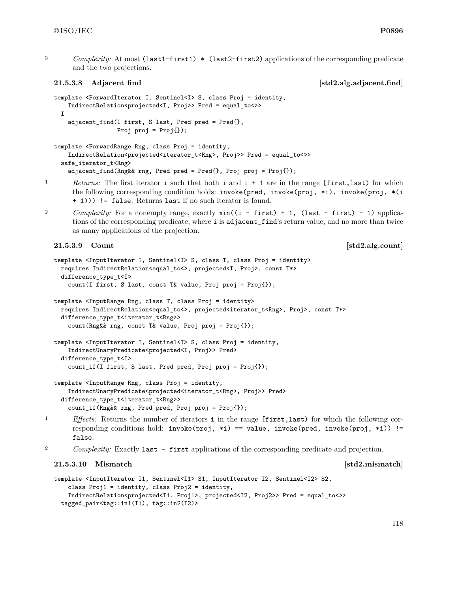<sup>3</sup> *Complexity:* At most (last1-first1) \* (last2-first2) applications of the corresponding predicate and the two projections.

### **21.5.3.8** Adjacent find **and is a set of the set of the set of the set of set of set of set of set of set of set of set of set of set of set of set of set of set of set of set of set of set of set of set of set of set of**

```
template <ForwardIterator I, Sentinel<I> S, class Proj = identity,
    IndirectRelation<projected<I, Proj>> Pred = equal_to<>>
  I
    adjacent_find(I first, S last, Pred pred = Pred{},
```

```
Proj proj = Proj });
```

```
template <ForwardRange Rng, class Proj = identity,
    IndirectRelation<projected<iterator_t<Rng>, Proj>> Pred = equal_to<>>
  safe_iterator_t<Rng>
    adjacent_find(Rng&& rng, Pred pred = Pred{}, Proj proj = Proj{});
```
- <sup>1</sup> *Returns:* The first iterator i such that both i and i + 1 are in the range [first,last) for which the following corresponding condition holds: invoke(pred, invoke(proj, \*i), invoke(proj, \*(i + 1))) != false. Returns last if no such iterator is found.
- <sup>2</sup> *Complexity:* For a nonempty range, exactly  $min((i first) + 1, (last first) 1)$  applications of the corresponding predicate, where i is adjacent\_find's return value, and no more than twice as many applications of the projection.

### **21.5.3.9 Count Service Service Service Service Service Service Service Service Service Service Service Service Service Service Service Service Service Service Service Service Service Service Service Service Service Servic**

```
template <InputIterator I, Sentinel<I> S, class T, class Proj = identity>
 requires IndirectRelation<equal_to<>, projected<I, Proj>, const T*>
 difference_type_t<I>
    count(I first, S last, const T& value, Proj proj = Proj{});
```

```
template <InputRange Rng, class T, class Proj = identity>
 requires IndirectRelation<equal_to<>, projected<iterator_t<Rng>, Proj>, const T*>
 difference_type_t<iterator_t<Rng>>
    count(Rng&& rng, const T& value, Proj proj = Proj{});
```

```
template <InputIterator I, Sentinel<I> S, class Proj = identity,
    IndirectUnaryPredicate<projected<I, Proj>> Pred>
  difference_type_t<I>
    count_if(I first, S last, Pred pred, Proj proj = Proj{});
```

```
template <InputRange Rng, class Proj = identity,
    IndirectUnaryPredicate<projected<iterator_t<Rng>, Proj>> Pred>
 difference_type_t<iterator_t<Rng>>
    count_if(Rng&& rng, Pred pred, Proj proj = Proj{});
```
- <sup>1</sup> *Effects:* Returns the number of iterators i in the range [first,last) for which the following corresponding conditions hold:  $invoke(proj, *i) == value, invoke(pred, invoke(proj, *i)) !=$ false.
- <sup>2</sup> *Complexity:* Exactly last first applications of the corresponding predicate and projection.

## **21.5.3.10 Mismatch and the state of the state of the state of the state of the state of the state of the state of the state of the state of the state of the state of the state of the state of the state of the state of t**

```
template <InputIterator I1, Sentinel<I1> S1, InputIterator I2, Sentinel<I2> S2,
    class Proj1 = identity, class Proj2 = identity,
    IndirectRelation<projected<I1, Proj1>, projected<I2, Proj2>> Pred = equal_to<>>
 tagged_pair<tag::in1(I1), tag::in2(I2)>
```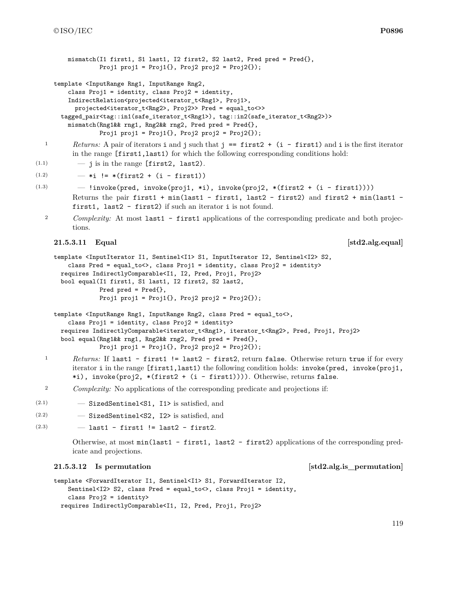```
mismatch(I1 first1, S1 last1, I2 first2, S2 last2, Pred pred = Pred{}},
         Proj1 proj1 = Proj1\{\}, Proj2 proj2 = Proj2\{\});
```

```
template <InputRange Rng1, InputRange Rng2,
```

```
class Proj1 = identity, class Proj2 = identity,
```
IndirectRelation<projected<iterator\_t<Rng1>, Proj1>,

```
projected<iterator_t<Rng2>, Proj2>> Pred = equal_to<>>
tagged_pair<tag::in1(safe_iterator_t<Rng1>), tag::in2(safe_iterator_t<Rng2>)>
```
mismatch(Rng1&& rng1, Rng2&& rng2, Pred pred = Pred{},

```
Proj1 proj1 = Proj1\{ \}, Proj2 proj2 = Proj2\{ \});
```
<sup>1</sup> *Returns:* A pair of iterators i and j such that j == first2 + (i - first1) and i is the first iterator in the range [first1,last1) for which the following corresponding conditions hold:

 $(1.1)$   $-$  j is in the range [first2, last2).

```
(1.2) - *i := *(first2 + (i - first1))
```

```
(1.3) - linvoke(pred, invoke(proj1, *i), invoke(proj2, *(first2 + (i - first1))))
         Returns the pair first1 + min(last1 - first1, last2 - first2) and first2 + min(last1 -
         first1, last2 - first2) if such an iterator i is not found.
```
<sup>2</sup> *Complexity:* At most last1 - first1 applications of the corresponding predicate and both projections.

# **21.5.3.11 Equal Equal Equal Equal Equal Equal Equal Equal Equal Equal Equal Equal Equal Equal Equal Equal Equal Equal Equal Equal Equal Equal Equal Equal Equal Equal Equal Equal Equal Equal Equal Equal Equal Equal Equal E**

```
template <InputIterator I1, Sentinel<I1> S1, InputIterator I2, Sentinel<I2> S2,
    class Pred = equal_to<>, class Proj1 = identity, class Proj2 = identity>
 requires IndirectlyComparable<I1, I2, Pred, Proj1, Proj2>
 bool equal(I1 first1, S1 last1, I2 first2, S2 last2,
             Pred pred = Pred{},
             Proj1 proj1 = Proj1\{ \}, Proj2 proj2 = Proj2\{ \});
```

```
template <InputRange Rng1, InputRange Rng2, class Pred = equal_to<>,
    class Proj1 = identity, class Proj2 = identity>
 requires IndirectlyComparable<iterator_t<Rng1>, iterator_t<Rng2>, Pred, Proj1, Proj2>
 bool equal(Rng1&& rng1, Rng2&& rng2, Pred pred = Pred{},
             Proj1 proj1 = Proj1\{\}, Proj2 proj2 = Proj2\{\});
```
- 1 *Returns:* If last1 first1 != last2 first2, return false. Otherwise return true if for every iterator i in the range [first1,last1) the following condition holds: invoke(pred, invoke(proj1, \*i), invoke(proj2, \*(first2 + (i - first1)))). Otherwise, returns false.
- <sup>2</sup> *Complexity:* No applications of the corresponding predicate and projections if:
- $(2.1)$   $-$  SizedSentinel<S1, I1> is satisfied, and

```
(2.2) — SizedSentinel<S2, I2> is satisfied, and
```

```
(2.3) - last1 - first1 != last2 - first2.
```
Otherwise, at most min(last1 - first1, last2 - first2) applications of the corresponding predicate and projections.

### **21.5.3.12** Is permutation **in Section** [std2.alg.is\_permutation]

```
template <ForwardIterator I1, Sentinel<I1> S1, ForwardIterator I2,
    Sentinel<I2> S2, class Pred = equal_to<>, class Proj1 = identity,
    class Proj2 = identity>
 requires IndirectlyComparable<I1, I2, Pred, Proj1, Proj2>
```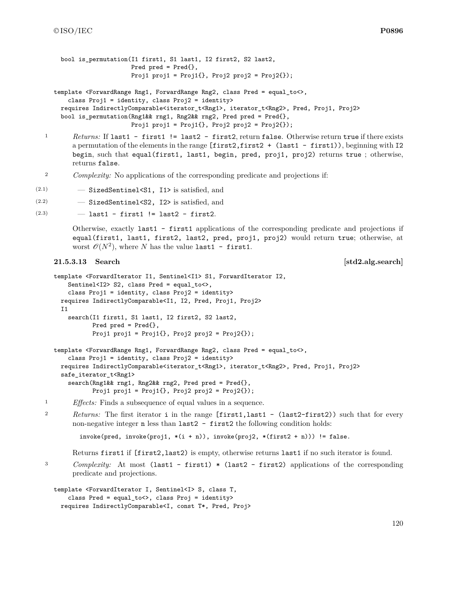```
bool is permutation(I1 first1, S1 last1, I2 first2, S2 last2,
                     Pred pred = Pred{},
                     Proj1 proj1 = Proj1\{ \}, Proj2 proj2 = Proj2\{ \});
```

```
template <ForwardRange Rng1, ForwardRange Rng2, class Pred = equal_to<>,
    class Proj1 = identity, class Proj2 = identity>
 requires IndirectlyComparable<iterator_t<Rng1>, iterator_t<Rng2>, Pred, Proj1, Proj2>
 bool is_permutation(Rng1&& rng1, Rng2&& rng2, Pred pred = Pred{},
                      Proj1 proj1 = Proj1\{\}, Proj2 proj2 = Proj2\{\});
```
- <sup>1</sup> *Returns:* If last1 first1 != last2 first2, return false. Otherwise return true if there exists a permutation of the elements in the range  $[\text{first2}, \text{first2} + (\text{last1} - \text{first1})),$  beginning with I2 begin, such that equal(first1, last1, begin, pred, proj1, proj2) returns true ; otherwise, returns false.
- <sup>2</sup> *Complexity:* No applications of the corresponding predicate and projections if:
- $(2.1)$   $-$  SizedSentinel<S1, I1> is satisfied, and
- (2.2) SizedSentinel<S2, I2> is satisfied, and
- $(2.3)$   $-$  last1 first1 != last2 first2.

Otherwise, exactly last1 - first1 applications of the corresponding predicate and projections if equal(first1, last1, first2, last2, pred, proj1, proj2) would return true; otherwise, at worst  $\mathscr{O}(N^2)$ , where *N* has the value last1 - first1.

### **21.5.3.13** Search **and Search** *std2.alg.search***</u>**

```
template <ForwardIterator I1, Sentinel<I1> S1, ForwardIterator I2,
    Sentinel<I2> S2, class Pred = equal_to<>,
    class Proj1 = identity, class Proj2 = identity>
 requires IndirectlyComparable<I1, I2, Pred, Proj1, Proj2>
 I1
    search(I1 first1, S1 last1, I2 first2, S2 last2,
           Pred pred = Pred{},
           Proj1 proj1 = Proj1\{ \}, Proj2 proj2 = Proj2\{ \});
template <ForwardRange Rng1, ForwardRange Rng2, class Pred = equal_to<>,
```

```
class Proj1 = identity, class Proj2 = identity>
requires IndirectlyComparable<iterator_t<Rng1>, iterator_t<Rng2>, Pred, Proj1, Proj2>
safe_iterator_t<Rng1>
  search(Rng1&& rng1, Rng2&& rng2, Pred pred = Pred{},
```
<sup>1</sup> *Effects:* Finds a subsequence of equal values in a sequence.

Proj1 proj1 = Proj1 $\{\}$ , Proj2 proj2 = Proj2 $\{\}$ );

<sup>2</sup> *Returns:* The first iterator i in the range [first1,last1 - (last2-first2)) such that for every non-negative integer **n** less than  $\text{last2 - first2}$  the following condition holds:

invoke(pred, invoke(proj1,  $*(i + n)$ ), invoke(proj2,  $*(first2 + n))$ ) != false.

Returns first1 if [first2,last2) is empty, otherwise returns last1 if no such iterator is found.

```
3 Complexity: At most (last1 - first1) * (last2 - first2) applications of the corresponding
       predicate and projections.
```

```
template <ForwardIterator I, Sentinel<I> S, class T,
    class Pred = equal_to<>, class Proj = identity>
 requires IndirectlyComparable<I, const T*, Pred, Proj>
```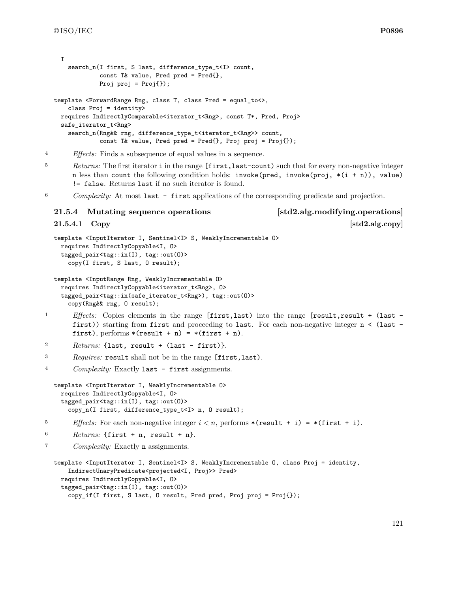```
I
      search_n(I first, S last, difference_type_t<I> count,
              const T& value, Pred pred = Pred{},
              Proj proj = Proj();
  template <ForwardRange Rng, class T, class Pred = equal_to<>,
      class Proj = identity>
    requires IndirectlyComparable<iterator_t<Rng>, const T*, Pred, Proj>
    safe_iterator_t<Rng>
      search_n(Rng&& rng, difference_type_t<iterator_t<Rng>> count,
              const T& value, Pred pred = Pred{}, Proj proj = Proj{});
4 Effects: Finds a subsequence of equal values in a sequence.
5 Returns: The first iterator i in the range [first,last-count) such that for every non-negative integer
       n less than count the following condition holds: invoke(pred, invoke(proj, *(i + n)), value)
       != false. Returns last if no such iterator is found.
6 Complexity: At most last - first applications of the corresponding predicate and projection.
  21.5.4 Mutating sequence operations [std2.alg.modifying.operations]
  21.5.4.1 Copy [std2.alg.copy]
  template <InputIterator I, Sentinel<I> S, WeaklyIncrementable O>
    requires IndirectlyCopyable<I, O>
    tagged_pair<tag::in(I), tag::out(O)>
      copy(I first, S last, O result);
  template <InputRange Rng, WeaklyIncrementable O>
    requires IndirectlyCopyable<iterator_t<Rng>, 0>
    tagged_pair<tag::in(safe_iterator_t<Rng>), tag::out(O)>
      copy(Rng&& rng, O result);
<sup>1</sup> Effects: Copies elements in the range [first,last) into the range [result,result + (last -
       first)) starting from first and proceeding to last. For each non-negative integer n < (last -
       first), performs *(result + n) = *(first + n).
2 Returns: {last, result + (last - first)}.
3 Requires: result shall not be in the range [first,last).
4 Complexity: Exactly last - first assignments.
  template <InputIterator I, WeaklyIncrementable O>
    requires IndirectlyCopyable<I, O>
    tagged_pair<tag::in(I), tag::out(O)>
      copy_n(I first, difference_type_t<I> n, O result);
<sup>5</sup> Effects: For each non-negative integer i < n, performs *(result + i) = *(first + i).
6 Returns: {first + n, result + n}.
7 Complexity: Exactly n assignments.
  template <InputIterator I, Sentinel<I> S, WeaklyIncrementable O, class Proj = identity,
      IndirectUnaryPredicate<projected<I, Proj>> Pred>
    requires IndirectlyCopyable<I, O>
    tagged_pair<tag::in(I), tag::out(O)>
      copy_if(I first, S last, O result, Pred pred, Proj proj = Proj{});
```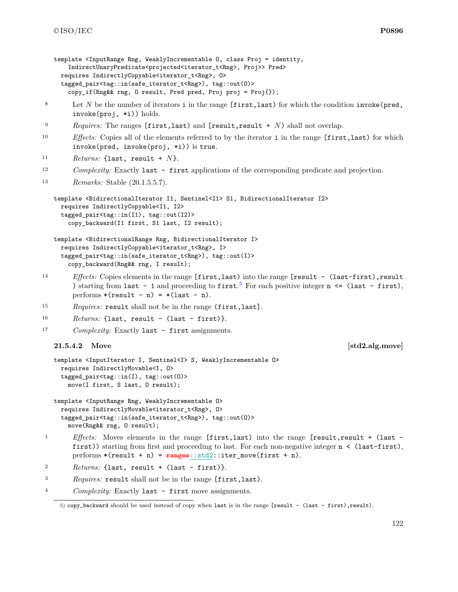```
template <InputRange Rng, WeaklyIncrementable O, class Proj = identity,
       IndirectUnaryPredicate<projected<iterator_t<Rng>, Proj>> Pred>
    requires IndirectlyCopyable<iterator_t<Rng>, O>
     tagged_pair<tag::in(safe_iterator_t<Rng>), tag::out(O)>
       copy_if(Rng&& rng, O result, Pred pred, Proj proj = Proj{});
<sup>8</sup> Let N be the number of iterators i in the range [first,last) for which the condition invoke(pred,
        invoke(proj, *i)) holds.
9 Requires: The ranges [first,last) and [result,result + N) shall not overlap.
10 Effects: Copies all of the elements referred to by the iterator i in the range [first,last) for which
        invoke(pred, invoke(proj, *i)) is true.
11 Returns: {last, result + N}.
12 Complexity: Exactly last - first applications of the corresponding predicate and projection.
13 Remarks: Stable (20.1.5.5.7).
   template <BidirectionalIterator I1, Sentinel<I1> S1, BidirectionalIterator I2>
    requires IndirectlyCopyable<I1, I2>
     tagged_pair<tag::in(I1), tag::out(I2)>
      copy_backward(I1 first, S1 last, I2 result);
   template <BidirectionalRange Rng, BidirectionalIterator I>
    requires IndirectlyCopyable<iterator_t<Rng>, I>
     tagged_pair<tag::in(safe_iterator_t<Rng>), tag::out(I)>
       copy_backward(Rng&& rng, I result);
14 Effects: Copies elements in the range [first,last) into the range [result - (last-first),result
        5</sup> For each positive integer n \leq (last - first),
        performs *(result - n) = *(last - n).
15 Requires: result shall not be in the range (first,last].
16 Returns: {last, result - (last - first)}.
17 Complexity: Exactly last - first assignments.
   21.5.4.2 Move [std2.alg.move]
   template <InputIterator I, Sentinel<I> S, WeaklyIncrementable O>
    requires IndirectlyMovable<I, O>
     tagged_pair<tag::in(I), tag::out(O)>
      move(I first, S last, O result);
   template <InputRange Rng, WeaklyIncrementable O>
    requires IndirectlyMovable<iterator_t<Rng>, O>
     tagged_pair<tag::in(safe_iterator_t<Rng>), tag::out(O)>
      move(Rng&& rng, O result);
<sup>1</sup> Effects: Moves elements in the range [first,last) into the range [result,result + (last -
        first)) starting from first and proceeding to last. For each non-negative integer n < (last-first),
        performs *(result + n) = <u>ranges</u>::std2::iter_move(first + n).2 Returns: {last, result + (last - first)}.
3 Requires: result shall not be in the range [first,last).
4 Complexity: Exactly last - first move assignments.
```
<span id="page-123-0"></span><sup>5)</sup> copy\_backward should be used instead of copy when last is in the range [result - (last - first),result).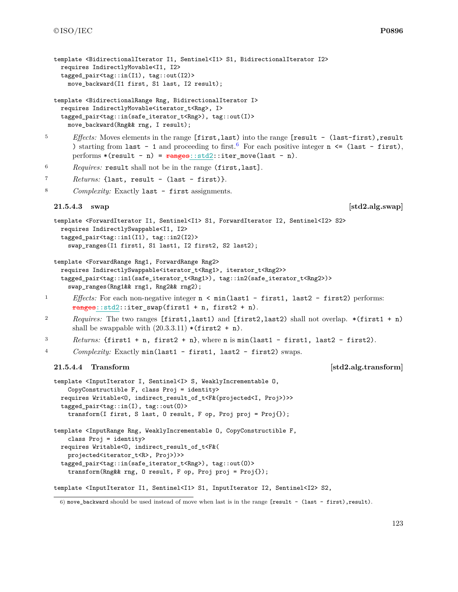```
template <BidirectionalIterator I1, Sentinel<I1> S1, BidirectionalIterator I2>
    requires IndirectlyMovable<I1, I2>
    tagged_pair<tag::in(I1), tag::out(I2)>
      move_backward(I1 first, S1 last, I2 result);
  template <BidirectionalRange Rng, BidirectionalIterator I>
    requires IndirectlyMovable<iterator_t<Rng>, I>
    tagged_pair<tag::in(safe_iterator_t<Rng>), tag::out(I)>
      move_backward(Rng&& rng, I result);
5 Effects: Moves elements in the range [first,last) into the range [result - (last-first),result
       6</sup> For each positive integer n \leq (last - first),
       performs *(result - n) = <u>ranges</u>::iter_move(last - n).6 Requires: result shall not be in the range (first,last].
7 Returns: {last, result - (last - first)}.
8 Complexity: Exactly last - first assignments.
  21.5.4.3 swap [std2.alg.swap]
  template <ForwardIterator I1, Sentinel<I1> S1, ForwardIterator I2, Sentinel<I2> S2>
    requires IndirectlySwappable<I1, I2>
    tagged_pair<tag::in1(I1), tag::in2(I2)>
      swap_ranges(I1 first1, S1 last1, I2 first2, S2 last2);
  template <ForwardRange Rng1, ForwardRange Rng2>
    requires IndirectlySwappable<iterator_t<Rng1>, iterator_t<Rng2>>
    tagged_pair<tag::in1(safe_iterator_t<Rng1>), tag::in2(safe_iterator_t<Rng2>)>
      swap_ranges(Rng1&& rng1, Rng2&& rng2);
<sup>1</sup> Effects: For each non-negative integer n \lt min(\text{last1} - \text{first1}, \text{last2} - \text{first2}) performs:
       ranges::std2::iter_swap(first1 + n, first2 + n).
2 Requires: The two ranges [first1,last1) and [first2,last2) shall not overlap. *(first1 + n)
       shall be swappable with (20.3.3.11) * (first2 + n).
3 Returns: {first1 + n, first2 + n}, where n is min(last1 - first1, last2 - first2).
4 Complexity: Exactly min(last1 - first1, last2 - first2) swaps.
  21.5.4.4 Transform [std2.alg.transform]
  template <InputIterator I, Sentinel<I> S, WeaklyIncrementable O,
      CopyConstructible F, class Proj = identity>
    requires Writable<O, indirect_result_of_t<F&(projected<I, Proj>)>>
    tagged_pair<tag::in(I), tag::out(O)>
      transform(I first, S last, O result, F op, Proj proj = Proj{});
  template <InputRange Rng, WeaklyIncrementable O, CopyConstructible F,
      class Proj = identity>
    requires Writable<O, indirect_result_of_t<F&(
      projected<iterator_t<R>, Proj>)>>
    tagged_pair<tag::in(safe_iterator_t<Rng>), tag::out(O)>
      transform(Rng&& rng, O result, F op, Proj proj = Proj{});
```
template <InputIterator I1, Sentinel<I1> S1, InputIterator I2, Sentinel<I2> S2,

<span id="page-124-0"></span><sup>6)</sup> move\_backward should be used instead of move when last is in the range [result - (last - first),result).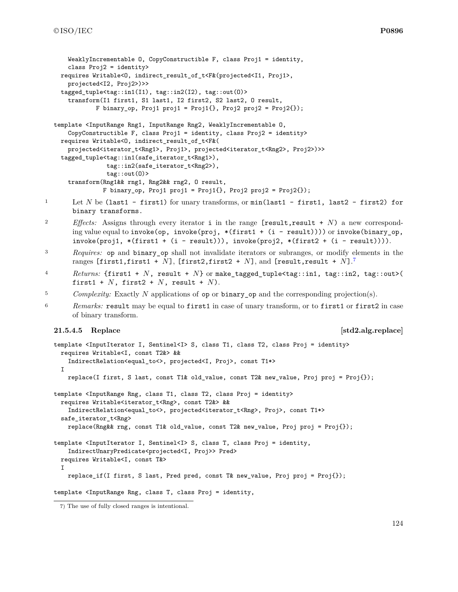```
WeaklyIncrementable O, CopyConstructible F, class Proj1 = identity,
      class Proj2 = identity>
    requires Writable<O, indirect_result_of_t<F&(projected<I1, Proj1>,
      projected<I2, Proj2>)>>
    tagged_tuple<tag::in1(I1), tag::in2(I2), tag::out(O)>
      transform(I1 first1, S1 last1, I2 first2, S2 last2, O result,
              F binary_op, Proj1 proj1 = Proj1{}, Proj2 proj2 = Proj2{});
  template <InputRange Rng1, InputRange Rng2, WeaklyIncrementable O,
      CopyConstructible F, class Proj1 = identity, class Proj2 = identity>
    requires Writable<O, indirect_result_of_t<F&(
      projected<iterator_t<Rng1>, Proj1>, projected<iterator_t<Rng2>, Proj2>)>>
    tagged_tuple<tag::in1(safe_iterator_t<Rng1>),
                 tag::in2(safe_iterator_t<Rng2>),
                 tag::out(O)>
      transform(Rng1&& rng1, Rng2&& rng2, O result,
                F binary_op, Proj1 proj1 = Proj1{}, Proj2 proj2 = Proj2{});
1 Let N be (last1 - first1) for unary transforms, or min(last1 - first1, last2 - first2) for
       binary transforms.
2 Effects: Assigns through every iterator i in the range [result, result + N) a new correspond-
       ing value equal to invoke(op, invoke(proj, *(first1 + (i - result)))) or invoke(binary_op,
       invoke(proj1, * (first1 + (i - result))), invoke(proj2, * (first2 + (i - result)))).
3 Requires: op and binary_op shall not invalidate iterators or subranges, or modify elements in the
       ranges [first1,first1 + N], [first2,first2 + N], and [result,result + N].
7
4 Returns: {first1 + N, result + N} or make_tagged_tuple<tag::in1, tag::in2, tag::out>(
       first1 + N, first2 + N, result + N).
5 Complexity: Exactly N applications of op or binary_op and the corresponding projection(s).
<sup>6</sup> Remarks: result may be equal to first1 in case of unary transform, or to first1 or first2 in case
       of binary transform.
```
### **21.5.4.5 Replace** *l***std2.alg.replace**

```
template <InputIterator I, Sentinel<I> S, class T1, class T2, class Proj = identity>
 requires Writable<I, const T2&> &&
    IndirectRelation<equal_to<>, projected<I, Proj>, const T1*>
  I
    replace(I first, S last, const T1& old_value, const T2& new_value, Proj proj = Proj{});
template <InputRange Rng, class T1, class T2, class Proj = identity>
 requires Writable<iterator_t<Rng>, const T2&> &&
    IndirectRelation<equal_to<>, projected<iterator_t<Rng>, Proj>, const T1*>
 safe_iterator_t<Rng>
   replace(Rng&& rng, const T1& old_value, const T2& new_value, Proj proj = Proj{});
template <InputIterator I, Sentinel<I> S, class T, class Proj = identity,
    IndirectUnaryPredicate<projected<I, Proj>> Pred>
 requires Writable<I, const T&>
  I
    replace_if(I first, S last, Pred pred, const T& new_value, Proj proj = Proj{});
```
template <InputRange Rng, class T, class Proj = identity,

<span id="page-125-0"></span><sup>7)</sup> The use of fully closed ranges is intentional.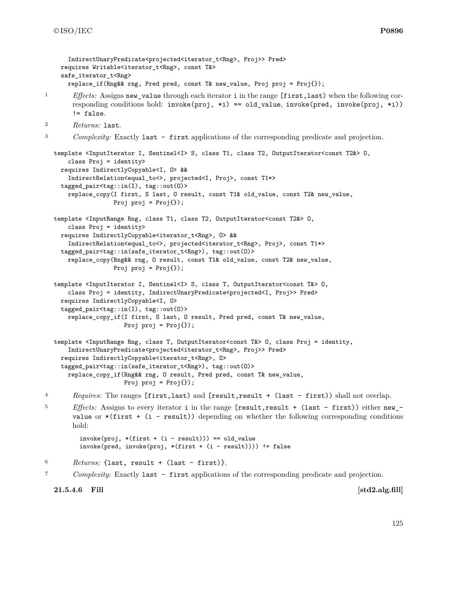```
IndirectUnaryPredicate<projected<iterator t<Rng>, Proj>> Pred>
    requires Writable<iterator_t<Rng>, const T&>
    safe_iterator_t<Rng>
      replace_if(Rng&& rng, Pred pred, const T& new_value, Proj proj = Proj{});
<sup>1</sup> Effects: Assigns new value through each iterator i in the range [first,last) when the following cor-
       responding conditions hold: invoke(proj, *i) == old_value, invoke(pred, invoke(proj, *i))
        != false.
2 Returns: last.
3 Complexity: Exactly last - first applications of the corresponding predicate and projection.
  template <InputIterator I, Sentinel<I> S, class T1, class T2, OutputIterator<const T2&> O,
      class Proj = identity>
    requires IndirectlyCopyable<I, O> &&
      IndirectRelation<equal_to<>, projected<I, Proj>, const T1*>
    tagged_pair<tag::in(I), tag::out(O)>
      replace_copy(I first, S last, O result, const T1& old_value, const T2& new_value,
                   Proj proj = Proj();
  template <InputRange Rng, class T1, class T2, OutputIterator<const T2&> O,
      class Proj = identity>
    requires IndirectlyCopyable<iterator_t<Rng>, 0> &&
      IndirectRelation<equal_to<>, projected<iterator_t<Rng>, Proj>, const T1*>
    tagged_pair<tag::in(safe_iterator_t<Rng>), tag::out(O)>
      replace_copy(Rng&& rng, O result, const T1& old_value, const T2& new_value,
                   Proj proj = Proj });
  template <InputIterator I, Sentinel<I> S, class T, OutputIterator<const T&> O,
      class Proj = identity, IndirectUnaryPredicate<projected<I, Proj>> Pred>
    requires IndirectlyCopyable<I, O>
    tagged_pair<tag::in(I), tag::out(O)>
      replace_copy_if(I first, S last, O result, Pred pred, const T& new_value,
                      Proj proj = Proj{});
  template <InputRange Rng, class T, OutputIterator<const T&> O, class Proj = identity,
      IndirectUnaryPredicate<projected<iterator_t<Rng>, Proj>> Pred>
    requires IndirectlyCopyable<iterator_t<Rng>, O>
    tagged_pair<tag::in(safe_iterator_t<Rng>), tag::out(O)>
      replace_copy_if(Rng&& rng, O result, Pred pred, const T& new_value,
                      Proj proj = Proj);
4 Requires: The ranges [first,last) and [result,result + (last - first)) shall not overlap.
5 Effects: Assigns to every iterator i in the range [result,result + (last - first)) either new_-
       value or *(first + (i - result)) depending on whether the following corresponding conditions
       hold:
         invoke(proj, *(first + (i - result))) == old_valueinvoke(pred, invoke(proj, *(first + (i - result)))) != false
6 Returns: {last, result + (last - first)}.
7 Complexity: Exactly last - first applications of the corresponding predicate and projection.
```
**21.5.4.6 Fill [std2.alg.fill]**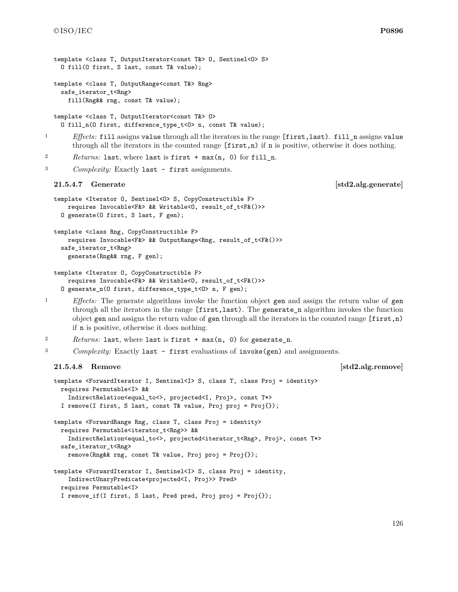```
template <class T, OutputIterator<const T&> O, Sentinel<O> S>
    O fill(O first, S last, const T& value);
  template <class T, OutputRange<const T&> Rng>
    safe_iterator_t<Rng>
      fill(Rng&& rng, const T& value);
  template <class T, OutputIterator<const T&> O>
    O fill_n(O first, difference_type_t<O> n, const T& value);
<sup>1</sup> Effects: fill assigns value through all the iterators in the range [first,last). fill_n assigns value
       through all the iterators in the counted range [\text{first},n) if n is positive, otherwise it does nothing.
2 Returns: last, where last is first + max(n, 0) for fill_n.
3 Complexity: Exactly last - first assignments.
  21.5.4.7 Generate [std2.alg.generate]
  template <Iterator 0, Sentinel<0> S, CopyConstructible F>
      requires Invocable<F&> && Writable<0, result_of_t<F&()>>
    O generate(O first, S last, F gen);
  template <class Rng, CopyConstructible F>
      requires Invocable<F&> && OutputRange<Rng, result_of_t<F&()>>
    safe_iterator_t<Rng>
      generate(Rng&& rng, F gen);
  template <Iterator O, CopyConstructible F>
      requires Invocable<F&> && Writable<O, result_of_t<F&()>>
```

```
O generate_n(O first, difference_type_t<O> n, F gen);
```
<sup>1</sup> *Effects:* The generate algorithms invoke the function object gen and assign the return value of gen through all the iterators in the range [first,last). The generate\_n algorithm invokes the function object gen and assigns the return value of gen through all the iterators in the counted range [first,n) if n is positive, otherwise it does nothing.

```
2 Returns: last, where last is first + max(n, 0) for generate_n.
```
<sup>3</sup> *Complexity:* Exactly last - first evaluations of invoke(gen) and assignments.

# **21.5.4.8** Remove *state as a set of the state and state as a set of state and state and state as set of state and state and state and state and state and state and state and state and state and state and state and state*

```
template <ForwardIterator I, Sentinel<I> S, class T, class Proj = identity>
 requires Permutable<I> &&
    IndirectRelation<equal_to<>, projected<I, Proj>, const T*>
  I remove(I first, S last, const T& value, Proj proj = Proj{});
template <ForwardRange Rng, class T, class Proj = identity>
  requires Permutable<iterator_t<Rng>> &&
    IndirectRelation<equal_to<>, projected<iterator_t<Rng>, Proj>, const T*>
  safe_iterator_t<Rng>
    remove(Rng&& rng, const T& value, Proj proj = Proj{});
template <ForwardIterator I, Sentinel<I> S, class Proj = identity,
    IndirectUnaryPredicate<projected<I, Proj>> Pred>
 requires Permutable<I>
  I remove_if(I first, S last, Pred pred, Proj proj = Proj{});
```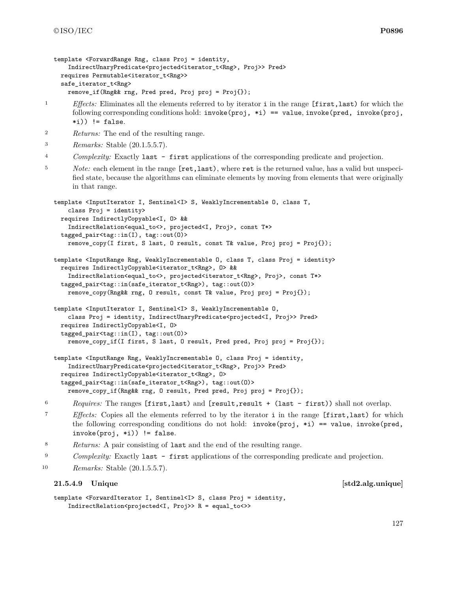```
template <ForwardRange Rng, class Proj = identity,
    IndirectUnaryPredicate<projected<iterator_t<Rng>, Proj>> Pred>
 requires Permutable<iterator_t<Rng>>
 safe_iterator_t<Rng>
    remove_if(Rng&& rng, Pred pred, Proj proj = Proj{});
```
- <sup>1</sup> *Effects:* Eliminates all the elements referred to by iterator i in the range [first,last) for which the following corresponding conditions hold:  $invoke(proj, *i) == value, invoke(pred, invoke(proj,$  $(i)$ ) != false.
- <sup>2</sup> *Returns:* The end of the resulting range.
- <sup>3</sup> *Remarks:* Stable (20.1.5.5.7).
- <sup>4</sup> *Complexity:* Exactly last first applications of the corresponding predicate and projection.
- <sup>5</sup> *Note:* each element in the range [ret,last), where ret is the returned value, has a valid but unspecified state, because the algorithms can eliminate elements by moving from elements that were originally in that range.

```
template <InputIterator I, Sentinel<I> S, WeaklyIncrementable O, class T,
    class Proj = identity>
 requires IndirectlyCopyable<I, O> &&
    IndirectRelation<equal_to<>, projected<I, Proj>, const T*>
  tagged_pair<tag::in(I), tag::out(O)>
    remove_copy(I first, S last, O result, const T& value, Proj proj = Proj{});
```

```
template <InputRange Rng, WeaklyIncrementable O, class T, class Proj = identity>
 requires IndirectlyCopyable<iterator_t<Rng>, 0> &&
    IndirectRelation<equal_to<>, projected<iterator_t<Rng>, Proj>, const T*>
 tagged_pair<tag::in(safe_iterator_t<Rng>), tag::out(O)>
```

```
remove_copy(Rng&& rng, O result, const T& value, Proj proj = Proj{});
```

```
template <InputIterator I, Sentinel<I> S, WeaklyIncrementable O,
    class Proj = identity, IndirectUnaryPredicate<projected<I, Proj>> Pred>
 requires IndirectlyCopyable<I, O>
  tagged_pair<tag::in(I), tag::out(O)>
    remove_copy_if(I first, S last, O result, Pred pred, Proj proj = Proj{});
```

```
template <InputRange Rng, WeaklyIncrementable O, class Proj = identity,
    IndirectUnaryPredicate<projected<iterator_t<Rng>, Proj>> Pred>
  requires IndirectlyCopyable<iterator_t<Rng>, O>
  tagged_pair<tag::in(safe_iterator_t<Rng>), tag::out(O)>
    remove_copy_if(Rng&& rng, O result, Pred pred, Proj proj = Proj{});
```

```
6 Requires: The ranges [first,last) and [result,result + (last - first)) shall not overlap.
```
- <sup>7</sup> *Effects:* Copies all the elements referred to by the iterator i in the range [first,last) for which the following corresponding conditions do not hold:  $invoke(proj, *i) == value$ ,  $invoke(pred,$ invoke(proj, \*i)) != false.
- <sup>8</sup> *Returns:* A pair consisting of last and the end of the resulting range.
- <sup>9</sup> *Complexity:* Exactly last first applications of the corresponding predicate and projection.
- <sup>10</sup> *Remarks:* Stable (20.1.5.5.7).

# **21.5.4.9 Unique [std2.alg.unique]**

```
template <ForwardIterator I, Sentinel<I> S, class Proj = identity,
    IndirectRelation<projected<I, Proj>> R = equal_to<>>
```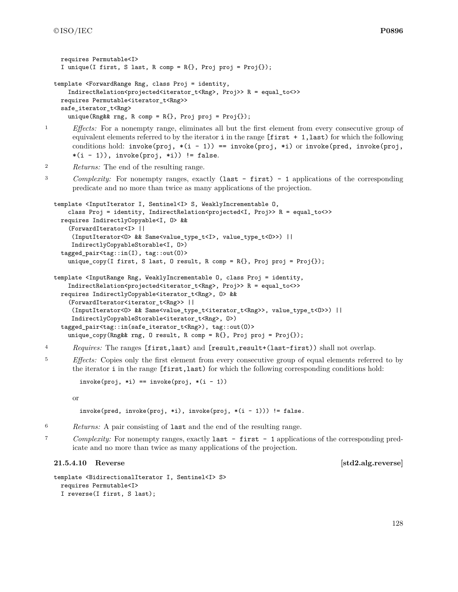```
requires Permutable<I>
    I unique(I first, S last, R comp = R{}, Proj proj = Proj{});
  template <ForwardRange Rng, class Proj = identity,
      IndirectRelation<projected<iterator_t<Rng>, Proj>> R = equal_to<>>
    requires Permutable<iterator_t<Rng>>
    safe_iterator_t<Rng>
      unique(Rng&& rng, R comp = R{}, Proj proj = Proj{});
1 Effects: For a nonempty range, eliminates all but the first element from every consecutive group of
       equivalent elements referred to by the iterator i in the range [\text{first } + 1, \text{last}] for which the following
       conditions hold: invoke(proj, *(i - 1)) == invoke(proj, *i) or invoke(pred, invoke(proj,
       *(i - 1)), invoke(proj, *i)) != false.
2 Returns: The end of the resulting range.
3 Complexity: For nonempty ranges, exactly (last - first) - 1 applications of the corresponding
       predicate and no more than twice as many applications of the projection.
  template <InputIterator I, Sentinel<I> S, WeaklyIncrementable O,
      class Proj = identity, IndirectRelation<projected<I, Proj>> R = equal_to<>>
    requires IndirectlyCopyable<I, O> &&
      (ForwardIterator<I> ||
       (InputIterator<O> && Same<value_type_t<I>, value_type_t<O>>) ||
       IndirectlyCopyableStorable<I, O>)
    tagged_pair<tag::in(I), tag::out(O)>
      unique_copy(I first, S last, O result, R comp = R{}, Proj proj = Proj{});
  template <InputRange Rng, WeaklyIncrementable O, class Proj = identity,
      IndirectRelation<projected<iterator_t<Rng>, Proj>> R = equal_to<>>
    requires IndirectlyCopyable<iterator t<Rng>, O> &&
      (ForwardIterator<iterator_t<Rng>> ||
       (InputIterator<O> && Same<value_type_t<iterator_t<Rng>>, value_type_t<O>>) ||
       IndirectlyCopyableStorable<iterator_t<Rng>, O>)
    tagged_pair<tag::in(safe_iterator_t<Rng>), tag::out(O)>
      unique_copy(Rng&& rng, O result, R comp = R{}, Proj proj = Proj{});
```
<sup>4</sup> *Requires:* The ranges [first,last) and [result,result+(last-first)) shall not overlap.

<sup>5</sup> *Effects:* Copies only the first element from every consecutive group of equal elements referred to by the iterator i in the range [first,last) for which the following corresponding conditions hold:

 $invoke(proj, *i) == invoke(proj, *(i - 1))$ 

or

```
invoke(pred, invoke(proj, *i), invoke(proj, *(i - 1))) != false.
```

```
6 Returns: A pair consisting of last and the end of the resulting range.
```
<sup>7</sup> *Complexity:* For nonempty ranges, exactly last - first - 1 applications of the corresponding predicate and no more than twice as many applications of the projection.

### **21.5.4.10 Reverse** *p std2.alg.reverse*

```
template <BidirectionalIterator I, Sentinel<I> S>
 requires Permutable<I>
 I reverse(I first, S last);
```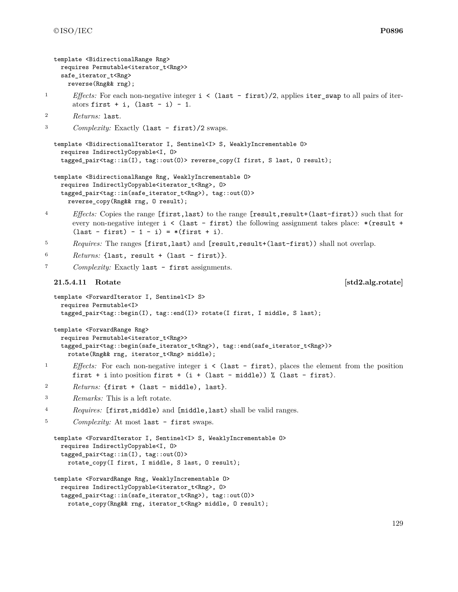```
template <BidirectionalRange Rng>
    requires Permutable<iterator_t<Rng>>
    safe_iterator_t<Rng>
      reverse(Rng&& rng);
<sup>1</sup> Effects: For each non-negative integer i < (last - first)/2, applies iter_swap to all pairs of iter-
       ators first + i, (last - i) - 1.
2 Returns: last.
3 Complexity: Exactly (last - first)/2 swaps.
  template <BidirectionalIterator I, Sentinel<I> S, WeaklyIncrementable O>
    requires IndirectlyCopyable<I, O>
    tagged_pair<tag::in(I), tag::out(O)> reverse_copy(I first, S last, O result);
  template <BidirectionalRange Rng, WeaklyIncrementable O>
    requires IndirectlyCopyable<iterator_t<Rng>, O>
    tagged_pair<tag::in(safe_iterator_t<Rng>), tag::out(O)>
      reverse_copy(Rng&& rng, O result);
4 Effects: Copies the range [first,last) to the range [result,result+(last-first)) such that for
       every non-negative integer i \leq (last - first) the following assignment takes place: *(result +
       (last - first) - 1 - i) = *(first + i).5 Requires: The ranges [first,last) and [result,result+(last-first)) shall not overlap.
6 Returns: {last, result + (last - first)}.
7 Complexity: Exactly last - first assignments.
  21.5.4.11 Rotate [std2.alg.rotate]
  template <ForwardIterator I, Sentinel<I> S>
    requires Permutable<I>
    tagged_pair<tag::begin(I), tag::end(I)> rotate(I first, I middle, S last);
  template <ForwardRange Rng>
    requires Permutable<iterator_t<Rng>>
    tagged_pair<tag::begin(safe_iterator_t<Rng>), tag::end(safe_iterator_t<Rng>)>
      rotate(Rng&& rng, iterator_t<Rng> middle);
<sup>1</sup> Effects: For each non-negative integer i < (last - first), places the element from the position
       first + i into position first + (i + (last - middle)) % (last - first).
2 Returns: {first + (last - middle), last}.
3 Remarks: This is a left rotate.
4 Requires: [first,middle) and [middle,last) shall be valid ranges.
<sup>5</sup> Complexity: At most last - first swaps.
  template <ForwardIterator I, Sentinel<I> S, WeaklyIncrementable O>
    requires IndirectlyCopyable<I, O>
    tagged_pair<tag::in(I), tag::out(O)>
      rotate_copy(I first, I middle, S last, O result);
  template <ForwardRange Rng, WeaklyIncrementable O>
    requires IndirectlyCopyable<iterator_t<Rng>, O>
    tagged pair<tag::in(safe iterator t<Rng>), tag::out(0)>
      rotate_copy(Rng&& rng, iterator_t<Rng> middle, O result);
```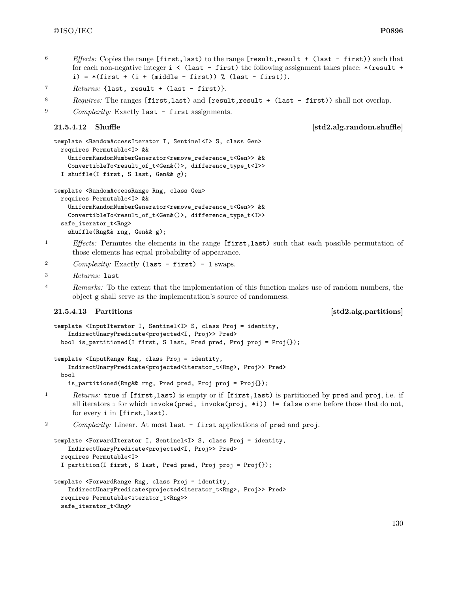- <sup>6</sup> *Effects:* Copies the range [first,last) to the range [result,result + (last first)) such that for each non-negative integer  $i \leq (last - first)$  the following assignment takes place: \*(result + i) =  $*(first + (i + (middle - first)) % (last - first)).$
- <sup>7</sup> *Returns:* {last, result + (last first)}.
- 8 *Requires:* The ranges [first,last) and [result, result + (last first)) shall not overlap.

```
9 Complexity: Exactly last - first assignments.
```

```
template <RandomAccessIterator I, Sentinel<I> S, class Gen>
 requires Permutable<I> &&
    UniformRandomNumberGenerator<remove_reference_t<Gen>> &&
    ConvertibleTo<result_of_t<Gen&()>, difference_type_t<I>>
 I shuffle(I first, S last, Gen&& g);
```

```
template <RandomAccessRange Rng, class Gen>
```

```
requires Permutable<I> &&
  UniformRandomNumberGenerator<remove_reference_t<Gen>> &&
  ConvertibleTo<result_of_t<Gen&()>, difference_type_t<I>>
safe_iterator_t<Rng>
  shuffle(Rng&& rng, Gen&& g);
```
<sup>1</sup> *Effects:* Permutes the elements in the range [first,last) such that each possible permutation of those elements has equal probability of appearance.

```
2 Complexity: Exactly (last - first) - 1 swaps.
```

```
3 Returns: last
```
<sup>4</sup> *Remarks:* To the extent that the implementation of this function makes use of random numbers, the object g shall serve as the implementation's source of randomness.

# **21.5.4.13 Partitions b 21.5.4.13 partitions**

```
template <InputIterator I, Sentinel<I> S, class Proj = identity,
    IndirectUnaryPredicate<projected<I, Proj>> Pred>
  bool is_partitioned(I first, S last, Pred pred, Proj proj = Proj{});
```
template <InputRange Rng, class Proj = identity,

```
IndirectUnaryPredicate<projected<iterator_t<Rng>, Proj>> Pred>
bool
```
is\_partitioned(Rng&& rng, Pred pred, Proj proj = Proj{});

<sup>1</sup> *Returns:* true if [first,last) is empty or if [first,last) is partitioned by pred and proj, i.e. if all iterators i for which invoke(pred, invoke(proj,  $\ast i$ )) != false come before those that do not, for every i in [first,last).

```
2 Complexity: Linear. At most last - first applications of pred and proj.
```

```
template <ForwardIterator I, Sentinel<I> S, class Proj = identity,
    IndirectUnaryPredicate<projected<I, Proj>> Pred>
  requires Permutable<I>
  I partition(I first, S last, Pred pred, Proj proj = Proj{});
```

```
template <ForwardRange Rng, class Proj = identity,
    IndirectUnaryPredicate<projected<iterator_t<Rng>, Proj>> Pred>
 requires Permutable<iterator_t<Rng>>
 safe_iterator_t<Rng>
```
**21.5.4.12** Shuffle **and Shuffle** *p std2.alg.random.shuffle*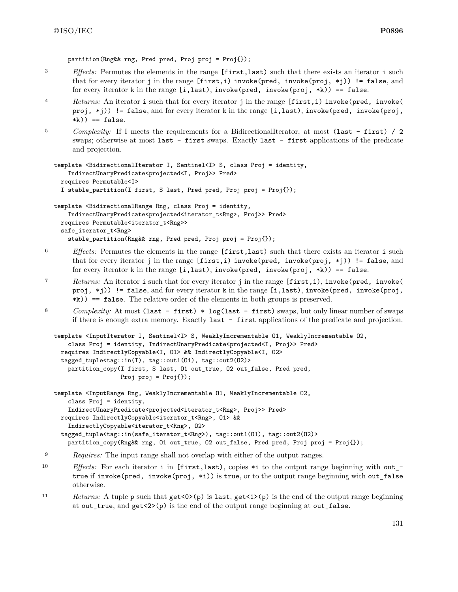partition(Rng&& rng, Pred pred, Proj proj = Proj{});

- <sup>3</sup> *Effects:* Permutes the elements in the range [first,last) such that there exists an iterator i such that for every iterator j in the range [first,i) invoke(pred, invoke(proj, \*j)) != false, and for every iterator k in the range [i,last), invoke(pred, invoke(proj, \*k)) == false.
- <sup>4</sup> *Returns:* An iterator i such that for every iterator j in the range [first,i) invoke(pred, invoke( proj, \*j)) != false, and for every iterator k in the range [i,last), invoke(pred, invoke(proj,  $*$ k)) == false.
- <sup>5</sup> *Complexity:* If I meets the requirements for a BidirectionalIterator, at most (last first) / 2 swaps; otherwise at most last - first swaps. Exactly last - first applications of the predicate and projection.

```
template <BidirectionalIterator I, Sentinel<I> S, class Proj = identity,
    IndirectUnaryPredicate<projected<I, Proj>> Pred>
 requires Permutable<I>
  I stable_partition(I first, S last, Pred pred, Proj proj = Proj{});
```

```
template <BidirectionalRange Rng, class Proj = identity,
    IndirectUnaryPredicate<projected<iterator_t<Rng>, Proj>> Pred>
 requires Permutable<iterator_t<Rng>>
  safe_iterator_t<Rng>
    stable_partition(Rng&& rng, Pred pred, Proj proj = Proj{});
```
- <sup>6</sup> *Effects:* Permutes the elements in the range [first,last) such that there exists an iterator i such that for every iterator j in the range [first,i) invoke(pred, invoke(proj, \*j)) != false, and for every iterator k in the range  $[i, last),$  invoke(pred, invoke(proj, \*k)) == false.
- <sup>7</sup> *Returns:* An iterator i such that for every iterator j in the range [first,i), invoke(pred, invoke( proj, \*j)) != false, and for every iterator k in the range [i,last), invoke(pred, invoke(proj, \*k)) == false. The relative order of the elements in both groups is preserved.
- <sup>8</sup> *Complexity:* At most (last first) \* log(last first) swaps, but only linear number of swaps if there is enough extra memory. Exactly last - first applications of the predicate and projection.

```
template <InputIterator I, Sentinel<I> S, WeaklyIncrementable O1, WeaklyIncrementable O2,
    class Proj = identity, IndirectUnaryPredicate<projected<I, Proj>> Pred>
 requires IndirectlyCopyable<I, O1> && IndirectlyCopyable<I, O2>
  tagged_tuple<tag::in(I), tag::out1(O1), tag::out2(O2)>
    partition_copy(I first, S last, O1 out_true, O2 out_false, Pred pred,
                  Proj proj = Proj });
```

```
template <InputRange Rng, WeaklyIncrementable O1, WeaklyIncrementable O2,
    class Proj = identity,
    IndirectUnaryPredicate<projected<iterator_t<Rng>, Proj>> Pred>
 requires IndirectlyCopyable<iterator_t<Rng>, O1> &&
    IndirectlyCopyable<iterator_t<Rng>, O2>
  tagged_tuple<tag::in(safe_iterator_t<Rng>), tag::out1(O1), tag::out2(O2)>
    partition_copy(Rng&& rng, O1 out_true, O2 out_false, Pred pred, Proj proj = Proj{});
```
- 10 *Effects:* For each iterator i in [first,last), copies \*i to the output range beginning with out\_true if invoke(pred, invoke(proj,  $*$ i)) is true, or to the output range beginning with out\_false otherwise.
- <sup>11</sup> *Returns:* A tuple p such that get<0>(p) is last, get<1>(p) is the end of the output range beginning at out\_true, and get<2>(p) is the end of the output range beginning at out\_false.

<sup>&</sup>lt;sup>9</sup> *Requires:* The input range shall not overlap with either of the output ranges.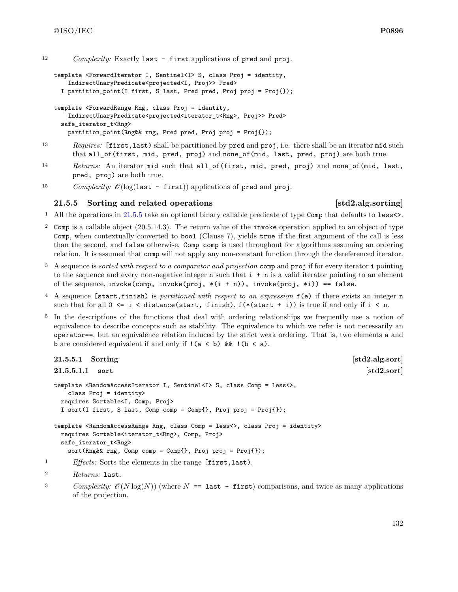<sup>12</sup> *Complexity:* Exactly last - first applications of pred and proj.

```
template <ForwardIterator I, Sentinel<I> S, class Proj = identity,
    IndirectUnaryPredicate<projected<I, Proj>> Pred>
  I partition_point(I first, S last, Pred pred, Proj proj = Proj{});
```

```
template <ForwardRange Rng, class Proj = identity,
    IndirectUnaryPredicate<projected<iterator_t<Rng>, Proj>> Pred>
  safe_iterator_t<Rng>
    partition_point(Rng&& rng, Pred pred, Proj proj = Proj{});
```
- <sup>13</sup> *Requires:* [first,last) shall be partitioned by pred and proj, i.e. there shall be an iterator mid such that all\_of(first, mid, pred, proj) and none\_of(mid, last, pred, proj) are both true.
- <sup>14</sup> *Returns:* An iterator mid such that all\_of(first, mid, pred, proj) and none\_of(mid, last, pred, proj) are both true.
- <sup>15</sup> *Complexity:*  $\mathcal{O}(\log(\texttt{last} \texttt{first}))$  applications of pred and proj.

### <span id="page-133-0"></span>**21.5.5 Sorting and related operations [std2.alg.sorting]**

- <sup>1</sup> All the operations in [21.5.5](#page-133-0) take an optional binary callable predicate of type Comp that defaults to less <>.
- <sup>2</sup> Comp is a callable object (20.5.14.3). The return value of the invoke operation applied to an object of type Comp, when contextually converted to bool (Clause 7), yields true if the first argument of the call is less than the second, and false otherwise. Comp comp is used throughout for algorithms assuming an ordering relation. It is assumed that comp will not apply any non-constant function through the dereferenced iterator.
- <sup>3</sup> A sequence is *sorted with respect to a comparator and projection* comp and proj if for every iterator i pointing to the sequence and every non-negative integer  $n$  such that  $i + n$  is a valid iterator pointing to an element of the sequence,  $invoke(comp, invoke(proj, *(i + n)), invoke(proj, *i)) == false.$
- <sup>4</sup> A sequence [start,finish) is *partitioned with respect to an expression* f(e) if there exists an integer n such that for all  $0 \leq i \leq \text{distance}(\text{start}, \text{ finish}), f(*(\text{start} + i))$  is true if and only if  $i \leq n$ .
- <sup>5</sup> In the descriptions of the functions that deal with ordering relationships we frequently use a notion of equivalence to describe concepts such as stability. The equivalence to which we refer is not necessarily an operator==, but an equivalence relation induced by the strict weak ordering. That is, two elements a and **b** are considered equivalent if and only if  $!(a < b)$  &  $!(b < a)$ .

```
21.5.5.1 Sorting [std2.alg.sort]
  21.5.5.1.1 sort [std2.sort]
  template <RandomAccessIterator I, Sentinel<I> S, class Comp = less<>,
     class Proj = identity>
   requires Sortable<I, Comp, Proj>
   I sort(I first, S last, Comp comp = Comp{}, Proj proj = Proj{});
  template <RandomAccessRange Rng, class Comp = less<>, class Proj = identity>
   requires Sortable<iterator_t<Rng>, Comp, Proj>
   safe_iterator_t<Rng>
     sort(Rng&& rng, Comp comp = Comp{}, Proj proj = Proj{});
<sup>1</sup> Effects: Sorts the elements in the range [first,last).
2 Returns: last.
```
<sup>3</sup> *Complexity:*  $\mathcal{O}(N \log(N))$  (where  $N =$  last - first) comparisons, and twice as many applications of the projection.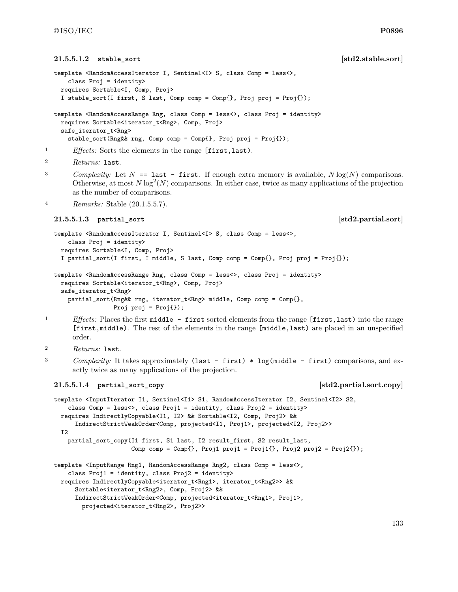### **21.5.5.1.2 stable\_sort [std2.stable.sort]**

```
template <RandomAccessIterator I, Sentinel<I> S, class Comp = less<>,
    class Proj = identity>
 requires Sortable<I, Comp, Proj>
  I stable_sort(I first, S last, Comp comp = Comp{}, Proj proj = Proj{});
```
template <RandomAccessRange Rng, class Comp = less<>, class Proj = identity> requires Sortable<iterator\_t<Rng>, Comp, Proj> safe\_iterator\_t<Rng> stable\_sort(Rng&& rng, Comp comp = Comp{}, Proj proj = Proj{});

<sup>1</sup> *Effects:* Sorts the elements in the range [first,last).

```
2 Returns: last.
```
<sup>3</sup> *Complexity:* Let *N* == last - first. If enough extra memory is available, *N* log(*N*) comparisons. Otherwise, at most  $N \log^2(N)$  comparisons. In either case, twice as many applications of the projection as the number of comparisons.

<sup>4</sup> *Remarks:* Stable (20.1.5.5.7).

### **21.5.5.1.3 partial\_sort [std2.partial.sort]**

```
template <RandomAccessIterator I, Sentinel<I> S, class Comp = less<>,
    class Proj = identity>
 requires Sortable<I, Comp, Proj>
  I partial_sort(I first, I middle, S last, Comp comp = Comp{}, Proj proj = Proj{});
```

```
template <RandomAccessRange Rng, class Comp = less<>, class Proj = identity>
 requires Sortable<iterator_t<Rng>, Comp, Proj>
  safe_iterator_t<Rng>
    partial_sort(Rng&& rng, iterator_t<Rng> middle, Comp comp = Comp{},
                 Proj proj = Proj{});
```
<sup>1</sup> *Effects:* Places the first middle - first sorted elements from the range [first,last) into the range [first,middle). The rest of the elements in the range [middle,last) are placed in an unspecified order.

<sup>3</sup> *Complexity:* It takes approximately (last - first) \* log(middle - first) comparisons, and exactly twice as many applications of the projection.

# **21.5.5.1.4 partial\_sort\_copy [std2.partial.sort.copy]**

```
template <InputIterator I1, Sentinel<I1> S1, RandomAccessIterator I2, Sentinel<I2> S2,
    class Comp = less<>, class Proj1 = identity, class Proj2 = identity>
 requires IndirectlyCopyable<I1, I2> && Sortable<I2, Comp, Proj2> &&
      IndirectStrictWeakOrder<Comp, projected<I1, Proj1>, projected<I2, Proj2>>
 T<sub>2</sub>
   partial_sort_copy(I1 first, S1 last, I2 result_first, S2 result_last,
                      Comp comp = Comp\{\}, Prop1 = proj1 = Proj1\}, Prop2 = Proj2\});
template <InputRange Rng1, RandomAccessRange Rng2, class Comp = less<>,
    class Proj1 = identity, class Proj2 = identity>
 requires IndirectlyCopyable<iterator_t<Rng1>, iterator_t<Rng2>> &&
      Sortable<iterator_t<Rng2>, Comp, Proj2> &&
      IndirectStrictWeakOrder<Comp, projected<iterator_t<Rng1>, Proj1>,
       projected<iterator_t<Rng2>, Proj2>>
```
<sup>2</sup> *Returns:* last.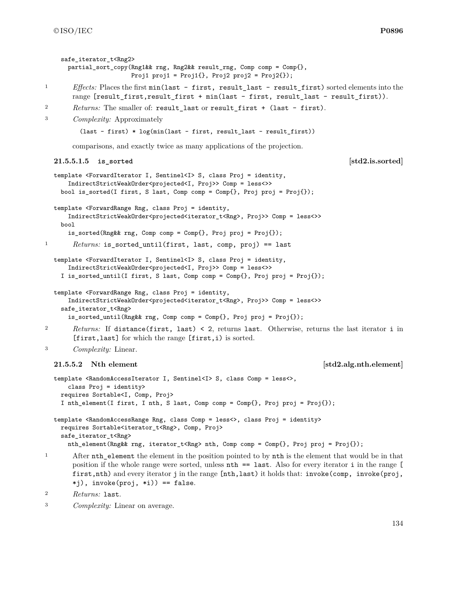```
safe_iterator_t<Rng2>
      partial_sort_copy(Rng1&& rng, Rng2&& result_rng, Comp comp = Comp{},
                       Proj1 proj1 = Proj1\{ \}, Proj2 proj2 = Proj2\{ \});
1 Effects: Places the first min(last - first, result_last - result_first) sorted elements into the
       range [result_first,result_first + min(last - first, result_last - result_first)).
2 Returns: The smaller of: result_last or result_first + (last - first).
3 Complexity: Approximately
         (last - first) * log(min(last - first, result_last - result_first))
       comparisons, and exactly twice as many applications of the projection.
  21.5.5.1.5 is_sorted [std2.is.sorted]
  template <ForwardIterator I, Sentinel<I> S, class Proj = identity,
      IndirectStrictWeakOrder<projected<I, Proj>> Comp = less<>>
    bool is_sorted(I first, S last, Comp comp = Comp{}, Proj proj = Proj{});
  template <ForwardRange Rng, class Proj = identity,
      IndirectStrictWeakOrder<projected<iterator_t<Rng>, Proj>> Comp = less<>>
    bool
      is_sorted(Rng&& rng, Comp comp = Comp{}, Proj proj = Proj{});
1 Returns: is_sorted_until(first, last, comp, proj) == last
  template <ForwardIterator I, Sentinel<I> S, class Proj = identity,
      IndirectStrictWeakOrder<projected<I, Proj>> Comp = less<>>
    I is_sorted_until(I first, S last, Comp comp = Comp{}, Proj proj = Proj{});
  template <ForwardRange Rng, class Proj = identity,
      IndirectStrictWeakOrder<projected<iterator_t<Rng>, Proj>> Comp = less<>>
    safe_iterator_t<Rng>
      is_sorted_until(Rng&& rng, Comp comp = Comp{}, Proj proj = Proj{});
2 Returns: If distance(first, last) < 2, returns last. Otherwise, returns the last iterator i in
       [first,last] for which the range [first,i) is sorted.
3 Complexity: Linear.
  21.5.5.2 Nth element and the state of the state of state is stated as [\text{std2.alg}.\text{nth.element}]template <RandomAccessIterator I, Sentinel<I> S, class Comp = less<>,
      class Proj = identity>
    requires Sortable<I, Comp, Proj>
    I nth_element(I first, I nth, S last, Comp comp = Comp{}, Proj proj = Proj{});
  template <RandomAccessRange Rng, class Comp = less<>, class Proj = identity>
    requires Sortable<iterator_t<Rng>, Comp, Proj>
    safe_iterator_t<Rng>
      nth_element(Rng&& rng, iterator_t<Rng> nth, Comp comp = Comp{}, Proj proj = Proj{});
1 After nth_element the element in the position pointed to by nth is the element that would be in that
       position if the whole range were sorted, unless nth == last. Also for every iterator i in the range [
```
first,nth) and every iterator j in the range [nth,last) it holds that: invoke(comp, invoke(proj,

```
2 Returns: last.
```
<sup>3</sup> *Complexity:* Linear on average.

 $*j$ , invoke(proj,  $*ij$ ) == false.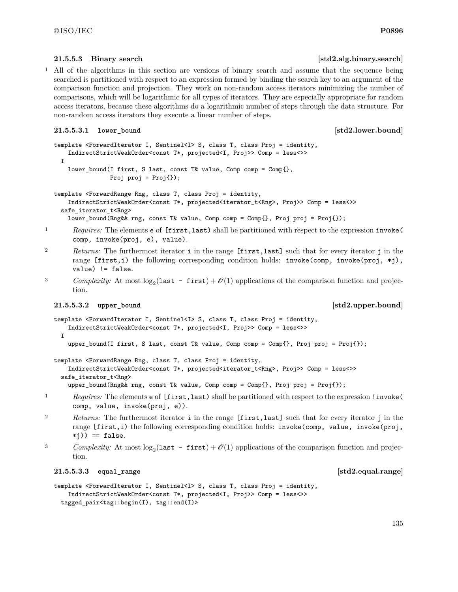### <span id="page-136-0"></span>**21.5.5.3 Binary search [std2.alg.binary.search]**

# <sup>1</sup> All of the algorithms in this section are versions of binary search and assume that the sequence being searched is partitioned with respect to an expression formed by binding the search key to an argument of the comparison function and projection. They work on non-random access iterators minimizing the number of comparisons, which will be logarithmic for all types of iterators. They are especially appropriate for random

# **21.5.5.3.1 lower\_bound [std2.lower.bound]**

```
template <ForwardIterator I, Sentinel<I> S, class T, class Proj = identity,
    IndirectStrictWeakOrder<const T*, projected<I, Proj>> Comp = less<>>
  I
    lower_bound(I first, S last, const T& value, Comp comp = Comp{},
               Proj proj = Proj);
template <ForwardRange Rng, class T, class Proj = identity,
    IndirectStrictWeakOrder<const T*, projected<iterator_t<Rng>, Proj>> Comp = less<>>
```
non-random access iterators they execute a linear number of steps.

safe\_iterator\_t<Rng>

```
lower_bound(Rng&& rng, const T& value, Comp comp = Comp{}, Proj proj = Proj{});
```
<sup>1</sup> *Requires:* The elements e of [first,last) shall be partitioned with respect to the expression invoke( comp, invoke(proj, e), value).

access iterators, because these algorithms do a logarithmic number of steps through the data structure. For

- <sup>2</sup> *Returns:* The furthermost iterator i in the range [first,last] such that for every iterator j in the range [first,i) the following corresponding condition holds: invoke(comp, invoke(proj, \*j), value) != false.
- <sup>3</sup> *Complexity:* At most  $log_2($ **last first** $) + O(1)$  applications of the comparison function and projection.

### **21.5.5.3.2 upper\_bound [std2.upper.bound]**

```
template <ForwardIterator I, Sentinel<I> S, class T, class Proj = identity,
    IndirectStrictWeakOrder<const T*, projected<I, Proj>> Comp = less<>>
  I
    upper_bound(I first, S last, const T& value, Comp comp = Comp{}, Proj proj = Proj{});
```

```
template <ForwardRange Rng, class T, class Proj = identity,
    IndirectStrictWeakOrder<const T*, projected<iterator_t<Rng>, Proj>> Comp = less<>>
  safe_iterator_t<Rng>
```
upper\_bound(Rng&& rng, const T& value, Comp comp = Comp{}, Proj proj = Proj{});

- 1 *Requires:* The elements e of [first, last) shall be partitioned with respect to the expression ! invoke ( comp, value, invoke(proj, e)).
- <sup>2</sup> *Returns:* The furthermost iterator i in the range [first,last] such that for every iterator j in the range [first,i) the following corresponding condition holds: invoke(comp, value, invoke(proj,  $(i*)$ ) == false.
- <sup>3</sup> *Complexity:* At most  $log_2($ **last first** $) + O(1)$  applications of the comparison function and projection.

## **21.5.5.3.3 equal\_range [std2.equal.range]**

```
template <ForwardIterator I, Sentinel<I> S, class T, class Proj = identity,
    IndirectStrictWeakOrder<const T*, projected<I, Proj>> Comp = less<>>
  tagged_pair<tag::begin(I), tag::end(I)>
```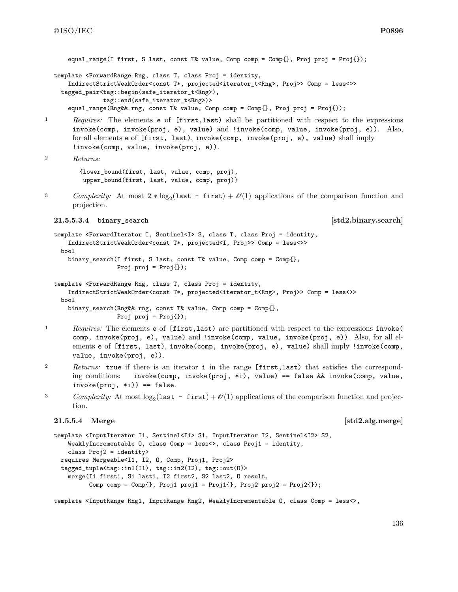```
equal range(I first, S last, const T& value, Comp comp = Comp{}, Proj proj = Proj{});
  template <ForwardRange Rng, class T, class Proj = identity,
      IndirectStrictWeakOrder<const T*, projected<iterator_t<Rng>, Proj>> Comp = less<>>
    tagged_pair<tag::begin(safe_iterator_t<Rng>),
               tag::end(safe_iterator_t<Rng>)>
      equal_range(Rng&& rng, const T& value, Comp comp = Comp{}, Proj proj = Proj{});
1 Requires: The elements e of [first,last) shall be partitioned with respect to the expressions
       invoke(comp, invoke(proj, e), value) and !invoke(comp, value, invoke(proj, e)). Also,
       for all elements e of [first, last), invoke(comp, invoke(proj, e), value) shall imply
       !invoke(comp, value, invoke(proj, e)).
2 Returns:
         {lower_bound(first, last, value, comp, proj),
          upper_bound(first, last, value, comp, proj)}
3 Complexity: At most 2 * log_2(last - first) + \mathcal{O}(1) applications of the comparison function and
       projection.
  21.5.5.3.4 binary_search [std2.binary.search]
  template <ForwardIterator I, Sentinel<I> S, class T, class Proj = identity,
      IndirectStrictWeakOrder<const T*, projected<I, Proj>> Comp = less<>>
    bool
      binary_search(I first, S last, const T& value, Comp comp = Comp{},
                   Proj proj = Proj();
  template <ForwardRange Rng, class T, class Proj = identity,
      IndirectStrictWeakOrder<const T*, projected<iterator_t<Rng>, Proj>> Comp = less<>>
    bool
      binary_search(Rng&& rng, const T& value, Comp comp = Comp{},
                   Proj proj = Proj{});
```
- <sup>1</sup> *Requires:* The elements e of [first,last) are partitioned with respect to the expressions invoke( comp, invoke(proj, e), value) and !invoke(comp, value, invoke(proj, e)). Also, for all elements e of [first, last), invoke(comp, invoke(proj, e), value) shall imply !invoke(comp, value, invoke(proj, e)).
- <sup>2</sup> *Returns:* true if there is an iterator i in the range [first,last) that satisfies the corresponding conditions: invoke(comp, invoke(proj, \*i), value) == false && invoke(comp, value,  $invoke(proj, *i)) == false.$
- <sup>3</sup> *Complexity:* At most  $log_2($ **last first** $) + O(1)$  applications of the comparison function and projection.

<span id="page-137-0"></span>**21.5.5.4 Merge** *p std2.alg.merge***</u>** 

```
template <InputIterator I1, Sentinel<I1> S1, InputIterator I2, Sentinel<I2> S2,
    WeaklyIncrementable O, class Comp = less<>, class Proj1 = identity,
    class Proj2 = identity>
 requires Mergeable<I1, I2, O, Comp, Proj1, Proj2>
  tagged_tuple<tag::in1(I1), tag::in2(I2), tag::out(O)>
    merge(I1 first1, S1 last1, I2 first2, S2 last2, O result,
          Comp comp = Comp{}, Proj1 proj1 = Proj1{}, Proj2 proj2 = Proj2{});
```
template <InputRange Rng1, InputRange Rng2, WeaklyIncrementable O, class Comp = less<>,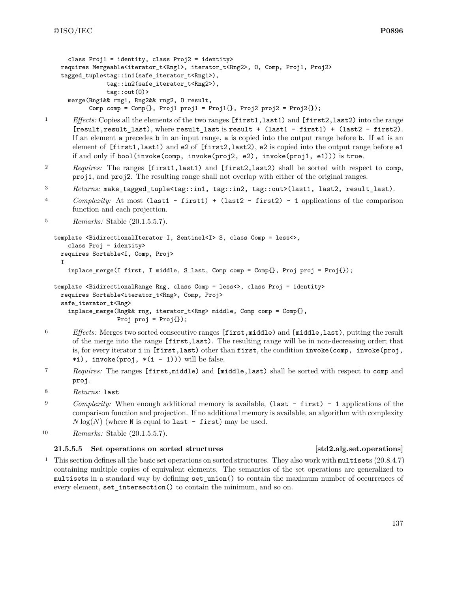```
class Proj1 = identity, class Proj2 = identity>
    requires Mergeable<iterator_t<Rng1>, iterator_t<Rng2>, O, Comp, Proj1, Proj2>
    tagged_tuple<tag::in1(safe_iterator_t<Rng1>),
                 tag::in2(safe_iterator_t<Rng2>),
                 tag::out(O)>
      merge(Rng1&& rng1, Rng2&& rng2, O result,
            Comp comp = Comp\{\}, Prop1 = proj1 = Proj1\}, Prop2 = Proj2\});
<sup>1</sup> Effects: Copies all the elements of the two ranges [first1,last1) and [first2,last2) into the range
        [result,result_last), where result_last is result + (last1 - first1) + (last2 - first2).
       If an element a precedes b in an input range, a is copied into the output range before b. If e1 is an
       element of [first1,last1) and e2 of [first2,last2), e2 is copied into the output range before e1
       if and only if bool(invoke(comp, invoke(proj2, e2), invoke(proj1, e1))) is true.
2 Requires: The ranges [first1,last1) and [first2,last2) shall be sorted with respect to comp,
       proj1, and proj2. The resulting range shall not overlap with either of the original ranges.
3 Returns: make_tagged_tuple<tag::in1, tag::in2, tag::out>(last1, last2, result_last).
4 Complexity: At most (last1 - first1) + (last2 - first2) - 1 applications of the comparison
       function and each projection.
5 Remarks: Stable (20.1.5.5.7).
  template <BidirectionalIterator I, Sentinel<I>><>>> S, class Comp = less<>,
      class Proj = identity>
    requires Sortable<I, Comp, Proj>
    I
      \text{inplace\_merge(I first, I middle, S last, Comp comp = Comp{}, \text{Proj}(P, Proj = Proj{}));
  template <BidirectionalRange Rng, class Comp = less<>, class Proj = identity>
    requires Sortable<iterator_t<Rng>, Comp, Proj>
    safe_iterator_t<Rng>
      inplace_merge(Rng&& rng, iterator_t<Rng> middle, Comp comp = Comp{},
                    Proj proj = Proj);
```
- <sup>6</sup> *Effects:* Merges two sorted consecutive ranges [first,middle) and [middle,last), putting the result of the merge into the range [first,last). The resulting range will be in non-decreasing order; that is, for every iterator i in [first,last) other than first, the condition invoke(comp, invoke(proj, \*i), invoke(proj,  $*(i - 1))$ ) will be false.
- <sup>7</sup> *Requires:* The ranges [first,middle) and [middle,last) shall be sorted with respect to comp and proj.
- <sup>8</sup> *Returns:* last
- <sup>9</sup> *Complexity:* When enough additional memory is available, (last first) 1 applications of the comparison function and projection. If no additional memory is available, an algorithm with complexity  $N \log(N)$  (where N is equal to last - first) may be used.
- <sup>10</sup> *Remarks:* Stable (20.1.5.5.7).

# <span id="page-138-0"></span>**21.5.5.5 Set operations on sorted structures [std2.alg.set.operations]**

<sup>1</sup> This section defines all the basic set operations on sorted structures. They also work with multisets (20.8.4.7) containing multiple copies of equivalent elements. The semantics of the set operations are generalized to multisets in a standard way by defining set\_union() to contain the maximum number of occurrences of every element, set\_intersection() to contain the minimum, and so on.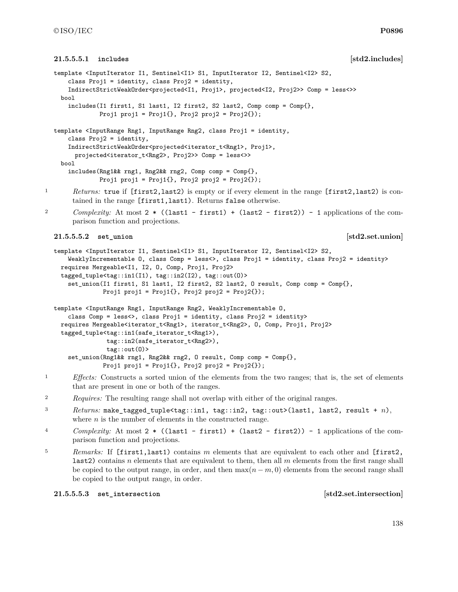# **21.5.5.5.1 includes [std2.includes]**

```
template <InputIterator I1, Sentinel<I1> S1, InputIterator I2, Sentinel<I2> S2,
      class Proj1 = identity, class Proj2 = identity,
      IndirectStrictWeakOrder<projected<I1, Proj1>, projected<I2, Proj2>> Comp = less<>>
    bool
      includes(I1 first1, S1 last1, I2 first2, S2 last2, Comp comp = Comp{},
               Proj1 proj1 = Proj1\{\}, Proj2 proj2 = Proj2\{\});
  template <InputRange Rng1, InputRange Rng2, class Proj1 = identity,
      class Proj2 = identity,
      IndirectStrictWeakOrder<projected<iterator_t<Rng1>, Proj1>,
        projected<iterator_t<Rng2>, Proj2>> Comp = less<>>
    bool
      includes(Rng1&& rng1, Rng2&& rng2, Comp comp = Comp{},
               Proj1 proj1 = Proj1\{\}, Proj2 proj2 = Proj2\{\});
1 Returns: true if [first2,last2) is empty or if every element in the range [first2,last2) is con-
       tained in the range [first1,last1). Returns false otherwise.
```

```
2 Complexity: At most 2 \ast ((last1 - first1) + (last2 - first2)) - 1 applications of the com-
       parison function and projections.
```

```
21.5.5.5.2 set_union [std2.set.union]
```

```
template <InputIterator I1, Sentinel<I1> S1, InputIterator I2, Sentinel<I2> S2,
    WeaklyIncrementable O, class Comp = less<>, class Proj1 = identity, class Proj2 = identity>
 requires Mergeable<I1, I2, O, Comp, Proj1, Proj2>
 tagged_tuple<tag::in1(I1), tag::in2(I2), tag::out(O)>
    set_union(I1 first1, S1 last1, I2 first2, S2 last2, O result, Comp comp = Comp{},
              Proj1 proj1 = Proj1\{ \}, Proj2 proj2 = Proj2\{ \});
```

```
template <InputRange Rng1, InputRange Rng2, WeaklyIncrementable O,
   class Comp = less<>, class Proj1 = identity, class Proj2 = identity>
  requires Mergeable<iterator_t<Rng1>, iterator_t<Rng2>, O, Comp, Proj1, Proj2>
  tagged_tuple<tag::in1(safe_iterator_t<Rng1>),
              tag::in2(safe_iterator_t<Rng2>),
               tag::out(O)>
   set_union(Rng1&& rng1, Rng2&& rng2, O result, Comp comp = Comp{},
             Proj1 proj1 = Proj1}, Proj2 proj2 = Proj2};
```
- <sup>1</sup> *Effects:* Constructs a sorted union of the elements from the two ranges; that is, the set of elements that are present in one or both of the ranges.
- <sup>2</sup> *Requires:* The resulting range shall not overlap with either of the original ranges.
- <sup>3</sup> *Returns:* make\_tagged\_tuple<tag::in1, tag::in2, tag::out>(last1, last2, result + *n*), where *n* is the number of elements in the constructed range.
- <sup>4</sup> *Complexity:* At most 2 \* ((last1 first1) + (last2 first2)) 1 applications of the comparison function and projections.
- <sup>5</sup> *Remarks:* If [first1,last1) contains *m* elements that are equivalent to each other and [first2, last2) contains *n* elements that are equivalent to them, then all *m* elements from the first range shall be copied to the output range, in order, and then  $\max(n-m, 0)$  elements from the second range shall be copied to the output range, in order.

**21.5.5.5.3 set\_intersection [std2.set.intersection]**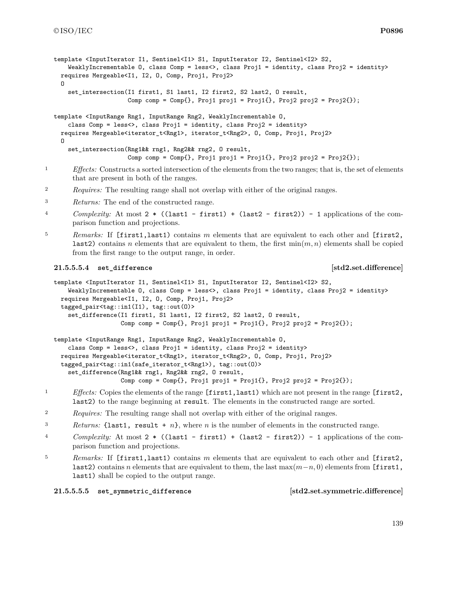```
template <InputIterator I1, Sentinel<I1> S1, InputIterator I2, Sentinel<I2> S2,
      WeaklyIncrementable 0, class Comp = less<>, class Proj1 = identity, class Proj2 = identity>
    requires Mergeable<I1, I2, O, Comp, Proj1, Proj2>
    \Omegaset_intersection(I1 first1, S1 last1, I2 first2, S2 last2, O result,
                       Comp comp = Comp\{\}, Propiji = Proj1\}, Propiji = Proj1\template <InputRange Rng1, InputRange Rng2, WeaklyIncrementable O,
      class Comp = less<>, class Proj1 = identity, class Proj2 = identity>
    requires Mergeable<iterator_t<Rng1>, iterator_t<Rng2>, O, Comp, Proj1, Proj2>
    O
      set_intersection(Rng1&& rng1, Rng2&& rng2, O result,
                        Comp comp = Comp\, Proj1 proj1 = Proj1\}, Proj2 proj2 = Proj2\});
<sup>1</sup> Effects: Constructs a sorted intersection of the elements from the two ranges; that is, the set of elements
```
that are present in both of the ranges.

- <sup>2</sup> *Requires:* The resulting range shall not overlap with either of the original ranges.
- <sup>3</sup> *Returns:* The end of the constructed range.
- <sup>4</sup> *Complexity:* At most 2 \* ((last1 first1) + (last2 first2)) 1 applications of the comparison function and projections.
- <sup>5</sup> *Remarks:* If [first1,last1) contains *m* elements that are equivalent to each other and [first2, last2) contains *n* elements that are equivalent to them, the first  $\min(m, n)$  elements shall be copied from the first range to the output range, in order.

### **21.5.5.5.4 set\_difference [std2.set.difference]**

```
template <InputIterator I1, Sentinel<I1> S1, InputIterator I2, Sentinel<I2> S2,
    WeaklyIncrementable 0, class Comp = less<>, class Proj1 = identity, class Proj2 = identity>
 requires Mergeable<I1, I2, O, Comp, Proj1, Proj2>
 tagged_pair<tag::in1(I1), tag::out(O)>
    set_difference(I1 first1, S1 last1, I2 first2, S2 last2, O result,
                   Comp comp = Comp\{\}, Prop1 = proj1 = Proj1\}, Prop2 = Proj2\});
template <InputRange Rng1, InputRange Rng2, WeaklyIncrementable O,
```

```
class Comp = less<>, class Proj1 = identity, class Proj2 = identity>
requires Mergeable<iterator_t<Rng1>, iterator_t<Rng2>, O, Comp, Proj1, Proj2>
tagged_pair<tag::in1(safe_iterator_t<Rng1>), tag::out(O)>
 set_difference(Rng1&& rng1, Rng2&& rng2, O result,
                Comp comp = Comp\{\}, Prop1 = proj1 = Proj1\}, Prop2 = Proj2\});
```
- <sup>1</sup> *Effects:* Copies the elements of the range [first1,last1) which are not present in the range [first2,
- last2) to the range beginning at result. The elements in the constructed range are sorted.
- <sup>2</sup> *Requires:* The resulting range shall not overlap with either of the original ranges.
- <sup>3</sup> *Returns:* {last1, result + *n*}, where *n* is the number of elements in the constructed range.
- <sup>4</sup> *Complexity:* At most 2 \* ((last1 first1) + (last2 first2)) 1 applications of the comparison function and projections.
- <sup>5</sup> *Remarks:* If [first1,last1) contains *m* elements that are equivalent to each other and [first2, last2) contains *n* elements that are equivalent to them, the last max(*m*−*n,* 0) elements from [first1, last1) shall be copied to the output range.

**21.5.5.5.5 set\_symmetric\_difference [std2.set.symmetric.difference]**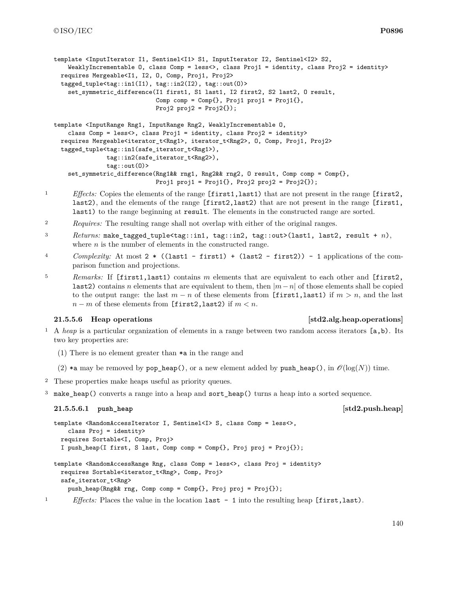```
template <InputIterator I1, Sentinel<I1> S1, InputIterator I2, Sentinel<I2> S2,
    WeaklyIncrementable 0, class Comp = less<>, class Proj1 = identity, class Proj2 = identity>
 requires Mergeable<I1, I2, O, Comp, Proj1, Proj2>
 tagged_tuple<tag::in1(I1), tag::in2(I2), tag::out(O)>
    set_symmetric_difference(I1 first1, S1 last1, I2 first2, S2 last2, O result,
                             Comp comp = Comp\{\}, Prop1 = proj1 = Proj1\},Proj2 proj2 = Proj2});
template <InputRange Rng1, InputRange Rng2, WeaklyIncrementable O,
    class Comp = less<>, class Proj1 = identity, class Proj2 = identity>
 requires Mergeable<iterator_t<Rng1>, iterator_t<Rng2>, O, Comp, Proj1, Proj2>
  tagged_tuple<tag::in1(safe_iterator_t<Rng1>),
               tag::in2(safe_iterator_t<Rng2>),
               tag::out(O)>
    set_symmetric_difference(Rng1&& rng1, Rng2&& rng2, O result, Comp comp = Comp{},
                             Proj1 proj1 = Proj1\{\}, Proj2 proj2 = Proj2\{\}\;
```
- <sup>1</sup> *Effects:* Copies the elements of the range [first1,last1) that are not present in the range [first2, last2), and the elements of the range [first2,last2) that are not present in the range [first1, last1) to the range beginning at result. The elements in the constructed range are sorted.
- <sup>2</sup> *Requires:* The resulting range shall not overlap with either of the original ranges.
- <sup>3</sup> *Returns:* make\_tagged\_tuple<tag::in1, tag::in2, tag::out>(last1, last2, result + *n*), where *n* is the number of elements in the constructed range.
- <sup>4</sup> *Complexity:* At most 2 \* ((last1 first1) + (last2 first2)) 1 applications of the comparison function and projections.
- <sup>5</sup> *Remarks:* If [first1,last1) contains *m* elements that are equivalent to each other and [first2, last2) contains *n* elements that are equivalent to them, then |*m*−*n*| of those elements shall be copied to the output range: the last  $m - n$  of these elements from [first1, last1) if  $m > n$ , and the last *n* − *m* of these elements from [first2,last2) if *m < n*.

# <span id="page-141-0"></span>**21.5.5.6 Heap operations and the set of the set of the set of the set of the set of the set of the set of the set of the set of the set of the set of the set of the set of the set of the set of the set of the set of the**

- <sup>1</sup> A *heap* is a particular organization of elements in a range between two random access iterators [a,b). Its two key properties are:
	- (1) There is no element greater than \*a in the range and
	- (2)  $*$ a may be removed by pop\_heap(), or a new element added by push\_heap(), in  $\mathcal{O}(\log(N))$  time.
- <sup>2</sup> These properties make heaps useful as priority queues.
- <sup>3</sup> make\_heap() converts a range into a heap and sort\_heap() turns a heap into a sorted sequence.

# **21.5.5.6.1 push\_heap [std2.push.heap]**

```
template <RandomAccessIterator I, Sentinel<I> S, class Comp = less<>,
    class Proj = identity>
 requires Sortable<I, Comp, Proj>
  I push_heap(I first, S last, Comp comp = Comp{}, Proj proj = Proj{});
template <RandomAccessRange Rng, class Comp = less<>, class Proj = identity>
 requires Sortable<iterator_t<Rng>, Comp, Proj>
 safe_iterator_t<Rng>
    push_heap(Rng&& rng, Comp comp = Comp{}, Proj proj = Proj{});
```
<sup>1</sup> *Effects:* Places the value in the location last - 1 into the resulting heap [first,last).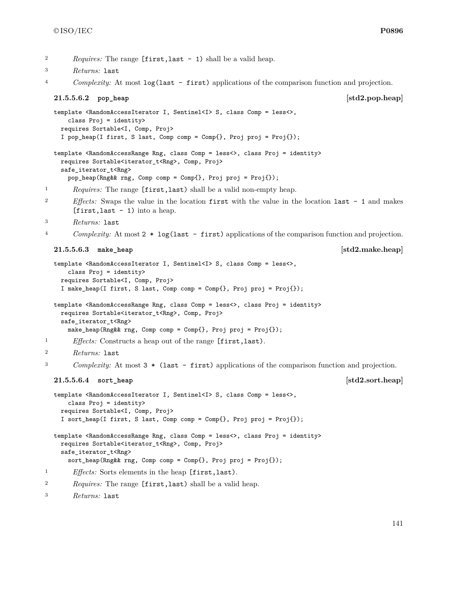```
2 Requires: The range [first,last - 1) shall be a valid heap.
```
- <sup>3</sup> *Returns:* last
- <sup>4</sup> *Complexity:* At most log(last first) applications of the comparison function and projection.

```
21.5.5.6.2 pop_heap [std2.pop.heap]
```

```
template <RandomAccessIterator I, Sentinel<I>>S<>
, class Comp = less<>
,
      class Proj = identity>
    requires Sortable<I, Comp, Proj>
    I pop_heap(I first, S last, Comp comp = Comp{}, Proj proj = Proj{});
  template <RandomAccessRange Rng, class Comp = less<>, class Proj = identity>
    requires Sortable<iterator_t<Rng>, Comp, Proj>
    safe_iterator_t<Rng>
      pop_heap(Rng&& rng, Comp comp = Comp{}, Proj proj = Proj{});
1 Requires: The range [first,last) shall be a valid non-empty heap.
2 Effects: Swaps the value in the location first with the value in the location last - 1 and makes
       [first, last - 1) into a heap.
3 Returns: last
4 Complexity: At most 2 * log(last - first) applications of the comparison function and projection.
  21.5.5.6.3 make_heap [std2.make.heap]
  template <RandomAccessIterator I, Sentinel<I> S, class Comp = less<>,
      class Proj = identity>
    requires Sortable<I, Comp, Proj>
    I make_heap(I first, S last, Comp comp = Comp{}, Proj proj = Proj{});
  template <RandomAccessRange Rng, class Comp = less<>, class Proj = identity>
    requires Sortable<iterator_t<Rng>, Comp, Proj>
    safe_iterator_t<Rng>
      make_heap(Rng&& rng, Comp comp = Comp{}, Proj proj = Proj{});
<sup>1</sup> Effects: Constructs a heap out of the range [first, last).
2 Returns: last
3 Complexity: At most 3 * (last - first) applications of the comparison function and projection.
  21.5.5.6.4 sort_heap [std2.sort.heap]
  template <RandomAccessIterator I, Sentinel<I> S, class Comp = less<>,
      class Proj = identity>
    requires Sortable<I, Comp, Proj>
    I sort_heap(I first, S last, Comp comp = Comp{}, Proj proj = Proj{});
  template <RandomAccessRange Rng, class Comp = less<>, class Proj = identity>
    requires Sortable<iterator_t<Rng>, Comp, Proj>
    safe_iterator_t<Rng>
      sort_heap(Rng&& rng, Comp comp = Comp{}, Proj proj = Proj{});
1 Effects: Sorts elements in the heap [first,last).
2 Requires: The range [first,last) shall be a valid heap.
3 Returns: last
```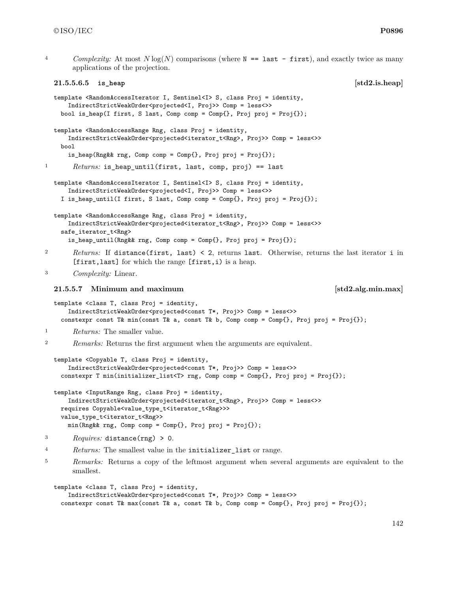<sup>4</sup> *Complexity:* At most *N* log(*N*) comparisons (where N == last - first), and exactly twice as many applications of the projection.

```
21.5.5.6.5 is_heap [std2.is.heap]
  template <RandomAccessIterator I, Sentinel<I>>>>>> S, class Proj = identity,
      IndirectStrictWeakOrder<projected<I, Proj>> Comp = less<>>
    bool is_heap(I first, S last, Comp comp = Comp{}, Proj proj = Proj{});
  template <RandomAccessRange Rng, class Proj = identity,
      IndirectStrictWeakOrder<projected<iterator_t<Rng>, Proj>> Comp = less<>>
    bool
      is_heap(Rng&& rng, Comp comp = Comp{}, Proj proj = Proj{});
1 Returns: is_heap_until(first, last, comp, proj) == last
  template <RandomAccessIterator I, Sentinel<I>>>>>> S, class Proj = identity,
      IndirectStrictWeakOrder<projected<I, Proj>> Comp = less<>>
    I is_heap_until(I first, S last, Comp comp = Comp{}, Proj proj = Proj{});
  template <RandomAccessRange Rng, class Proj = identity,
      IndirectStrictWeakOrder<projected<iterator_t<Rng>, Proj>> Comp = less<>>
    safe_iterator_t<Rng>
      is_heap_until(Rng&& rng, Comp comp = Comp{}, Proj proj = Proj{});
2 Returns: If distance(first, last) < 2, returns last. Otherwise, returns the last iterator i in
       [first,last] for which the range [first,i) is a heap.
3 Complexity: Linear.
  21.5.5.7 Minimum and maximum [std2.alg.min.max]
  template <class T, class Proj = identity,
      IndirectStrictWeakOrder<projected<const T*, Proj>> Comp = less<>>
    constexpr const T& min(const T& a, const T& b, Comp comp = Comp{}, Proj proj = Proj{});
1 Returns: The smaller value.
2 Remarks: Returns the first argument when the arguments are equivalent.
  template <Copyable T, class Proj = identity,
      IndirectStrictWeakOrder<projected<const T*, Proj>> Comp = less<>>
    constexpr T min(initializer_list<T> rng, Comp comp = Comp{}, Proj proj = Proj{});
  template <InputRange Rng, class Proj = identity,
      IndirectStrictWeakOrder<projected<iterator_t<Rng>, Proj>> Comp = less<>>
    requires Copyable<value_type_t<iterator_t<Rng>>>
    value_type_t<iterator_t<Rng>>
      min(Rng&& rng, Comp comp = Comp{}, Proj proj = Proj{});
3 Requires: distance(rng) > 0.
4 Returns: The smallest value in the initializer_list or range.
5 Remarks: Returns a copy of the leftmost argument when several arguments are equivalent to the
       smallest.
```

```
template <class T, class Proj = identity,
    IndirectStrictWeakOrder<projected<const T*, Proj>> Comp = less<>>
  constexpr const T& max(const T& a, const T& b, Comp comp = Comp{}, Proj proj = Proj{});
```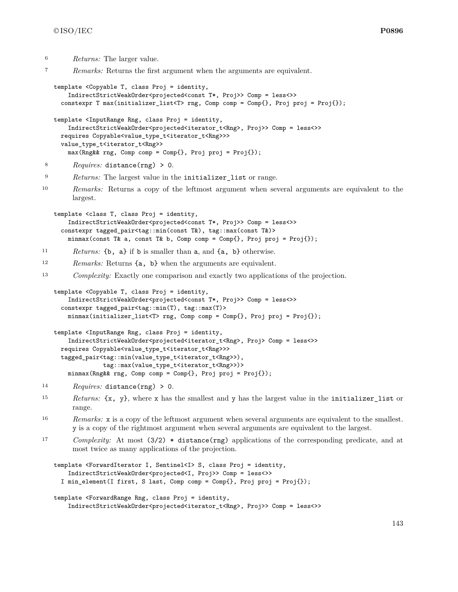<span id="page-144-0"></span><sup>6</sup> *Returns:* The larger value.

<sup>7</sup> *Remarks:* Returns the first argument when the arguments are equivalent.

```
template <Copyable T, class Proj = identity,
       IndirectStrictWeakOrder<projected<const T*, Proj>> Comp = less<>>
     constexpr T max(initializer_list<T> rng, Comp comp = Comp{}, Proj proj = Proj{});
   template <InputRange Rng, class Proj = identity,
       IndirectStrictWeakOrder<projected<iterator_t<Rng>, Proj>> Comp = less<>>
     requires Copyable<value_type_t<iterator_t<Rng>>>
     value_type_t<iterator_t<Rng>>
       max(Rng&& rng, Comp comp = Comp{}, Proj proj = Proj{});
8 Requires: distance(rng) > 0.
9 Returns: The largest value in the initializer_list or range.
10 Remarks: Returns a copy of the leftmost argument when several arguments are equivalent to the
        largest.
   template <class T, class Proj = identity,
       IndirectStrictWeakOrder<projected<const T*, Proj>> Comp = less<>>
     constexpr tagged_pair<tag::min(const T&), tag::max(const T&)>
       minmax(const T& a, const T& b, Comp comp = Comp{}, Proj proj = Proj{});
11 Returns: {b, a} if b is smaller than a, and {a, b} otherwise.
12 Remarks: Returns {a, b} when the arguments are equivalent.
13 Complexity: Exactly one comparison and exactly two applications of the projection.
   template <Copyable T, class Proj = identity,
       IndirectStrictWeakOrder<projected<const T*, Proj>> Comp = less<>>
     constexpr tagged_pair<tag::min(T), tag::max(T)>
       minmax(initializer_list<T> rng, Comp comp = Comp{}, Proj proj = Proj{});
   template <InputRange Rng, class Proj = identity,
       IndirectStrictWeakOrder<projected<iterator_t<Rng>, Proj> Comp = less<>>
     requires Copyable<value_type_t<iterator_t<Rng>>>
     tagged_pair<tag::min(value_type_t<iterator_t<Rng>>),
                 tag::max(value_type_t<iterator_t<Rng>>)>
       minmax(Rng&& rng, Comp comp = Comp{}, Proj proj = Proj{});
14 Requires: distance(rng) > 0.
15 Returns: {x, y}, where x has the smallest and y has the largest value in the initializer_list or
        range.
16 Remarks: x is a copy of the leftmost argument when several arguments are equivalent to the smallest.
        y is a copy of the rightmost argument when several arguments are equivalent to the largest.
17 Complexity: At most (3/2) * distance(rng) applications of the corresponding predicate, and at
        most twice as many applications of the projection.
```

```
template <ForwardIterator I, Sentinel<I> S, class Proj = identity,
    IndirectStrictWeakOrder<projected<I, Proj>> Comp = less<>>
  I min_element(I first, S last, Comp comp = Comp{}, Proj proj = Proj{});
```

```
template <ForwardRange Rng, class Proj = identity,
    IndirectStrictWeakOrder<projected<iterator_t<Rng>, Proj>> Comp = less<>>
```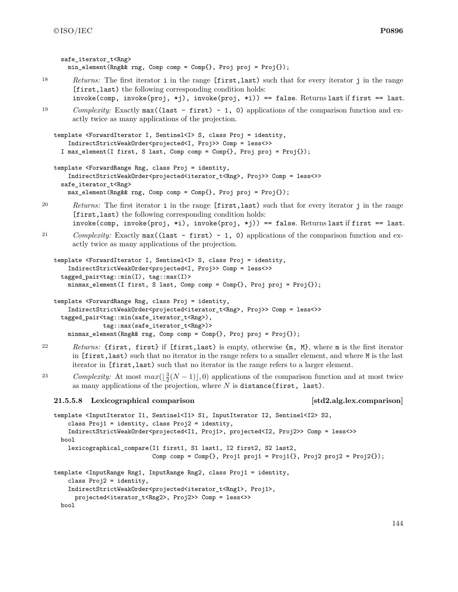```
safe_iterator_t<Rng>
       min_element(Rng&& rng, Comp comp = Comp{}, Proj proj = Proj{});
18 Returns: The first iterator i in the range [first,last) such that for every iterator j in the range
         [first,last) the following corresponding condition holds:
        invoke(comp, invoke(proj, *j), invoke(proj, *i)) == false. Returns last if first == last.
19 Complexity: Exactly \text{max}((\text{last - first}) - 1, 0) applications of the comparison function and ex-
        actly twice as many applications of the projection.
   template <ForwardIterator I, Sentinel<I> S, class Proj = identity,
       IndirectStrictWeakOrder<projected<I, Proj>> Comp = less<>>
     I max_element(I first, S last, Comp comp = Comp{}, Proj proj = Proj{});
   template <ForwardRange Rng, class Proj = identity,
       IndirectStrictWeakOrder<projected<iterator_t<Rng>, Proj>> Comp = less<>>
     safe_iterator_t<Rng>
       max_element(Rng&& rng, Comp comp = Comp{}, Proj proj = Proj{});
20 Returns: The first iterator i in the range [first,last) such that for every iterator j in the range
         [first,last) the following corresponding condition holds:
        invoke(comp, invoke(proj, *i), invoke(proj, *j)) == false. Returns last if first == last.21 Complexity: Exactly max((last - first) - 1, 0) applications of the comparison function and ex-
        actly twice as many applications of the projection.
   template <ForwardIterator I, Sentinel<I> S, class Proj = identity,
       IndirectStrictWeakOrder<projected<I, Proj>> Comp = less<>>
     tagged_pair<tag::min(I), tag::max(I)>
       minmax_element(I first, S last, Comp comp = Comp{}, Proj proj = Proj{});
   template <ForwardRange Rng, class Proj = identity,
       IndirectStrictWeakOrder<projected<iterator_t<Rng>, Proj>> Comp = less<>>
     tagged_pair<tag::min(safe_iterator_t<Rng>),
                 tag::max(safe_iterator_t<Rng>)>
       minmax_element(Rng&& rng, Comp comp = Comp{}, Proj proj = Proj{});
22 Returns: {first, first} if [first,last) is empty, otherwise {m, M}, where m is the first iterator
        in [first,last) such that no iterator in the range refers to a smaller element, and where M is the last
        iterator in [first,last) such that no iterator in the range refers to a larger element.
```
23 *Complexity:* At most  $max(\frac{3}{2}(N-1)),0)$  applications of the comparison function and at most twice as many applications of the projection, where *N* is distance(first, last).

### **21.5.5.8 Lexicographical comparison [std2.alg.lex.comparison]**

```
template <InputIterator I1, Sentinel<I1> S1, InputIterator I2, Sentinel<I2> S2,
    class Proj1 = identity, class Proj2 = identity,
    IndirectStrictWeakOrder<projected<I1, Proj1>, projected<I2, Proj2>> Comp = less<>>
 bool
    lexicographical_compare(I1 first1, S1 last1, I2 first2, S2 last2,
                            Comp comp = Comp{}, Proj1 proj1 = Proj1{}, Proj2 proj2 = Proj2{});
template <InputRange Rng1, InputRange Rng2, class Proj1 = identity,
    class Proj2 = identity,
    IndirectStrictWeakOrder<projected<iterator_t<Rng1>, Proj1>,
     projected<iterator_t<Rng2>, Proj2>> Comp = less<>>
 bool
```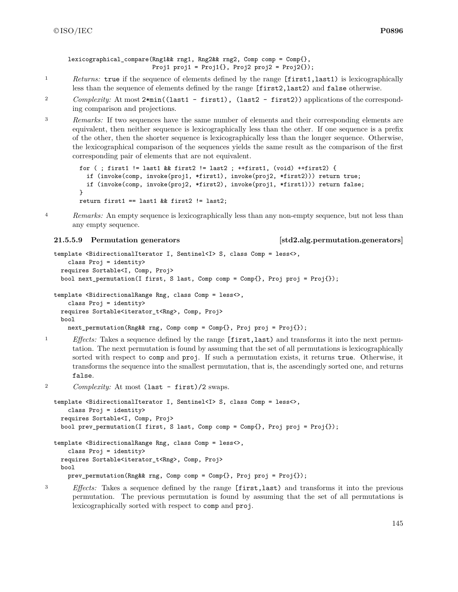```
lexicographical compare(Rng1&& rng1, Rng2&& rng2, Comp comp = Comp{},
                        Proj1 proj1 = Proj1\{\}, Proj2 proj2 = Proj2\{\});
```
- <sup>1</sup> *Returns:* true if the sequence of elements defined by the range [first1,last1) is lexicographically less than the sequence of elements defined by the range [first2,last2) and false otherwise.
- 2 *Complexity:* At most 2\*min((last1 first1), (last2 first2)) applications of the corresponding comparison and projections.
- <sup>3</sup> *Remarks:* If two sequences have the same number of elements and their corresponding elements are equivalent, then neither sequence is lexicographically less than the other. If one sequence is a prefix of the other, then the shorter sequence is lexicographically less than the longer sequence. Otherwise, the lexicographical comparison of the sequences yields the same result as the comparison of the first corresponding pair of elements that are not equivalent.

```
for ( ; first1 != last1 && first2 != last2 ; ++first1, (void) ++first2) {
 if (invoke(comp, invoke(proj1, *first1), invoke(proj2, *first2))) return true;
  if (invoke(comp, invoke(proj2, *first2), invoke(proj1, *first1))) return false;
}
return first1 == last1 && first2 != last2;
```
<sup>4</sup> *Remarks:* An empty sequence is lexicographically less than any non-empty sequence, but not less than any empty sequence.

### **21.5.5.9 Permutation generators [std2.alg.permutation.generators]**

```
template <BidirectionalIterator I, Sentinel<I> S, class Comp = less<>,
    class Proj = identity>
 requires Sortable<I, Comp, Proj>
 bool next_permutation(I first, S last, Comp comp = Comp{}, Proj proj = Proj{});
template <BidirectionalRange Rng, class Comp = less<>,
    class Proj = identity>
  requires Sortable<iterator_t<Rng>, Comp, Proj>
 bool
    next_permutation(Rng&& rng, Comp comp = Comp{}, Proj proj = Proj{});
```
<sup>1</sup> *Effects:* Takes a sequence defined by the range [first,last) and transforms it into the next permutation. The next permutation is found by assuming that the set of all permutations is lexicographically sorted with respect to comp and proj. If such a permutation exists, it returns true. Otherwise, it transforms the sequence into the smallest permutation, that is, the ascendingly sorted one, and returns false.

```
<sup>2</sup> Complexity: At most (last - first)/2 swaps.
```

```
template <BidirectionalIterator I, Sentinel<I> S, class Comp = less<>,
    class Proj = identity>
 requires Sortable<I, Comp, Proj>
 bool prev_permutation(I first, S last, Comp comp = Comp{}, Proj proj = Proj{});
template <BidirectionalRange Rng, class Comp = less<>,
   class Proj = identity>
 requires Sortable<iterator_t<Rng>, Comp, Proj>
 bool
    prev_permutation(Rng&& rng, Comp comp = Comp{}, Proj proj = Proj{});
```
<sup>3</sup> *Effects:* Takes a sequence defined by the range [first,last) and transforms it into the previous permutation. The previous permutation is found by assuming that the set of all permutations is lexicographically sorted with respect to comp and proj.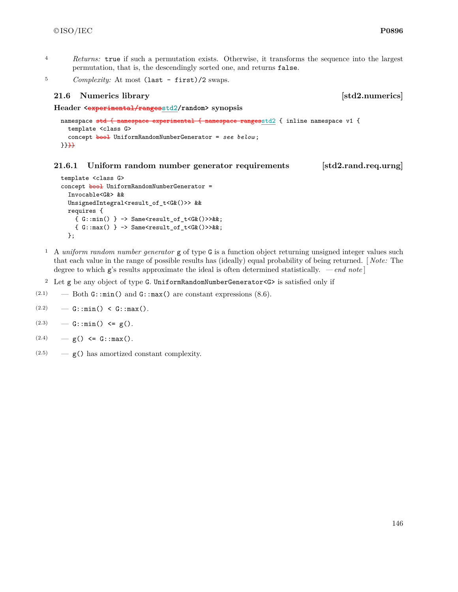<span id="page-147-0"></span><sup>4</sup> *Returns:* true if such a permutation exists. Otherwise, it transforms the sequence into the largest permutation, that is, the descendingly sorted one, and returns false.

```
<sup>5</sup> Complexity: At most (last - first)/2 swaps.
```
### **21.6 Numerics library and all of the state of the state of the state of the state of the state of the state of the state of the state of the state of the state of the state of the state of the state of the state of the st**

```
Header <experimental/rangesstd2/random> synopsis
 namespace std { namespace experimental { namespace rangesstd2 { inline namespace v1 {
   template <class G>
   concept bool UniformRandomNumberGenerator = see below ;
 }}}}
```
## **21.6.1 Uniform random number generator requirements [std2.rand.req.urng]**

```
template <class G>
concept \frac{b \cdot \cdot b}{c} UniformRandomNumberGenerator =
  Invocable<G&> &&
  UnsignedIntegral<result_of_t<G&()>> &&
  requires {
     {G: min() } \rightarrow Same<result_of_t<G&()>>&&;
     \{ G: max() \} \rightarrow Same\text{result_of_t}\lll( ) \lll \& s;};
```
- <sup>1</sup> A *uniform random number generator* g of type G is a function object returning unsigned integer values such that each value in the range of possible results has (ideally) equal probability of being returned. [ *Note:* The degree to which g's results approximate the ideal is often determined statistically. *— end note* ]
- <sup>2</sup> Let g be any object of type G. UniformRandomNumberGenerator<G> is satisfied only if
- (2.1) Both  $G: min()$  and  $G: max()$  are constant expressions (8.6).

```
(2.2) – G::min() < G::max().
```
- $(2.3)$  G::min() <= g().
- $(2.4)$   $g() \leq G: max()$ .
- $(2.5)$  g() has amortized constant complexity.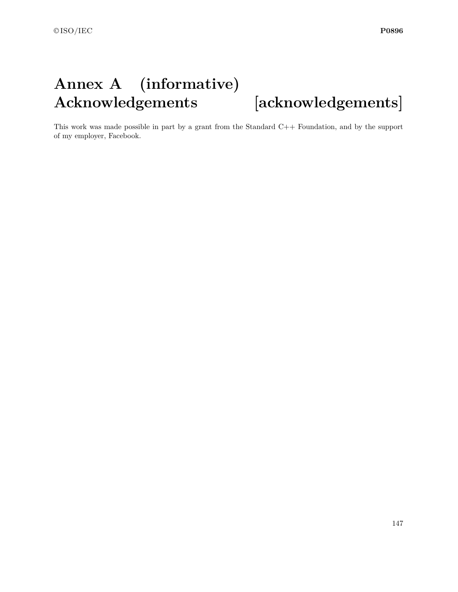# **Annex A (informative) Acknowledgements [acknowledgements]**

This work was made possible in part by a grant from the Standard C++ Foundation, and by the support of my employer, Facebook.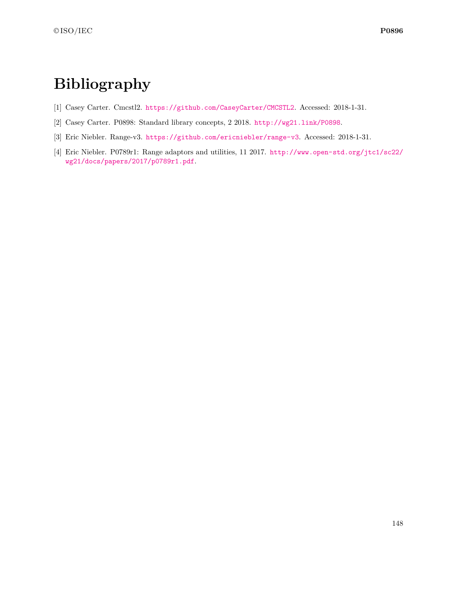# **Bibliography**

- [1] Casey Carter. Cmcstl2. <https://github.com/CaseyCarter/CMCSTL2>. Accessed: 2018-1-31.
- [2] Casey Carter. P0898: Standard library concepts, 2 2018. <http://wg21.link/P0898>.
- [3] Eric Niebler. Range-v3. <https://github.com/ericniebler/range-v3>. Accessed: 2018-1-31.
- [4] Eric Niebler. P0789r1: Range adaptors and utilities, 11 2017. [http://www.open-std.org/jtc1/sc22/](http://www.open-std.org/jtc1/sc22/wg21/docs/papers/2017/p0789r1.pdf) [wg21/docs/papers/2017/p0789r1.pdf](http://www.open-std.org/jtc1/sc22/wg21/docs/papers/2017/p0789r1.pdf).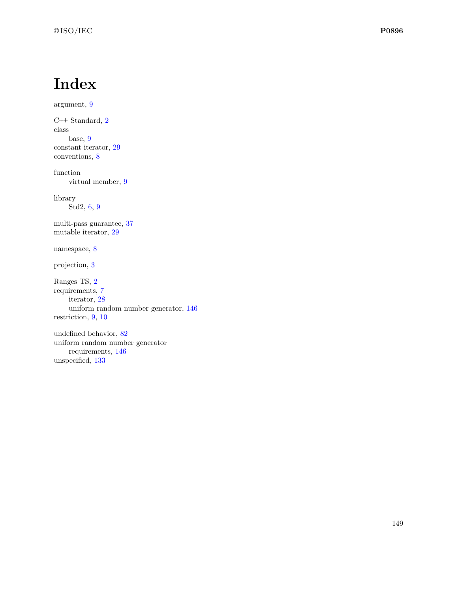# **Index**

argument, [9](#page-10-0) C**++** Standard, [2](#page-3-0) class base, [9](#page-10-0) constant iterator, [29](#page-30-0) conventions, [8](#page-9-0) function virtual member, [9](#page-10-0) library Std2, [6,](#page-7-0) [9](#page-10-0) multi-pass guarantee, [37](#page-38-0) mutable iterator, [29](#page-30-0) namespace, [8](#page-9-0) projection, [3](#page-4-0) Ranges TS, [2](#page-3-0) requirements, [7](#page-8-0) iterator, [28](#page-29-0) uniform random number generator, [146](#page-147-0) restriction, [9,](#page-10-0) [10](#page-11-0) undefined behavior, [82](#page-83-0) uniform random number generator requirements, [146](#page-147-0) unspecified, [133](#page-134-0)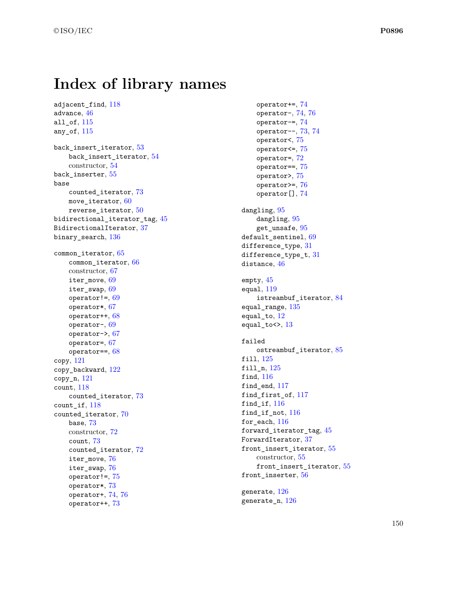adjacent find, [118](#page-119-0)

## **Index of library names**

advance, [46](#page-47-0) all of, [115](#page-116-0) any\_of, [115](#page-116-0) back\_insert\_iterator, [53](#page-54-0) back\_insert\_iterator, [54](#page-55-0) constructor, [54](#page-55-0) back\_inserter, [55](#page-56-0) base counted\_iterator, [73](#page-74-0) move\_iterator, [60](#page-61-0) reverse\_iterator, [50](#page-51-0) bidirectional\_iterator\_tag, [45](#page-46-0) BidirectionalIterator, [37](#page-38-0) binary\_search, [136](#page-137-0) common\_iterator, [65](#page-66-0) common\_iterator, [66](#page-67-0) constructor, [67](#page-68-0) iter\_move, [69](#page-70-0) iter\_swap, [69](#page-70-0) operator! $=$ , [69](#page-70-0) operator\*, [67](#page-68-0) operator++, [68](#page-69-0) operator-, [69](#page-70-0) operator->, [67](#page-68-0) operator=, [67](#page-68-0) operator==, [68](#page-69-0) copy, [121](#page-122-0) copy\_backward, [122](#page-123-0) copy\_n, [121](#page-122-0) count, [118](#page-119-0) counted\_iterator, [73](#page-74-0) count\_if, [118](#page-119-0) counted\_iterator, [70](#page-71-0) base, [73](#page-74-0) constructor, [72](#page-73-0) count, [73](#page-74-0) counted\_iterator, [72](#page-73-0) iter\_move, [76](#page-77-0) iter\_swap, [76](#page-77-0) operator!=, [75](#page-76-0) operator\*, [73](#page-74-0) operator+, [74,](#page-75-0) [76](#page-77-0) operator++, [73](#page-74-0)

operator+=, [74](#page-75-0) operator-, [74,](#page-75-0) [76](#page-77-0) operator-=, [74](#page-75-0) operator--, [73,](#page-74-0) [74](#page-75-0) operator<, [75](#page-76-0) operator<=, [75](#page-76-0) operator=, [72](#page-73-0) operator==, [75](#page-76-0) operator>, [75](#page-76-0) operator>=, [76](#page-77-0) operator[], [74](#page-75-0) dangling, [95](#page-96-0) dangling, [95](#page-96-0) get\_unsafe, [95](#page-96-0) default\_sentinel, [69](#page-70-0) difference\_type, [31](#page-32-0) difference\_type\_t, [31](#page-32-0) distance, [46](#page-47-0) empty, [45](#page-46-0) equal, [119](#page-120-0) istreambuf\_iterator, [84](#page-85-0) equal\_range, [135](#page-136-0) equal\_to, [12](#page-13-0) equal\_to $\leftrightarrow$ , [13](#page-14-0) failed ostreambuf\_iterator, [85](#page-86-0) fill, [125](#page-126-0) fill\_n, [125](#page-126-0) find, [116](#page-117-0) find\_end, [117](#page-118-0) find\_first\_of, [117](#page-118-0) find\_if, [116](#page-117-0) find\_if\_not, [116](#page-117-0) for\_each, [116](#page-117-0) forward\_iterator\_tag, [45](#page-46-0) ForwardIterator, [37](#page-38-0) front\_insert\_iterator, [55](#page-56-0) constructor, [55](#page-56-0) front\_insert\_iterator, [55](#page-56-0) front\_inserter, [56](#page-57-0)

generate, [126](#page-127-0) generate\_n, [126](#page-127-0)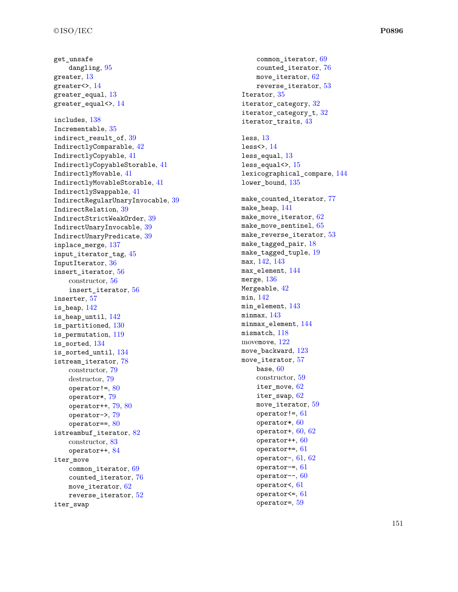get unsafe dangling , [95](#page-96-0) greater,  $13\,$  $13\,$ greater<>,  $14$ greater\_equal,  $13\,$  $13\,$ greater\_equal<> , [14](#page-15-0) includes , [138](#page-139-0) Incrementable , [35](#page-36-0) indirect\_result\_of , [39](#page-40-0) IndirectlyComparable , [42](#page-43-0) IndirectlyCopyable , [41](#page-42-0) IndirectlyCopyableStorable , [41](#page-42-0) IndirectlyMovable , [41](#page-42-0) IndirectlyMovableStorable , [41](#page-42-0) IndirectlySwappable , [41](#page-42-0) IndirectRegularUnaryInvocable , [39](#page-40-0) IndirectRelation , [39](#page-40-0) IndirectStrictWeakOrder , [39](#page-40-0) IndirectUnaryInvocable , [39](#page-40-0) IndirectUnaryPredicate , [39](#page-40-0) inplace\_merge , [137](#page-138-0) input\_iterator\_tag,  $45$ InputIterator, [36](#page-37-0) insert\_iterator , [56](#page-57-0) constructor, [56](#page-57-0) insert\_iterator , [56](#page-57-0) inserter , [57](#page-58-0)  $\mathtt{is\_heap},\, 142$  $\mathtt{is\_heap},\, 142$ is\_heap\_until , [142](#page-143-0) is\_partitioned , [130](#page-131-0) is\_permutation , [119](#page-120-0) is\_sorted , [134](#page-135-0) is\_sorted\_until , [134](#page-135-0) istream\_iterator , [78](#page-79-0) constructor, [79](#page-80-0) destructor, [79](#page-80-0) operator!=, [80](#page-81-0) operator\* , [79](#page-80-0) operator++, [79](#page-80-0), [80](#page-81-0) operator-> , [79](#page-80-0) operator== , [80](#page-81-0)  ${\tt istreambuf\_iterator}, 82$  ${\tt istreambuf\_iterator}, 82$ constructor, [83](#page-84-0) operator++ , [84](#page-85-0) iter move common\_iterator , [69](#page-70-0) counted\_iterator , [76](#page-77-0)  $\texttt{move\_iterator}, \overline{62}$  $\texttt{move\_iterator}, \overline{62}$  $\texttt{move\_iterator}, \overline{62}$  ${\tt reverse\_iterator},\,52$  ${\tt reverse\_iterator},\,52$ iter\_swap

common\_iterator , [69](#page-70-0) counted\_iterator , [76](#page-77-0)  $\texttt{move\_iterator}, \, 62$  $\texttt{move\_iterator}, \, 62$  ${\tt reverse\_iterator},\,53$  ${\tt reverse\_iterator},\,53$ Iterator , [35](#page-36-0) iterator\_category , [32](#page-33-0) iterator\_category\_t, [32](#page-33-0) iterator\_traits , [43](#page-44-0)  ${\tt less},\, 13$  ${\tt less},\, 13$ less $\leftrightarrow$ ,  $14$ less\_equal,  $13\,$  $13\,$ less\_equal $\leftrightarrow$ ,  $15$ lexicographical\_compare , [144](#page-145-0) lower\_bound , [135](#page-136-0) make\_counted\_iterator , [77](#page-78-0) make\_heap , [141](#page-142-0) <code>make\_move\_iterator</code>,  $62$  ${\tt make\_move\_sentinel,}~65$  ${\tt make\_move\_sentinel,}~65$  ${\tt make\_reverse\_iterator},\,53$  ${\tt make\_reverse\_iterator},\,53$ <code>make\_tagged\_pair</code>,  $18$  ${\tt make\_tagged\_tuple},\ 19$  ${\tt make\_tagged\_tuple},\ 19$ max , [142](#page-143-0) , [143](#page-144-0) max\_element , [144](#page-145-0) merge,  $136\,$  $136\,$  $\mathtt{Mergeable},\,42$  $\mathtt{Mergeable},\,42$ min , [142](#page-143-0) min\_element , [143](#page-144-0) minmax , [143](#page-144-0) minmax\_element , [144](#page-145-0) mismatch , [118](#page-119-0) movemove , [122](#page-123-0) move\_backward , [123](#page-124-0) move\_iterator , [57](#page-58-0) base,  $60\,$  $60\,$ constructor, [59](#page-60-0) iter\_move , [62](#page-63-0) iter\_swap , [62](#page-63-0)  $\texttt{move\_iterator}, \, 59$  $\texttt{move\_iterator}, \, 59$  $\texttt{operator}!=\text{, }61$  $\texttt{operator}!=\text{, }61$  $\texttt{operator*}, 60$  $\texttt{operator*}, 60$  $\texttt{operator+, 60, 62}$  $\texttt{operator+, 60, 62}$  $\texttt{operator+, 60, 62}$  $\texttt{operator+, 60, 62}$  $\texttt{operator+, 60, 62}$  $o$ perator++,  $60$ operator+= , [61](#page-62-0)  $o$ perator-,  $61, 62$  $61, 62$  $61, 62$  $\texttt{operator}=\text{, }61$  $\texttt{operator}=\text{, }61$  $\,$ operator--,  $60$  $\texttt{operator}$ s,  $61$  $\texttt{operator} \texttt{<=}, \, 61$  $\texttt{operator} \texttt{<=}, \, 61$  $\texttt{operator}$ =,  $59$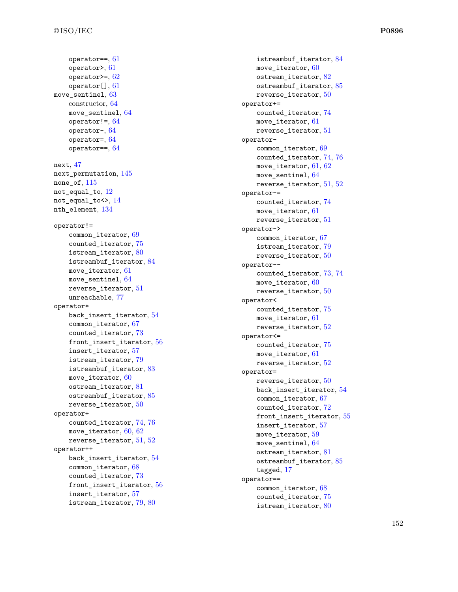operator== , [61](#page-62-0)  $\texttt{operator}$ ,  $61$  $operator$  $=, 62$  $=, 62$  $\,$ operator $[$ ],  $61$  $\verb|move_sentinel|, 63$  $\verb|move_sentinel|, 63$ constructor, [64](#page-65-0)  $\verb|move_sentinel|, 64$  $\verb|move_sentinel|, 64$  $\texttt{operator!}=\text{64}$  $\texttt{operator!}=\text{64}$  $\texttt{operator!}=\text{64}$ operator- , [64](#page-65-0)  $operator =$ ,  $64$  $operator==, 64$  $operator==, 64$ next , [47](#page-48-0) next\_permutation , [145](#page-146-0)  $none\_of, 115$  $none\_of, 115$  ${\tt not\_equal\_to},\, 12$  ${\tt not\_equal\_to},\, 12$ not\_equal\_to<> , [14](#page-15-0) nth\_element , [134](#page-135-0) operator!= common\_iterator , [69](#page-70-0) counted\_iterator , [75](#page-76-0) istream\_iterator , [80](#page-81-0) istreambuf\_iterator , [84](#page-85-0) move\_iterator,  $61$  $\verb|move_sentinel|, 64$  $\verb|move_sentinel|, 64$  ${\tt reverse\_iterator},\, 51$  ${\tt reverse\_iterator},\, 51$ unreachable , [77](#page-78-0) operator\*  $\mathtt{back\_insert\_iterator}, 54$  $\mathtt{back\_insert\_iterator}, 54$ common\_iterator , [67](#page-68-0) counted\_iterator , [73](#page-74-0)  ${\tt front\_insert\_iterator},\,56$  ${\tt front\_insert\_iterator},\,56$ insert\_iterator , [57](#page-58-0) istream\_iterator , [79](#page-80-0) istreambuf\_iterator, [83](#page-84-0)  $\texttt{move\_iterator}, 60$  $\texttt{move\_iterator}, 60$ ostream\_iterator , [81](#page-82-0) ostreambuf\_iterator, [85](#page-86-0)  ${\tt reverse\_iterator},\,50$  ${\tt reverse\_iterator},\,50$ operator+ counted\_iterator , [74](#page-75-0) , [76](#page-77-0)  $\tt{move\_iterator}, 60, 62$  $\tt{move\_iterator}, 60, 62$  $\tt{move\_iterator}, 60, 62$  $\tt{move\_iterator}, 60, 62$  ${\tt reverse\_iterator},\,51,\,52$  ${\tt reverse\_iterator},\,51,\,52$  ${\tt reverse\_iterator},\,51,\,52$  ${\tt reverse\_iterator},\,51,\,52$ operator++  $\mathtt{back\_insert\_iterator}, 54$  $\mathtt{back\_insert\_iterator}, 54$ common\_iterator , [68](#page-69-0) counted\_iterator , [73](#page-74-0)  ${\tt front\_insert\_iterator},\,56$  ${\tt front\_insert\_iterator},\,56$ insert\_iterator , [57](#page-58-0) istream\_iterator, [79](#page-80-0), [80](#page-81-0)

```
84
  60ostream_iterator
, 82
  85
  50operator+=
  counted_iterator
, 74
  6151operator-
  common_iterator
, 69
  counted_iterator
, 74
, 76
  \,move_iterator, 6162645152operator-=
  counted_iterator
, 74
  6151operator->
  common_iterator
, 67
  istream_iterator
, 79
  50operator--
  counted_iterator
, 73
, 74
  6050operator<
  counted_iterator
, 75
  6152operator<=
  counted_iterator
, 75
  6152operator=
  5054common_iterator
, 67
  counted_iterator
, 72
  55
  insert_iterator
, 57
  5964ostream_iterator
, 81
  85
  tagged
, 17
operator==
  common_iterator
, 68
  counted_iterator
, 75
  istream_iterator
, 80
```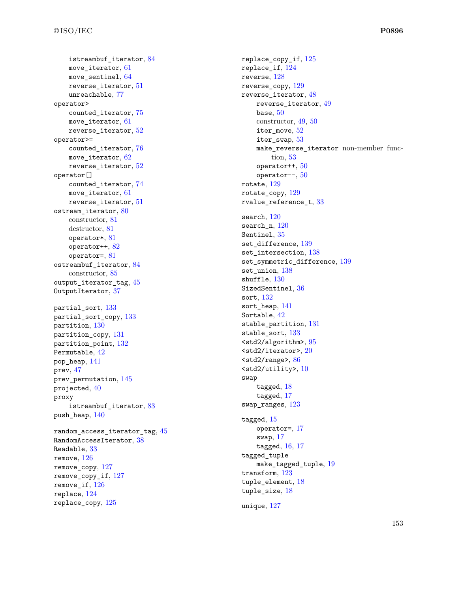istreambuf\_iterator, [84](#page-85-0) move\_iterator,  $61$  $\verb|move_sentinel|, 64$  $\verb|move_sentinel|, 64$  ${\tt reverse\_iterator},\, 51$  ${\tt reverse\_iterator},\, 51$ unreachable , [77](#page-78-0) operator> counted\_iterator , [75](#page-76-0)  $\verb|move_iterator|, 61$  $\verb|move_iterator|, 61$  ${\tt reverse\_iterator},\,52$  ${\tt reverse\_iterator},\,52$ operator>= counted\_iterator , [76](#page-77-0)  $\texttt{move\_iterator}, \, 62$  $\texttt{move\_iterator}, \, 62$  ${\tt reverse\_iterator},\,52$  ${\tt reverse\_iterator},\,52$ operator[] counted\_iterator , [74](#page-75-0)  $\verb|move_iterator|, 61$  $\verb|move_iterator|, 61$  $reverse\_iterator, 51$  $reverse\_iterator, 51$ ostream\_iterator, [80](#page-81-0) constructor, [81](#page-82-0) destructor, [81](#page-82-0) operator\* , [81](#page-82-0) operator++ , [82](#page-83-0) operator= , [81](#page-82-0)  $\texttt{ostreambuf}\_\texttt{iterator},\,84$  $\texttt{ostreambuf}\_\texttt{iterator},\,84$ constructor, [85](#page-86-0)  $output$ \_iterator\_tag,  $45$ OutputIterator, [37](#page-38-0)  ${\tt partial\_sort},\,133$  ${\tt partial\_sort},\,133$  $\mathtt{partial\_sort\_copy},\,133$  $\mathtt{partial\_sort\_copy},\,133$  $partition, 130$  $partition, 130$ partition\_copy , [131](#page-132-0) partition\_point , [132](#page-133-0)  ${\tt Permutable},\, 42$  ${\tt Permutable},\, 42$ pop\_heap , [141](#page-142-0) prev , [47](#page-48-0) prev\_permutation , [145](#page-146-0)  $\tt{projected, 40}$  $\tt{projected, 40}$  $\tt{projected, 40}$ proxy istreambuf\_iterator, [83](#page-84-0)  $\verb|push_new|, 140$  $\verb|push_new|, 140$  $\tt random\_access\_iterator\_tag, \, 45$  $\tt random\_access\_iterator\_tag, \, 45$  $\verb|RandomAccessIterator|, 38$  $\verb|RandomAccessIterator|, 38$ Readable,  $33$  ${\tt remove},\,126$  ${\tt remove},\,126$ remove\_copy , [127](#page-128-0) remove\_copy\_if , [127](#page-128-0)  ${\tt remove\_if},\,126$  ${\tt remove\_if},\,126$  $\verb|replace|, 124$  $\verb|replace|, 124$  $\verb|replace_copy|, 125$  $\verb|replace_copy|, 125$ 

 $\verb|replace_copy_if|, 125$  $\verb|replace_copy_if|, 125$  $\verb|replace_if|, 124$  $\verb|replace_if|, 124$  ${\tt reverse},\, 128$  ${\tt reverse},\, 128$  ${\tt reverse\_copy},\,129$  ${\tt reverse\_copy},\,129$  ${\tt reverse\_iterator},\,48$  ${\tt reverse\_iterator},\,48$  ${\tt reverse\_iterator},\,49$  ${\tt reverse\_iterator},\,49$ base,  $50\,$  $50\,$ constructor, [49](#page-50-0) , [50](#page-51-0) iter\_move,  $52$  $\texttt{iter\_swap},\,53$  $\texttt{iter\_swap},\,53$ make\_reverse\_iterator non-member function, [53](#page-54-0)  $\texttt{operator++}, 50$  $\texttt{operator++}, 50$  $\,$ ope $\,$ ato $\,$ r $-$ - $,50$  $,50$  $\texttt{rotate},\,129$  $\texttt{rotate},\,129$  $\verb|rotate_copy|, 129$  $\verb|rotate_copy|, 129$  $r$ value\_reference\_t,  $33$  $_{\rm{search},~120}$  $_{\rm{search},~120}$  $_{\rm{search},~120}$ search\_n,  $120$ Sentinel,  $35$  $\texttt{set\_difference},\,139$  $\texttt{set\_difference},\,139$  $\texttt{set}$ \_intersection,  $138$  $\mathtt{set\_symmetric\_difference},\,139$  $\mathtt{set\_symmetric\_difference},\,139$ set\_union , [138](#page-139-0)  $\texttt{shuffle},\,130$  $\texttt{shuffle},\,130$  $\texttt{SizedSentinel}, 36$  $\texttt{SizedSentinel}, 36$  $\texttt{sort},\, 132$  $\texttt{sort},\, 132$ sort\_heap , [141](#page-142-0)  $\texttt{Sortable}, \, 42$  $\texttt{Sortable}, \, 42$ stable\_partition , [131](#page-132-0)  $\texttt{stable\_sort},\, 133$  $\texttt{stable\_sort},\, 133$ <std2/algorithm> , [95](#page-96-0) <std2/iterator> , [20](#page-21-0) <std2/range> , [86](#page-87-0) <std2/utility> , [10](#page-11-0) swap tagged, [18](#page-19-0) tagged , [17](#page-18-0)  $\verb|swap_range|, 123$  $\verb|swap_range|, 123$  $\tttagged, 15$  $\tttagged, 15$ operator= , [17](#page-18-0) swap,  $17$ tagged,  $16, 17$  $16, 17$  $16, 17$ tagged\_tuple <code>make\_tagged\_tuple</code>,  $19$ transform , [123](#page-124-0) tuple\_element, [18](#page-19-0)  $\tt tuple\_size, 18$  $\tt tuple\_size, 18$ unique , [127](#page-128-0)